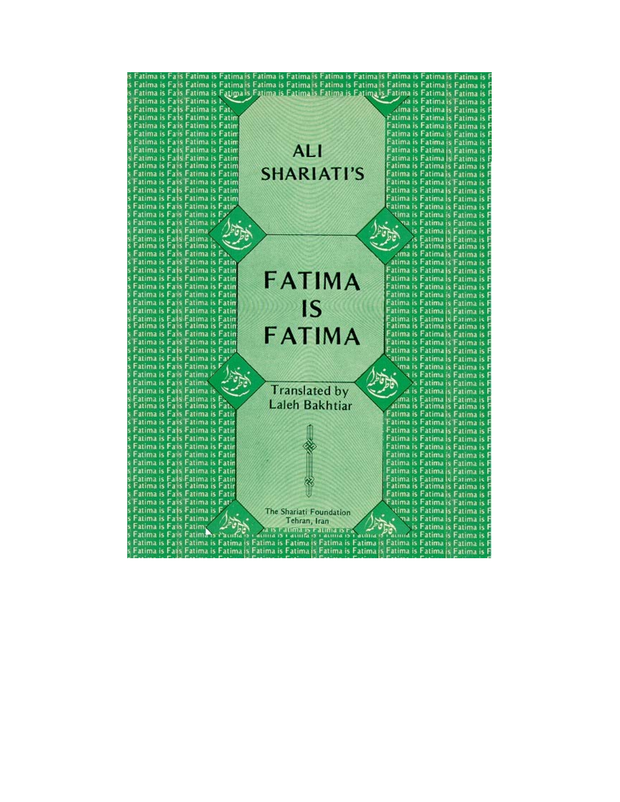| atima is hatima<br>atıma ıs                                                                                 | 15<br>atıma<br>15<br>ma              | atıma is<br><b>Fatimals</b>               |
|-------------------------------------------------------------------------------------------------------------|--------------------------------------|-------------------------------------------|
| Fatima is Fais Fatima is Fatima is Fatima is Fatima is Fatima is Fatima is Fatima is Fatima is Fatima is 1  |                                      |                                           |
| Fatima is Fajis Fatima is Fatima is Fatima is Fatima is Fatima is Fatima is Fatima is Fatima is Fatima      |                                      |                                           |
| ima is Fais Fatima is                                                                                       |                                      | na is hatima is hatima                    |
| Fatima is Fais Fatima is Fat.                                                                               |                                      | kima is Fatima is Fatima                  |
| Fatima is Fatis Fatima is Fatim                                                                             |                                      | Fatima is Fatima is Fatima                |
| Fatima is Fais Fatima is Fatim                                                                              |                                      |                                           |
|                                                                                                             |                                      | Fatima is Fatima is Fatima is I           |
| Fatima is Fails Fatima is Fatim                                                                             |                                      | Fatima is Fatima is Fatima is 1           |
| Fatima is Fa'is Fatima is Fatim                                                                             |                                      | Fatima is Fatima is Fatima is I           |
| Fatima is Fais Fatima is Fatim                                                                              | <b>ALI</b>                           | Fatima is Fatima is Fatima is I           |
| Fatima is Falls Fatima is Fatim                                                                             |                                      | Fatima is Fatima is Fatima is f           |
| Fatima is Fais Fatima is Fatim                                                                              |                                      | Fatima is Hatima is Fatima is I           |
| Fatima is Fais Fatima is Fatim                                                                              | <b>SHARIATI'S</b>                    | Fatima is Fatima is Fatima                |
| Fatima is Fais Fatima is Fatim                                                                              |                                      | Fatima is Fatima is Fatima                |
| Fatima is Fais Fatima is Fatim                                                                              |                                      | Fatima is Fatima is Fatima                |
| Fatima is Fa'is Fatima is Fatim                                                                             |                                      | Fatima is Fatima is Fatima                |
| Fatima is Fais Fatima is                                                                                    |                                      | atima is Fatima is Fatima                 |
| <b>Fatin</b>                                                                                                |                                      |                                           |
| Fatima is Faiis Fatima is Fat                                                                               |                                      | tima is Fatima is Fatima                  |
| Fatima is Fais Fatima is !                                                                                  |                                      | na is Fatima is Fatima is f               |
| <b>Fais Fatima</b><br>'atima is                                                                             |                                      | Fatima is Fatima is                       |
| atima is Fails<br>Fatima i                                                                                  |                                      | Fatima Is Fatima is                       |
| Fatima is Fais Fatima is I                                                                                  |                                      | a is Fatima is Fatima is                  |
| Fatima is Fais Fatima is Fat                                                                                |                                      | ima is Fatima is Fatima                   |
| Fatima is Fais Fatima is Fatin                                                                              |                                      | atima is Fatima is Fatima is              |
| Fatima is Fais Fatima is Fatin                                                                              |                                      | Fatima is Fatima is Fatima                |
| Fatima is Fa'is Fatima is Fatin                                                                             | <b>FATIMA</b>                        | Fatima is Fatima is Fatima                |
| Fatima is Fais Fatima is Fatin                                                                              |                                      | Fatima is Fatima is Fatima                |
| Fatima is Faiis Fatima is Fatin                                                                             |                                      | Fatima is Fatima is Fatima                |
| Fatima is Fa'is Fatima is Fatin                                                                             |                                      | Fatima is Fatima is Fatima                |
|                                                                                                             | IS                                   |                                           |
| "atima is Faiis Fatima is Fatin                                                                             |                                      | atima is Fatima is Fatima                 |
| Fatima is Fals Fatima is Fatin                                                                              |                                      | Fatima is Fatima Is Fatima                |
| atima is Fais Fatima is Fatin                                                                               | <b>FATIMA</b>                        | atima is<br><b>Fatimais Fatima</b><br>-15 |
| Fatima is Fais Fatima is Fatin                                                                              |                                      | Fatima is Fatima is Fatima                |
| atima is Fais Fatima is Fatin                                                                               |                                      | Fatima is Fatima is Fatima                |
| Fatima is Fais Fatima is Fatin                                                                              |                                      | Fatima is Fatima is Fatima                |
| Fatima is Fa'is Fatima is Fat                                                                               |                                      | iatima is Fatima is Fatima                |
| Fatima is Fais Fatima is f                                                                                  |                                      | ima is Fatima is Fatima                   |
| Fatima is Faiis Fatima i                                                                                    |                                      | īs.<br>Fatima is Fatima is                |
| Fatima is Fa'is Fatima                                                                                      |                                      | is Fatima is Fatima                       |
| Fatima is Faiis Fatima is                                                                                   | <b>Translated by</b>                 | a is Fatima is Fatima is                  |
| atima is Fails<br>Fatima is F                                                                               |                                      | ima is<br>Fatima is Eatima                |
| hatima is hais<br><b>Fatima</b> is                                                                          | Laleh Bakhtiar                       | atima is<br>Fatima is Fatima              |
| Fatima is Fais Fatima is Fatir                                                                              |                                      | Fatima is Fatima is Fatima                |
| Fatima is Fais Fatima is Patir                                                                              |                                      |                                           |
|                                                                                                             |                                      | Fatima is hatima is Fatima                |
| Fatima is Fais Fatima is Fatir                                                                              |                                      | Fatima is Fatima is Fatima is F           |
| Fatima is Fa'is Fatima is Fatin                                                                             |                                      | Fatima is Fatima is Fatima                |
| <sup>-</sup> atima is Fais Fatima is Fatin                                                                  |                                      | Fatima is Fatima is Fatima is             |
| Fatima is Fails Fatima is Fatin                                                                             |                                      | Fatima is Fatima is Fatima                |
| Fatima is Fais Fatima is Fatin                                                                              |                                      | atima is Fatima is Fatima                 |
| "atima is Faiis Fatima is F                                                                                 |                                      | Fatima is Fatima is Fatima                |
| Fatima is Eatin<br>atima is Fails                                                                           |                                      | atima is Fatima is Fatima                 |
| Fatima is Fais Fatima is Fatir                                                                              |                                      | atima is Hatima is Fatima is              |
| Fatima is Fais Fatima is Fatir                                                                              |                                      | Fatima is Fatima is Fatima                |
| Fatima is Fais Fatima is Fati                                                                               |                                      | atima is Fatima is Fatima                 |
| Fatima is Fais Fatima is F                                                                                  | The Shariati Foundation              | tima is Fatima is Fatima                  |
| Fatima is Fa'is Fatima is                                                                                   |                                      | ma is Fatima is Fatima                    |
| Fatima is Fais Fatim                                                                                        | Tehran, Iran                         |                                           |
|                                                                                                             |                                      | is Hatima is Hatima                       |
| Fatima is Fa'is Fatima                                                                                      |                                      | is Fatima is Fatima                       |
| Hatima is Hatima is                                                                                         | Fatima is Fatima is Fatima is Fatima | Fatima is<br><b>Fatima</b> is             |
| Fatima is Faiis Fatima is Fatima is Fatima is Fatima is Fatima is Fatima is Fatima is Fatima is Fatima is F |                                      |                                           |
|                                                                                                             |                                      |                                           |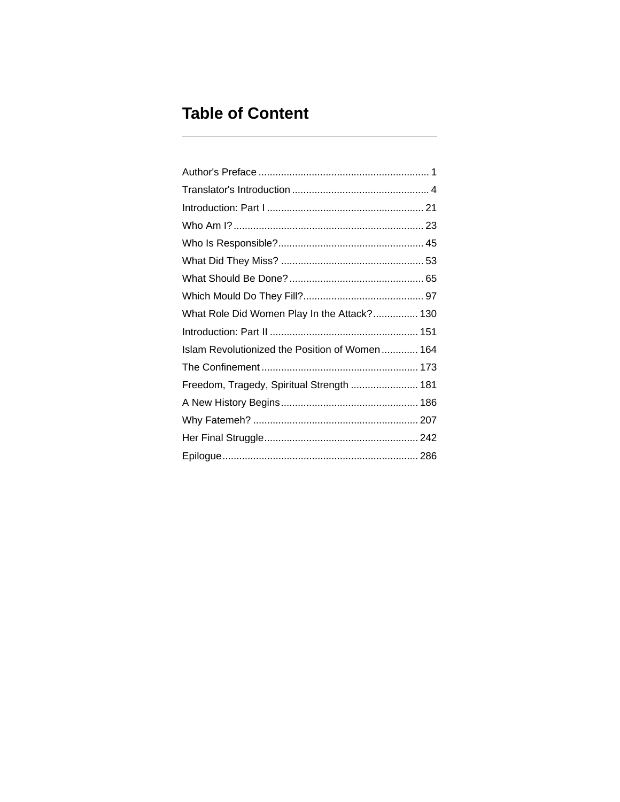# **Table of Content**

| What Role Did Women Play In the Attack? 130    |  |
|------------------------------------------------|--|
|                                                |  |
| Islam Revolutionized the Position of Women 164 |  |
|                                                |  |
| Freedom, Tragedy, Spiritual Strength  181      |  |
|                                                |  |
|                                                |  |
|                                                |  |
|                                                |  |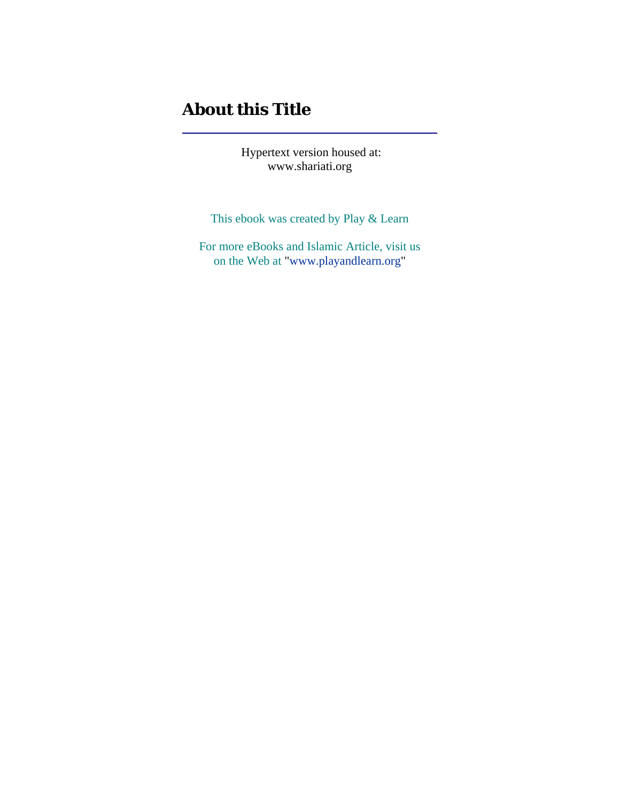## **About this Title**

 Hypertext version housed at: www.shariati.org

This ebook was created by Play & Learn

For more eBooks and Islamic Article, visit us on the Web at "www.playandlearn.org"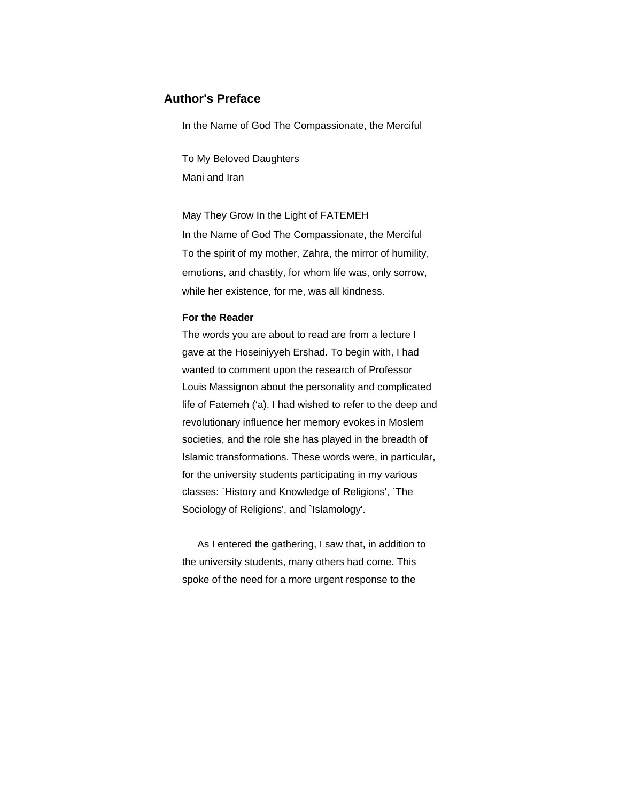### <span id="page-3-0"></span>**Author's Preface**

In the Name of God The Compassionate, the Merciful

To My Beloved Daughters Mani and Iran

May They Grow In the Light of FATEMEH In the Name of God The Compassionate, the Merciful To the spirit of my mother, Zahra, the mirror of humility, emotions, and chastity, for whom life was, only sorrow, while her existence, for me, was all kindness.

#### **For the Reader**

The words you are about to read are from a lecture I gave at the Hoseiniyyeh Ershad. To begin with, I had wanted to comment upon the research of Professor Louis Massignon about the personality and complicated life of Fatemeh ('a). I had wished to refer to the deep and revolutionary influence her memory evokes in Moslem societies, and the role she has played in the breadth of Islamic transformations. These words were, in particular, for the university students participating in my various classes: `History and Knowledge of Religions', `The Sociology of Religions', and `Islamology'.

As I entered the gathering, I saw that, in addition to the university students, many others had come. This spoke of the need for a more urgent response to the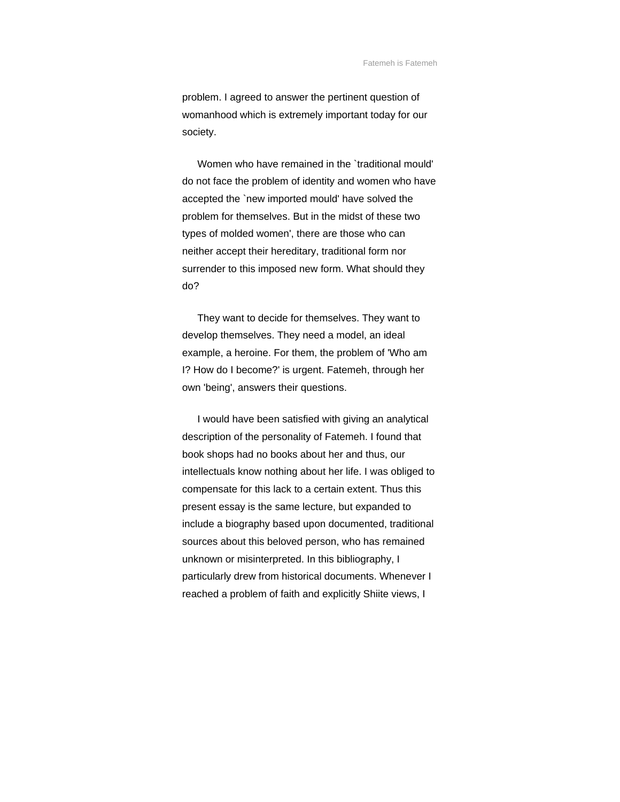problem. I agreed to answer the pertinent question of womanhood which is extremely important today for our society.

Women who have remained in the `traditional mould' do not face the problem of identity and women who have accepted the `new imported mould' have solved the problem for themselves. But in the midst of these two types of molded women', there are those who can neither accept their hereditary, traditional form nor surrender to this imposed new form. What should they do?

They want to decide for themselves. They want to develop themselves. They need a model, an ideal example, a heroine. For them, the problem of 'Who am I? How do I become?' is urgent. Fatemeh, through her own 'being', answers their questions.

I would have been satisfied with giving an analytical description of the personality of Fatemeh. I found that book shops had no books about her and thus, our intellectuals know nothing about her life. I was obliged to compensate for this lack to a certain extent. Thus this present essay is the same lecture, but expanded to include a biography based upon documented, traditional sources about this beloved person, who has remained unknown or misinterpreted. In this bibliography, I particularly drew from historical documents. Whenever I reached a problem of faith and explicitly Shiite views, I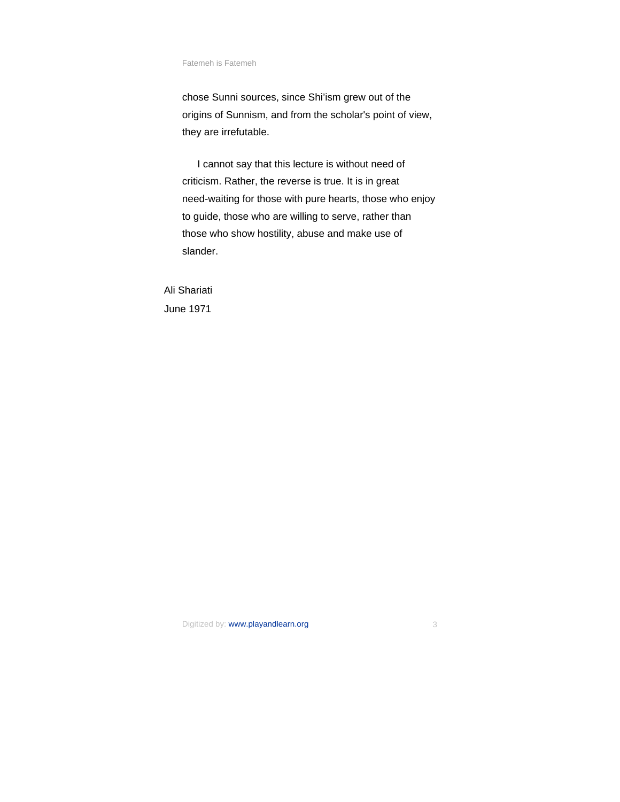chose Sunni sources, since Shi'ism grew out of the origins of Sunnism, and from the scholar's point of view, they are irrefutable.

I cannot say that this lecture is without need of criticism. Rather, the reverse is true. It is in great need-waiting for those with pure hearts, those who enjoy to guide, those who are willing to serve, rather than those who show hostility, abuse and make use of slander.

Ali Shariati June 1971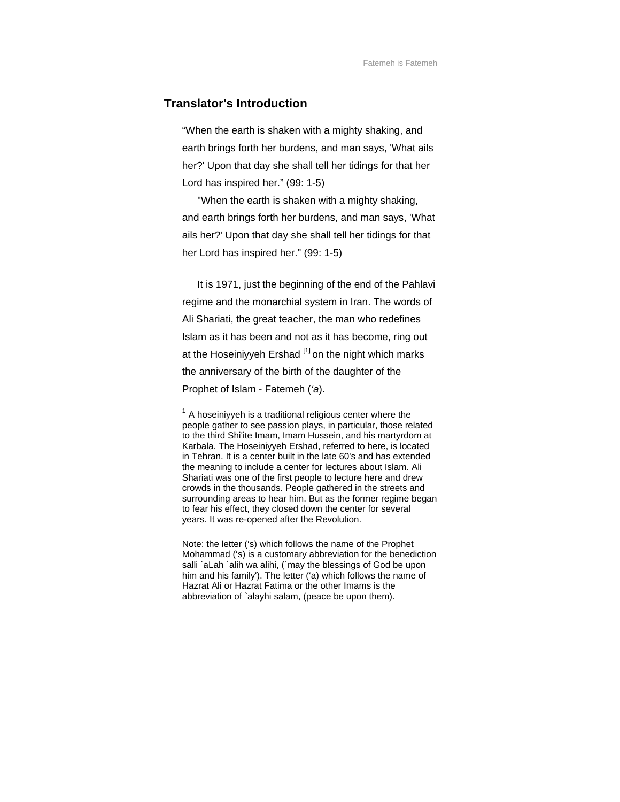#### <span id="page-6-0"></span>**Translator's Introduction**

 $\overline{a}$ 

"When the earth is shaken with a mighty shaking, and earth brings forth her burdens, and man says, 'What ails her?' Upon that day she shall tell her tidings for that her Lord has inspired her." (99: 1-5)

"When the earth is shaken with a mighty shaking, and earth brings forth her burdens, and man says, 'What ails her?' Upon that day she shall tell her tidings for that her Lord has inspired her." (99: 1-5)

It is 1971, just the beginning of the end of the Pahlavi regime and the monarchial system in Iran. The words of Ali Shariati, the great teacher, the man who redefines Islam as it has been and not as it has become, ring out at the Hoseiniyyeh Ershad  $\left[1\right]$  on the night which marks the anniversary of the birth of the daughter of the Prophet of Islam - Fatemeh (*'a*).

Note: the letter ('s) which follows the name of the Prophet Mohammad ('s) is a customary abbreviation for the benediction salli `aLah `alih wa alihi, (`may the blessings of God be upon him and his family'). The letter ('a) which follows the name of Hazrat Ali or Hazrat Fatima or the other Imams is the abbreviation of `alayhi salam, (peace be upon them).

 $1$  A hoseiniyyeh is a traditional religious center where the people gather to see passion plays, in particular, those related to the third Shi'ite Imam, Imam Hussein, and his martyrdom at Karbala. The Hoseiniyyeh Ershad, referred to here, is located in Tehran. It is a center built in the late 60's and has extended the meaning to include a center for lectures about Islam. Ali Shariati was one of the first people to lecture here and drew crowds in the thousands. People gathered in the streets and surrounding areas to hear him. But as the former regime began to fear his effect, they closed down the center for several years. It was re-opened after the Revolution.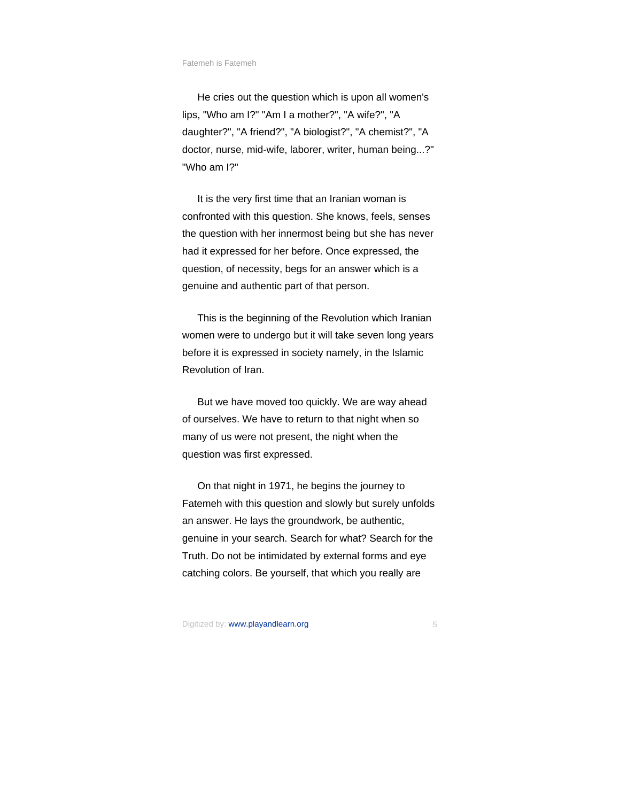He cries out the question which is upon all women's lips, "Who am I?" "Am I a mother?", "A wife?", "A daughter?", "A friend?", "A biologist?", "A chemist?", "A doctor, nurse, mid-wife, laborer, writer, human being...?" "Who am I?"

It is the very first time that an Iranian woman is confronted with this question. She knows, feels, senses the question with her innermost being but she has never had it expressed for her before. Once expressed, the question, of necessity, begs for an answer which is a genuine and authentic part of that person.

This is the beginning of the Revolution which Iranian women were to undergo but it will take seven long years before it is expressed in society namely, in the Islamic Revolution of Iran.

But we have moved too quickly. We are way ahead of ourselves. We have to return to that night when so many of us were not present, the night when the question was first expressed.

On that night in 1971, he begins the journey to Fatemeh with this question and slowly but surely unfolds an answer. He lays the groundwork, be authentic, genuine in your search. Search for what? Search for the Truth. Do not be intimidated by external forms and eye catching colors. Be yourself, that which you really are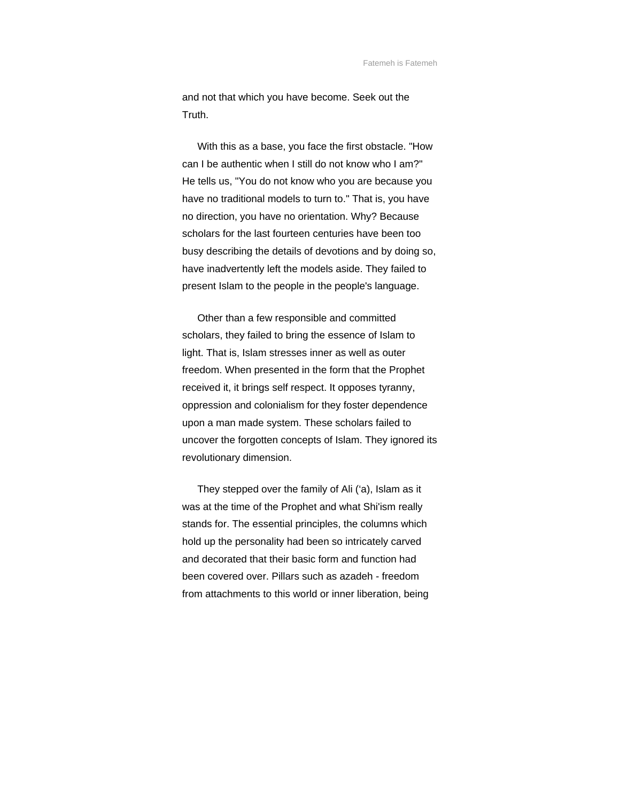and not that which you have become. Seek out the Truth.

With this as a base, you face the first obstacle. "How can I be authentic when I still do not know who I am?" He tells us, "You do not know who you are because you have no traditional models to turn to." That is, you have no direction, you have no orientation. Why? Because scholars for the last fourteen centuries have been too busy describing the details of devotions and by doing so, have inadvertently left the models aside. They failed to present Islam to the people in the people's language.

Other than a few responsible and committed scholars, they failed to bring the essence of Islam to light. That is, Islam stresses inner as well as outer freedom. When presented in the form that the Prophet received it, it brings self respect. It opposes tyranny, oppression and colonialism for they foster dependence upon a man made system. These scholars failed to uncover the forgotten concepts of Islam. They ignored its revolutionary dimension.

They stepped over the family of Ali ('a), Islam as it was at the time of the Prophet and what Shi'ism really stands for. The essential principles, the columns which hold up the personality had been so intricately carved and decorated that their basic form and function had been covered over. Pillars such as azadeh - freedom from attachments to this world or inner liberation, being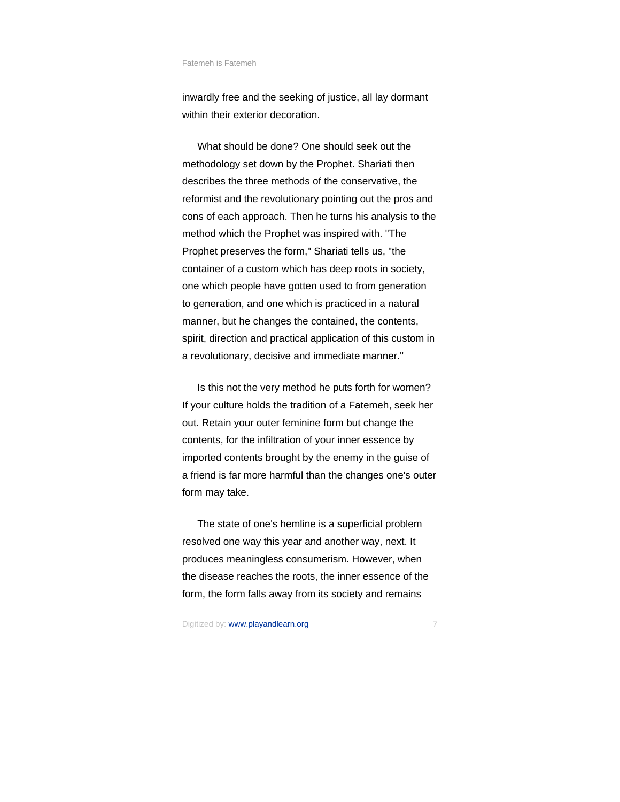inwardly free and the seeking of justice, all lay dormant within their exterior decoration.

What should be done? One should seek out the methodology set down by the Prophet. Shariati then describes the three methods of the conservative, the reformist and the revolutionary pointing out the pros and cons of each approach. Then he turns his analysis to the method which the Prophet was inspired with. "The Prophet preserves the form," Shariati tells us, "the container of a custom which has deep roots in society, one which people have gotten used to from generation to generation, and one which is practiced in a natural manner, but he changes the contained, the contents, spirit, direction and practical application of this custom in a revolutionary, decisive and immediate manner."

Is this not the very method he puts forth for women? If your culture holds the tradition of a Fatemeh, seek her out. Retain your outer feminine form but change the contents, for the infiltration of your inner essence by imported contents brought by the enemy in the guise of a friend is far more harmful than the changes one's outer form may take.

The state of one's hemline is a superficial problem resolved one way this year and another way, next. It produces meaningless consumerism. However, when the disease reaches the roots, the inner essence of the form, the form falls away from its society and remains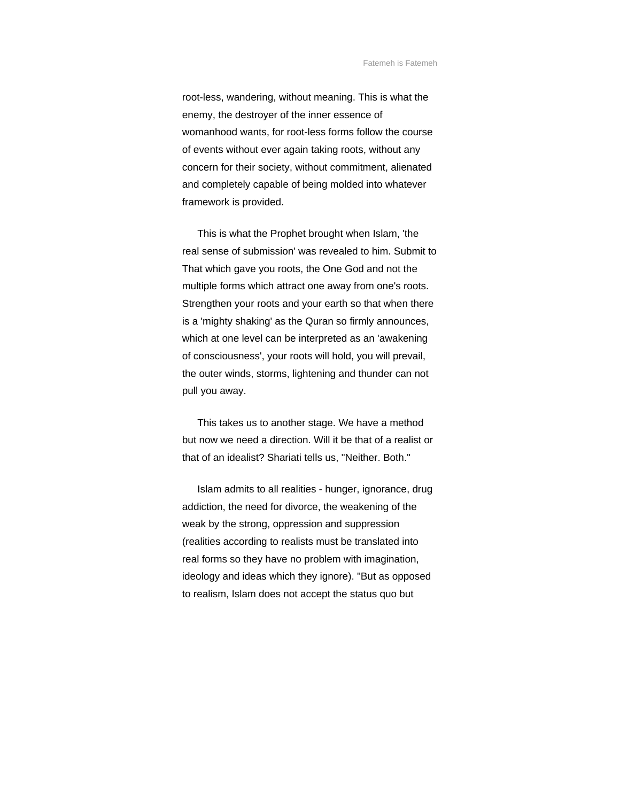root-less, wandering, without meaning. This is what the enemy, the destroyer of the inner essence of womanhood wants, for root-less forms follow the course of events without ever again taking roots, without any concern for their society, without commitment, alienated and completely capable of being molded into whatever framework is provided.

This is what the Prophet brought when Islam, 'the real sense of submission' was revealed to him. Submit to That which gave you roots, the One God and not the multiple forms which attract one away from one's roots. Strengthen your roots and your earth so that when there is a 'mighty shaking' as the Quran so firmly announces, which at one level can be interpreted as an 'awakening of consciousness', your roots will hold, you will prevail, the outer winds, storms, lightening and thunder can not pull you away.

This takes us to another stage. We have a method but now we need a direction. Will it be that of a realist or that of an idealist? Shariati tells us, "Neither. Both."

Islam admits to all realities - hunger, ignorance, drug addiction, the need for divorce, the weakening of the weak by the strong, oppression and suppression (realities according to realists must be translated into real forms so they have no problem with imagination, ideology and ideas which they ignore). "But as opposed to realism, Islam does not accept the status quo but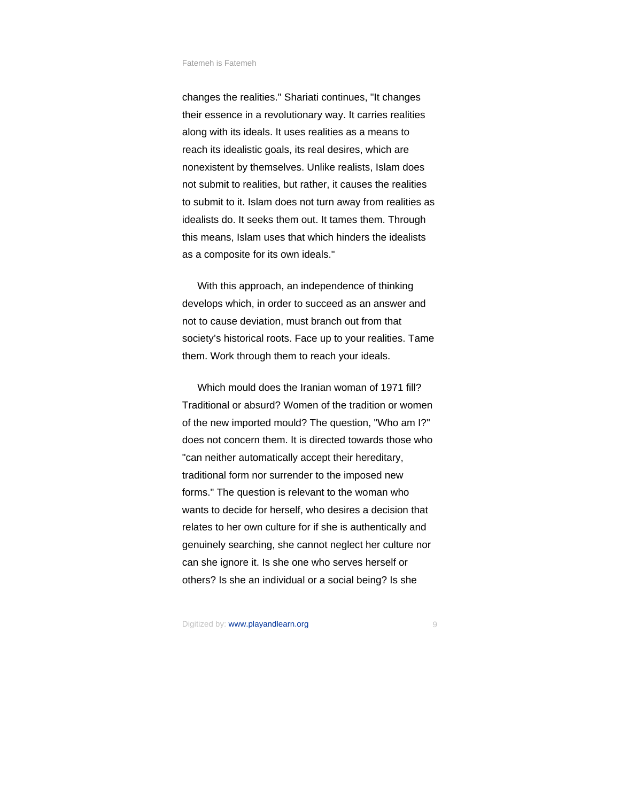changes the realities." Shariati continues, "It changes their essence in a revolutionary way. It carries realities along with its ideals. It uses realities as a means to reach its idealistic goals, its real desires, which are nonexistent by themselves. Unlike realists, Islam does not submit to realities, but rather, it causes the realities to submit to it. Islam does not turn away from realities as idealists do. It seeks them out. It tames them. Through this means, Islam uses that which hinders the idealists as a composite for its own ideals."

With this approach, an independence of thinking develops which, in order to succeed as an answer and not to cause deviation, must branch out from that society's historical roots. Face up to your realities. Tame them. Work through them to reach your ideals.

Which mould does the Iranian woman of 1971 fill? Traditional or absurd? Women of the tradition or women of the new imported mould? The question, "Who am I?" does not concern them. It is directed towards those who "can neither automatically accept their hereditary, traditional form nor surrender to the imposed new forms." The question is relevant to the woman who wants to decide for herself, who desires a decision that relates to her own culture for if she is authentically and genuinely searching, she cannot neglect her culture nor can she ignore it. Is she one who serves herself or others? Is she an individual or a social being? Is she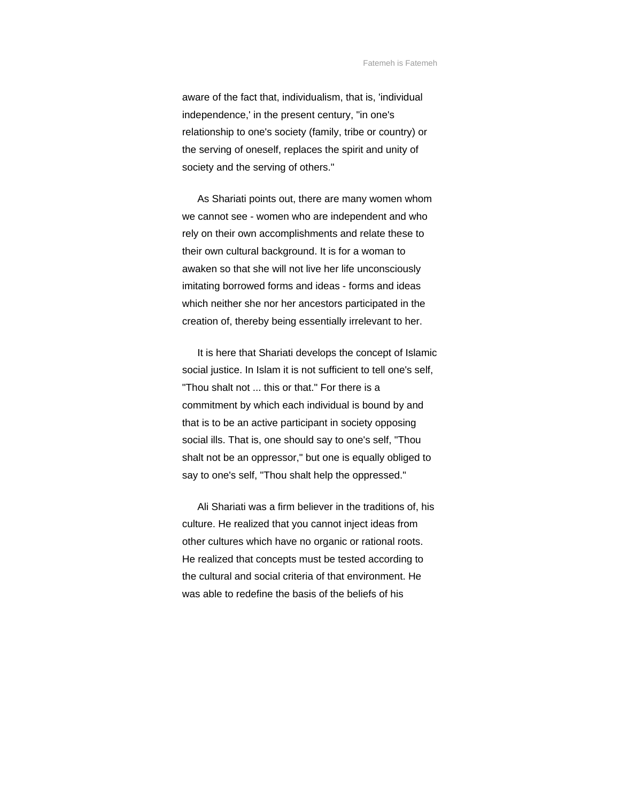aware of the fact that, individualism, that is, 'individual independence,' in the present century, "in one's relationship to one's society (family, tribe or country) or the serving of oneself, replaces the spirit and unity of society and the serving of others."

As Shariati points out, there are many women whom we cannot see - women who are independent and who rely on their own accomplishments and relate these to their own cultural background. It is for a woman to awaken so that she will not live her life unconsciously imitating borrowed forms and ideas - forms and ideas which neither she nor her ancestors participated in the creation of, thereby being essentially irrelevant to her.

It is here that Shariati develops the concept of Islamic social justice. In Islam it is not sufficient to tell one's self. "Thou shalt not ... this or that." For there is a commitment by which each individual is bound by and that is to be an active participant in society opposing social ills. That is, one should say to one's self, "Thou shalt not be an oppressor," but one is equally obliged to say to one's self, "Thou shalt help the oppressed."

Ali Shariati was a firm believer in the traditions of, his culture. He realized that you cannot inject ideas from other cultures which have no organic or rational roots. He realized that concepts must be tested according to the cultural and social criteria of that environment. He was able to redefine the basis of the beliefs of his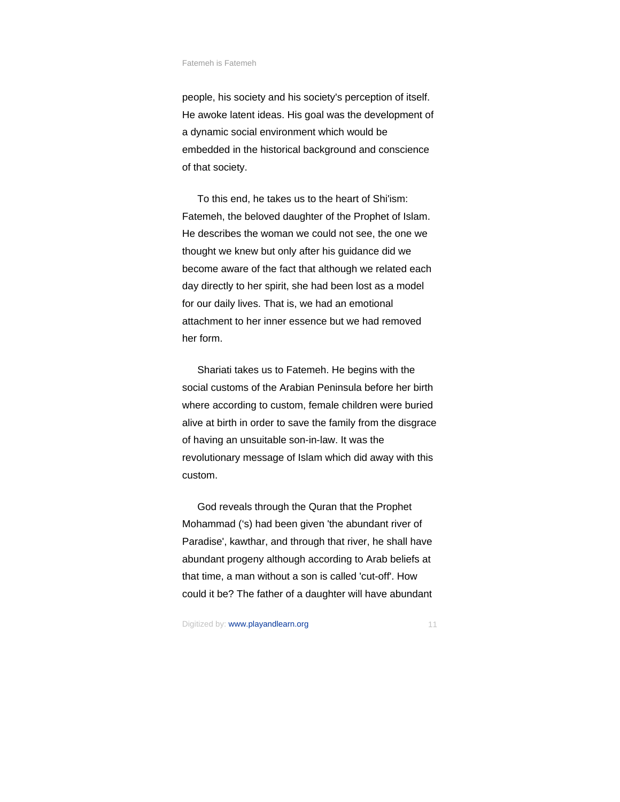people, his society and his society's perception of itself. He awoke latent ideas. His goal was the development of a dynamic social environment which would be embedded in the historical background and conscience of that society.

To this end, he takes us to the heart of Shi'ism: Fatemeh, the beloved daughter of the Prophet of Islam. He describes the woman we could not see, the one we thought we knew but only after his guidance did we become aware of the fact that although we related each day directly to her spirit, she had been lost as a model for our daily lives. That is, we had an emotional attachment to her inner essence but we had removed her form.

Shariati takes us to Fatemeh. He begins with the social customs of the Arabian Peninsula before her birth where according to custom, female children were buried alive at birth in order to save the family from the disgrace of having an unsuitable son-in-law. It was the revolutionary message of Islam which did away with this custom.

God reveals through the Quran that the Prophet Mohammad ('s) had been given 'the abundant river of Paradise', kawthar, and through that river, he shall have abundant progeny although according to Arab beliefs at that time, a man without a son is called 'cut-off'. How could it be? The father of a daughter will have abundant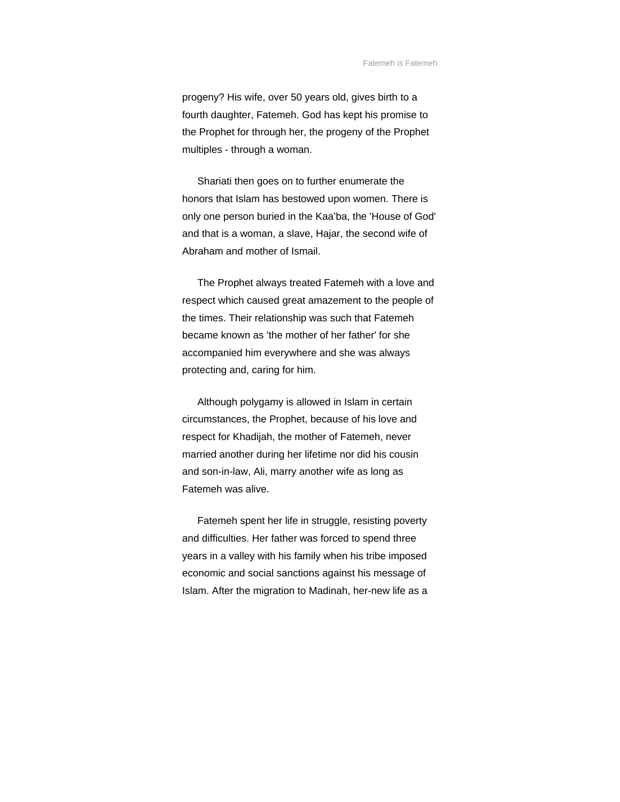progeny? His wife, over 50 years old, gives birth to a fourth daughter, Fatemeh. God has kept his promise to the Prophet for through her, the progeny of the Prophet multiples - through a woman.

Shariati then goes on to further enumerate the honors that Islam has bestowed upon women. There is only one person buried in the Kaa'ba, the 'House of God' and that is a woman, a slave, Hajar, the second wife of Abraham and mother of Ismail.

The Prophet always treated Fatemeh with a love and respect which caused great amazement to the people of the times. Their relationship was such that Fatemeh became known as 'the mother of her father' for she accompanied him everywhere and she was always protecting and, caring for him.

Although polygamy is allowed in Islam in certain circumstances, the Prophet, because of his love and respect for Khadijah, the mother of Fatemeh, never married another during her lifetime nor did his cousin and son-in-law, Ali, marry another wife as long as Fatemeh was alive.

Fatemeh spent her life in struggle, resisting poverty and difficulties. Her father was forced to spend three years in a valley with his family when his tribe imposed economic and social sanctions against his message of Islam. After the migration to Madinah, her-new life as a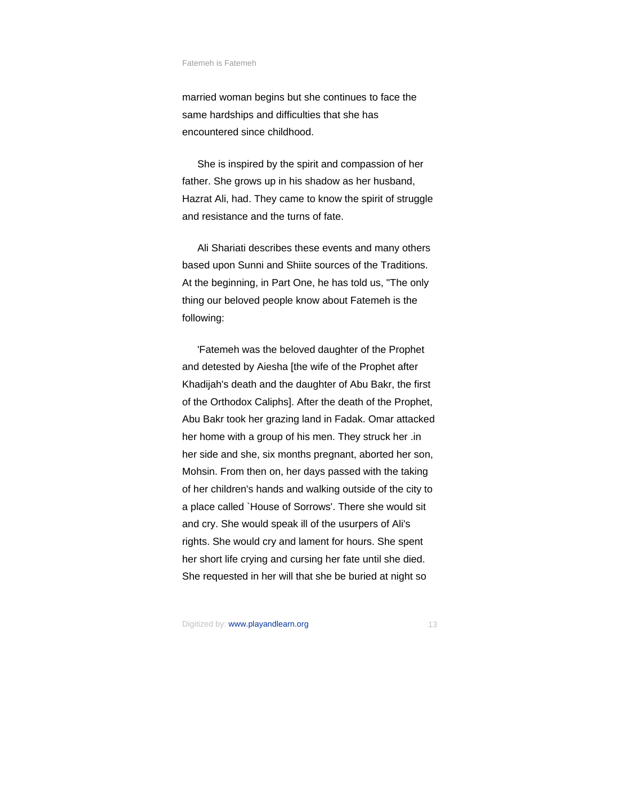married woman begins but she continues to face the same hardships and difficulties that she has encountered since childhood.

She is inspired by the spirit and compassion of her father. She grows up in his shadow as her husband, Hazrat Ali, had. They came to know the spirit of struggle and resistance and the turns of fate.

Ali Shariati describes these events and many others based upon Sunni and Shiite sources of the Traditions. At the beginning, in Part One, he has told us, "The only thing our beloved people know about Fatemeh is the following:

'Fatemeh was the beloved daughter of the Prophet and detested by Aiesha [the wife of the Prophet after Khadijah's death and the daughter of Abu Bakr, the first of the Orthodox Caliphs]. After the death of the Prophet, Abu Bakr took her grazing land in Fadak. Omar attacked her home with a group of his men. They struck her .in her side and she, six months pregnant, aborted her son, Mohsin. From then on, her days passed with the taking of her children's hands and walking outside of the city to a place called `House of Sorrows'. There she would sit and cry. She would speak ill of the usurpers of Ali's rights. She would cry and lament for hours. She spent her short life crying and cursing her fate until she died. She requested in her will that she be buried at night so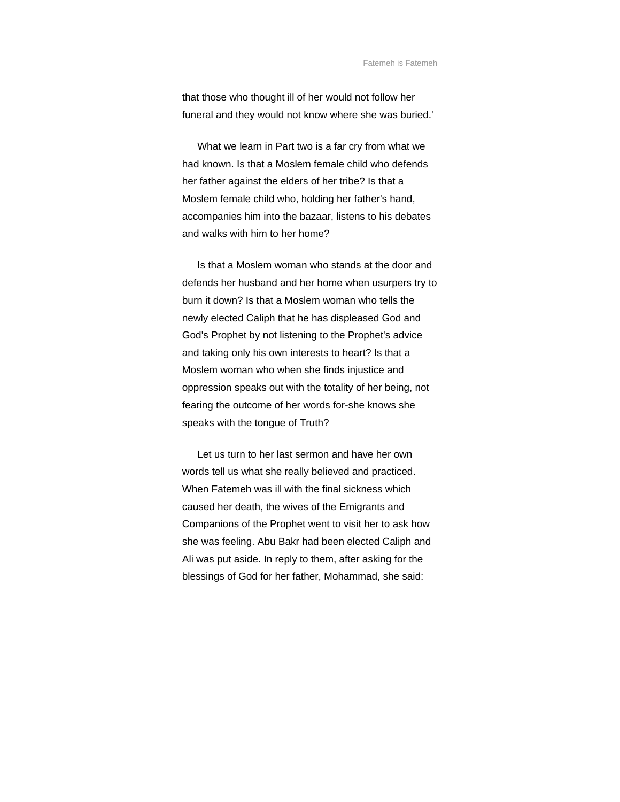that those who thought ill of her would not follow her funeral and they would not know where she was buried.'

What we learn in Part two is a far cry from what we had known. Is that a Moslem female child who defends her father against the elders of her tribe? Is that a Moslem female child who, holding her father's hand, accompanies him into the bazaar, listens to his debates and walks with him to her home?

Is that a Moslem woman who stands at the door and defends her husband and her home when usurpers try to burn it down? Is that a Moslem woman who tells the newly elected Caliph that he has displeased God and God's Prophet by not listening to the Prophet's advice and taking only his own interests to heart? Is that a Moslem woman who when she finds injustice and oppression speaks out with the totality of her being, not fearing the outcome of her words for-she knows she speaks with the tongue of Truth?

Let us turn to her last sermon and have her own words tell us what she really believed and practiced. When Fatemeh was ill with the final sickness which caused her death, the wives of the Emigrants and Companions of the Prophet went to visit her to ask how she was feeling. Abu Bakr had been elected Caliph and Ali was put aside. In reply to them, after asking for the blessings of God for her father, Mohammad, she said: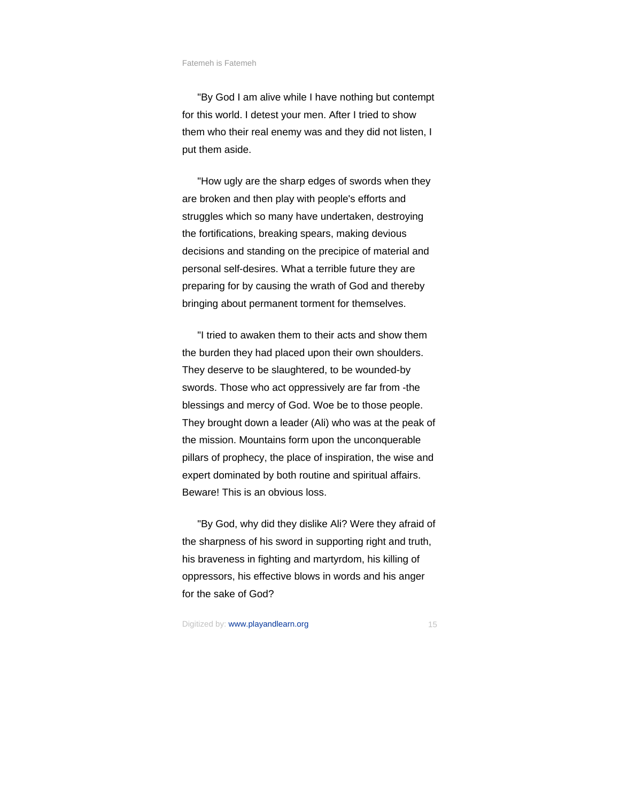"By God I am alive while I have nothing but contempt for this world. I detest your men. After I tried to show them who their real enemy was and they did not listen, I put them aside.

"How ugly are the sharp edges of swords when they are broken and then play with people's efforts and struggles which so many have undertaken, destroying the fortifications, breaking spears, making devious decisions and standing on the precipice of material and personal self-desires. What a terrible future they are preparing for by causing the wrath of God and thereby bringing about permanent torment for themselves.

"I tried to awaken them to their acts and show them the burden they had placed upon their own shoulders. They deserve to be slaughtered, to be wounded-by swords. Those who act oppressively are far from -the blessings and mercy of God. Woe be to those people. They brought down a leader (Ali) who was at the peak of the mission. Mountains form upon the unconquerable pillars of prophecy, the place of inspiration, the wise and expert dominated by both routine and spiritual affairs. Beware! This is an obvious loss.

"By God, why did they dislike Ali? Were they afraid of the sharpness of his sword in supporting right and truth, his braveness in fighting and martyrdom, his killing of oppressors, his effective blows in words and his anger for the sake of God?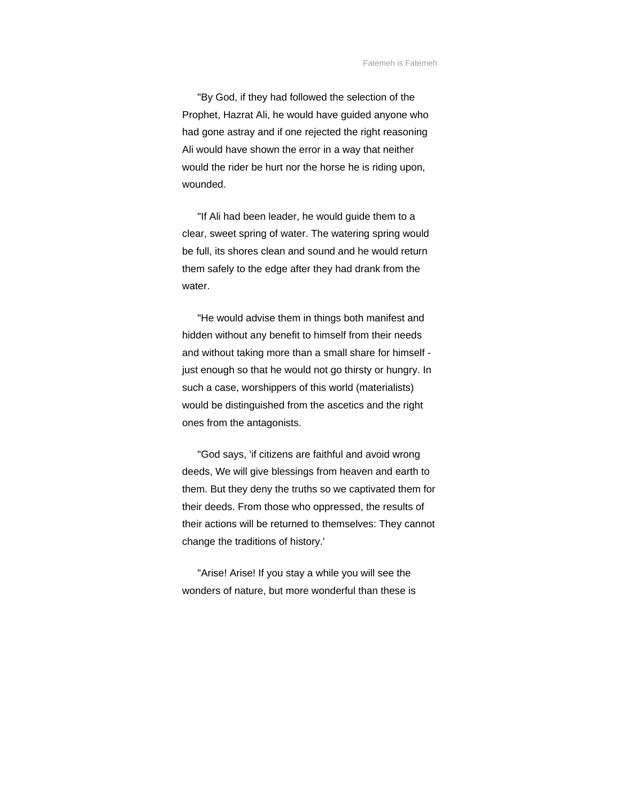"By God, if they had followed the selection of the Prophet, Hazrat Ali, he would have guided anyone who had gone astray and if one rejected the right reasoning Ali would have shown the error in a way that neither would the rider be hurt nor the horse he is riding upon, wounded.

"If Ali had been leader, he would guide them to a clear, sweet spring of water. The watering spring would be full, its shores clean and sound and he would return them safely to the edge after they had drank from the water.

"He would advise them in things both manifest and hidden without any benefit to himself from their needs and without taking more than a small share for himself just enough so that he would not go thirsty or hungry. In such a case, worshippers of this world (materialists) would be distinguished from the ascetics and the right ones from the antagonists.

"God says, 'if citizens are faithful and avoid wrong deeds, We will give blessings from heaven and earth to them. But they deny the truths so we captivated them for their deeds. From those who oppressed, the results of their actions will be returned to themselves: They cannot change the traditions of history.'

"Arise! Arise! If you stay a while you will see the wonders of nature, but more wonderful than these is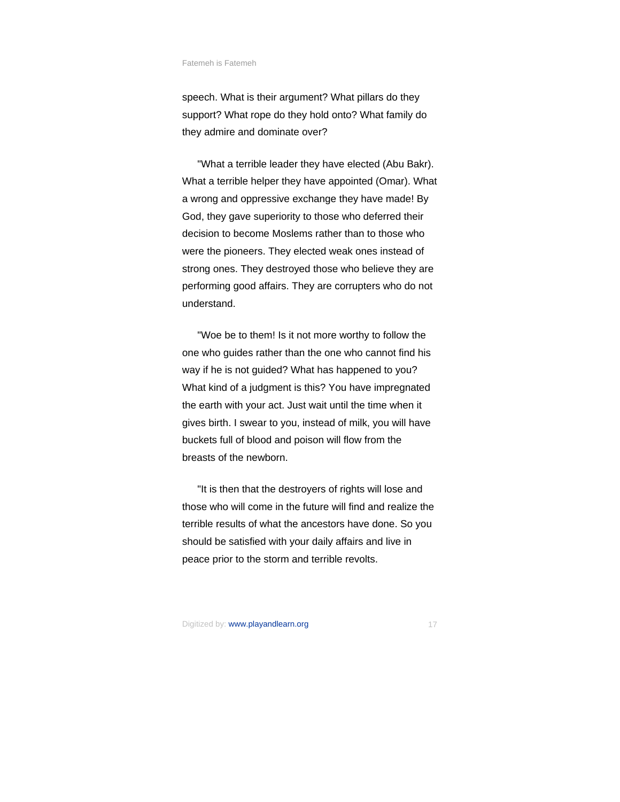speech. What is their argument? What pillars do they support? What rope do they hold onto? What family do they admire and dominate over?

"What a terrible leader they have elected (Abu Bakr). What a terrible helper they have appointed (Omar). What a wrong and oppressive exchange they have made! By God, they gave superiority to those who deferred their decision to become Moslems rather than to those who were the pioneers. They elected weak ones instead of strong ones. They destroyed those who believe they are performing good affairs. They are corrupters who do not understand.

"Woe be to them! Is it not more worthy to follow the one who guides rather than the one who cannot find his way if he is not guided? What has happened to you? What kind of a judgment is this? You have impregnated the earth with your act. Just wait until the time when it gives birth. I swear to you, instead of milk, you will have buckets full of blood and poison will flow from the breasts of the newborn.

"It is then that the destroyers of rights will lose and those who will come in the future will find and realize the terrible results of what the ancestors have done. So you should be satisfied with your daily affairs and live in peace prior to the storm and terrible revolts.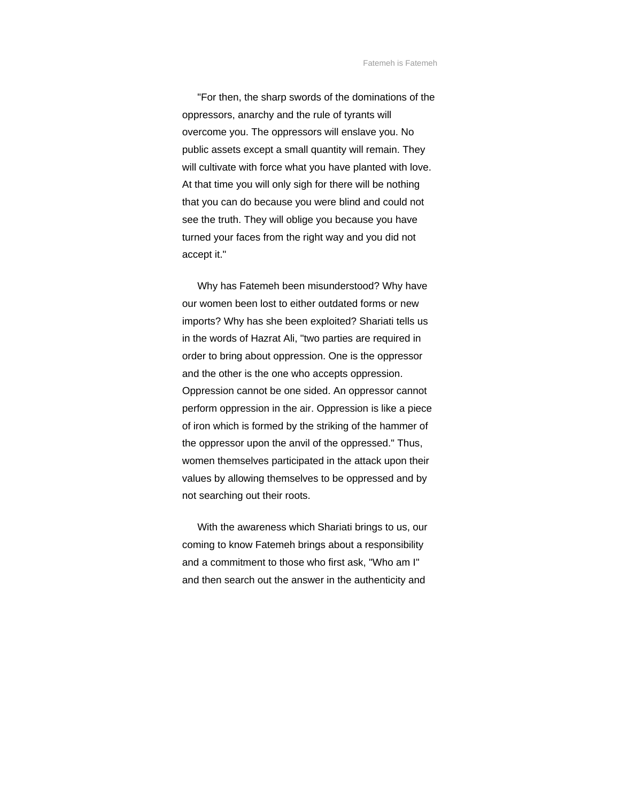"For then, the sharp swords of the dominations of the oppressors, anarchy and the rule of tyrants will overcome you. The oppressors will enslave you. No public assets except a small quantity will remain. They will cultivate with force what you have planted with love. At that time you will only sigh for there will be nothing that you can do because you were blind and could not see the truth. They will oblige you because you have turned your faces from the right way and you did not accept it."

Why has Fatemeh been misunderstood? Why have our women been lost to either outdated forms or new imports? Why has she been exploited? Shariati tells us in the words of Hazrat Ali, "two parties are required in order to bring about oppression. One is the oppressor and the other is the one who accepts oppression. Oppression cannot be one sided. An oppressor cannot perform oppression in the air. Oppression is like a piece of iron which is formed by the striking of the hammer of the oppressor upon the anvil of the oppressed." Thus, women themselves participated in the attack upon their values by allowing themselves to be oppressed and by not searching out their roots.

With the awareness which Shariati brings to us, our coming to know Fatemeh brings about a responsibility and a commitment to those who first ask, "Who am I" and then search out the answer in the authenticity and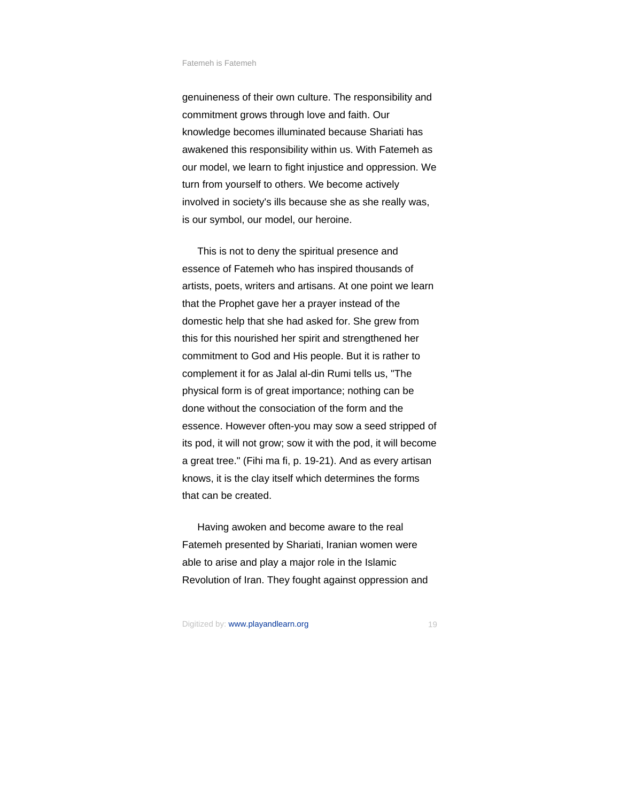genuineness of their own culture. The responsibility and commitment grows through love and faith. Our knowledge becomes illuminated because Shariati has awakened this responsibility within us. With Fatemeh as our model, we learn to fight injustice and oppression. We turn from yourself to others. We become actively involved in society's ills because she as she really was, is our symbol, our model, our heroine.

This is not to deny the spiritual presence and essence of Fatemeh who has inspired thousands of artists, poets, writers and artisans. At one point we learn that the Prophet gave her a prayer instead of the domestic help that she had asked for. She grew from this for this nourished her spirit and strengthened her commitment to God and His people. But it is rather to complement it for as Jalal al-din Rumi tells us, "The physical form is of great importance; nothing can be done without the consociation of the form and the essence. However often-you may sow a seed stripped of its pod, it will not grow; sow it with the pod, it will become a great tree." (Fihi ma fi, p. 19-21). And as every artisan knows, it is the clay itself which determines the forms that can be created.

Having awoken and become aware to the real Fatemeh presented by Shariati, Iranian women were able to arise and play a major role in the Islamic Revolution of Iran. They fought against oppression and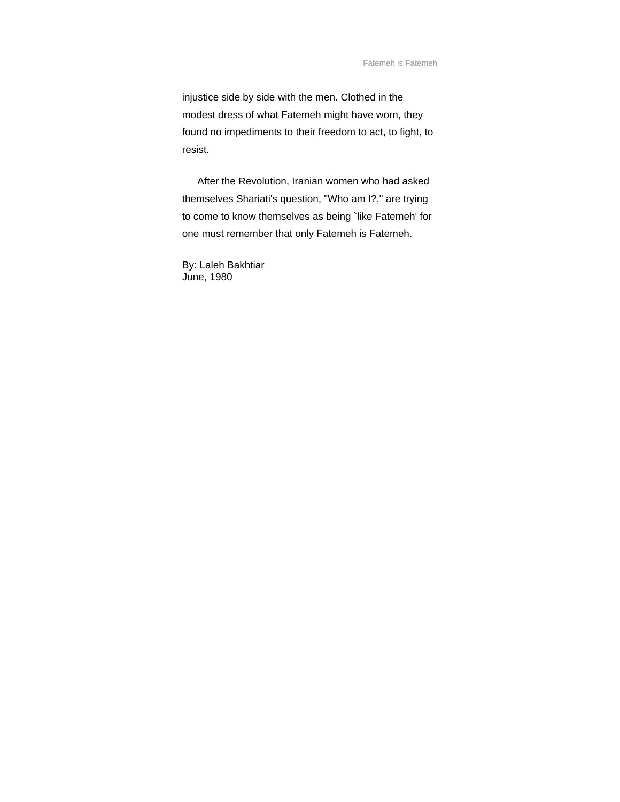injustice side by side with the men. Clothed in the modest dress of what Fatemeh might have worn, they found no impediments to their freedom to act, to fight, to resist.

After the Revolution, Iranian women who had asked themselves Shariati's question, "Who am I?," are trying to come to know themselves as being `like Fatemeh' for one must remember that only Fatemeh is Fatemeh.

By: Laleh Bakhtiar June, 1980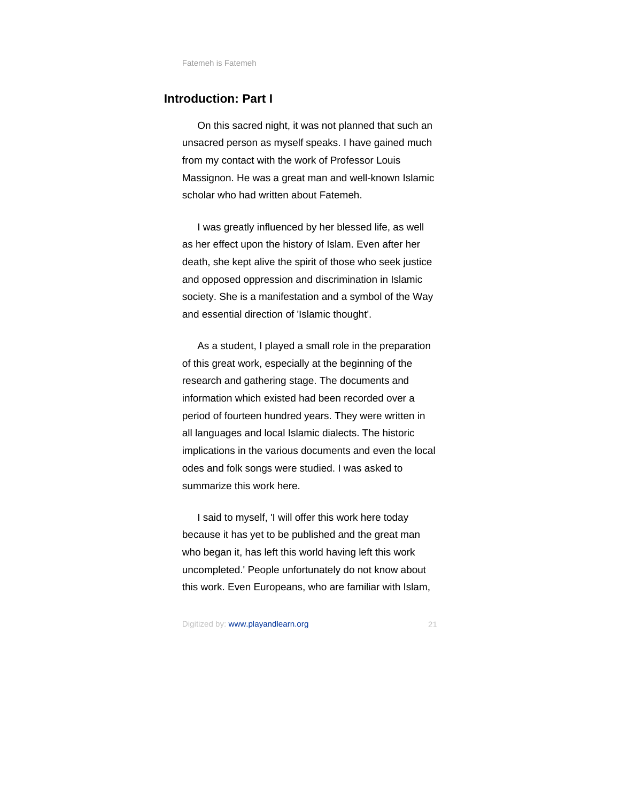#### <span id="page-23-0"></span>**Introduction: Part I**

On this sacred night, it was not planned that such an unsacred person as myself speaks. I have gained much from my contact with the work of Professor Louis Massignon. He was a great man and well-known Islamic scholar who had written about Fatemeh.

I was greatly influenced by her blessed life, as well as her effect upon the history of Islam. Even after her death, she kept alive the spirit of those who seek justice and opposed oppression and discrimination in Islamic society. She is a manifestation and a symbol of the Way and essential direction of 'Islamic thought'.

As a student, I played a small role in the preparation of this great work, especially at the beginning of the research and gathering stage. The documents and information which existed had been recorded over a period of fourteen hundred years. They were written in all languages and local Islamic dialects. The historic implications in the various documents and even the local odes and folk songs were studied. I was asked to summarize this work here.

I said to myself, 'I will offer this work here today because it has yet to be published and the great man who began it, has left this world having left this work uncompleted.' People unfortunately do not know about this work. Even Europeans, who are familiar with Islam,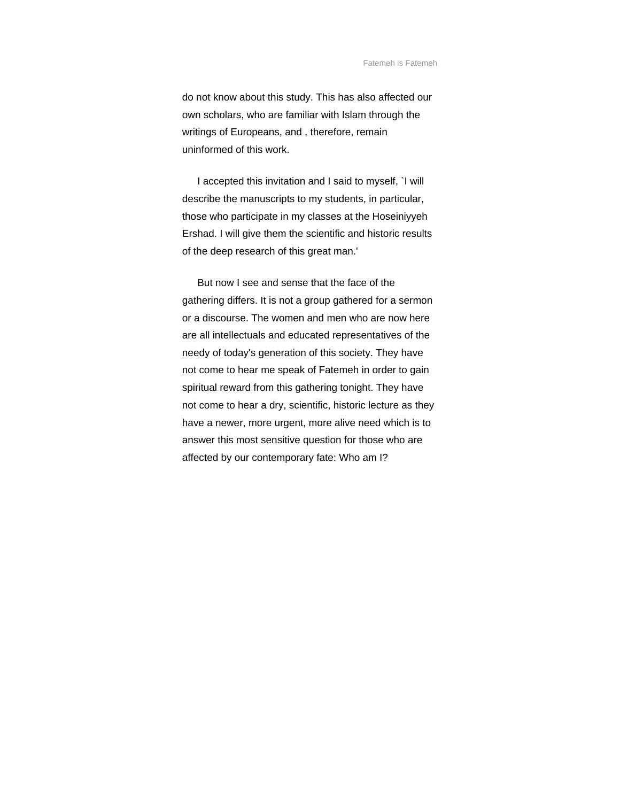do not know about this study. This has also affected our own scholars, who are familiar with Islam through the writings of Europeans, and , therefore, remain uninformed of this work.

I accepted this invitation and I said to myself, `I will describe the manuscripts to my students, in particular, those who participate in my classes at the Hoseiniyyeh Ershad. I will give them the scientific and historic results of the deep research of this great man.'

But now I see and sense that the face of the gathering differs. It is not a group gathered for a sermon or a discourse. The women and men who are now here are all intellectuals and educated representatives of the needy of today's generation of this society. They have not come to hear me speak of Fatemeh in order to gain spiritual reward from this gathering tonight. They have not come to hear a dry, scientific, historic lecture as they have a newer, more urgent, more alive need which is to answer this most sensitive question for those who are affected by our contemporary fate: Who am I?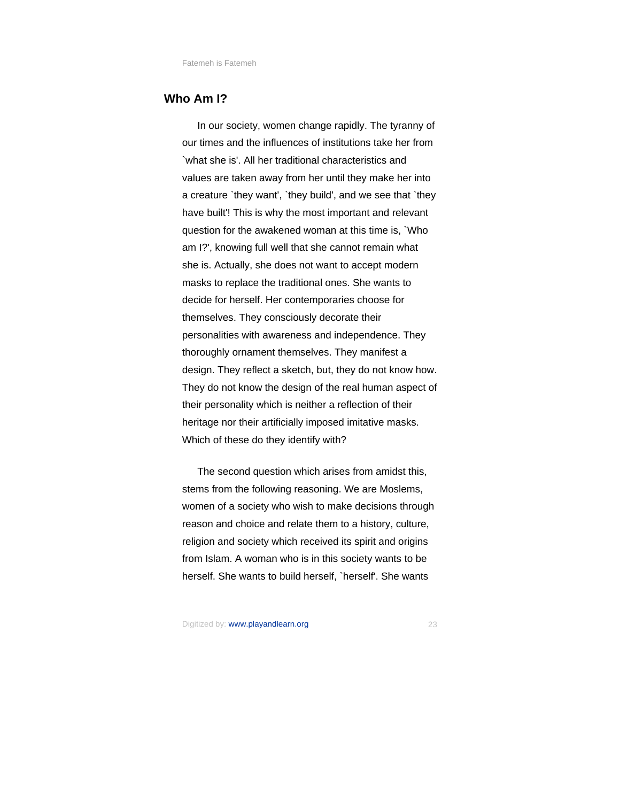### <span id="page-25-0"></span>**Who Am I?**

In our society, women change rapidly. The tyranny of our times and the influences of institutions take her from `what she is'. All her traditional characteristics and values are taken away from her until they make her into a creature `they want', `they build', and we see that `they have built'! This is why the most important and relevant question for the awakened woman at this time is, `Who am I?', knowing full well that she cannot remain what she is. Actually, she does not want to accept modern masks to replace the traditional ones. She wants to decide for herself. Her contemporaries choose for themselves. They consciously decorate their personalities with awareness and independence. They thoroughly ornament themselves. They manifest a design. They reflect a sketch, but, they do not know how. They do not know the design of the real human aspect of their personality which is neither a reflection of their heritage nor their artificially imposed imitative masks. Which of these do they identify with?

The second question which arises from amidst this, stems from the following reasoning. We are Moslems, women of a society who wish to make decisions through reason and choice and relate them to a history, culture, religion and society which received its spirit and origins from Islam. A woman who is in this society wants to be herself. She wants to build herself, `herself'. She wants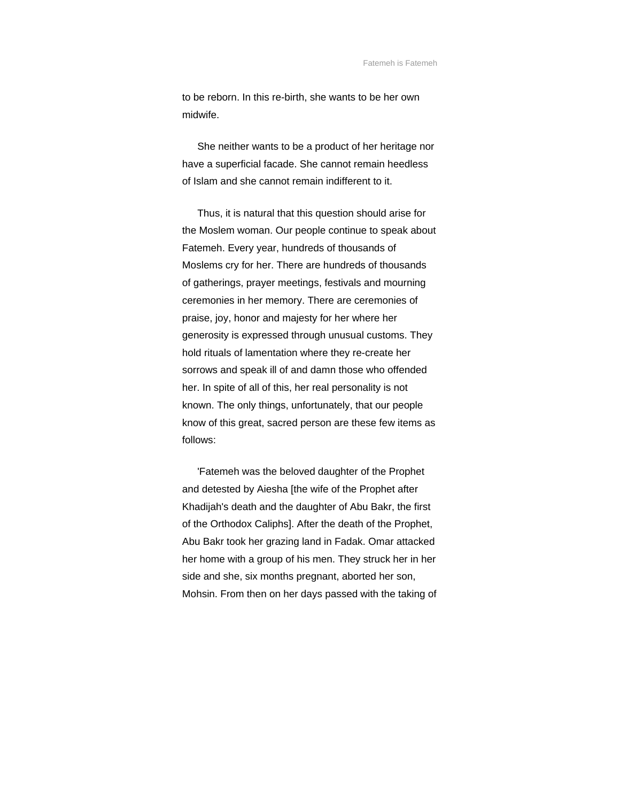to be reborn. In this re-birth, she wants to be her own midwife.

She neither wants to be a product of her heritage nor have a superficial facade. She cannot remain heedless of Islam and she cannot remain indifferent to it.

Thus, it is natural that this question should arise for the Moslem woman. Our people continue to speak about Fatemeh. Every year, hundreds of thousands of Moslems cry for her. There are hundreds of thousands of gatherings, prayer meetings, festivals and mourning ceremonies in her memory. There are ceremonies of praise, joy, honor and majesty for her where her generosity is expressed through unusual customs. They hold rituals of lamentation where they re-create her sorrows and speak ill of and damn those who offended her. In spite of all of this, her real personality is not known. The only things, unfortunately, that our people know of this great, sacred person are these few items as follows:

'Fatemeh was the beloved daughter of the Prophet and detested by Aiesha [the wife of the Prophet after Khadijah's death and the daughter of Abu Bakr, the first of the Orthodox Caliphs]. After the death of the Prophet, Abu Bakr took her grazing land in Fadak. Omar attacked her home with a group of his men. They struck her in her side and she, six months pregnant, aborted her son, Mohsin. From then on her days passed with the taking of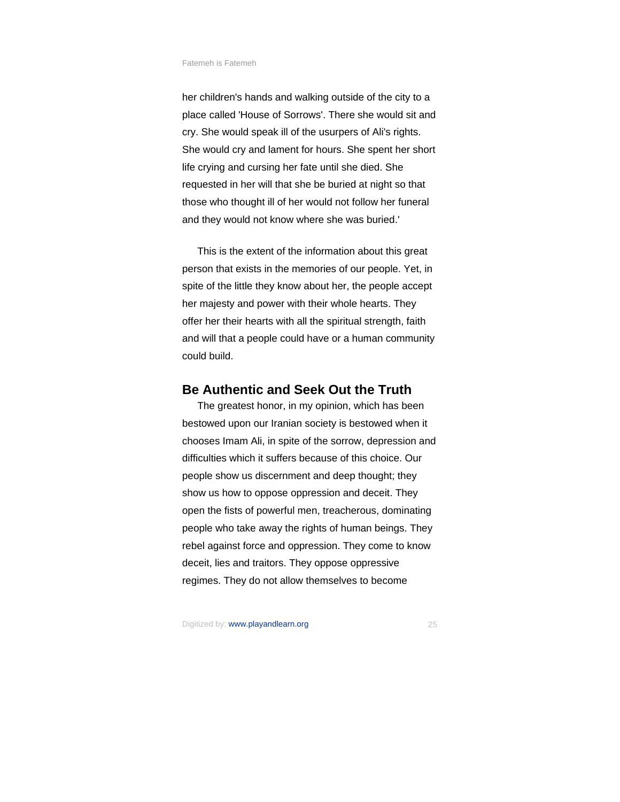her children's hands and walking outside of the city to a place called 'House of Sorrows'. There she would sit and cry. She would speak ill of the usurpers of Ali's rights. She would cry and lament for hours. She spent her short life crying and cursing her fate until she died. She requested in her will that she be buried at night so that those who thought ill of her would not follow her funeral and they would not know where she was buried.'

This is the extent of the information about this great person that exists in the memories of our people. Yet, in spite of the little they know about her, the people accept her majesty and power with their whole hearts. They offer her their hearts with all the spiritual strength, faith and will that a people could have or a human community could build.

## **Be Authentic and Seek Out the Truth**

The greatest honor, in my opinion, which has been bestowed upon our Iranian society is bestowed when it chooses Imam Ali, in spite of the sorrow, depression and difficulties which it suffers because of this choice. Our people show us discernment and deep thought; they show us how to oppose oppression and deceit. They open the fists of powerful men, treacherous, dominating people who take away the rights of human beings. They rebel against force and oppression. They come to know deceit, lies and traitors. They oppose oppressive regimes. They do not allow themselves to become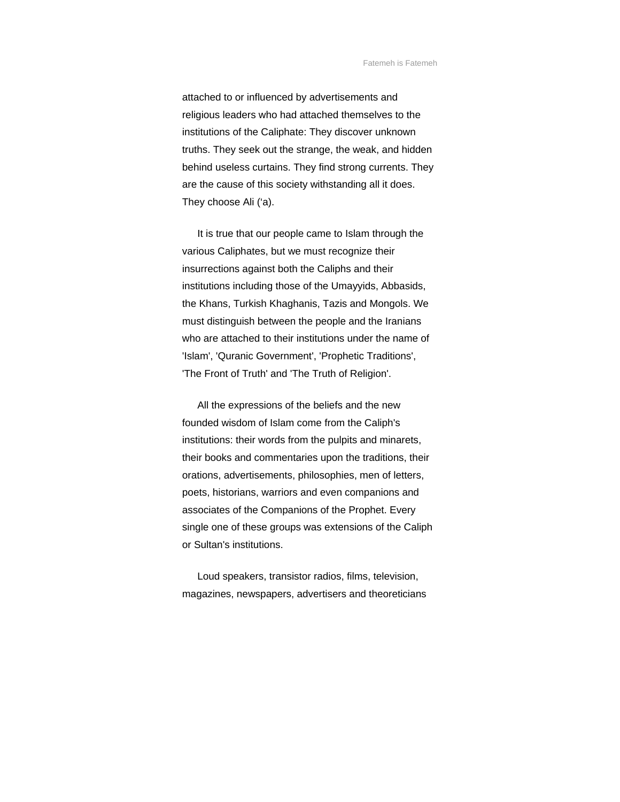attached to or influenced by advertisements and religious leaders who had attached themselves to the institutions of the Caliphate: They discover unknown truths. They seek out the strange, the weak, and hidden behind useless curtains. They find strong currents. They are the cause of this society withstanding all it does. They choose Ali ('a).

It is true that our people came to Islam through the various Caliphates, but we must recognize their insurrections against both the Caliphs and their institutions including those of the Umayyids, Abbasids, the Khans, Turkish Khaghanis, Tazis and Mongols. We must distinguish between the people and the Iranians who are attached to their institutions under the name of 'Islam', 'Quranic Government', 'Prophetic Traditions', 'The Front of Truth' and 'The Truth of Religion'.

All the expressions of the beliefs and the new founded wisdom of Islam come from the Caliph's institutions: their words from the pulpits and minarets, their books and commentaries upon the traditions, their orations, advertisements, philosophies, men of letters, poets, historians, warriors and even companions and associates of the Companions of the Prophet. Every single one of these groups was extensions of the Caliph or Sultan's institutions.

Loud speakers, transistor radios, films, television, magazines, newspapers, advertisers and theoreticians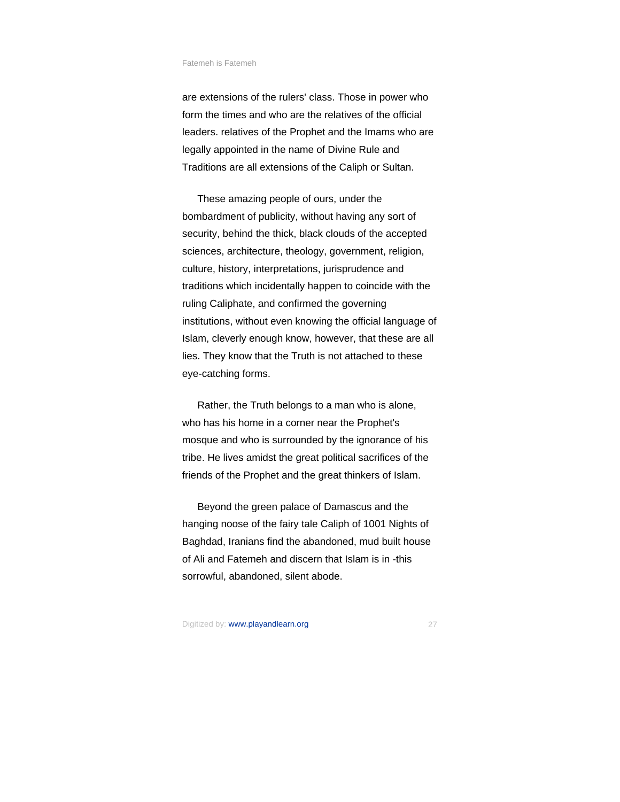#### Fatemeh is Fatemeh

are extensions of the rulers' class. Those in power who form the times and who are the relatives of the official leaders. relatives of the Prophet and the Imams who are legally appointed in the name of Divine Rule and Traditions are all extensions of the Caliph or Sultan.

These amazing people of ours, under the bombardment of publicity, without having any sort of security, behind the thick, black clouds of the accepted sciences, architecture, theology, government, religion, culture, history, interpretations, jurisprudence and traditions which incidentally happen to coincide with the ruling Caliphate, and confirmed the governing institutions, without even knowing the official language of Islam, cleverly enough know, however, that these are all lies. They know that the Truth is not attached to these eye-catching forms.

Rather, the Truth belongs to a man who is alone, who has his home in a corner near the Prophet's mosque and who is surrounded by the ignorance of his tribe. He lives amidst the great political sacrifices of the friends of the Prophet and the great thinkers of Islam.

Beyond the green palace of Damascus and the hanging noose of the fairy tale Caliph of 1001 Nights of Baghdad, Iranians find the abandoned, mud built house of Ali and Fatemeh and discern that Islam is in -this sorrowful, abandoned, silent abode.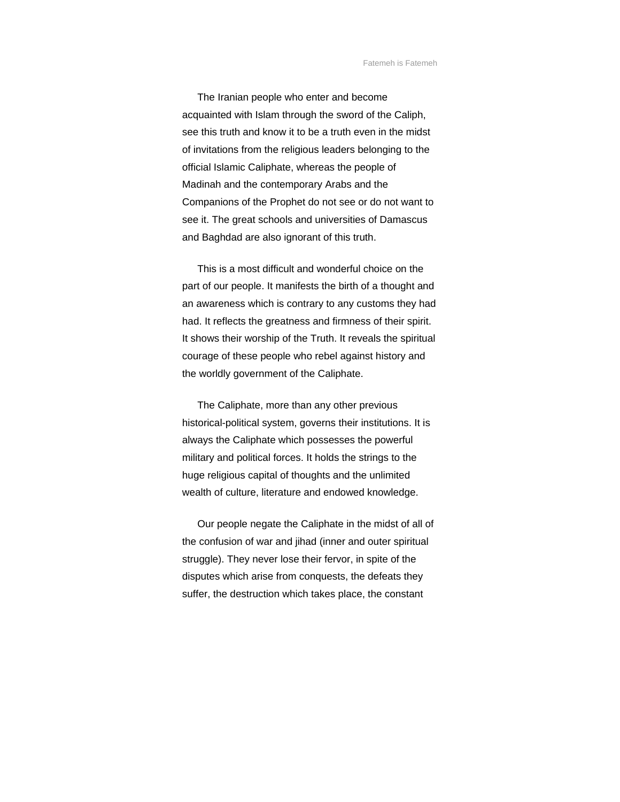The Iranian people who enter and become acquainted with Islam through the sword of the Caliph, see this truth and know it to be a truth even in the midst of invitations from the religious leaders belonging to the official Islamic Caliphate, whereas the people of Madinah and the contemporary Arabs and the Companions of the Prophet do not see or do not want to see it. The great schools and universities of Damascus and Baghdad are also ignorant of this truth.

This is a most difficult and wonderful choice on the part of our people. It manifests the birth of a thought and an awareness which is contrary to any customs they had had. It reflects the greatness and firmness of their spirit. It shows their worship of the Truth. It reveals the spiritual courage of these people who rebel against history and the worldly government of the Caliphate.

The Caliphate, more than any other previous historical-political system, governs their institutions. It is always the Caliphate which possesses the powerful military and political forces. It holds the strings to the huge religious capital of thoughts and the unlimited wealth of culture, literature and endowed knowledge.

Our people negate the Caliphate in the midst of all of the confusion of war and jihad (inner and outer spiritual struggle). They never lose their fervor, in spite of the disputes which arise from conquests, the defeats they suffer, the destruction which takes place, the constant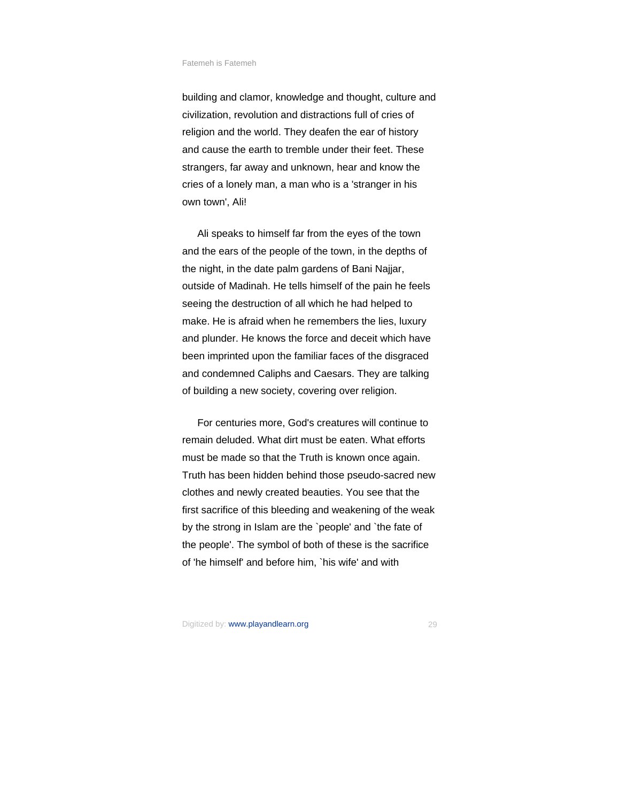#### Fatemeh is Fatemeh

building and clamor, knowledge and thought, culture and civilization, revolution and distractions full of cries of religion and the world. They deafen the ear of history and cause the earth to tremble under their feet. These strangers, far away and unknown, hear and know the cries of a lonely man, a man who is a 'stranger in his own town', Ali!

Ali speaks to himself far from the eyes of the town and the ears of the people of the town, in the depths of the night, in the date palm gardens of Bani Najjar, outside of Madinah. He tells himself of the pain he feels seeing the destruction of all which he had helped to make. He is afraid when he remembers the lies, luxury and plunder. He knows the force and deceit which have been imprinted upon the familiar faces of the disgraced and condemned Caliphs and Caesars. They are talking of building a new society, covering over religion.

For centuries more, God's creatures will continue to remain deluded. What dirt must be eaten. What efforts must be made so that the Truth is known once again. Truth has been hidden behind those pseudo-sacred new clothes and newly created beauties. You see that the first sacrifice of this bleeding and weakening of the weak by the strong in Islam are the `people' and `the fate of the people'. The symbol of both of these is the sacrifice of 'he himself' and before him, `his wife' and with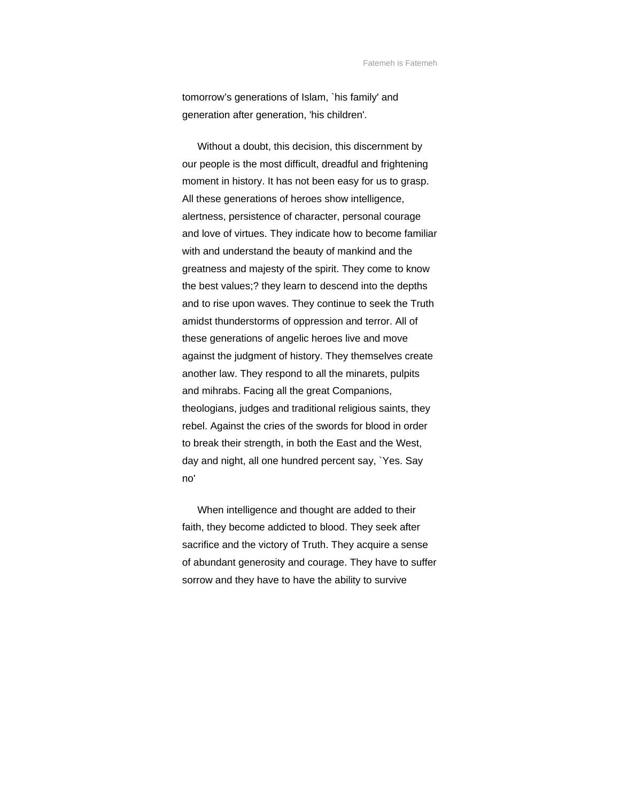tomorrow's generations of Islam, `his family' and generation after generation, 'his children'.

Without a doubt, this decision, this discernment by our people is the most difficult, dreadful and frightening moment in history. It has not been easy for us to grasp. All these generations of heroes show intelligence, alertness, persistence of character, personal courage and love of virtues. They indicate how to become familiar with and understand the beauty of mankind and the greatness and majesty of the spirit. They come to know the best values;? they learn to descend into the depths and to rise upon waves. They continue to seek the Truth amidst thunderstorms of oppression and terror. All of these generations of angelic heroes live and move against the judgment of history. They themselves create another law. They respond to all the minarets, pulpits and mihrabs. Facing all the great Companions, theologians, judges and traditional religious saints, they rebel. Against the cries of the swords for blood in order to break their strength, in both the East and the West, day and night, all one hundred percent say, `Yes. Say no'

When intelligence and thought are added to their faith, they become addicted to blood. They seek after sacrifice and the victory of Truth. They acquire a sense of abundant generosity and courage. They have to suffer sorrow and they have to have the ability to survive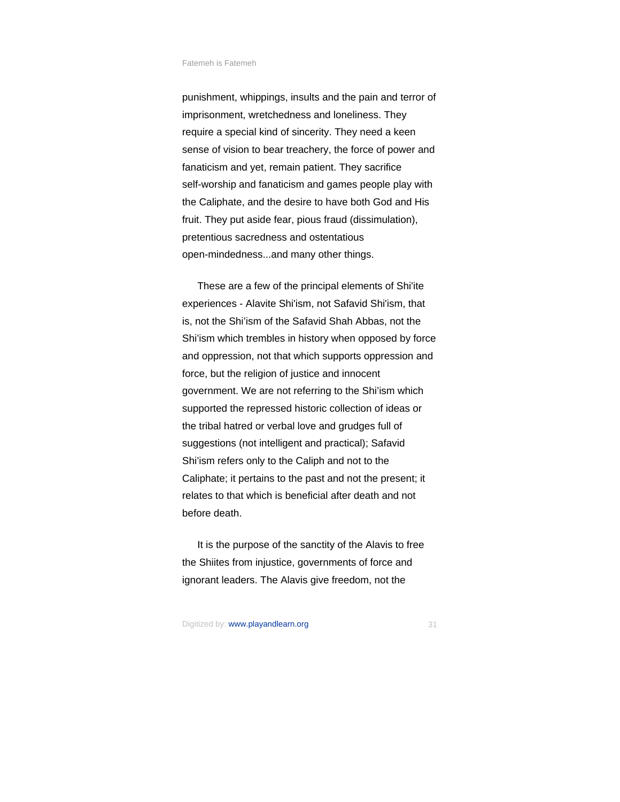punishment, whippings, insults and the pain and terror of imprisonment, wretchedness and loneliness. They require a special kind of sincerity. They need a keen sense of vision to bear treachery, the force of power and fanaticism and yet, remain patient. They sacrifice self-worship and fanaticism and games people play with the Caliphate, and the desire to have both God and His fruit. They put aside fear, pious fraud (dissimulation), pretentious sacredness and ostentatious open-mindedness...and many other things.

These are a few of the principal elements of Shi'ite experiences - Alavite Shi'ism, not Safavid Shi'ism, that is, not the Shi'ism of the Safavid Shah Abbas, not the Shi'ism which trembles in history when opposed by force and oppression, not that which supports oppression and force, but the religion of justice and innocent government. We are not referring to the Shi'ism which supported the repressed historic collection of ideas or the tribal hatred or verbal love and grudges full of suggestions (not intelligent and practical); Safavid Shi'ism refers only to the Caliph and not to the Caliphate; it pertains to the past and not the present; it relates to that which is beneficial after death and not before death.

It is the purpose of the sanctity of the Alavis to free the Shiites from injustice, governments of force and ignorant leaders. The Alavis give freedom, not the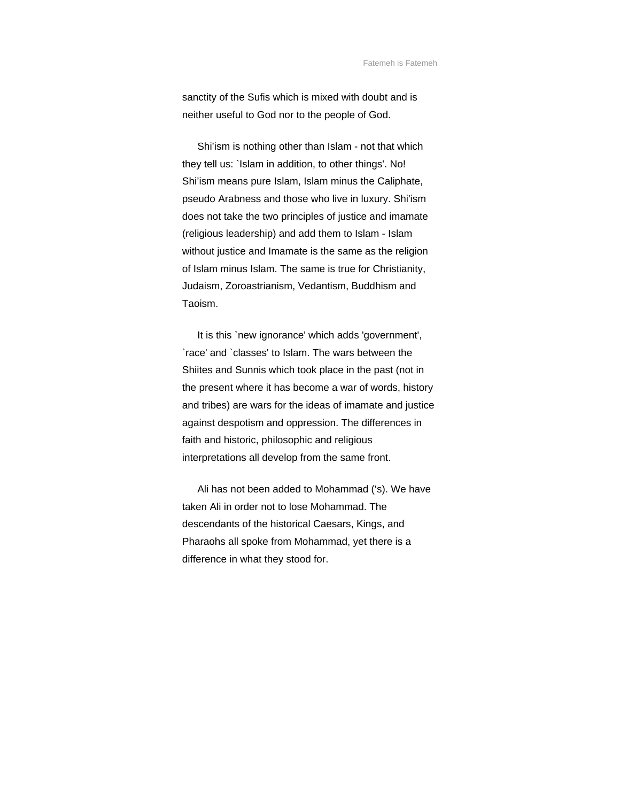sanctity of the Sufis which is mixed with doubt and is neither useful to God nor to the people of God.

Shi'ism is nothing other than Islam - not that which they tell us: `Islam in addition, to other things'. No! Shi'ism means pure Islam, Islam minus the Caliphate, pseudo Arabness and those who live in luxury. Shi'ism does not take the two principles of justice and imamate (religious leadership) and add them to Islam - Islam without justice and Imamate is the same as the religion of Islam minus Islam. The same is true for Christianity, Judaism, Zoroastrianism, Vedantism, Buddhism and Taoism.

It is this `new ignorance' which adds 'government', `race' and `classes' to Islam. The wars between the Shiites and Sunnis which took place in the past (not in the present where it has become a war of words, history and tribes) are wars for the ideas of imamate and justice against despotism and oppression. The differences in faith and historic, philosophic and religious interpretations all develop from the same front.

Ali has not been added to Mohammad ('s). We have taken Ali in order not to lose Mohammad. The descendants of the historical Caesars, Kings, and Pharaohs all spoke from Mohammad, yet there is a difference in what they stood for.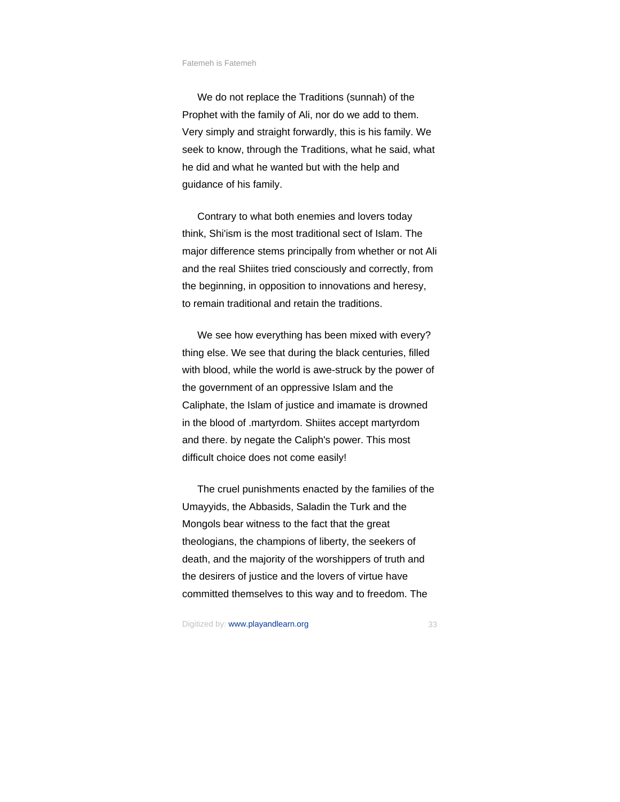We do not replace the Traditions (sunnah) of the Prophet with the family of Ali, nor do we add to them. Very simply and straight forwardly, this is his family. We seek to know, through the Traditions, what he said, what he did and what he wanted but with the help and guidance of his family.

Contrary to what both enemies and lovers today think, Shi'ism is the most traditional sect of Islam. The major difference stems principally from whether or not Ali and the real Shiites tried consciously and correctly, from the beginning, in opposition to innovations and heresy, to remain traditional and retain the traditions.

We see how everything has been mixed with every? thing else. We see that during the black centuries, filled with blood, while the world is awe-struck by the power of the government of an oppressive Islam and the Caliphate, the Islam of justice and imamate is drowned in the blood of .martyrdom. Shiites accept martyrdom and there. by negate the Caliph's power. This most difficult choice does not come easily!

The cruel punishments enacted by the families of the Umayyids, the Abbasids, Saladin the Turk and the Mongols bear witness to the fact that the great theologians, the champions of liberty, the seekers of death, and the majority of the worshippers of truth and the desirers of justice and the lovers of virtue have committed themselves to this way and to freedom. The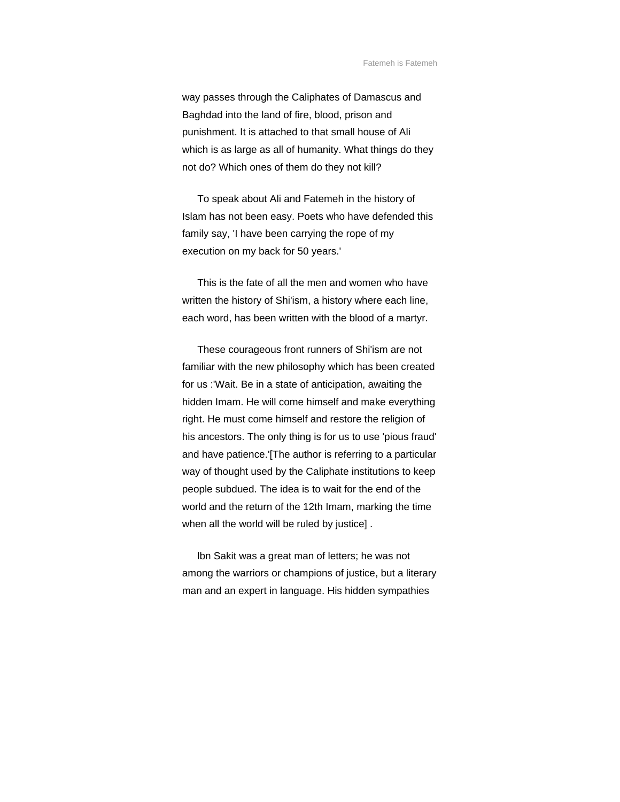way passes through the Caliphates of Damascus and Baghdad into the land of fire, blood, prison and punishment. It is attached to that small house of Ali which is as large as all of humanity. What things do they not do? Which ones of them do they not kill?

To speak about Ali and Fatemeh in the history of Islam has not been easy. Poets who have defended this family say, 'I have been carrying the rope of my execution on my back for 50 years.'

This is the fate of all the men and women who have written the history of Shi'ism, a history where each line, each word, has been written with the blood of a martyr.

These courageous front runners of Shi'ism are not familiar with the new philosophy which has been created for us :'Wait. Be in a state of anticipation, awaiting the hidden Imam. He will come himself and make everything right. He must come himself and restore the religion of his ancestors. The only thing is for us to use 'pious fraud' and have patience.'[The author is referring to a particular way of thought used by the Caliphate institutions to keep people subdued. The idea is to wait for the end of the world and the return of the 12th Imam, marking the time when all the world will be ruled by justice] .

lbn Sakit was a great man of letters; he was not among the warriors or champions of justice, but a literary man and an expert in language. His hidden sympathies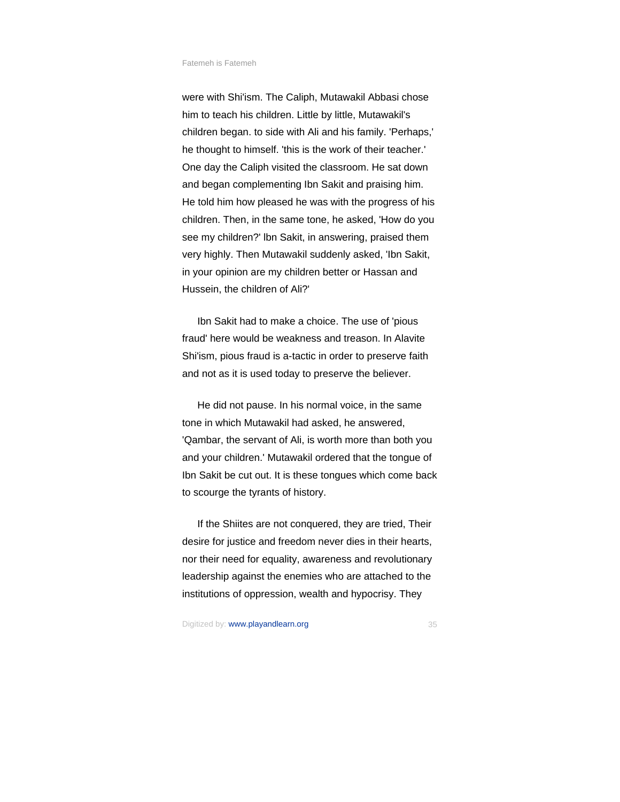were with Shi'ism. The Caliph, Mutawakil Abbasi chose him to teach his children. Little by little, Mutawakil's children began. to side with Ali and his family. 'Perhaps,' he thought to himself. 'this is the work of their teacher.' One day the Caliph visited the classroom. He sat down and began complementing Ibn Sakit and praising him. He told him how pleased he was with the progress of his children. Then, in the same tone, he asked, 'How do you see my children?' lbn Sakit, in answering, praised them very highly. Then Mutawakil suddenly asked, 'Ibn Sakit, in your opinion are my children better or Hassan and Hussein, the children of Ali?'

Ibn Sakit had to make a choice. The use of 'pious fraud' here would be weakness and treason. In Alavite Shi'ism, pious fraud is a-tactic in order to preserve faith and not as it is used today to preserve the believer.

He did not pause. In his normal voice, in the same tone in which Mutawakil had asked, he answered, 'Qambar, the servant of Ali, is worth more than both you and your children.' Mutawakil ordered that the tongue of Ibn Sakit be cut out. It is these tongues which come back to scourge the tyrants of history.

If the Shiites are not conquered, they are tried, Their desire for justice and freedom never dies in their hearts, nor their need for equality, awareness and revolutionary leadership against the enemies who are attached to the institutions of oppression, wealth and hypocrisy. They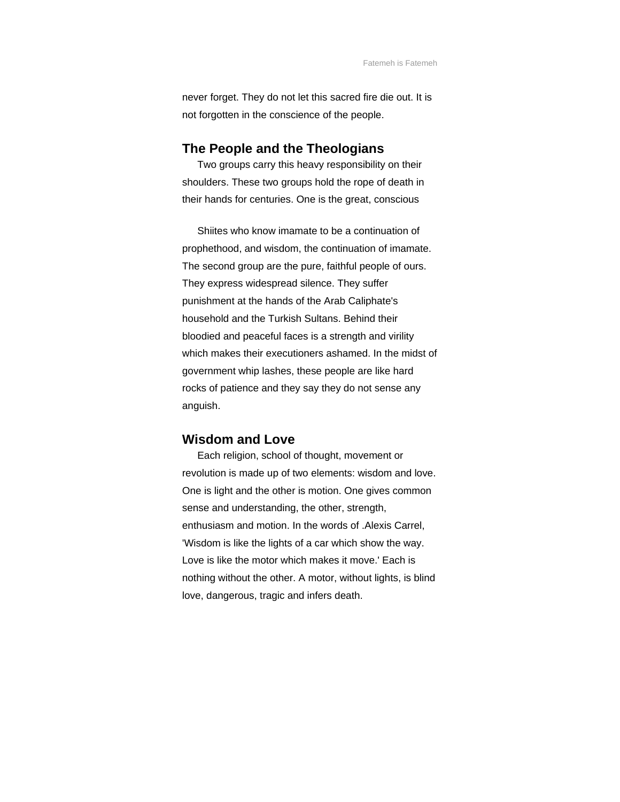never forget. They do not let this sacred fire die out. It is not forgotten in the conscience of the people.

## **The People and the Theologians**

Two groups carry this heavy responsibility on their shoulders. These two groups hold the rope of death in their hands for centuries. One is the great, conscious

Shiites who know imamate to be a continuation of prophethood, and wisdom, the continuation of imamate. The second group are the pure, faithful people of ours. They express widespread silence. They suffer punishment at the hands of the Arab Caliphate's household and the Turkish Sultans. Behind their bloodied and peaceful faces is a strength and virility which makes their executioners ashamed. In the midst of government whip lashes, these people are like hard rocks of patience and they say they do not sense any anguish.

### **Wisdom and Love**

Each religion, school of thought, movement or revolution is made up of two elements: wisdom and love. One is light and the other is motion. One gives common sense and understanding, the other, strength, enthusiasm and motion. In the words of .Alexis Carrel, 'Wisdom is like the lights of a car which show the way. Love is like the motor which makes it move.' Each is nothing without the other. A motor, without lights, is blind love, dangerous, tragic and infers death.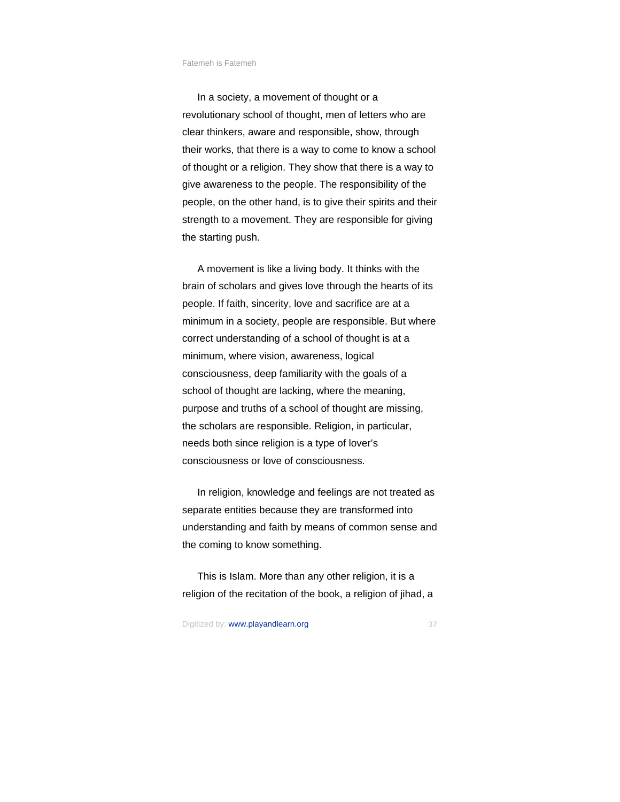In a society, a movement of thought or a revolutionary school of thought, men of letters who are clear thinkers, aware and responsible, show, through their works, that there is a way to come to know a school of thought or a religion. They show that there is a way to give awareness to the people. The responsibility of the people, on the other hand, is to give their spirits and their strength to a movement. They are responsible for giving the starting push.

A movement is like a living body. It thinks with the brain of scholars and gives love through the hearts of its people. If faith, sincerity, love and sacrifice are at a minimum in a society, people are responsible. But where correct understanding of a school of thought is at a minimum, where vision, awareness, logical consciousness, deep familiarity with the goals of a school of thought are lacking, where the meaning, purpose and truths of a school of thought are missing, the scholars are responsible. Religion, in particular, needs both since religion is a type of lover's consciousness or love of consciousness.

In religion, knowledge and feelings are not treated as separate entities because they are transformed into understanding and faith by means of common sense and the coming to know something.

This is Islam. More than any other religion, it is a religion of the recitation of the book, a religion of jihad, a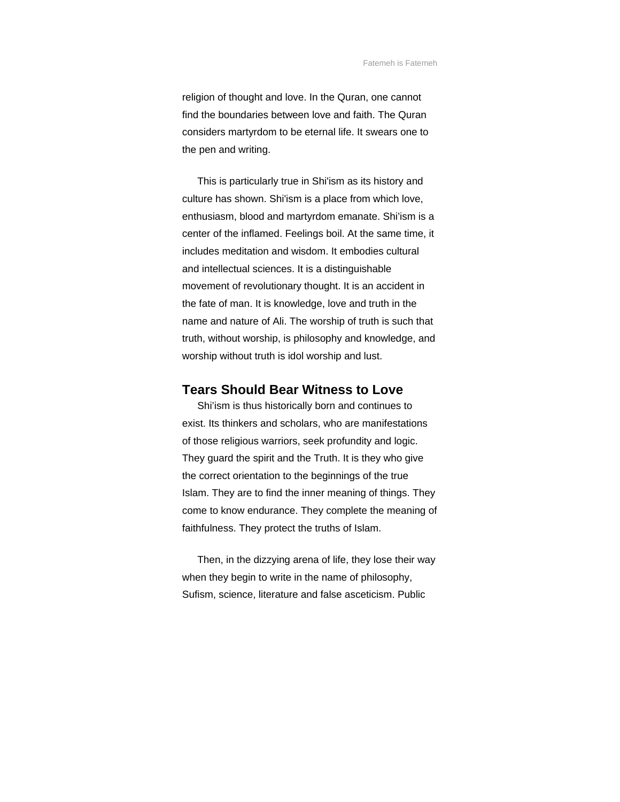religion of thought and love. In the Quran, one cannot find the boundaries between love and faith. The Quran considers martyrdom to be eternal life. It swears one to the pen and writing.

This is particularly true in Shi'ism as its history and culture has shown. Shi'ism is a place from which love, enthusiasm, blood and martyrdom emanate. Shi'ism is a center of the inflamed. Feelings boil. At the same time, it includes meditation and wisdom. It embodies cultural and intellectual sciences. It is a distinguishable movement of revolutionary thought. It is an accident in the fate of man. It is knowledge, love and truth in the name and nature of Ali. The worship of truth is such that truth, without worship, is philosophy and knowledge, and worship without truth is idol worship and lust.

## **Tears Should Bear Witness to Love**

Shi'ism is thus historically born and continues to exist. Its thinkers and scholars, who are manifestations of those religious warriors, seek profundity and logic. They guard the spirit and the Truth. It is they who give the correct orientation to the beginnings of the true Islam. They are to find the inner meaning of things. They come to know endurance. They complete the meaning of faithfulness. They protect the truths of Islam.

Then, in the dizzying arena of life, they lose their way when they begin to write in the name of philosophy, Sufism, science, literature and false asceticism. Public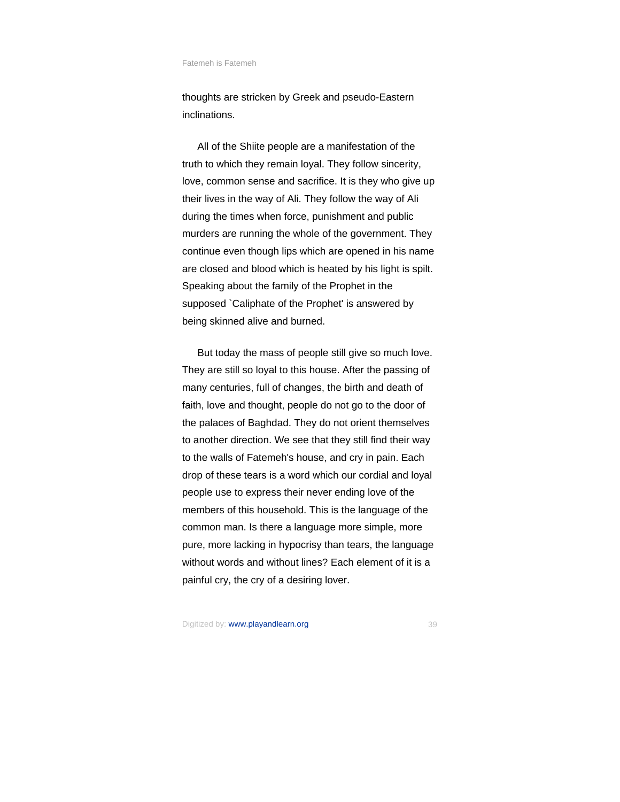thoughts are stricken by Greek and pseudo-Eastern inclinations.

All of the Shiite people are a manifestation of the truth to which they remain loyal. They follow sincerity, love, common sense and sacrifice. It is they who give up their lives in the way of Ali. They follow the way of Ali during the times when force, punishment and public murders are running the whole of the government. They continue even though lips which are opened in his name are closed and blood which is heated by his light is spilt. Speaking about the family of the Prophet in the supposed `Caliphate of the Prophet' is answered by being skinned alive and burned.

But today the mass of people still give so much love. They are still so loyal to this house. After the passing of many centuries, full of changes, the birth and death of faith, love and thought, people do not go to the door of the palaces of Baghdad. They do not orient themselves to another direction. We see that they still find their way to the walls of Fatemeh's house, and cry in pain. Each drop of these tears is a word which our cordial and loyal people use to express their never ending love of the members of this household. This is the language of the common man. Is there a language more simple, more pure, more lacking in hypocrisy than tears, the language without words and without lines? Each element of it is a painful cry, the cry of a desiring lover.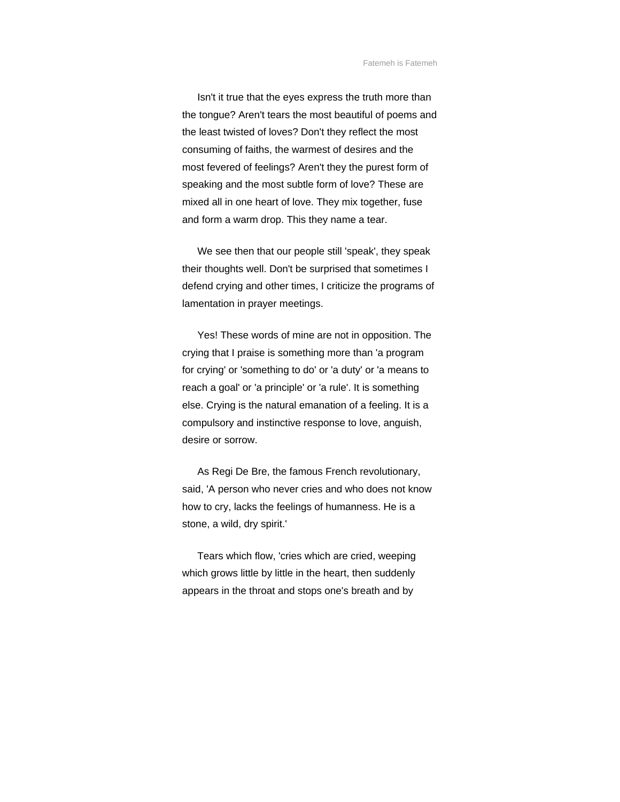Isn't it true that the eyes express the truth more than the tongue? Aren't tears the most beautiful of poems and the least twisted of loves? Don't they reflect the most consuming of faiths, the warmest of desires and the most fevered of feelings? Aren't they the purest form of speaking and the most subtle form of love? These are mixed all in one heart of love. They mix together, fuse and form a warm drop. This they name a tear.

We see then that our people still 'speak', they speak their thoughts well. Don't be surprised that sometimes I defend crying and other times, I criticize the programs of lamentation in prayer meetings.

Yes! These words of mine are not in opposition. The crying that I praise is something more than 'a program for crying' or 'something to do' or 'a duty' or 'a means to reach a goal' or 'a principle' or 'a rule'. It is something else. Crying is the natural emanation of a feeling. It is a compulsory and instinctive response to love, anguish, desire or sorrow.

As Regi De Bre, the famous French revolutionary, said, 'A person who never cries and who does not know how to cry, lacks the feelings of humanness. He is a stone, a wild, dry spirit.'

Tears which flow, 'cries which are cried, weeping which grows little by little in the heart, then suddenly appears in the throat and stops one's breath and by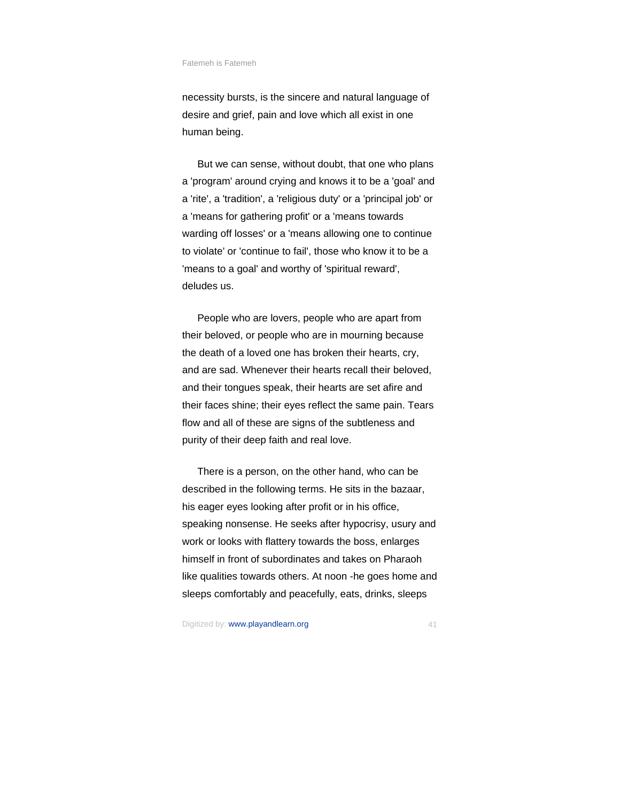necessity bursts, is the sincere and natural language of desire and grief, pain and love which all exist in one human being.

But we can sense, without doubt, that one who plans a 'program' around crying and knows it to be a 'goal' and a 'rite', a 'tradition', a 'religious duty' or a 'principal job' or a 'means for gathering profit' or a 'means towards warding off losses' or a 'means allowing one to continue to violate' or 'continue to fail', those who know it to be a 'means to a goal' and worthy of 'spiritual reward', deludes us.

People who are lovers, people who are apart from their beloved, or people who are in mourning because the death of a loved one has broken their hearts, cry, and are sad. Whenever their hearts recall their beloved, and their tongues speak, their hearts are set afire and their faces shine; their eyes reflect the same pain. Tears flow and all of these are signs of the subtleness and purity of their deep faith and real love.

There is a person, on the other hand, who can be described in the following terms. He sits in the bazaar, his eager eyes looking after profit or in his office, speaking nonsense. He seeks after hypocrisy, usury and work or looks with flattery towards the boss, enlarges himself in front of subordinates and takes on Pharaoh like qualities towards others. At noon -he goes home and sleeps comfortably and peacefully, eats, drinks, sleeps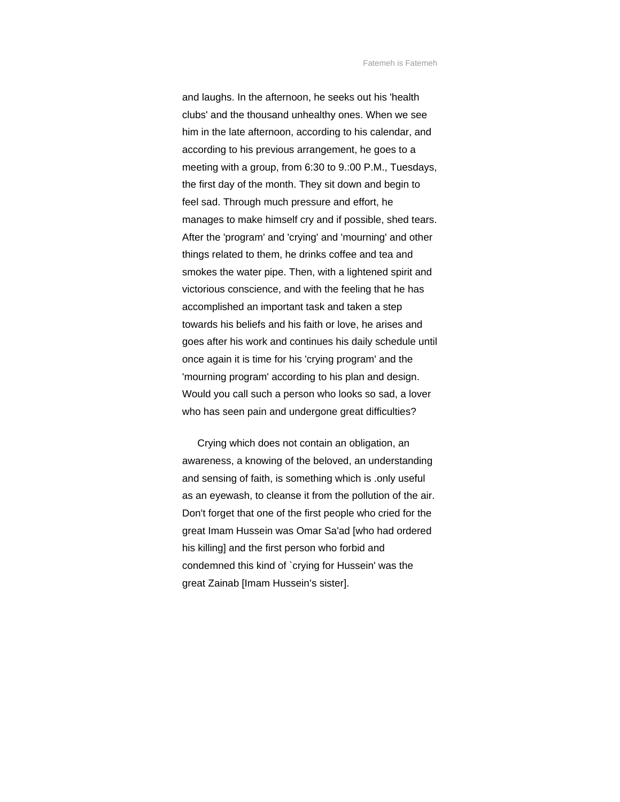and laughs. In the afternoon, he seeks out his 'health clubs' and the thousand unhealthy ones. When we see him in the late afternoon, according to his calendar, and according to his previous arrangement, he goes to a meeting with a group, from 6:30 to 9.:00 P.M., Tuesdays, the first day of the month. They sit down and begin to feel sad. Through much pressure and effort, he manages to make himself cry and if possible, shed tears. After the 'program' and 'crying' and 'mourning' and other things related to them, he drinks coffee and tea and smokes the water pipe. Then, with a lightened spirit and victorious conscience, and with the feeling that he has accomplished an important task and taken a step towards his beliefs and his faith or love, he arises and goes after his work and continues his daily schedule until once again it is time for his 'crying program' and the 'mourning program' according to his plan and design. Would you call such a person who looks so sad, a lover who has seen pain and undergone great difficulties?

Crying which does not contain an obligation, an awareness, a knowing of the beloved, an understanding and sensing of faith, is something which is .only useful as an eyewash, to cleanse it from the pollution of the air. Don't forget that one of the first people who cried for the great Imam Hussein was Omar Sa'ad [who had ordered his killing] and the first person who forbid and condemned this kind of `crying for Hussein' was the great Zainab [Imam Hussein's sister].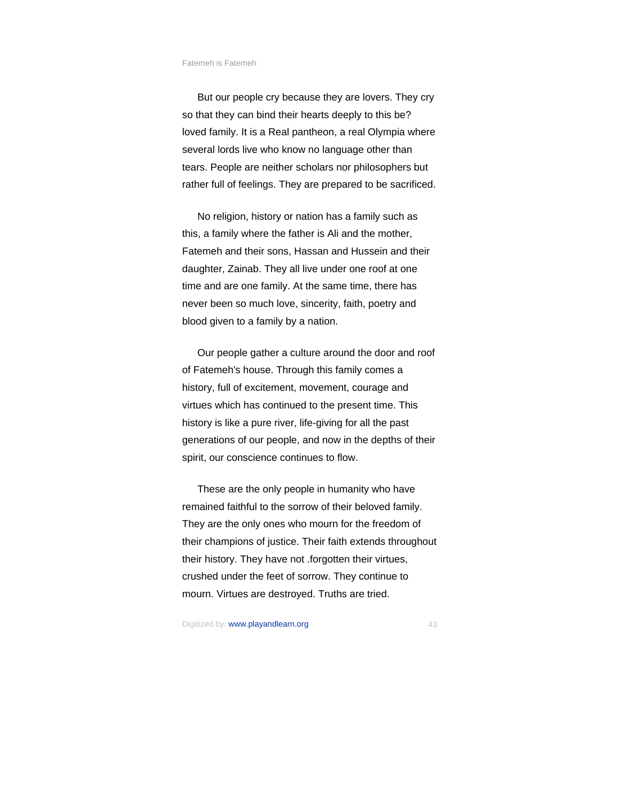But our people cry because they are lovers. They cry so that they can bind their hearts deeply to this be? loved family. It is a Real pantheon, a real Olympia where several lords live who know no language other than tears. People are neither scholars nor philosophers but rather full of feelings. They are prepared to be sacrificed.

No religion, history or nation has a family such as this, a family where the father is Ali and the mother, Fatemeh and their sons, Hassan and Hussein and their daughter, Zainab. They all live under one roof at one time and are one family. At the same time, there has never been so much love, sincerity, faith, poetry and blood given to a family by a nation.

Our people gather a culture around the door and roof of Fatemeh's house. Through this family comes a history, full of excitement, movement, courage and virtues which has continued to the present time. This history is like a pure river, life-giving for all the past generations of our people, and now in the depths of their spirit, our conscience continues to flow.

These are the only people in humanity who have remained faithful to the sorrow of their beloved family. They are the only ones who mourn for the freedom of their champions of justice. Their faith extends throughout their history. They have not .forgotten their virtues, crushed under the feet of sorrow. They continue to mourn. Virtues are destroyed. Truths are tried.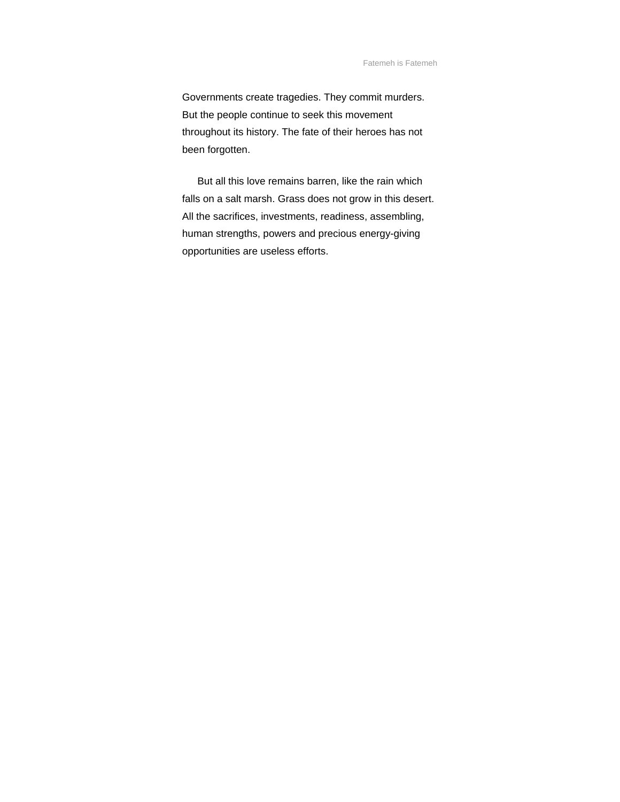Governments create tragedies. They commit murders. But the people continue to seek this movement throughout its history. The fate of their heroes has not been forgotten.

But all this love remains barren, like the rain which falls on a salt marsh. Grass does not grow in this desert. All the sacrifices, investments, readiness, assembling, human strengths, powers and precious energy-giving opportunities are useless efforts.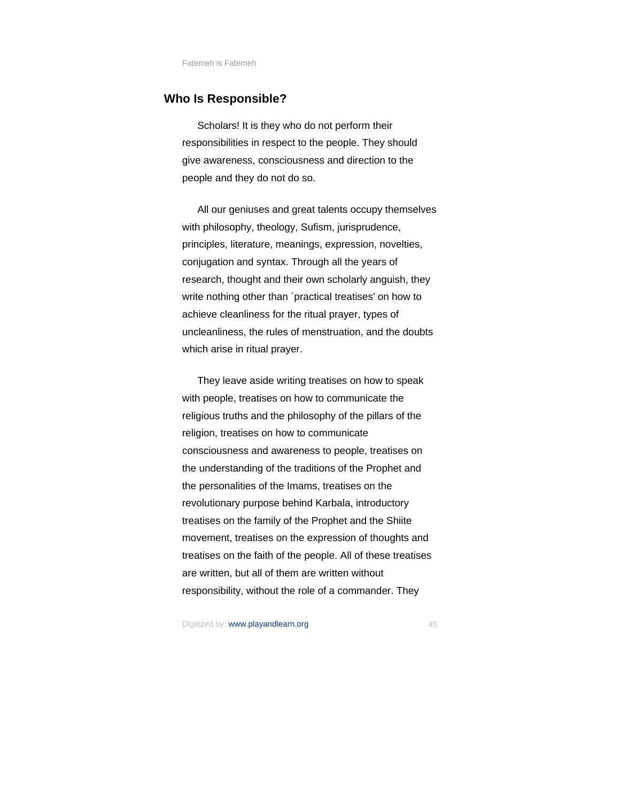## **Who Is Responsible?**

Scholars! It is they who do not perform their responsibilities in respect to the people. They should give awareness, consciousness and direction to the people and they do not do so.

All our geniuses and great talents occupy themselves with philosophy, theology, Sufism, jurisprudence, principles, literature, meanings, expression, novelties, conjugation and syntax. Through all the years of research, thought and their own scholarly anguish, they write nothing other than `practical treatises' on how to achieve cleanliness for the ritual prayer, types of uncleanliness, the rules of menstruation, and the doubts which arise in ritual prayer.

They leave aside writing treatises on how to speak with people, treatises on how to communicate the religious truths and the philosophy of the pillars of the religion, treatises on how to communicate consciousness and awareness to people, treatises on the understanding of the traditions of the Prophet and the personalities of the Imams, treatises on the revolutionary purpose behind Karbala, introductory treatises on the family of the Prophet and the Shiite movement, treatises on the expression of thoughts and treatises on the faith of the people. All of these treatises are written, but all of them are written without responsibility, without the role of a commander. They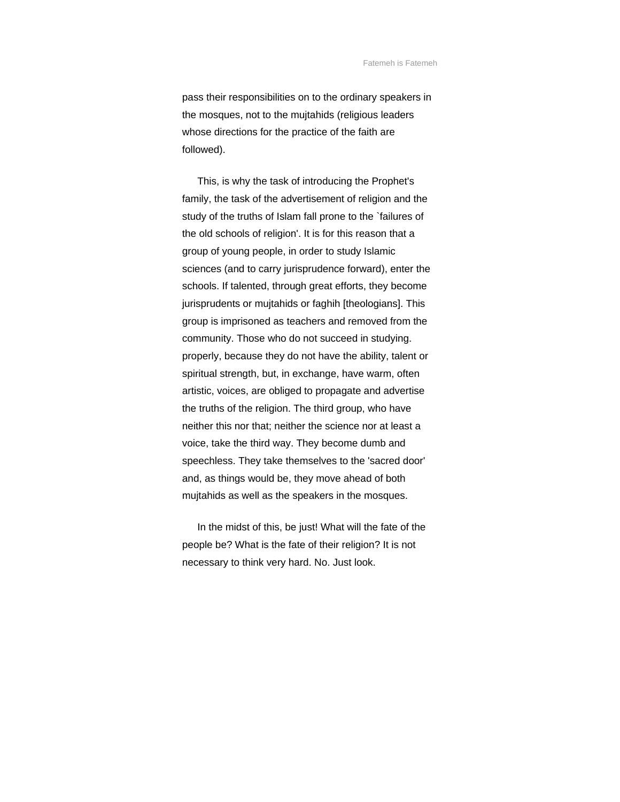pass their responsibilities on to the ordinary speakers in the mosques, not to the mujtahids (religious leaders whose directions for the practice of the faith are followed).

This, is why the task of introducing the Prophet's family, the task of the advertisement of religion and the study of the truths of Islam fall prone to the `failures of the old schools of religion'. It is for this reason that a group of young people, in order to study Islamic sciences (and to carry jurisprudence forward), enter the schools. If talented, through great efforts, they become jurisprudents or mujtahids or faghih [theologians]. This group is imprisoned as teachers and removed from the community. Those who do not succeed in studying. properly, because they do not have the ability, talent or spiritual strength, but, in exchange, have warm, often artistic, voices, are obliged to propagate and advertise the truths of the religion. The third group, who have neither this nor that; neither the science nor at least a voice, take the third way. They become dumb and speechless. They take themselves to the 'sacred door' and, as things would be, they move ahead of both mujtahids as well as the speakers in the mosques.

In the midst of this, be just! What will the fate of the people be? What is the fate of their religion? It is not necessary to think very hard. No. Just look.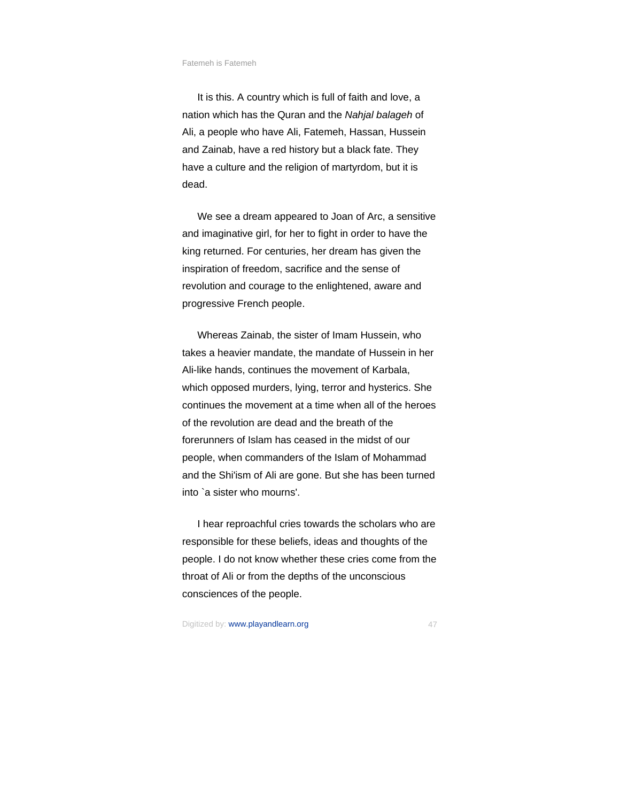It is this. A country which is full of faith and love, a nation which has the Quran and the *Nahjal balageh* of Ali, a people who have Ali, Fatemeh, Hassan, Hussein and Zainab, have a red history but a black fate. They have a culture and the religion of martyrdom, but it is dead.

We see a dream appeared to Joan of Arc, a sensitive and imaginative girl, for her to fight in order to have the king returned. For centuries, her dream has given the inspiration of freedom, sacrifice and the sense of revolution and courage to the enlightened, aware and progressive French people.

Whereas Zainab, the sister of Imam Hussein, who takes a heavier mandate, the mandate of Hussein in her Ali-like hands, continues the movement of Karbala, which opposed murders, lying, terror and hysterics. She continues the movement at a time when all of the heroes of the revolution are dead and the breath of the forerunners of Islam has ceased in the midst of our people, when commanders of the Islam of Mohammad and the Shi'ism of Ali are gone. But she has been turned into `a sister who mourns'.

I hear reproachful cries towards the scholars who are responsible for these beliefs, ideas and thoughts of the people. I do not know whether these cries come from the throat of Ali or from the depths of the unconscious consciences of the people.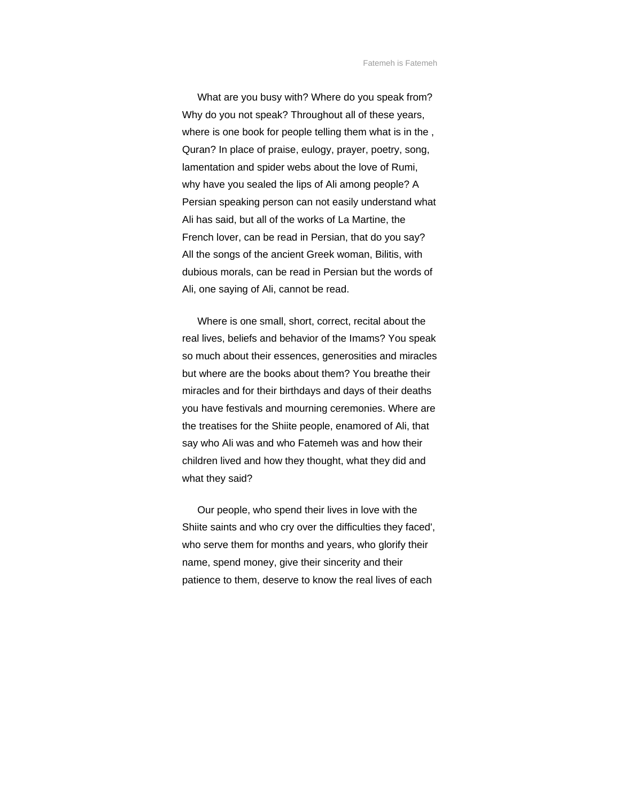What are you busy with? Where do you speak from? Why do you not speak? Throughout all of these years, where is one book for people telling them what is in the , Quran? In place of praise, eulogy, prayer, poetry, song, lamentation and spider webs about the love of Rumi, why have you sealed the lips of Ali among people? A Persian speaking person can not easily understand what Ali has said, but all of the works of La Martine, the French lover, can be read in Persian, that do you say? All the songs of the ancient Greek woman, Bilitis, with dubious morals, can be read in Persian but the words of Ali, one saying of Ali, cannot be read.

Where is one small, short, correct, recital about the real lives, beliefs and behavior of the Imams? You speak so much about their essences, generosities and miracles but where are the books about them? You breathe their miracles and for their birthdays and days of their deaths you have festivals and mourning ceremonies. Where are the treatises for the Shiite people, enamored of Ali, that say who Ali was and who Fatemeh was and how their children lived and how they thought, what they did and what they said?

Our people, who spend their lives in love with the Shiite saints and who cry over the difficulties they faced', who serve them for months and years, who glorify their name, spend money, give their sincerity and their patience to them, deserve to know the real lives of each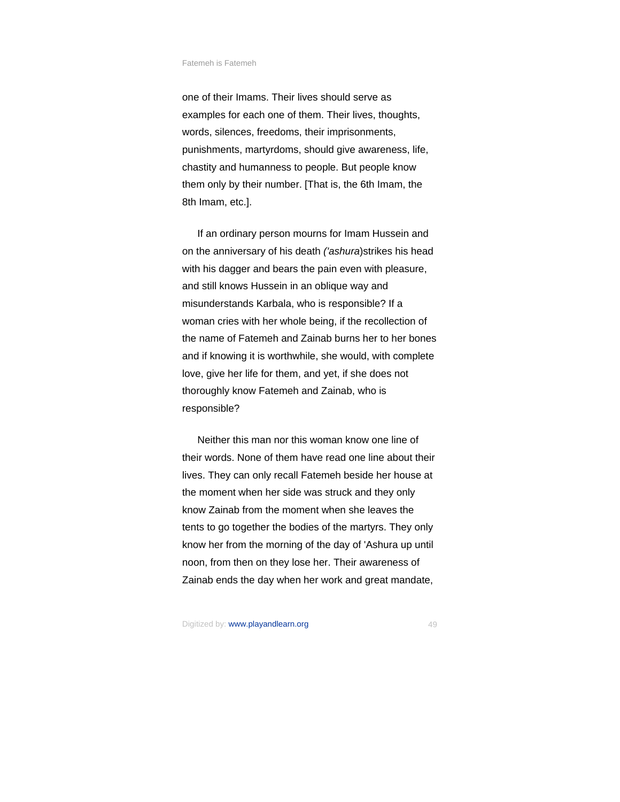### Fatemeh is Fatemeh

one of their Imams. Their lives should serve as examples for each one of them. Their lives, thoughts, words, silences, freedoms, their imprisonments, punishments, martyrdoms, should give awareness, life, chastity and humanness to people. But people know them only by their number. [That is, the 6th Imam, the 8th Imam, etc.].

If an ordinary person mourns for Imam Hussein and on the anniversary of his death *('ashura*)strikes his head with his dagger and bears the pain even with pleasure, and still knows Hussein in an oblique way and misunderstands Karbala, who is responsible? If a woman cries with her whole being, if the recollection of the name of Fatemeh and Zainab burns her to her bones and if knowing it is worthwhile, she would, with complete love, give her life for them, and yet, if she does not thoroughly know Fatemeh and Zainab, who is responsible?

Neither this man nor this woman know one line of their words. None of them have read one line about their lives. They can only recall Fatemeh beside her house at the moment when her side was struck and they only know Zainab from the moment when she leaves the tents to go together the bodies of the martyrs. They only know her from the morning of the day of 'Ashura up until noon, from then on they lose her. Their awareness of Zainab ends the day when her work and great mandate,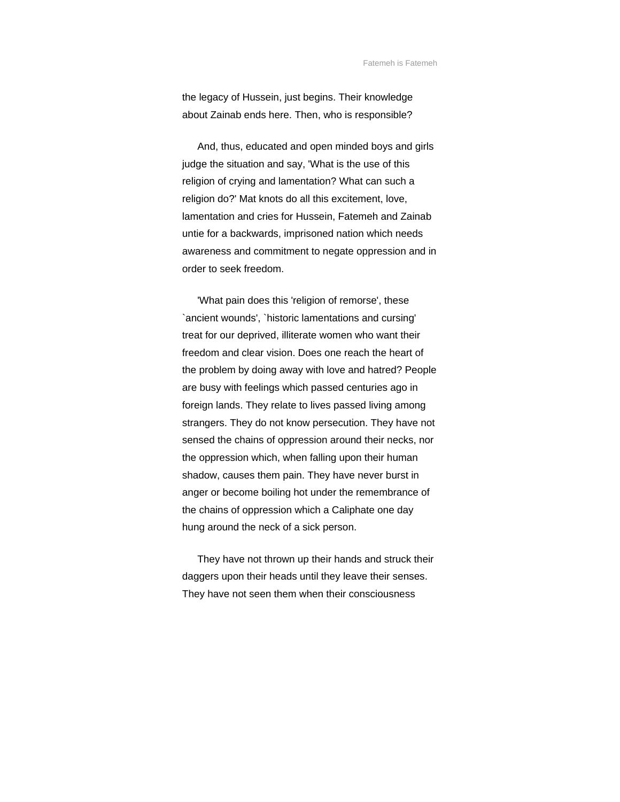the legacy of Hussein, just begins. Their knowledge about Zainab ends here. Then, who is responsible?

And, thus, educated and open minded boys and girls judge the situation and say, 'What is the use of this religion of crying and lamentation? What can such a religion do?' Mat knots do all this excitement, love, lamentation and cries for Hussein, Fatemeh and Zainab untie for a backwards, imprisoned nation which needs awareness and commitment to negate oppression and in order to seek freedom.

'What pain does this 'religion of remorse', these `ancient wounds', `historic lamentations and cursing' treat for our deprived, illiterate women who want their freedom and clear vision. Does one reach the heart of the problem by doing away with love and hatred? People are busy with feelings which passed centuries ago in foreign lands. They relate to lives passed living among strangers. They do not know persecution. They have not sensed the chains of oppression around their necks, nor the oppression which, when falling upon their human shadow, causes them pain. They have never burst in anger or become boiling hot under the remembrance of the chains of oppression which a Caliphate one day hung around the neck of a sick person.

They have not thrown up their hands and struck their daggers upon their heads until they leave their senses. They have not seen them when their consciousness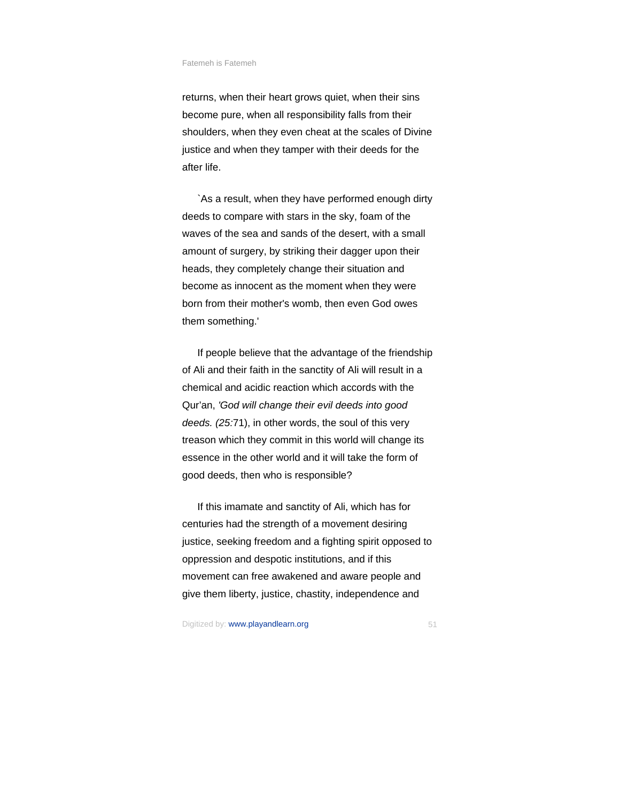returns, when their heart grows quiet, when their sins become pure, when all responsibility falls from their shoulders, when they even cheat at the scales of Divine justice and when they tamper with their deeds for the after life.

`As a result, when they have performed enough dirty deeds to compare with stars in the sky, foam of the waves of the sea and sands of the desert, with a small amount of surgery, by striking their dagger upon their heads, they completely change their situation and become as innocent as the moment when they were born from their mother's womb, then even God owes them something.'

If people believe that the advantage of the friendship of Ali and their faith in the sanctity of Ali will result in a chemical and acidic reaction which accords with the Qur'an, *'God will change their evil deeds into good deeds. (25:*71), in other words, the soul of this very treason which they commit in this world will change its essence in the other world and it will take the form of good deeds, then who is responsible?

If this imamate and sanctity of Ali, which has for centuries had the strength of a movement desiring justice, seeking freedom and a fighting spirit opposed to oppression and despotic institutions, and if this movement can free awakened and aware people and give them liberty, justice, chastity, independence and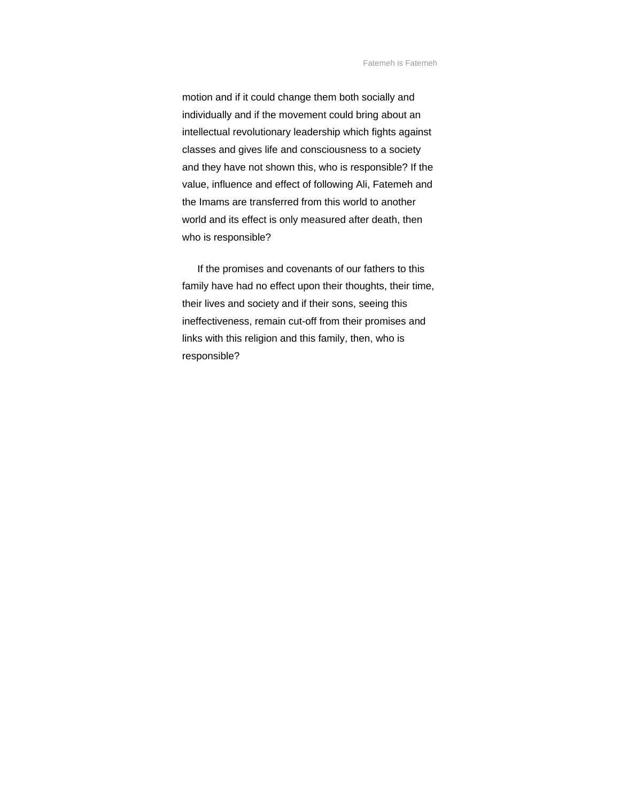motion and if it could change them both socially and individually and if the movement could bring about an intellectual revolutionary leadership which fights against classes and gives life and consciousness to a society and they have not shown this, who is responsible? If the value, influence and effect of following Ali, Fatemeh and the Imams are transferred from this world to another world and its effect is only measured after death, then who is responsible?

If the promises and covenants of our fathers to this family have had no effect upon their thoughts, their time, their lives and society and if their sons, seeing this ineffectiveness, remain cut-off from their promises and links with this religion and this family, then, who is responsible?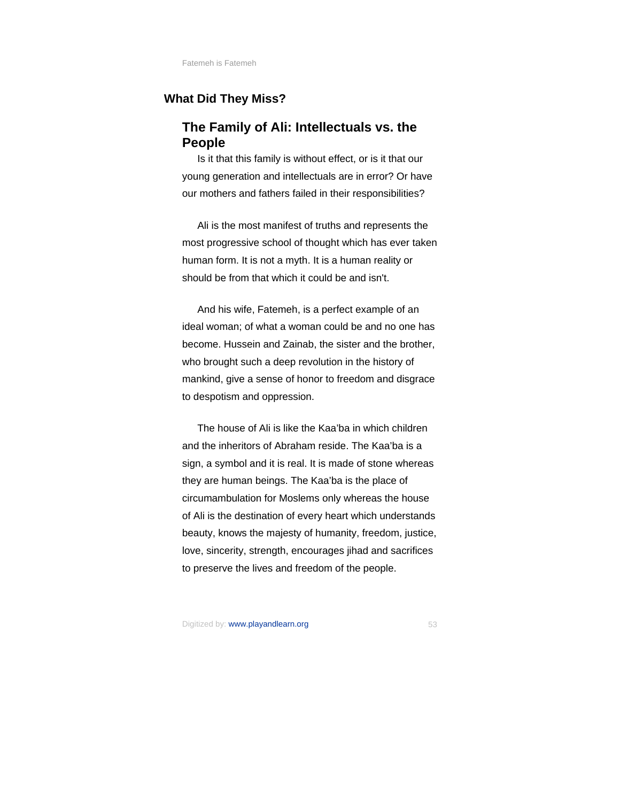### **What Did They Miss?**

## **The Family of Ali: Intellectuals vs. the People**

Is it that this family is without effect, or is it that our young generation and intellectuals are in error? Or have our mothers and fathers failed in their responsibilities?

Ali is the most manifest of truths and represents the most progressive school of thought which has ever taken human form. It is not a myth. It is a human reality or should be from that which it could be and isn't.

And his wife, Fatemeh, is a perfect example of an ideal woman; of what a woman could be and no one has become. Hussein and Zainab, the sister and the brother, who brought such a deep revolution in the history of mankind, give a sense of honor to freedom and disgrace to despotism and oppression.

The house of Ali is like the Kaa'ba in which children and the inheritors of Abraham reside. The Kaa'ba is a sign, a symbol and it is real. It is made of stone whereas they are human beings. The Kaa'ba is the place of circumambulation for Moslems only whereas the house of Ali is the destination of every heart which understands beauty, knows the majesty of humanity, freedom, justice, love, sincerity, strength, encourages jihad and sacrifices to preserve the lives and freedom of the people.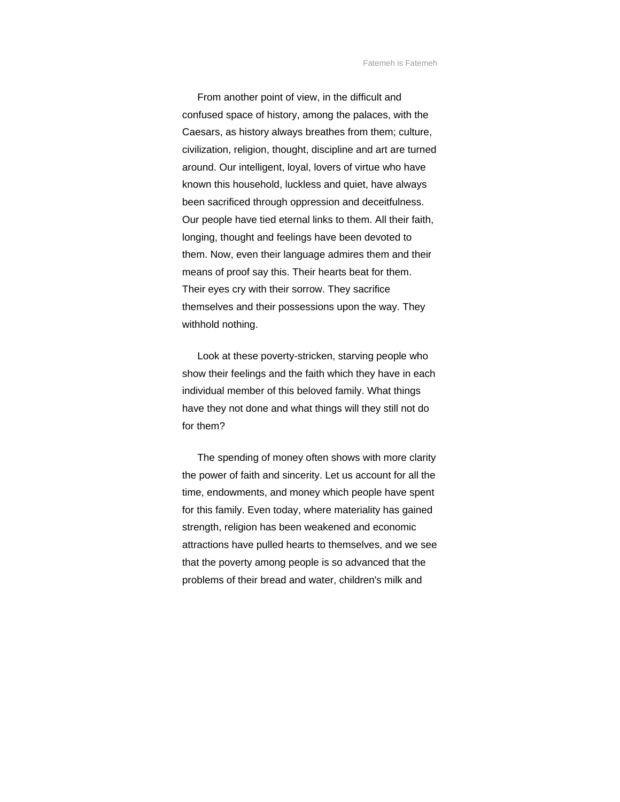From another point of view, in the difficult and confused space of history, among the palaces, with the Caesars, as history always breathes from them; culture, civilization, religion, thought, discipline and art are turned around. Our intelligent, loyal, lovers of virtue who have known this household, luckless and quiet, have always been sacrificed through oppression and deceitfulness. Our people have tied eternal links to them. All their faith, longing, thought and feelings have been devoted to them. Now, even their language admires them and their means of proof say this. Their hearts beat for them. Their eyes cry with their sorrow. They sacrifice themselves and their possessions upon the way. They withhold nothing.

Look at these poverty-stricken, starving people who show their feelings and the faith which they have in each individual member of this beloved family. What things have they not done and what things will they still not do for them?

The spending of money often shows with more clarity the power of faith and sincerity. Let us account for all the time, endowments, and money which people have spent for this family. Even today, where materiality has gained strength, religion has been weakened and economic attractions have pulled hearts to themselves, and we see that the poverty among people is so advanced that the problems of their bread and water, children's milk and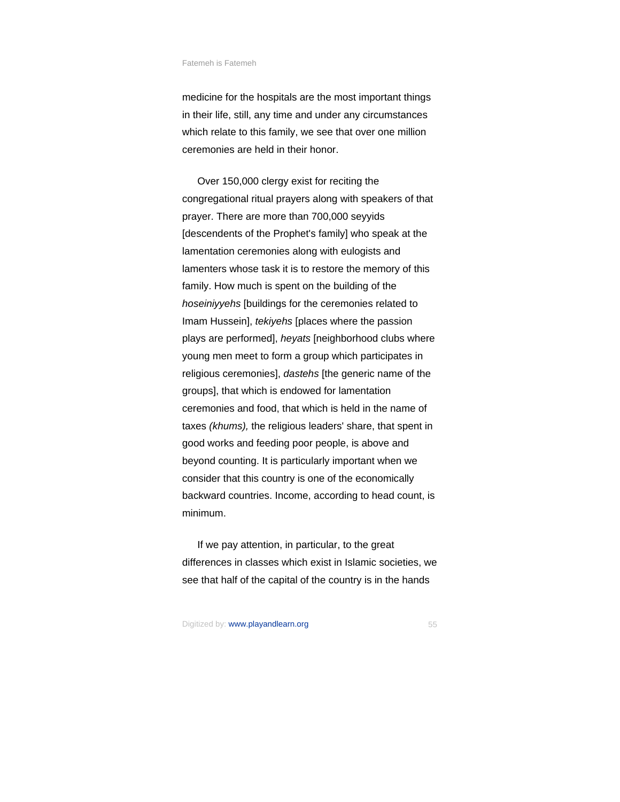#### Fatemeh is Fatemeh

medicine for the hospitals are the most important things in their life, still, any time and under any circumstances which relate to this family, we see that over one million ceremonies are held in their honor.

Over 150,000 clergy exist for reciting the congregational ritual prayers along with speakers of that prayer. There are more than 700,000 seyyids [descendents of the Prophet's family] who speak at the lamentation ceremonies along with eulogists and lamenters whose task it is to restore the memory of this family. How much is spent on the building of the *hoseiniyyehs* [buildings for the ceremonies related to Imam Hussein], *tekiyehs* [places where the passion plays are performed], *heyats* [neighborhood clubs where young men meet to form a group which participates in religious ceremonies], *dastehs* [the generic name of the groups], that which is endowed for lamentation ceremonies and food, that which is held in the name of taxes *(khums),* the religious leaders' share, that spent in good works and feeding poor people, is above and beyond counting. It is particularly important when we consider that this country is one of the economically backward countries. Income, according to head count, is minimum.

If we pay attention, in particular, to the great differences in classes which exist in Islamic societies, we see that half of the capital of the country is in the hands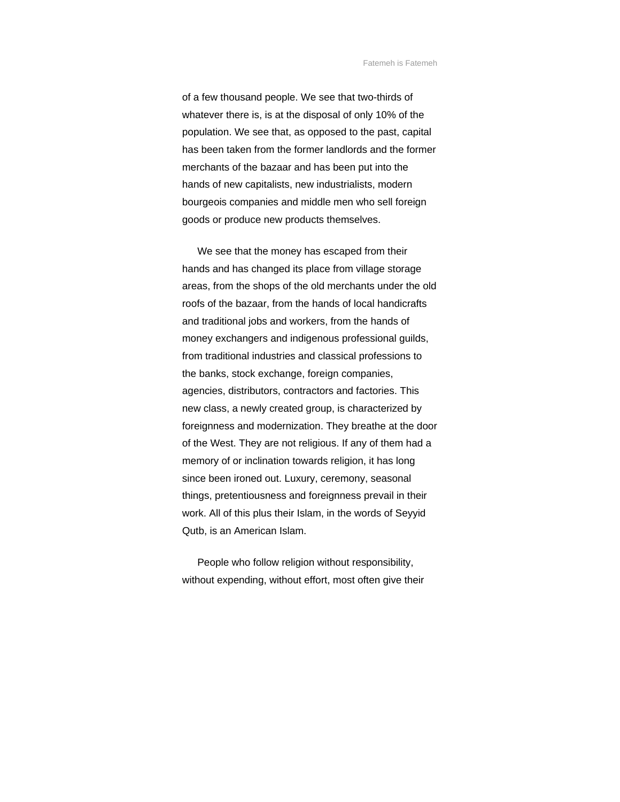of a few thousand people. We see that two-thirds of whatever there is, is at the disposal of only 10% of the population. We see that, as opposed to the past, capital has been taken from the former landlords and the former merchants of the bazaar and has been put into the hands of new capitalists, new industrialists, modern bourgeois companies and middle men who sell foreign goods or produce new products themselves.

We see that the money has escaped from their hands and has changed its place from village storage areas, from the shops of the old merchants under the old roofs of the bazaar, from the hands of local handicrafts and traditional jobs and workers, from the hands of money exchangers and indigenous professional guilds, from traditional industries and classical professions to the banks, stock exchange, foreign companies, agencies, distributors, contractors and factories. This new class, a newly created group, is characterized by foreignness and modernization. They breathe at the door of the West. They are not religious. If any of them had a memory of or inclination towards religion, it has long since been ironed out. Luxury, ceremony, seasonal things, pretentiousness and foreignness prevail in their work. All of this plus their Islam, in the words of Seyyid Qutb, is an American Islam.

People who follow religion without responsibility, without expending, without effort, most often give their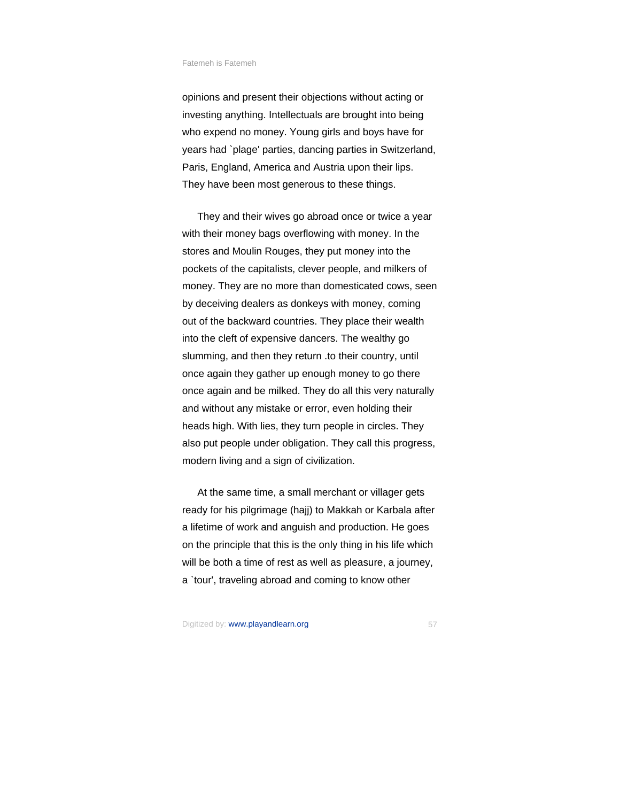#### Fatemeh is Fatemeh

opinions and present their objections without acting or investing anything. Intellectuals are brought into being who expend no money. Young girls and boys have for years had `plage' parties, dancing parties in Switzerland, Paris, England, America and Austria upon their lips. They have been most generous to these things.

They and their wives go abroad once or twice a year with their money bags overflowing with money. In the stores and Moulin Rouges, they put money into the pockets of the capitalists, clever people, and milkers of money. They are no more than domesticated cows, seen by deceiving dealers as donkeys with money, coming out of the backward countries. They place their wealth into the cleft of expensive dancers. The wealthy go slumming, and then they return .to their country, until once again they gather up enough money to go there once again and be milked. They do all this very naturally and without any mistake or error, even holding their heads high. With lies, they turn people in circles. They also put people under obligation. They call this progress, modern living and a sign of civilization.

At the same time, a small merchant or villager gets ready for his pilgrimage (hajj) to Makkah or Karbala after a lifetime of work and anguish and production. He goes on the principle that this is the only thing in his life which will be both a time of rest as well as pleasure, a journey, a `tour', traveling abroad and coming to know other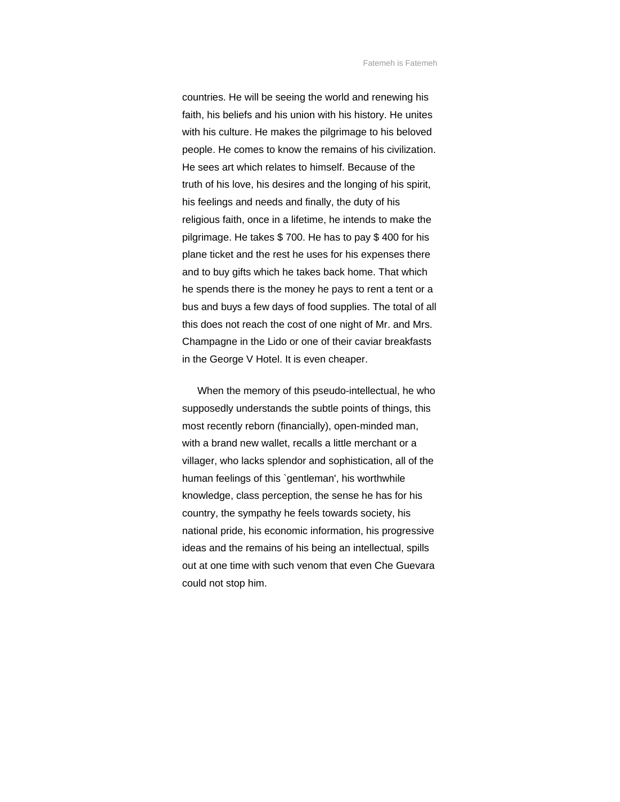countries. He will be seeing the world and renewing his faith, his beliefs and his union with his history. He unites with his culture. He makes the pilgrimage to his beloved people. He comes to know the remains of his civilization. He sees art which relates to himself. Because of the truth of his love, his desires and the longing of his spirit, his feelings and needs and finally, the duty of his religious faith, once in a lifetime, he intends to make the pilgrimage. He takes \$ 700. He has to pay \$ 400 for his plane ticket and the rest he uses for his expenses there and to buy gifts which he takes back home. That which he spends there is the money he pays to rent a tent or a bus and buys a few days of food supplies. The total of all this does not reach the cost of one night of Mr. and Mrs. Champagne in the Lido or one of their caviar breakfasts in the George V Hotel. It is even cheaper.

When the memory of this pseudo-intellectual, he who supposedly understands the subtle points of things, this most recently reborn (financially), open-minded man, with a brand new wallet, recalls a little merchant or a villager, who lacks splendor and sophistication, all of the human feelings of this `gentleman', his worthwhile knowledge, class perception, the sense he has for his country, the sympathy he feels towards society, his national pride, his economic information, his progressive ideas and the remains of his being an intellectual, spills out at one time with such venom that even Che Guevara could not stop him.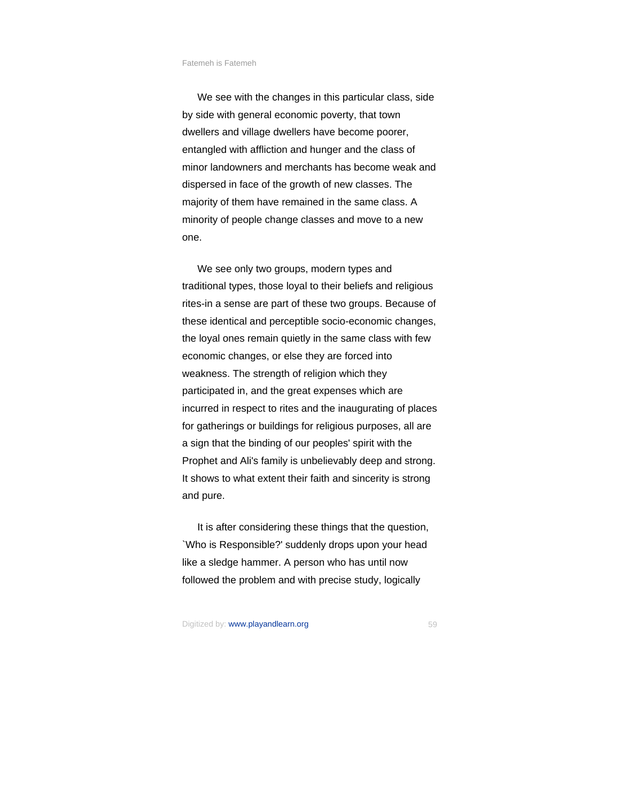We see with the changes in this particular class, side by side with general economic poverty, that town dwellers and village dwellers have become poorer, entangled with affliction and hunger and the class of minor landowners and merchants has become weak and dispersed in face of the growth of new classes. The majority of them have remained in the same class. A minority of people change classes and move to a new one.

We see only two groups, modern types and traditional types, those loyal to their beliefs and religious rites-in a sense are part of these two groups. Because of these identical and perceptible socio-economic changes, the loyal ones remain quietly in the same class with few economic changes, or else they are forced into weakness. The strength of religion which they participated in, and the great expenses which are incurred in respect to rites and the inaugurating of places for gatherings or buildings for religious purposes, all are a sign that the binding of our peoples' spirit with the Prophet and Ali's family is unbelievably deep and strong. It shows to what extent their faith and sincerity is strong and pure.

It is after considering these things that the question, `Who is Responsible?' suddenly drops upon your head like a sledge hammer. A person who has until now followed the problem and with precise study, logically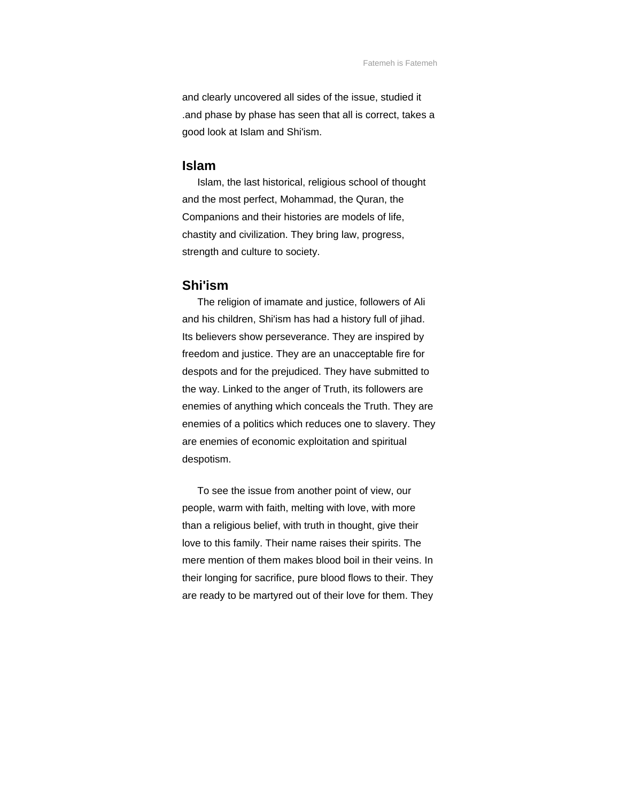and clearly uncovered all sides of the issue, studied it .and phase by phase has seen that all is correct, takes a good look at Islam and Shi'ism.

## **Islam**

Islam, the last historical, religious school of thought and the most perfect, Mohammad, the Quran, the Companions and their histories are models of life, chastity and civilization. They bring law, progress, strength and culture to society.

# **Shi'ism**

The religion of imamate and justice, followers of Ali and his children, Shi'ism has had a history full of jihad. Its believers show perseverance. They are inspired by freedom and justice. They are an unacceptable fire for despots and for the prejudiced. They have submitted to the way. Linked to the anger of Truth, its followers are enemies of anything which conceals the Truth. They are enemies of a politics which reduces one to slavery. They are enemies of economic exploitation and spiritual despotism.

To see the issue from another point of view, our people, warm with faith, melting with love, with more than a religious belief, with truth in thought, give their love to this family. Their name raises their spirits. The mere mention of them makes blood boil in their veins. In their longing for sacrifice, pure blood flows to their. They are ready to be martyred out of their love for them. They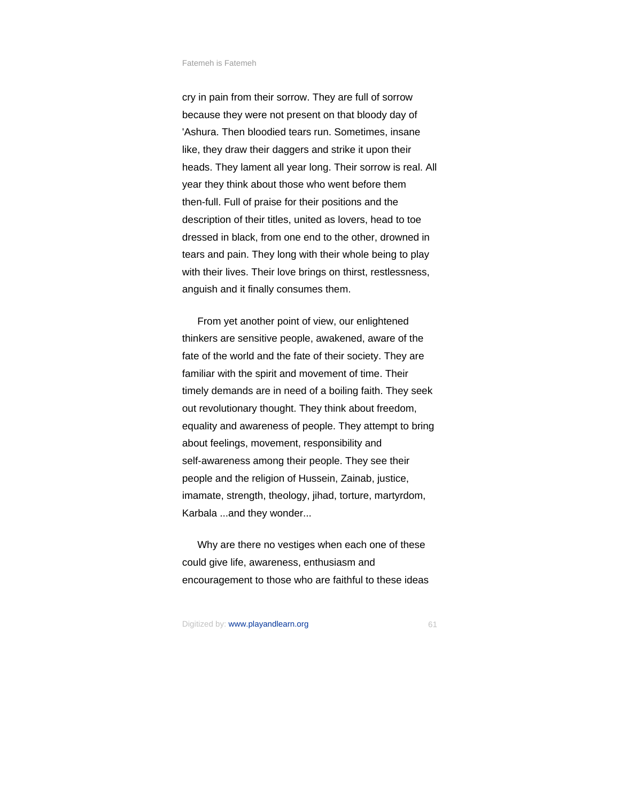cry in pain from their sorrow. They are full of sorrow because they were not present on that bloody day of 'Ashura. Then bloodied tears run. Sometimes, insane like, they draw their daggers and strike it upon their heads. They lament all year long. Their sorrow is real. All year they think about those who went before them then-full. Full of praise for their positions and the description of their titles, united as lovers, head to toe dressed in black, from one end to the other, drowned in tears and pain. They long with their whole being to play with their lives. Their love brings on thirst, restlessness, anguish and it finally consumes them.

From yet another point of view, our enlightened thinkers are sensitive people, awakened, aware of the fate of the world and the fate of their society. They are familiar with the spirit and movement of time. Their timely demands are in need of a boiling faith. They seek out revolutionary thought. They think about freedom, equality and awareness of people. They attempt to bring about feelings, movement, responsibility and self-awareness among their people. They see their people and the religion of Hussein, Zainab, justice, imamate, strength, theology, jihad, torture, martyrdom, Karbala ...and they wonder...

Why are there no vestiges when each one of these could give life, awareness, enthusiasm and encouragement to those who are faithful to these ideas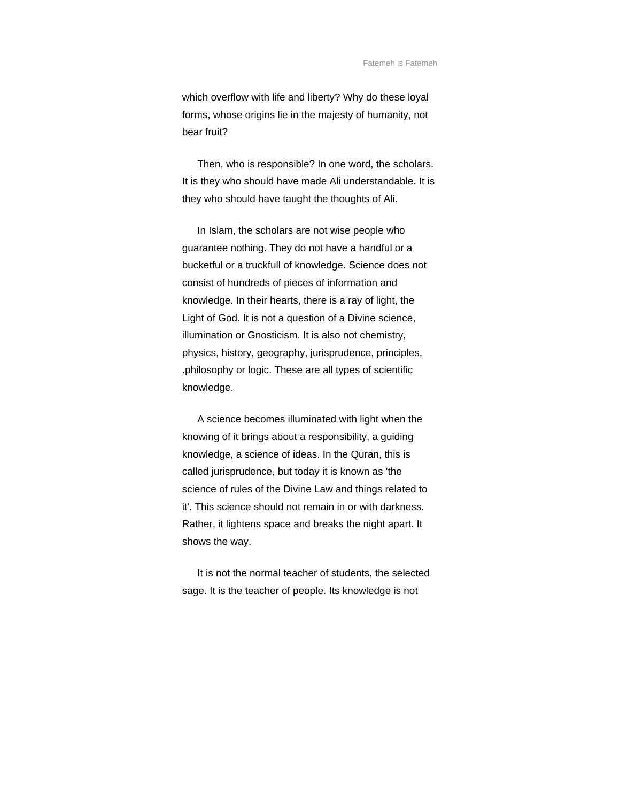which overflow with life and liberty? Why do these loyal forms, whose origins lie in the majesty of humanity, not bear fruit?

Then, who is responsible? In one word, the scholars. It is they who should have made Ali understandable. It is they who should have taught the thoughts of Ali.

In Islam, the scholars are not wise people who guarantee nothing. They do not have a handful or a bucketful or a truckfull of knowledge. Science does not consist of hundreds of pieces of information and knowledge. In their hearts, there is a ray of light, the Light of God. It is not a question of a Divine science, illumination or Gnosticism. It is also not chemistry, physics, history, geography, jurisprudence, principles, .philosophy or logic. These are all types of scientific knowledge.

A science becomes illuminated with light when the knowing of it brings about a responsibility, a guiding knowledge, a science of ideas. In the Quran, this is called jurisprudence, but today it is known as 'the science of rules of the Divine Law and things related to it'. This science should not remain in or with darkness. Rather, it lightens space and breaks the night apart. It shows the way.

It is not the normal teacher of students, the selected sage. It is the teacher of people. Its knowledge is not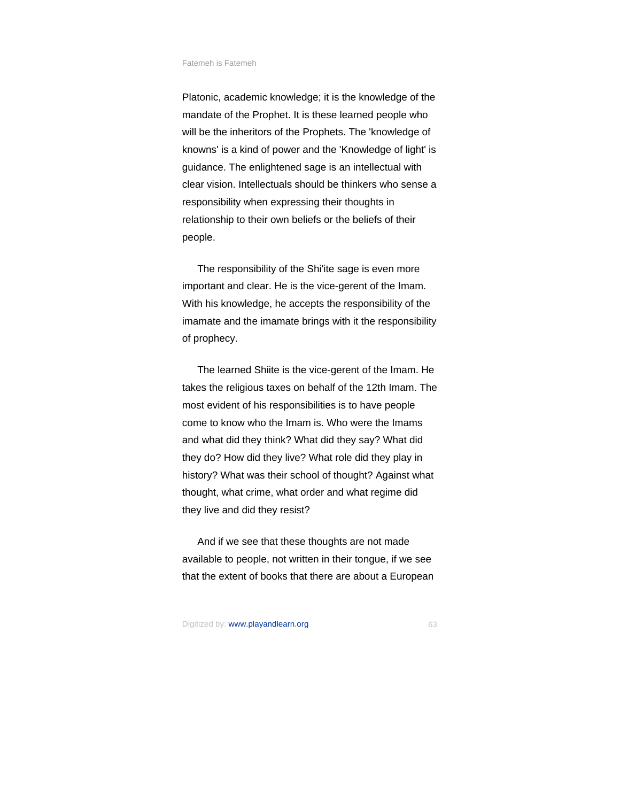Platonic, academic knowledge; it is the knowledge of the mandate of the Prophet. It is these learned people who will be the inheritors of the Prophets. The 'knowledge of knowns' is a kind of power and the 'Knowledge of light' is guidance. The enlightened sage is an intellectual with clear vision. Intellectuals should be thinkers who sense a responsibility when expressing their thoughts in relationship to their own beliefs or the beliefs of their people.

The responsibility of the Shi'ite sage is even more important and clear. He is the vice-gerent of the Imam. With his knowledge, he accepts the responsibility of the imamate and the imamate brings with it the responsibility of prophecy.

The learned Shiite is the vice-gerent of the Imam. He takes the religious taxes on behalf of the 12th Imam. The most evident of his responsibilities is to have people come to know who the Imam is. Who were the Imams and what did they think? What did they say? What did they do? How did they live? What role did they play in history? What was their school of thought? Against what thought, what crime, what order and what regime did they live and did they resist?

And if we see that these thoughts are not made available to people, not written in their tongue, if we see that the extent of books that there are about a European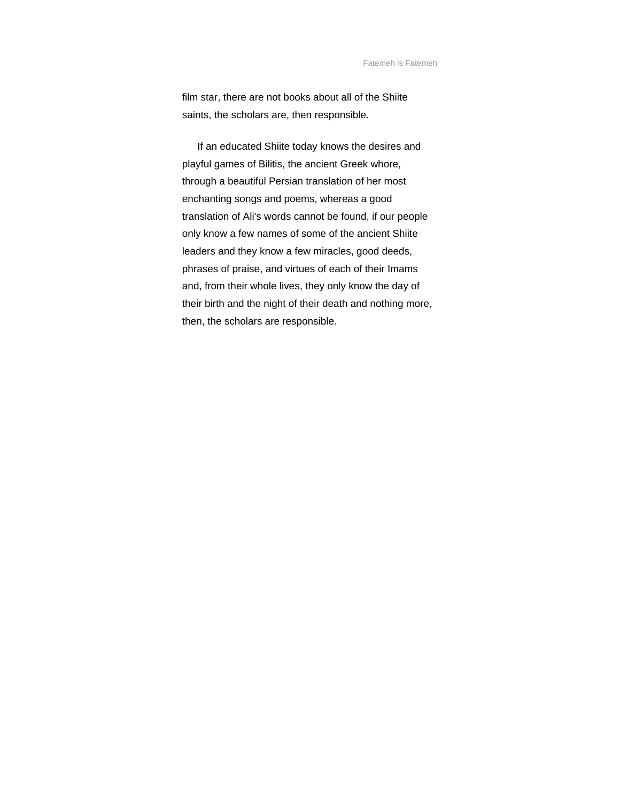film star, there are not books about all of the Shiite saints, the scholars are, then responsible.

If an educated Shiite today knows the desires and playful games of Bilitis, the ancient Greek whore, through a beautiful Persian translation of her most enchanting songs and poems, whereas a good translation of Ali's words cannot be found, if our people only know a few names of some of the ancient Shiite leaders and they know a few miracles, good deeds, phrases of praise, and virtues of each of their Imams and, from their whole lives, they only know the day of their birth and the night of their death and nothing more, then, the scholars are responsible.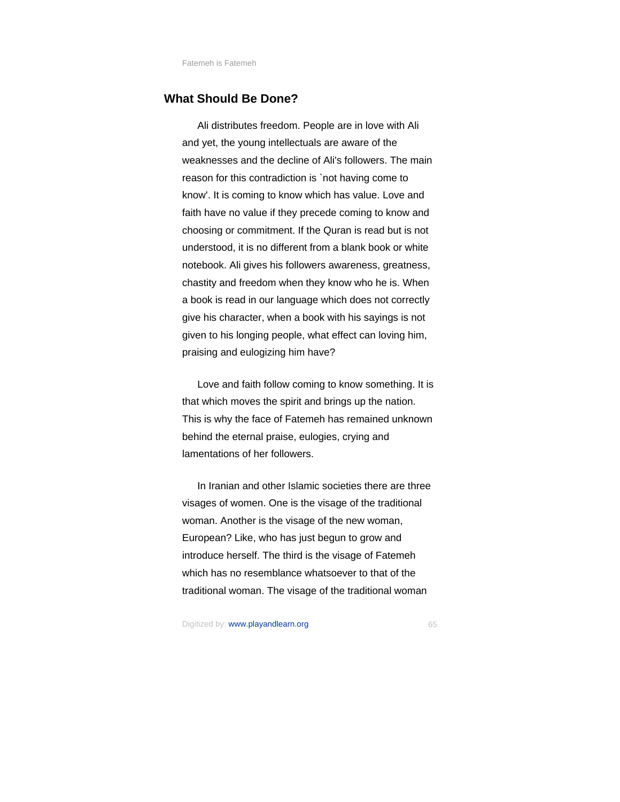## **What Should Be Done?**

Ali distributes freedom. People are in love with Ali and yet, the young intellectuals are aware of the weaknesses and the decline of Ali's followers. The main reason for this contradiction is `not having come to know'. It is coming to know which has value. Love and faith have no value if they precede coming to know and choosing or commitment. If the Quran is read but is not understood, it is no different from a blank book or white notebook. Ali gives his followers awareness, greatness, chastity and freedom when they know who he is. When a book is read in our language which does not correctly give his character, when a book with his sayings is not given to his longing people, what effect can loving him, praising and eulogizing him have?

Love and faith follow coming to know something. It is that which moves the spirit and brings up the nation. This is why the face of Fatemeh has remained unknown behind the eternal praise, eulogies, crying and lamentations of her followers.

In Iranian and other Islamic societies there are three visages of women. One is the visage of the traditional woman. Another is the visage of the new woman, European? Like, who has just begun to grow and introduce herself. The third is the visage of Fatemeh which has no resemblance whatsoever to that of the traditional woman. The visage of the traditional woman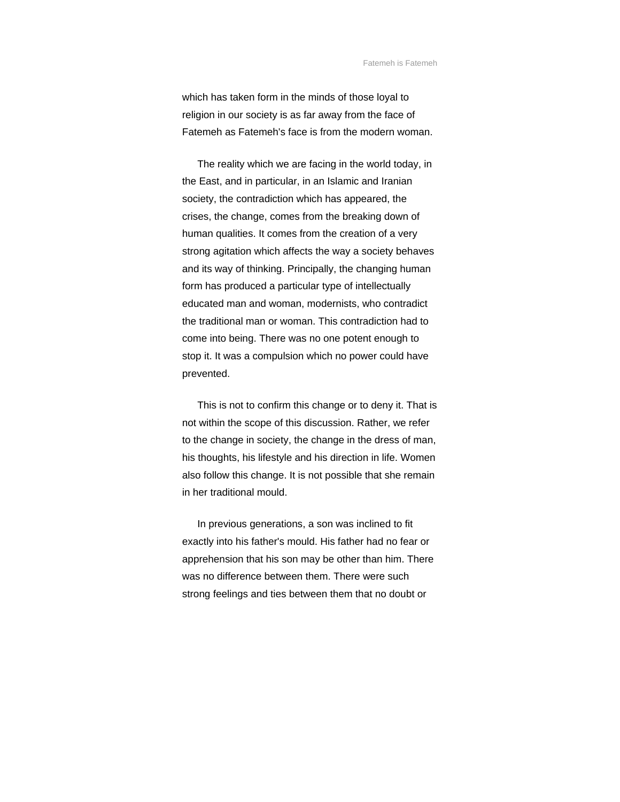which has taken form in the minds of those loyal to religion in our society is as far away from the face of Fatemeh as Fatemeh's face is from the modern woman.

The reality which we are facing in the world today, in the East, and in particular, in an Islamic and Iranian society, the contradiction which has appeared, the crises, the change, comes from the breaking down of human qualities. It comes from the creation of a very strong agitation which affects the way a society behaves and its way of thinking. Principally, the changing human form has produced a particular type of intellectually educated man and woman, modernists, who contradict the traditional man or woman. This contradiction had to come into being. There was no one potent enough to stop it. It was a compulsion which no power could have prevented.

This is not to confirm this change or to deny it. That is not within the scope of this discussion. Rather, we refer to the change in society, the change in the dress of man, his thoughts, his lifestyle and his direction in life. Women also follow this change. It is not possible that she remain in her traditional mould.

In previous generations, a son was inclined to fit exactly into his father's mould. His father had no fear or apprehension that his son may be other than him. There was no difference between them. There were such strong feelings and ties between them that no doubt or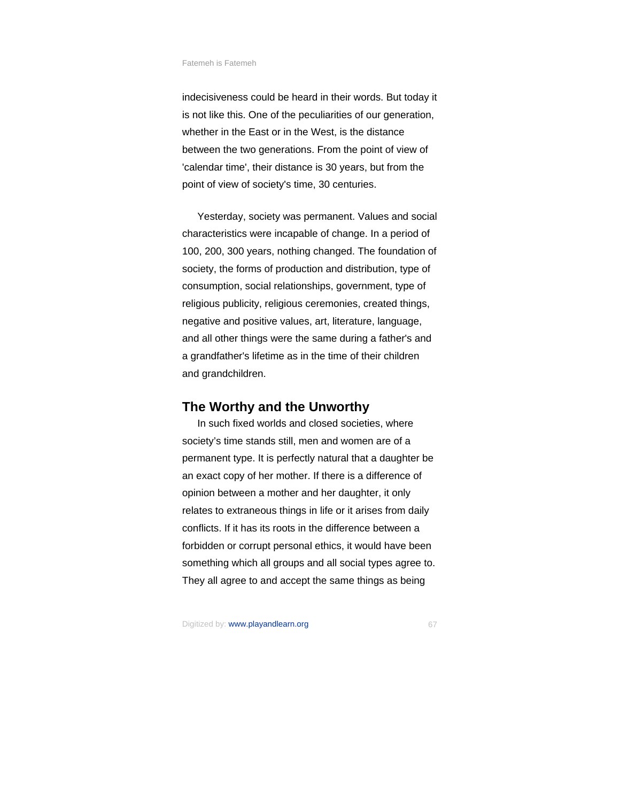#### Fatemeh is Fatemeh

indecisiveness could be heard in their words. But today it is not like this. One of the peculiarities of our generation, whether in the East or in the West, is the distance between the two generations. From the point of view of 'calendar time', their distance is 30 years, but from the point of view of society's time, 30 centuries.

Yesterday, society was permanent. Values and social characteristics were incapable of change. In a period of 100, 200, 300 years, nothing changed. The foundation of society, the forms of production and distribution, type of consumption, social relationships, government, type of religious publicity, religious ceremonies, created things, negative and positive values, art, literature, language, and all other things were the same during a father's and a grandfather's lifetime as in the time of their children and grandchildren.

# **The Worthy and the Unworthy**

In such fixed worlds and closed societies, where society's time stands still, men and women are of a permanent type. It is perfectly natural that a daughter be an exact copy of her mother. If there is a difference of opinion between a mother and her daughter, it only relates to extraneous things in life or it arises from daily conflicts. If it has its roots in the difference between a forbidden or corrupt personal ethics, it would have been something which all groups and all social types agree to. They all agree to and accept the same things as being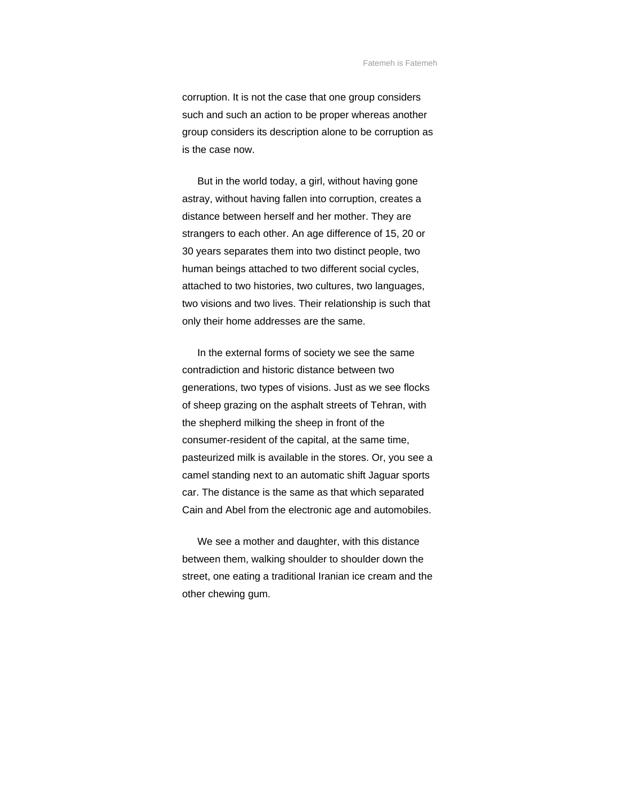corruption. It is not the case that one group considers such and such an action to be proper whereas another group considers its description alone to be corruption as is the case now.

But in the world today, a girl, without having gone astray, without having fallen into corruption, creates a distance between herself and her mother. They are strangers to each other. An age difference of 15, 20 or 30 years separates them into two distinct people, two human beings attached to two different social cycles, attached to two histories, two cultures, two languages, two visions and two lives. Their relationship is such that only their home addresses are the same.

In the external forms of society we see the same contradiction and historic distance between two generations, two types of visions. Just as we see flocks of sheep grazing on the asphalt streets of Tehran, with the shepherd milking the sheep in front of the consumer-resident of the capital, at the same time, pasteurized milk is available in the stores. Or, you see a camel standing next to an automatic shift Jaguar sports car. The distance is the same as that which separated Cain and Abel from the electronic age and automobiles.

We see a mother and daughter, with this distance between them, walking shoulder to shoulder down the street, one eating a traditional Iranian ice cream and the other chewing gum.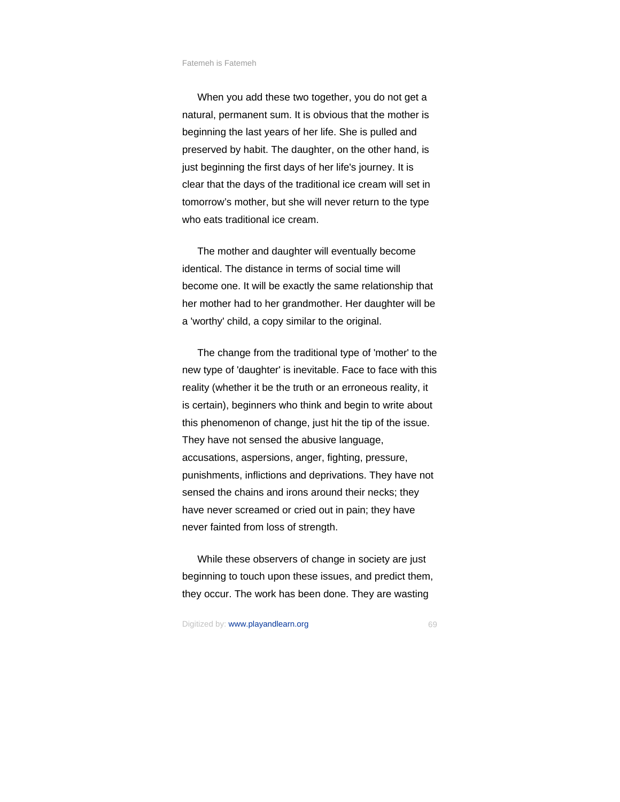When you add these two together, you do not get a natural, permanent sum. It is obvious that the mother is beginning the last years of her life. She is pulled and preserved by habit. The daughter, on the other hand, is just beginning the first days of her life's journey. It is clear that the days of the traditional ice cream will set in tomorrow's mother, but she will never return to the type who eats traditional ice cream.

The mother and daughter will eventually become identical. The distance in terms of social time will become one. It will be exactly the same relationship that her mother had to her grandmother. Her daughter will be a 'worthy' child, a copy similar to the original.

The change from the traditional type of 'mother' to the new type of 'daughter' is inevitable. Face to face with this reality (whether it be the truth or an erroneous reality, it is certain), beginners who think and begin to write about this phenomenon of change, just hit the tip of the issue. They have not sensed the abusive language, accusations, aspersions, anger, fighting, pressure, punishments, inflictions and deprivations. They have not sensed the chains and irons around their necks; they have never screamed or cried out in pain; they have never fainted from loss of strength.

While these observers of change in society are just beginning to touch upon these issues, and predict them, they occur. The work has been done. They are wasting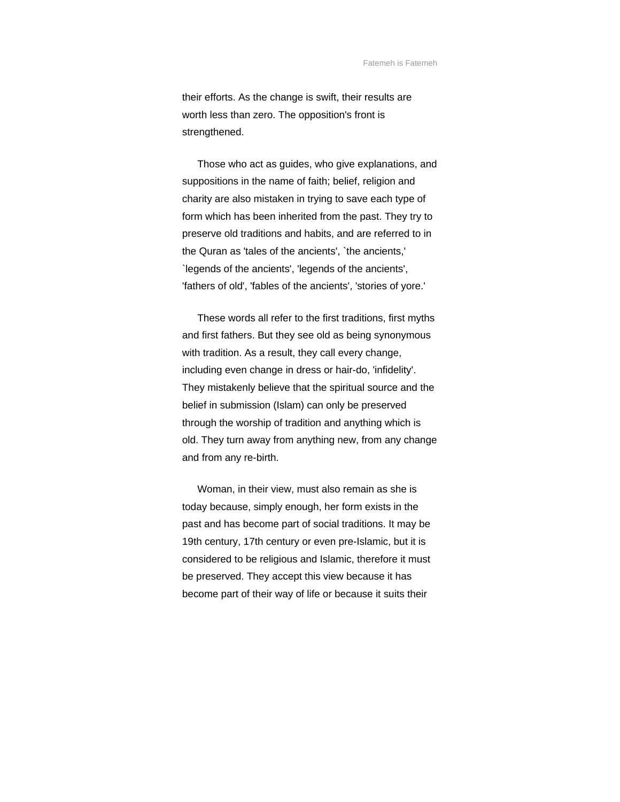their efforts. As the change is swift, their results are worth less than zero. The opposition's front is strengthened.

Those who act as guides, who give explanations, and suppositions in the name of faith; belief, religion and charity are also mistaken in trying to save each type of form which has been inherited from the past. They try to preserve old traditions and habits, and are referred to in the Quran as 'tales of the ancients', `the ancients,' `legends of the ancients', 'legends of the ancients', 'fathers of old', 'fables of the ancients', 'stories of yore.'

These words all refer to the first traditions, first myths and first fathers. But they see old as being synonymous with tradition. As a result, they call every change, including even change in dress or hair-do, 'infidelity'. They mistakenly believe that the spiritual source and the belief in submission (Islam) can only be preserved through the worship of tradition and anything which is old. They turn away from anything new, from any change and from any re-birth.

Woman, in their view, must also remain as she is today because, simply enough, her form exists in the past and has become part of social traditions. It may be 19th century, 17th century or even pre-Islamic, but it is considered to be religious and Islamic, therefore it must be preserved. They accept this view because it has become part of their way of life or because it suits their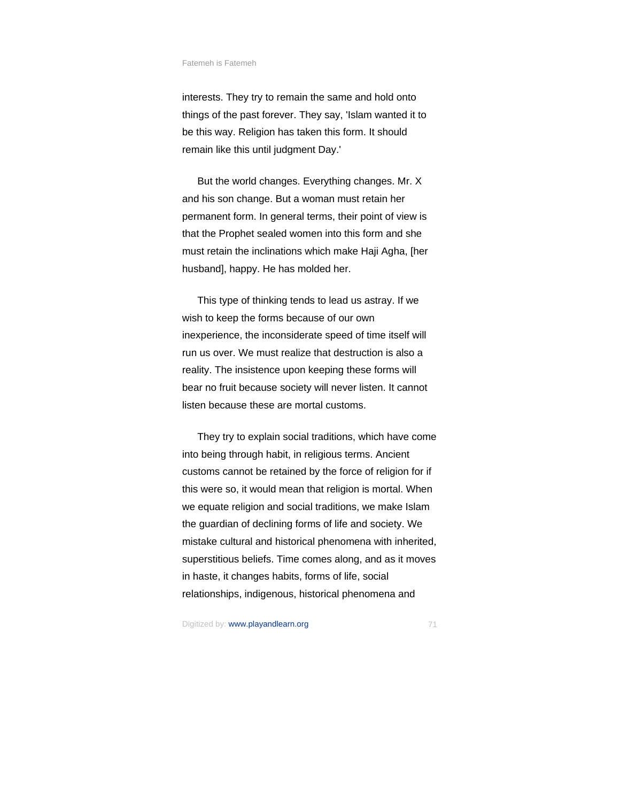interests. They try to remain the same and hold onto things of the past forever. They say, 'Islam wanted it to be this way. Religion has taken this form. It should remain like this until judgment Day.'

But the world changes. Everything changes. Mr. X and his son change. But a woman must retain her permanent form. In general terms, their point of view is that the Prophet sealed women into this form and she must retain the inclinations which make Haji Agha, [her husband], happy. He has molded her.

This type of thinking tends to lead us astray. If we wish to keep the forms because of our own inexperience, the inconsiderate speed of time itself will run us over. We must realize that destruction is also a reality. The insistence upon keeping these forms will bear no fruit because society will never listen. It cannot listen because these are mortal customs.

They try to explain social traditions, which have come into being through habit, in religious terms. Ancient customs cannot be retained by the force of religion for if this were so, it would mean that religion is mortal. When we equate religion and social traditions, we make Islam the guardian of declining forms of life and society. We mistake cultural and historical phenomena with inherited, superstitious beliefs. Time comes along, and as it moves in haste, it changes habits, forms of life, social relationships, indigenous, historical phenomena and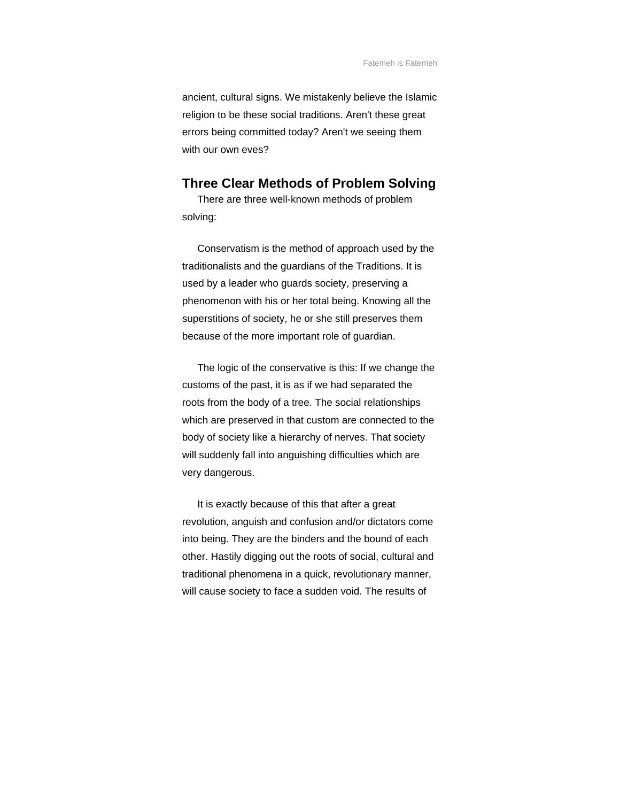ancient, cultural signs. We mistakenly believe the Islamic religion to be these social traditions. Aren't these great errors being committed today? Aren't we seeing them with our own eves?

## **Three Clear Methods of Problem Solving**

There are three well-known methods of problem solving:

Conservatism is the method of approach used by the traditionalists and the guardians of the Traditions. It is used by a leader who guards society, preserving a phenomenon with his or her total being. Knowing all the superstitions of society, he or she still preserves them because of the more important role of guardian.

The logic of the conservative is this: If we change the customs of the past, it is as if we had separated the roots from the body of a tree. The social relationships which are preserved in that custom are connected to the body of society like a hierarchy of nerves. That society will suddenly fall into anguishing difficulties which are very dangerous.

It is exactly because of this that after a great revolution, anguish and confusion and/or dictators come into being. They are the binders and the bound of each other. Hastily digging out the roots of social, cultural and traditional phenomena in a quick, revolutionary manner, will cause society to face a sudden void. The results of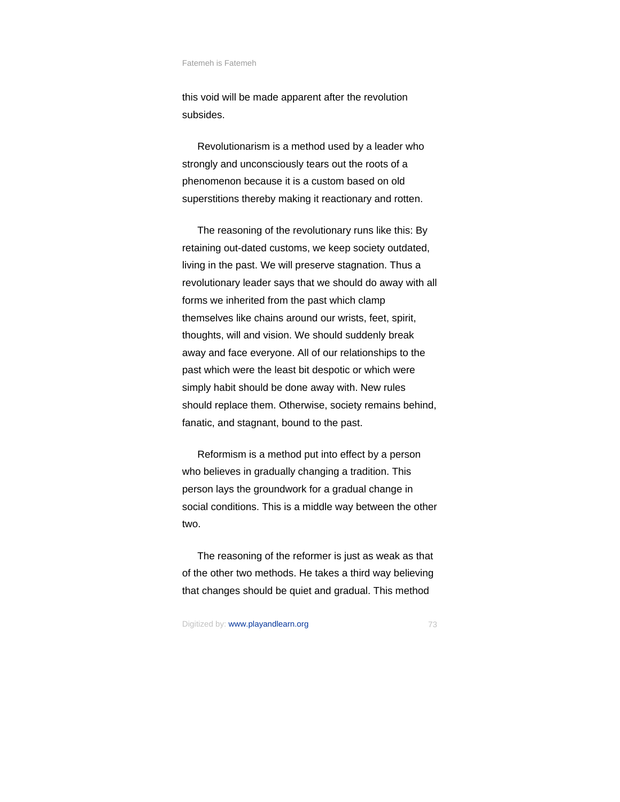this void will be made apparent after the revolution subsides.

Revolutionarism is a method used by a leader who strongly and unconsciously tears out the roots of a phenomenon because it is a custom based on old superstitions thereby making it reactionary and rotten.

The reasoning of the revolutionary runs like this: By retaining out-dated customs, we keep society outdated, living in the past. We will preserve stagnation. Thus a revolutionary leader says that we should do away with all forms we inherited from the past which clamp themselves like chains around our wrists, feet, spirit, thoughts, will and vision. We should suddenly break away and face everyone. All of our relationships to the past which were the least bit despotic or which were simply habit should be done away with. New rules should replace them. Otherwise, society remains behind, fanatic, and stagnant, bound to the past.

Reformism is a method put into effect by a person who believes in gradually changing a tradition. This person lays the groundwork for a gradual change in social conditions. This is a middle way between the other two.

The reasoning of the reformer is just as weak as that of the other two methods. He takes a third way believing that changes should be quiet and gradual. This method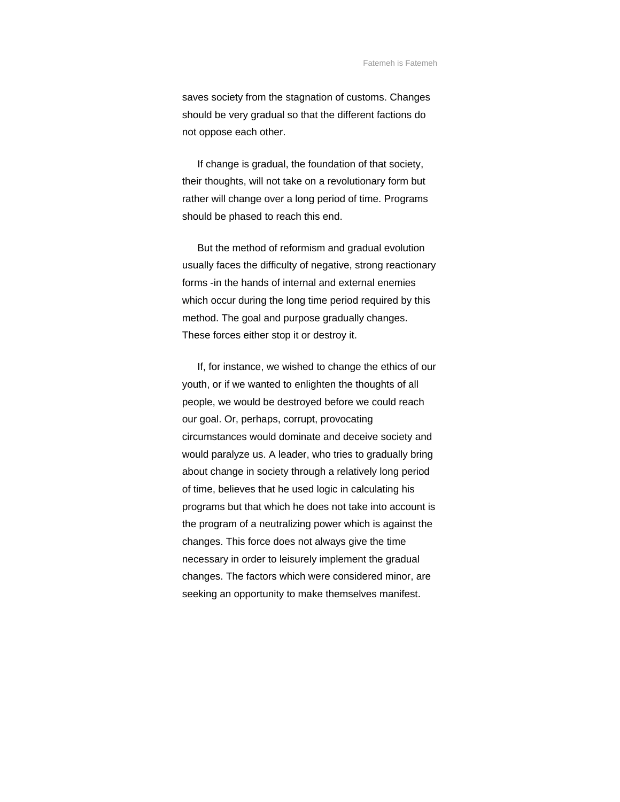saves society from the stagnation of customs. Changes should be very gradual so that the different factions do not oppose each other.

If change is gradual, the foundation of that society, their thoughts, will not take on a revolutionary form but rather will change over a long period of time. Programs should be phased to reach this end.

But the method of reformism and gradual evolution usually faces the difficulty of negative, strong reactionary forms -in the hands of internal and external enemies which occur during the long time period required by this method. The goal and purpose gradually changes. These forces either stop it or destroy it.

If, for instance, we wished to change the ethics of our youth, or if we wanted to enlighten the thoughts of all people, we would be destroyed before we could reach our goal. Or, perhaps, corrupt, provocating circumstances would dominate and deceive society and would paralyze us. A leader, who tries to gradually bring about change in society through a relatively long period of time, believes that he used logic in calculating his programs but that which he does not take into account is the program of a neutralizing power which is against the changes. This force does not always give the time necessary in order to leisurely implement the gradual changes. The factors which were considered minor, are seeking an opportunity to make themselves manifest.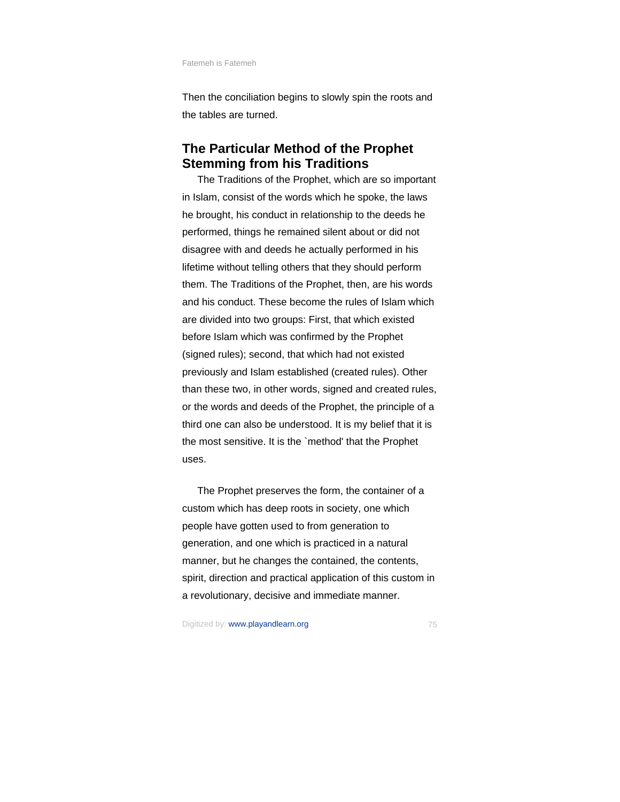Then the conciliation begins to slowly spin the roots and the tables are turned.

# **The Particular Method of the Prophet Stemming from his Traditions**

The Traditions of the Prophet, which are so important in Islam, consist of the words which he spoke, the laws he brought, his conduct in relationship to the deeds he performed, things he remained silent about or did not disagree with and deeds he actually performed in his lifetime without telling others that they should perform them. The Traditions of the Prophet, then, are his words and his conduct. These become the rules of Islam which are divided into two groups: First, that which existed before Islam which was confirmed by the Prophet (signed rules); second, that which had not existed previously and Islam established (created rules). Other than these two, in other words, signed and created rules, or the words and deeds of the Prophet, the principle of a third one can also be understood. It is my belief that it is the most sensitive. It is the `method' that the Prophet uses.

The Prophet preserves the form, the container of a custom which has deep roots in society, one which people have gotten used to from generation to generation, and one which is practiced in a natural manner, but he changes the contained, the contents, spirit, direction and practical application of this custom in a revolutionary, decisive and immediate manner.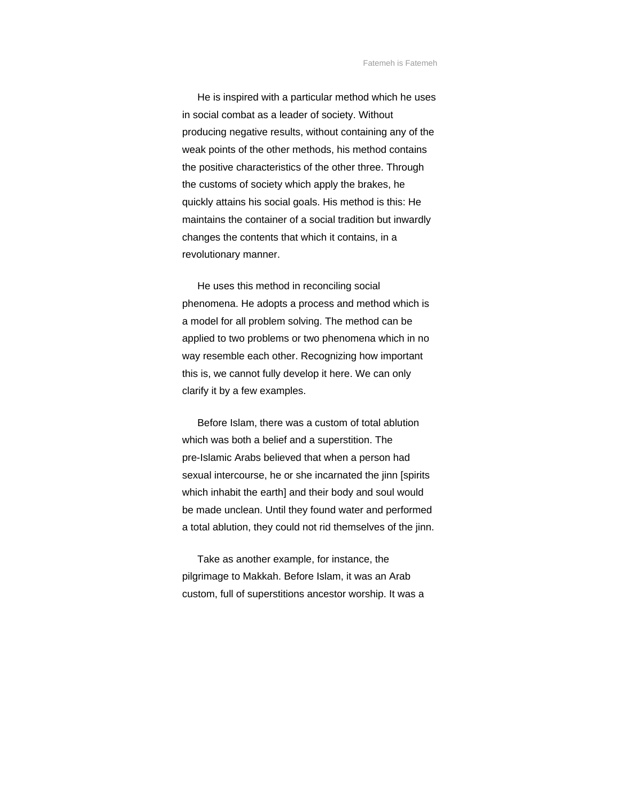He is inspired with a particular method which he uses in social combat as a leader of society. Without producing negative results, without containing any of the weak points of the other methods, his method contains the positive characteristics of the other three. Through the customs of society which apply the brakes, he quickly attains his social goals. His method is this: He maintains the container of a social tradition but inwardly changes the contents that which it contains, in a revolutionary manner.

He uses this method in reconciling social phenomena. He adopts a process and method which is a model for all problem solving. The method can be applied to two problems or two phenomena which in no way resemble each other. Recognizing how important this is, we cannot fully develop it here. We can only clarify it by a few examples.

Before Islam, there was a custom of total ablution which was both a belief and a superstition. The pre-Islamic Arabs believed that when a person had sexual intercourse, he or she incarnated the jinn [spirits which inhabit the earth] and their body and soul would be made unclean. Until they found water and performed a total ablution, they could not rid themselves of the jinn.

Take as another example, for instance, the pilgrimage to Makkah. Before Islam, it was an Arab custom, full of superstitions ancestor worship. It was a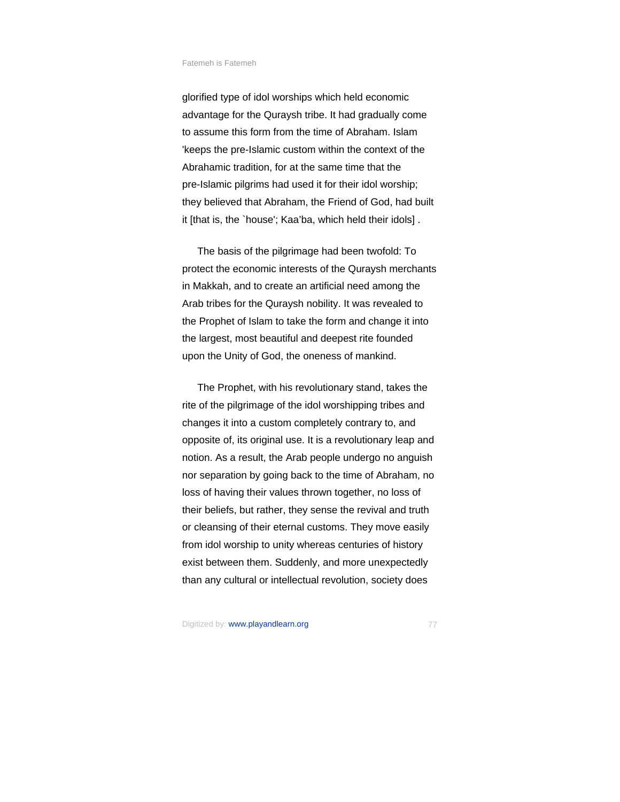glorified type of idol worships which held economic advantage for the Quraysh tribe. It had gradually come to assume this form from the time of Abraham. Islam 'keeps the pre-Islamic custom within the context of the Abrahamic tradition, for at the same time that the pre-Islamic pilgrims had used it for their idol worship; they believed that Abraham, the Friend of God, had built it [that is, the `house'; Kaa'ba, which held their idols] .

The basis of the pilgrimage had been twofold: To protect the economic interests of the Quraysh merchants in Makkah, and to create an artificial need among the Arab tribes for the Quraysh nobility. It was revealed to the Prophet of Islam to take the form and change it into the largest, most beautiful and deepest rite founded upon the Unity of God, the oneness of mankind.

The Prophet, with his revolutionary stand, takes the rite of the pilgrimage of the idol worshipping tribes and changes it into a custom completely contrary to, and opposite of, its original use. It is a revolutionary leap and notion. As a result, the Arab people undergo no anguish nor separation by going back to the time of Abraham, no loss of having their values thrown together, no loss of their beliefs, but rather, they sense the revival and truth or cleansing of their eternal customs. They move easily from idol worship to unity whereas centuries of history exist between them. Suddenly, and more unexpectedly than any cultural or intellectual revolution, society does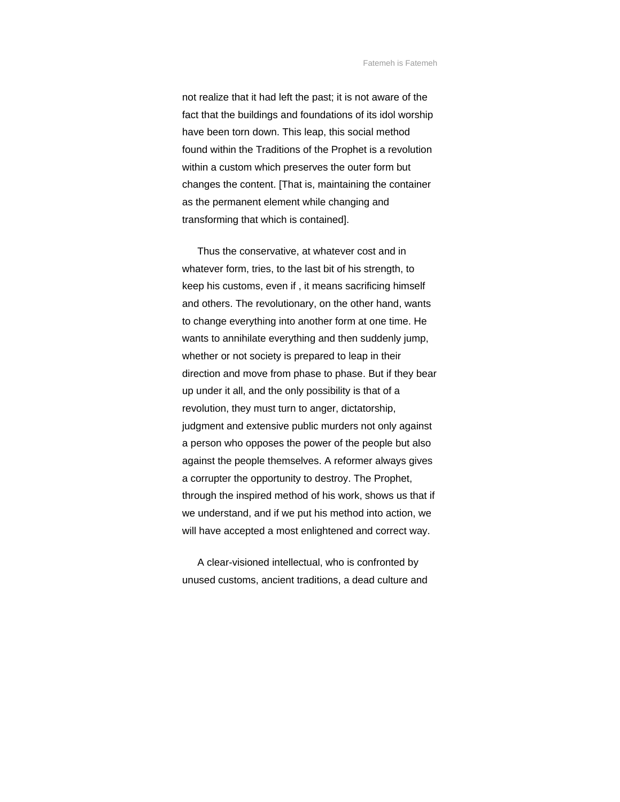not realize that it had left the past; it is not aware of the fact that the buildings and foundations of its idol worship have been torn down. This leap, this social method found within the Traditions of the Prophet is a revolution within a custom which preserves the outer form but changes the content. [That is, maintaining the container as the permanent element while changing and transforming that which is contained].

Thus the conservative, at whatever cost and in whatever form, tries, to the last bit of his strength, to keep his customs, even if , it means sacrificing himself and others. The revolutionary, on the other hand, wants to change everything into another form at one time. He wants to annihilate everything and then suddenly jump, whether or not society is prepared to leap in their direction and move from phase to phase. But if they bear up under it all, and the only possibility is that of a revolution, they must turn to anger, dictatorship, judgment and extensive public murders not only against a person who opposes the power of the people but also against the people themselves. A reformer always gives a corrupter the opportunity to destroy. The Prophet, through the inspired method of his work, shows us that if we understand, and if we put his method into action, we will have accepted a most enlightened and correct way.

A clear-visioned intellectual, who is confronted by unused customs, ancient traditions, a dead culture and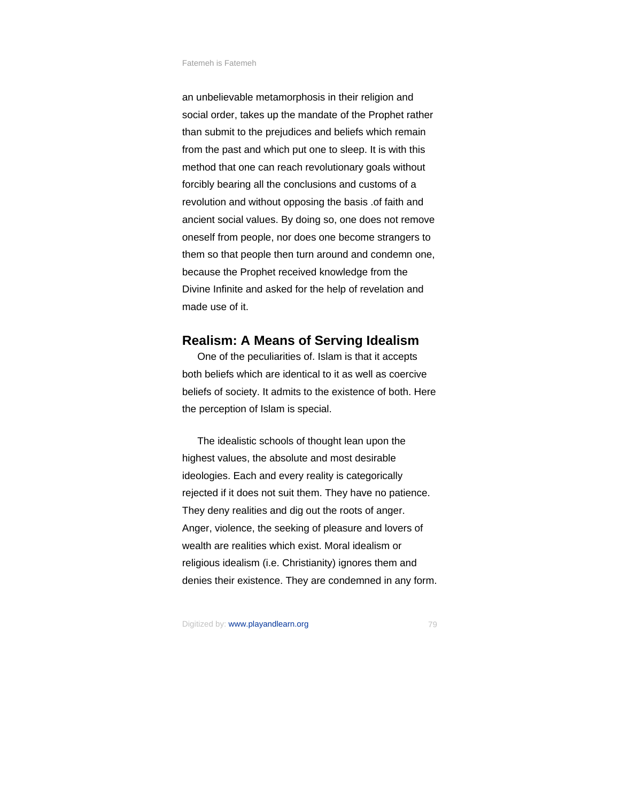an unbelievable metamorphosis in their religion and social order, takes up the mandate of the Prophet rather than submit to the prejudices and beliefs which remain from the past and which put one to sleep. It is with this method that one can reach revolutionary goals without forcibly bearing all the conclusions and customs of a revolution and without opposing the basis .of faith and ancient social values. By doing so, one does not remove oneself from people, nor does one become strangers to them so that people then turn around and condemn one, because the Prophet received knowledge from the Divine Infinite and asked for the help of revelation and made use of it.

# **Realism: A Means of Serving Idealism**

One of the peculiarities of. Islam is that it accepts both beliefs which are identical to it as well as coercive beliefs of society. It admits to the existence of both. Here the perception of Islam is special.

The idealistic schools of thought lean upon the highest values, the absolute and most desirable ideologies. Each and every reality is categorically rejected if it does not suit them. They have no patience. They deny realities and dig out the roots of anger. Anger, violence, the seeking of pleasure and lovers of wealth are realities which exist. Moral idealism or religious idealism (i.e. Christianity) ignores them and denies their existence. They are condemned in any form.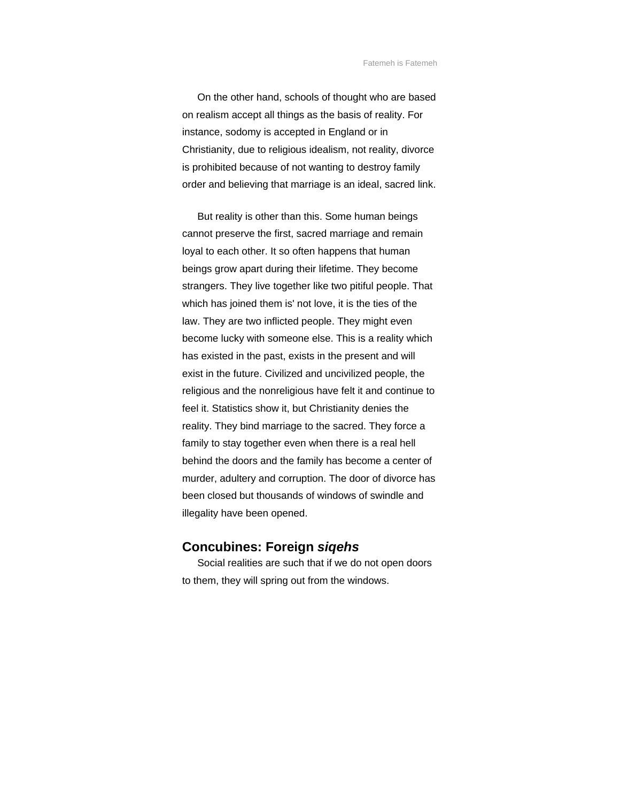On the other hand, schools of thought who are based on realism accept all things as the basis of reality. For instance, sodomy is accepted in England or in Christianity, due to religious idealism, not reality, divorce is prohibited because of not wanting to destroy family order and believing that marriage is an ideal, sacred link.

But reality is other than this. Some human beings cannot preserve the first, sacred marriage and remain loyal to each other. It so often happens that human beings grow apart during their lifetime. They become strangers. They live together like two pitiful people. That which has joined them is' not love, it is the ties of the law. They are two inflicted people. They might even become lucky with someone else. This is a reality which has existed in the past, exists in the present and will exist in the future. Civilized and uncivilized people, the religious and the nonreligious have felt it and continue to feel it. Statistics show it, but Christianity denies the reality. They bind marriage to the sacred. They force a family to stay together even when there is a real hell behind the doors and the family has become a center of murder, adultery and corruption. The door of divorce has been closed but thousands of windows of swindle and illegality have been opened.

#### **Concubines: Foreign** *siqehs*

Social realities are such that if we do not open doors to them, they will spring out from the windows.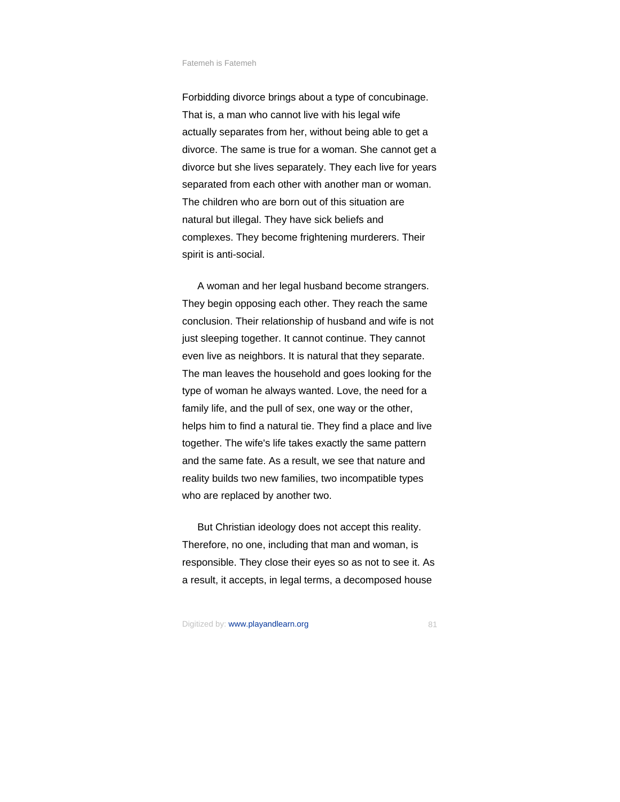Forbidding divorce brings about a type of concubinage. That is, a man who cannot live with his legal wife actually separates from her, without being able to get a divorce. The same is true for a woman. She cannot get a divorce but she lives separately. They each live for years separated from each other with another man or woman. The children who are born out of this situation are natural but illegal. They have sick beliefs and complexes. They become frightening murderers. Their spirit is anti-social.

A woman and her legal husband become strangers. They begin opposing each other. They reach the same conclusion. Their relationship of husband and wife is not just sleeping together. It cannot continue. They cannot even live as neighbors. It is natural that they separate. The man leaves the household and goes looking for the type of woman he always wanted. Love, the need for a family life, and the pull of sex, one way or the other, helps him to find a natural tie. They find a place and live together. The wife's life takes exactly the same pattern and the same fate. As a result, we see that nature and reality builds two new families, two incompatible types who are replaced by another two.

But Christian ideology does not accept this reality. Therefore, no one, including that man and woman, is responsible. They close their eyes so as not to see it. As a result, it accepts, in legal terms, a decomposed house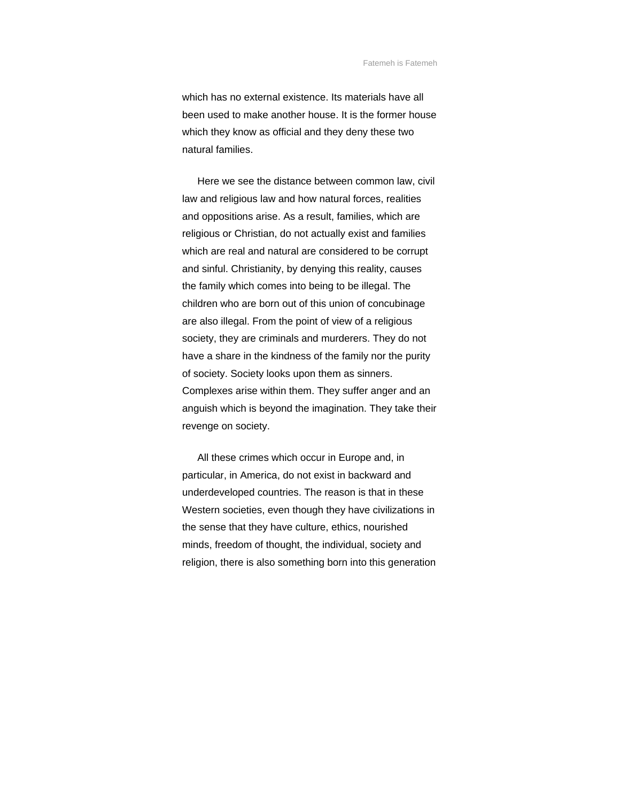which has no external existence. Its materials have all been used to make another house. It is the former house which they know as official and they deny these two natural families.

Here we see the distance between common law, civil law and religious law and how natural forces, realities and oppositions arise. As a result, families, which are religious or Christian, do not actually exist and families which are real and natural are considered to be corrupt and sinful. Christianity, by denying this reality, causes the family which comes into being to be illegal. The children who are born out of this union of concubinage are also illegal. From the point of view of a religious society, they are criminals and murderers. They do not have a share in the kindness of the family nor the purity of society. Society looks upon them as sinners. Complexes arise within them. They suffer anger and an anguish which is beyond the imagination. They take their revenge on society.

All these crimes which occur in Europe and, in particular, in America, do not exist in backward and underdeveloped countries. The reason is that in these Western societies, even though they have civilizations in the sense that they have culture, ethics, nourished minds, freedom of thought, the individual, society and religion, there is also something born into this generation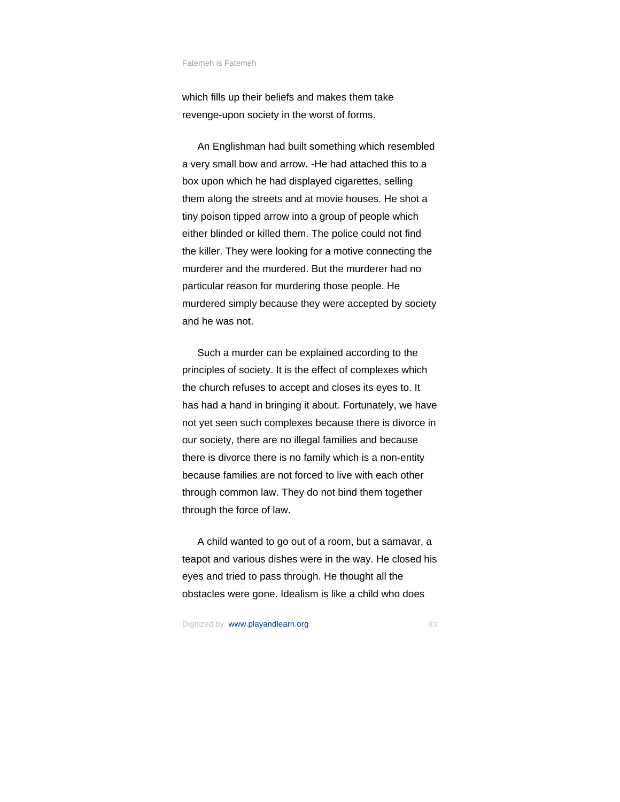which fills up their beliefs and makes them take revenge-upon society in the worst of forms.

An Englishman had built something which resembled a very small bow and arrow. -He had attached this to a box upon which he had displayed cigarettes, selling them along the streets and at movie houses. He shot a tiny poison tipped arrow into a group of people which either blinded or killed them. The police could not find the killer. They were looking for a motive connecting the murderer and the murdered. But the murderer had no particular reason for murdering those people. He murdered simply because they were accepted by society and he was not.

Such a murder can be explained according to the principles of society. It is the effect of complexes which the church refuses to accept and closes its eyes to. It has had a hand in bringing it about. Fortunately, we have not yet seen such complexes because there is divorce in our society, there are no illegal families and because there is divorce there is no family which is a non-entity because families are not forced to live with each other through common law. They do not bind them together through the force of law.

A child wanted to go out of a room, but a samavar, a teapot and various dishes were in the way. He closed his eyes and tried to pass through. He thought all the obstacles were gone. Idealism is like a child who does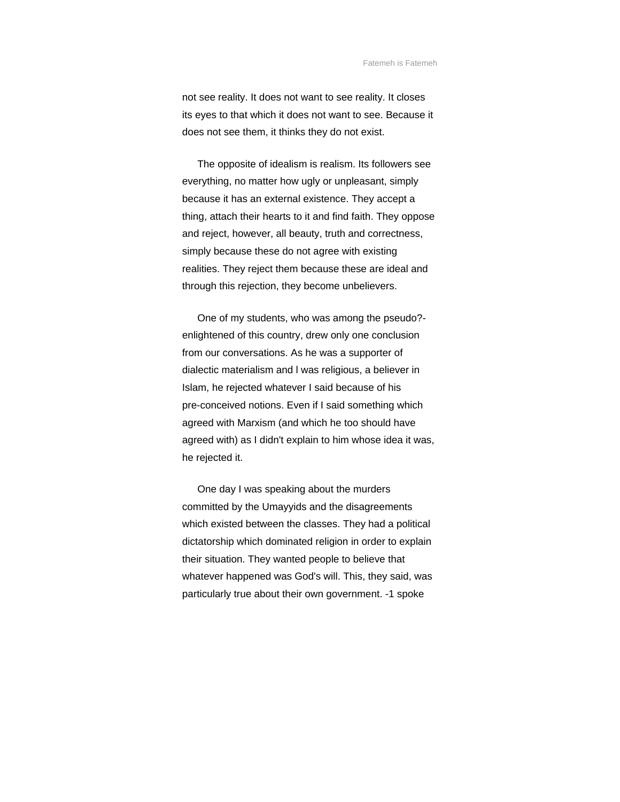not see reality. It does not want to see reality. It closes its eyes to that which it does not want to see. Because it does not see them, it thinks they do not exist.

The opposite of idealism is realism. Its followers see everything, no matter how ugly or unpleasant, simply because it has an external existence. They accept a thing, attach their hearts to it and find faith. They oppose and reject, however, all beauty, truth and correctness, simply because these do not agree with existing realities. They reject them because these are ideal and through this rejection, they become unbelievers.

One of my students, who was among the pseudo? enlightened of this country, drew only one conclusion from our conversations. As he was a supporter of dialectic materialism and l was religious, a believer in Islam, he rejected whatever I said because of his pre-conceived notions. Even if I said something which agreed with Marxism (and which he too should have agreed with) as I didn't explain to him whose idea it was, he rejected it.

One day I was speaking about the murders committed by the Umayyids and the disagreements which existed between the classes. They had a political dictatorship which dominated religion in order to explain their situation. They wanted people to believe that whatever happened was God's will. This, they said, was particularly true about their own government. -1 spoke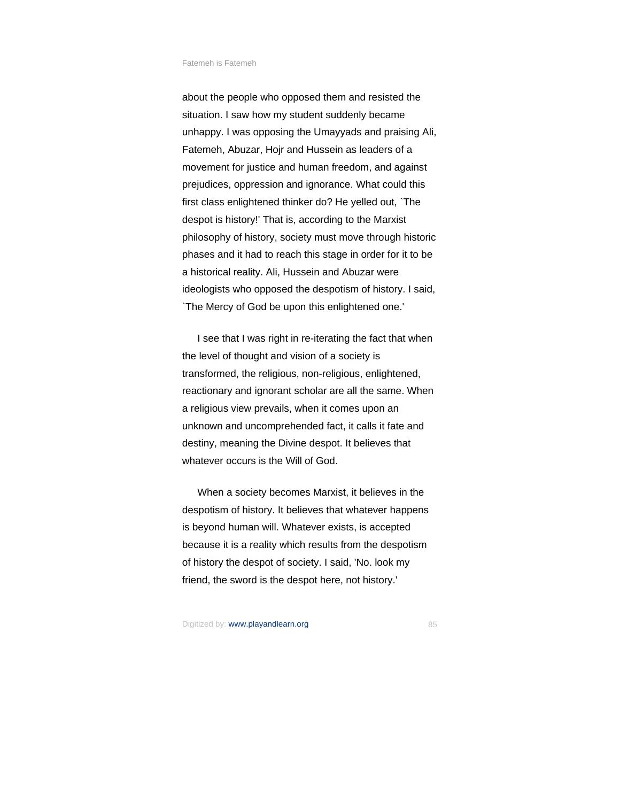about the people who opposed them and resisted the situation. I saw how my student suddenly became unhappy. I was opposing the Umayyads and praising Ali, Fatemeh, Abuzar, Hojr and Hussein as leaders of a movement for justice and human freedom, and against prejudices, oppression and ignorance. What could this first class enlightened thinker do? He yelled out, `The despot is history!' That is, according to the Marxist philosophy of history, society must move through historic phases and it had to reach this stage in order for it to be a historical reality. Ali, Hussein and Abuzar were ideologists who opposed the despotism of history. I said, `The Mercy of God be upon this enlightened one.'

I see that I was right in re-iterating the fact that when the level of thought and vision of a society is transformed, the religious, non-religious, enlightened, reactionary and ignorant scholar are all the same. When a religious view prevails, when it comes upon an unknown and uncomprehended fact, it calls it fate and destiny, meaning the Divine despot. It believes that whatever occurs is the Will of God.

When a society becomes Marxist, it believes in the despotism of history. It believes that whatever happens is beyond human will. Whatever exists, is accepted because it is a reality which results from the despotism of history the despot of society. I said, 'No. look my friend, the sword is the despot here, not history.'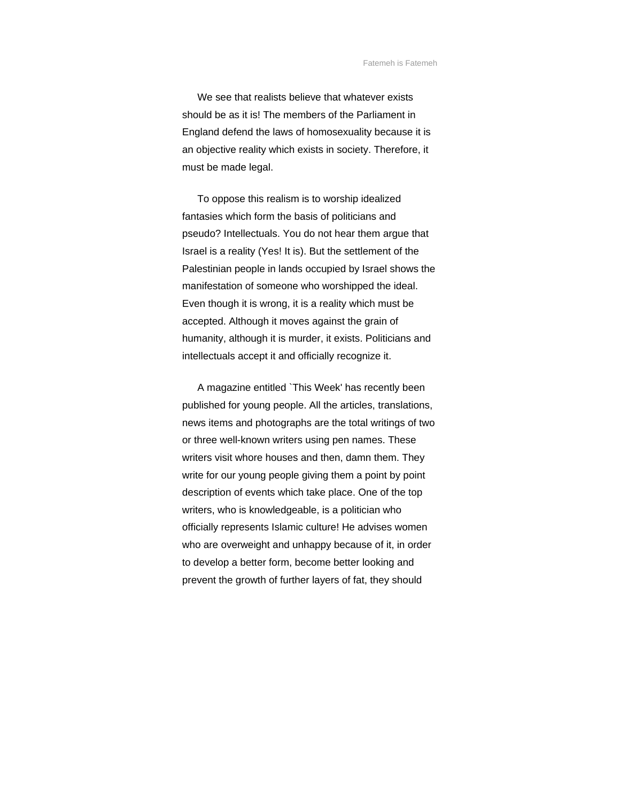We see that realists believe that whatever exists should be as it is! The members of the Parliament in England defend the laws of homosexuality because it is an objective reality which exists in society. Therefore, it must be made legal.

To oppose this realism is to worship idealized fantasies which form the basis of politicians and pseudo? Intellectuals. You do not hear them argue that Israel is a reality (Yes! It is). But the settlement of the Palestinian people in lands occupied by Israel shows the manifestation of someone who worshipped the ideal. Even though it is wrong, it is a reality which must be accepted. Although it moves against the grain of humanity, although it is murder, it exists. Politicians and intellectuals accept it and officially recognize it.

A magazine entitled `This Week' has recently been published for young people. All the articles, translations, news items and photographs are the total writings of two or three well-known writers using pen names. These writers visit whore houses and then, damn them. They write for our young people giving them a point by point description of events which take place. One of the top writers, who is knowledgeable, is a politician who officially represents Islamic culture! He advises women who are overweight and unhappy because of it, in order to develop a better form, become better looking and prevent the growth of further layers of fat, they should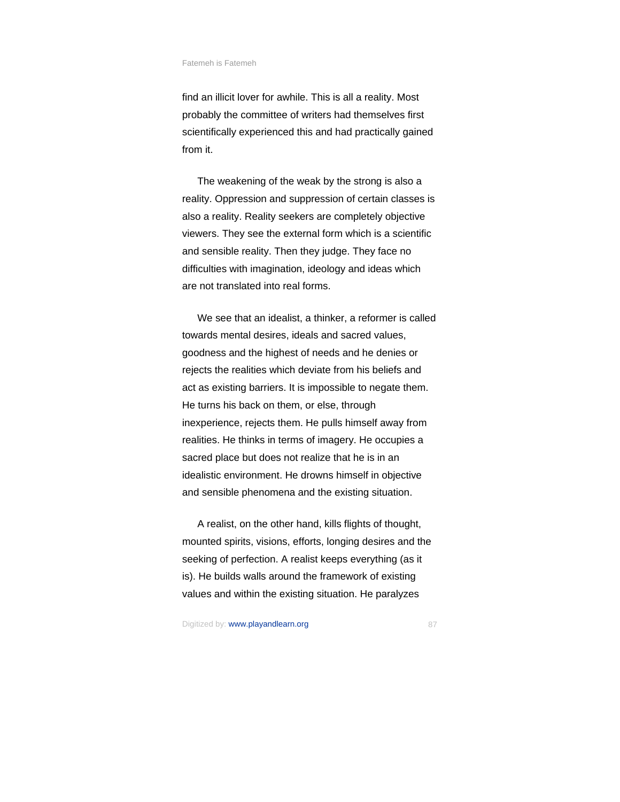find an illicit lover for awhile. This is all a reality. Most probably the committee of writers had themselves first scientifically experienced this and had practically gained from it.

The weakening of the weak by the strong is also a reality. Oppression and suppression of certain classes is also a reality. Reality seekers are completely objective viewers. They see the external form which is a scientific and sensible reality. Then they judge. They face no difficulties with imagination, ideology and ideas which are not translated into real forms.

We see that an idealist, a thinker, a reformer is called towards mental desires, ideals and sacred values, goodness and the highest of needs and he denies or rejects the realities which deviate from his beliefs and act as existing barriers. It is impossible to negate them. He turns his back on them, or else, through inexperience, rejects them. He pulls himself away from realities. He thinks in terms of imagery. He occupies a sacred place but does not realize that he is in an idealistic environment. He drowns himself in objective and sensible phenomena and the existing situation.

A realist, on the other hand, kills flights of thought, mounted spirits, visions, efforts, longing desires and the seeking of perfection. A realist keeps everything (as it is). He builds walls around the framework of existing values and within the existing situation. He paralyzes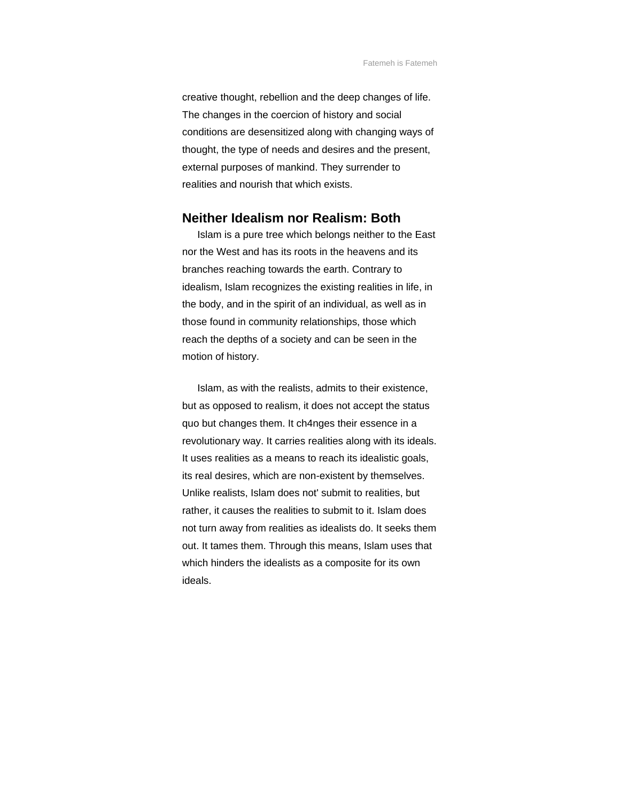creative thought, rebellion and the deep changes of life. The changes in the coercion of history and social conditions are desensitized along with changing ways of thought, the type of needs and desires and the present, external purposes of mankind. They surrender to realities and nourish that which exists.

### **Neither Idealism nor Realism: Both**

Islam is a pure tree which belongs neither to the East nor the West and has its roots in the heavens and its branches reaching towards the earth. Contrary to idealism, Islam recognizes the existing realities in life, in the body, and in the spirit of an individual, as well as in those found in community relationships, those which reach the depths of a society and can be seen in the motion of history.

Islam, as with the realists, admits to their existence, but as opposed to realism, it does not accept the status quo but changes them. It ch4nges their essence in a revolutionary way. It carries realities along with its ideals. It uses realities as a means to reach its idealistic goals, its real desires, which are non-existent by themselves. Unlike realists, Islam does not' submit to realities, but rather, it causes the realities to submit to it. Islam does not turn away from realities as idealists do. It seeks them out. It tames them. Through this means, Islam uses that which hinders the idealists as a composite for its own ideals.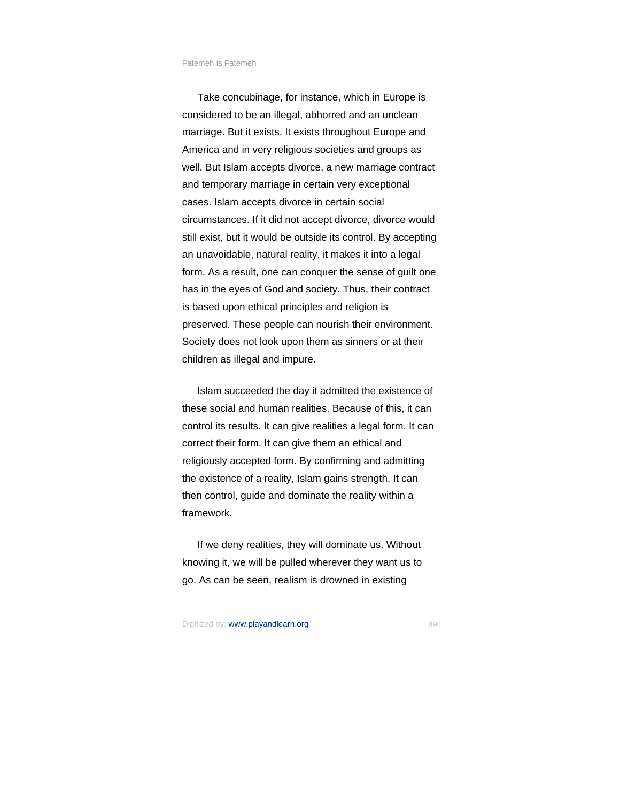Take concubinage, for instance, which in Europe is considered to be an illegal, abhorred and an unclean marriage. But it exists. It exists throughout Europe and America and in very religious societies and groups as well. But Islam accepts divorce, a new marriage contract and temporary marriage in certain very exceptional cases. Islam accepts divorce in certain social circumstances. If it did not accept divorce, divorce would still exist, but it would be outside its control. By accepting an unavoidable, natural reality, it makes it into a legal form. As a result, one can conquer the sense of guilt one has in the eyes of God and society. Thus, their contract is based upon ethical principles and religion is preserved. These people can nourish their environment. Society does not look upon them as sinners or at their children as illegal and impure.

Islam succeeded the day it admitted the existence of these social and human realities. Because of this, it can control its results. It can give realities a legal form. It can correct their form. It can give them an ethical and religiously accepted form. By confirming and admitting the existence of a reality, Islam gains strength. It can then control, guide and dominate the reality within a framework.

If we deny realities, they will dominate us. Without knowing it, we will be pulled wherever they want us to go. As can be seen, realism is drowned in existing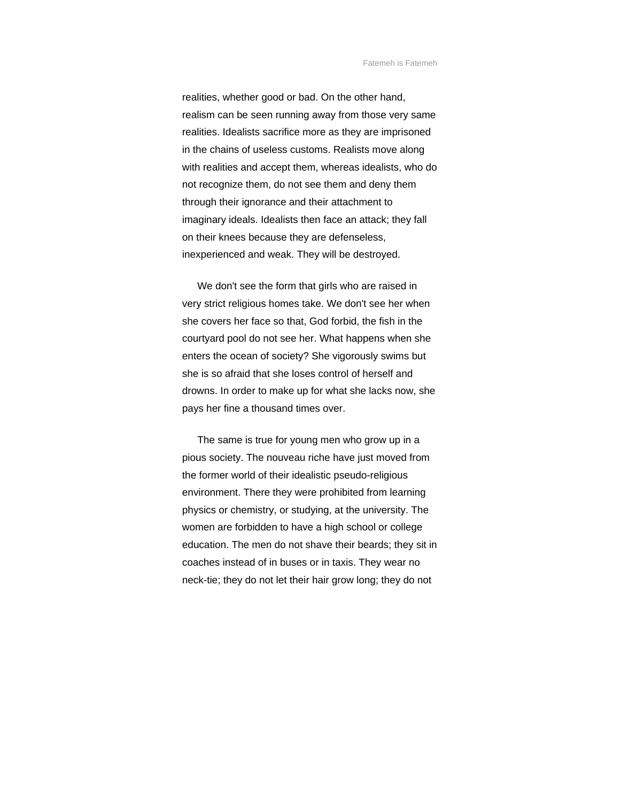realities, whether good or bad. On the other hand, realism can be seen running away from those very same realities. Idealists sacrifice more as they are imprisoned in the chains of useless customs. Realists move along with realities and accept them, whereas idealists, who do not recognize them, do not see them and deny them through their ignorance and their attachment to imaginary ideals. Idealists then face an attack; they fall on their knees because they are defenseless, inexperienced and weak. They will be destroyed.

We don't see the form that girls who are raised in very strict religious homes take. We don't see her when she covers her face so that, God forbid, the fish in the courtyard pool do not see her. What happens when she enters the ocean of society? She vigorously swims but she is so afraid that she loses control of herself and drowns. In order to make up for what she lacks now, she pays her fine a thousand times over.

The same is true for young men who grow up in a pious society. The nouveau riche have just moved from the former world of their idealistic pseudo-religious environment. There they were prohibited from learning physics or chemistry, or studying, at the university. The women are forbidden to have a high school or college education. The men do not shave their beards; they sit in coaches instead of in buses or in taxis. They wear no neck-tie; they do not let their hair grow long; they do not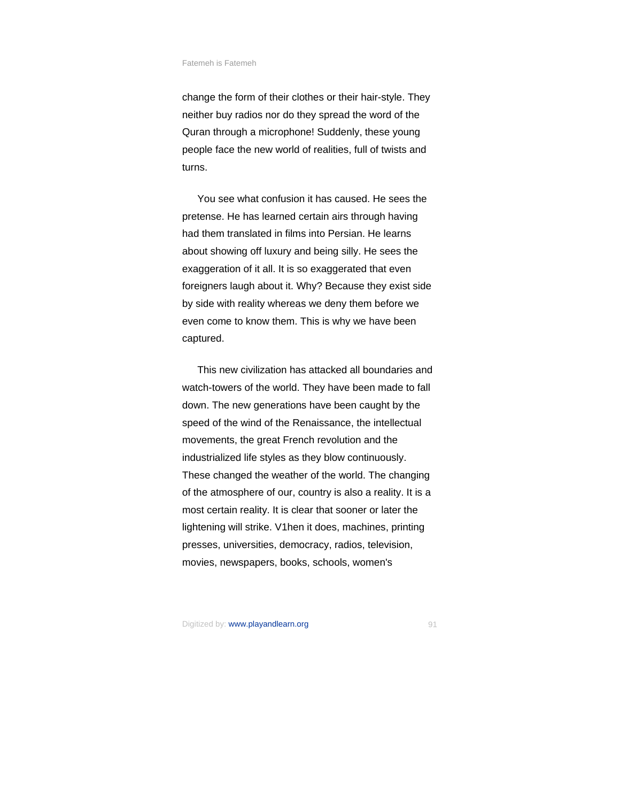change the form of their clothes or their hair-style. They neither buy radios nor do they spread the word of the Quran through a microphone! Suddenly, these young people face the new world of realities, full of twists and turns.

You see what confusion it has caused. He sees the pretense. He has learned certain airs through having had them translated in films into Persian. He learns about showing off luxury and being silly. He sees the exaggeration of it all. It is so exaggerated that even foreigners laugh about it. Why? Because they exist side by side with reality whereas we deny them before we even come to know them. This is why we have been captured.

This new civilization has attacked all boundaries and watch-towers of the world. They have been made to fall down. The new generations have been caught by the speed of the wind of the Renaissance, the intellectual movements, the great French revolution and the industrialized life styles as they blow continuously. These changed the weather of the world. The changing of the atmosphere of our, country is also a reality. It is a most certain reality. It is clear that sooner or later the lightening will strike. V1hen it does, machines, printing presses, universities, democracy, radios, television, movies, newspapers, books, schools, women's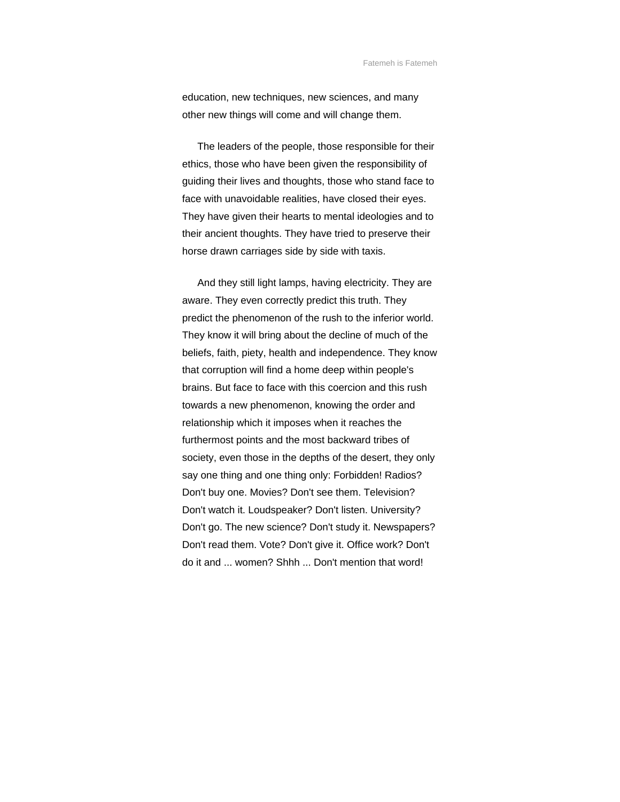education, new techniques, new sciences, and many other new things will come and will change them.

The leaders of the people, those responsible for their ethics, those who have been given the responsibility of guiding their lives and thoughts, those who stand face to face with unavoidable realities, have closed their eyes. They have given their hearts to mental ideologies and to their ancient thoughts. They have tried to preserve their horse drawn carriages side by side with taxis.

And they still light lamps, having electricity. They are aware. They even correctly predict this truth. They predict the phenomenon of the rush to the inferior world. They know it will bring about the decline of much of the beliefs, faith, piety, health and independence. They know that corruption will find a home deep within people's brains. But face to face with this coercion and this rush towards a new phenomenon, knowing the order and relationship which it imposes when it reaches the furthermost points and the most backward tribes of society, even those in the depths of the desert, they only say one thing and one thing only: Forbidden! Radios? Don't buy one. Movies? Don't see them. Television? Don't watch it. Loudspeaker? Don't listen. University? Don't go. The new science? Don't study it. Newspapers? Don't read them. Vote? Don't give it. Office work? Don't do it and ... women? Shhh ... Don't mention that word!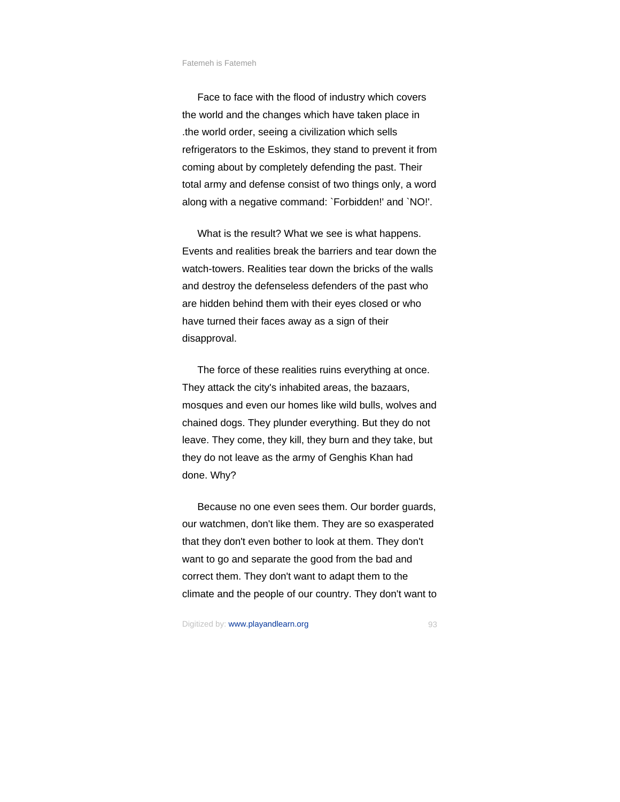Face to face with the flood of industry which covers the world and the changes which have taken place in .the world order, seeing a civilization which sells refrigerators to the Eskimos, they stand to prevent it from coming about by completely defending the past. Their total army and defense consist of two things only, a word along with a negative command: `Forbidden!' and `NO!'.

What is the result? What we see is what happens. Events and realities break the barriers and tear down the watch-towers. Realities tear down the bricks of the walls and destroy the defenseless defenders of the past who are hidden behind them with their eyes closed or who have turned their faces away as a sign of their disapproval.

The force of these realities ruins everything at once. They attack the city's inhabited areas, the bazaars, mosques and even our homes like wild bulls, wolves and chained dogs. They plunder everything. But they do not leave. They come, they kill, they burn and they take, but they do not leave as the army of Genghis Khan had done. Why?

Because no one even sees them. Our border guards, our watchmen, don't like them. They are so exasperated that they don't even bother to look at them. They don't want to go and separate the good from the bad and correct them. They don't want to adapt them to the climate and the people of our country. They don't want to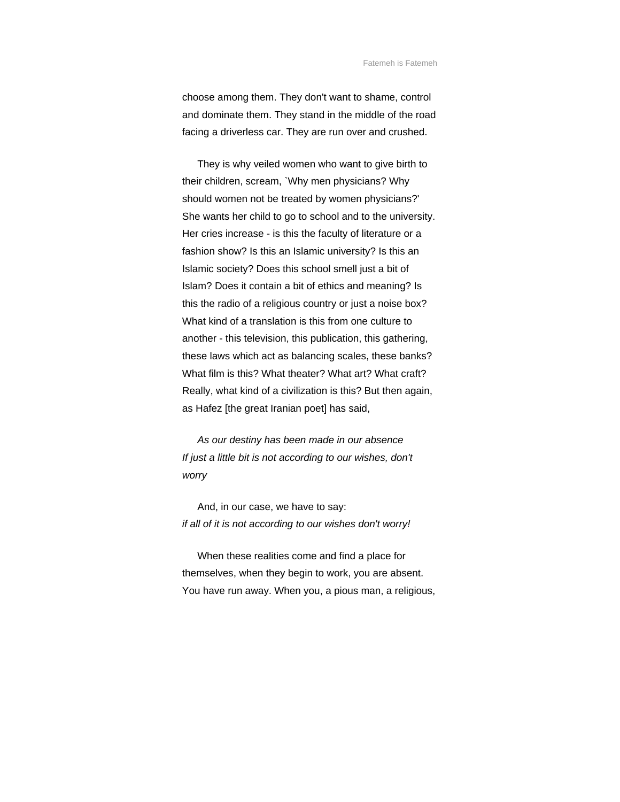choose among them. They don't want to shame, control and dominate them. They stand in the middle of the road facing a driverless car. They are run over and crushed.

They is why veiled women who want to give birth to their children, scream, `Why men physicians? Why should women not be treated by women physicians?' She wants her child to go to school and to the university. Her cries increase - is this the faculty of literature or a fashion show? Is this an Islamic university? Is this an Islamic society? Does this school smell just a bit of Islam? Does it contain a bit of ethics and meaning? Is this the radio of a religious country or just a noise box? What kind of a translation is this from one culture to another - this television, this publication, this gathering, these laws which act as balancing scales, these banks? What film is this? What theater? What art? What craft? Really, what kind of a civilization is this? But then again, as Hafez [the great Iranian poet] has said,

*As our destiny has been made in our absence If just a little bit is not according to our wishes, don't worry*

And, in our case, we have to say: *if all of it is not according to our wishes don't worry!*

When these realities come and find a place for themselves, when they begin to work, you are absent. You have run away. When you, a pious man, a religious,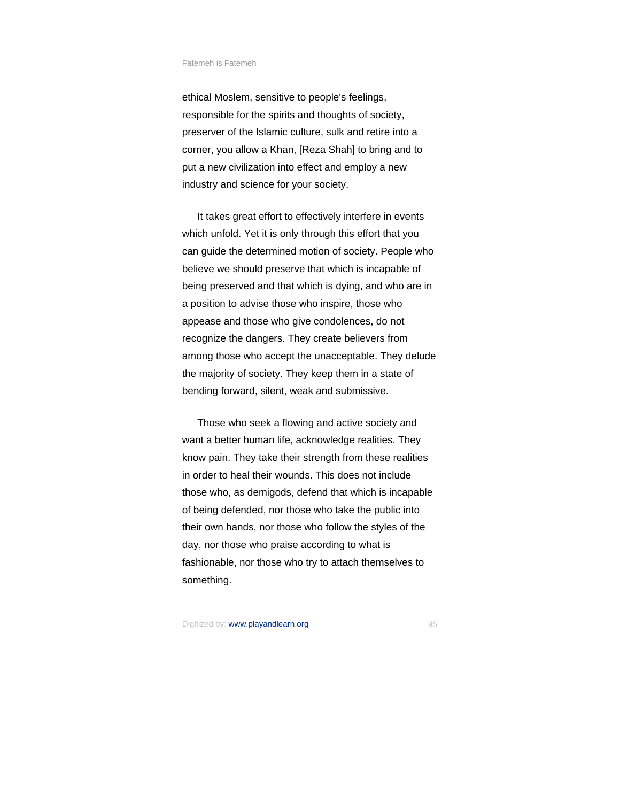#### Fatemeh is Fatemeh

ethical Moslem, sensitive to people's feelings, responsible for the spirits and thoughts of society, preserver of the Islamic culture, sulk and retire into a corner, you allow a Khan, [Reza Shah] to bring and to put a new civilization into effect and employ a new industry and science for your society.

It takes great effort to effectively interfere in events which unfold. Yet it is only through this effort that you can guide the determined motion of society. People who believe we should preserve that which is incapable of being preserved and that which is dying, and who are in a position to advise those who inspire, those who appease and those who give condolences, do not recognize the dangers. They create believers from among those who accept the unacceptable. They delude the majority of society. They keep them in a state of bending forward, silent, weak and submissive.

Those who seek a flowing and active society and want a better human life, acknowledge realities. They know pain. They take their strength from these realities in order to heal their wounds. This does not include those who, as demigods, defend that which is incapable of being defended, nor those who take the public into their own hands, nor those who follow the styles of the day, nor those who praise according to what is fashionable, nor those who try to attach themselves to something.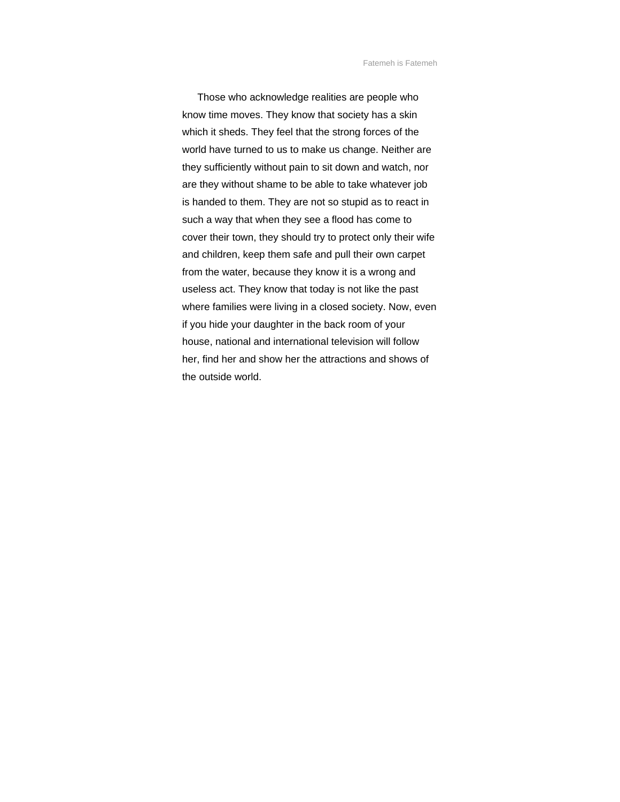Those who acknowledge realities are people who know time moves. They know that society has a skin which it sheds. They feel that the strong forces of the world have turned to us to make us change. Neither are they sufficiently without pain to sit down and watch, nor are they without shame to be able to take whatever job is handed to them. They are not so stupid as to react in such a way that when they see a flood has come to cover their town, they should try to protect only their wife and children, keep them safe and pull their own carpet from the water, because they know it is a wrong and useless act. They know that today is not like the past where families were living in a closed society. Now, even if you hide your daughter in the back room of your house, national and international television will follow her, find her and show her the attractions and shows of the outside world.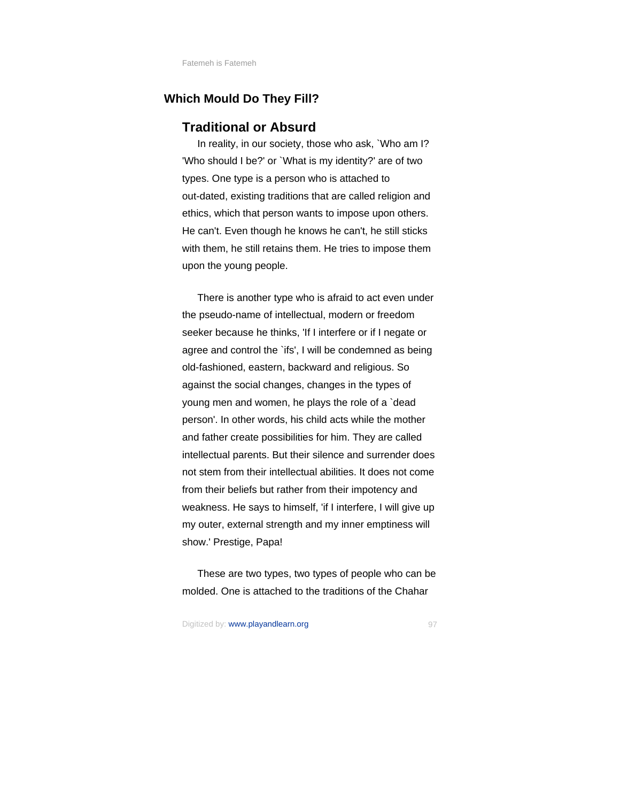Fatemeh is Fatemeh

# **Which Mould Do They Fill?**

# **Traditional or Absurd**

In reality, in our society, those who ask, `Who am I? 'Who should I be?' or `What is my identity?' are of two types. One type is a person who is attached to out-dated, existing traditions that are called religion and ethics, which that person wants to impose upon others. He can't. Even though he knows he can't, he still sticks with them, he still retains them. He tries to impose them upon the young people.

There is another type who is afraid to act even under the pseudo-name of intellectual, modern or freedom seeker because he thinks, 'If I interfere or if I negate or agree and control the `ifs', I will be condemned as being old-fashioned, eastern, backward and religious. So against the social changes, changes in the types of young men and women, he plays the role of a `dead person'. In other words, his child acts while the mother and father create possibilities for him. They are called intellectual parents. But their silence and surrender does not stem from their intellectual abilities. It does not come from their beliefs but rather from their impotency and weakness. He says to himself, 'if I interfere, I will give up my outer, external strength and my inner emptiness will show.' Prestige, Papa!

These are two types, two types of people who can be molded. One is attached to the traditions of the Chahar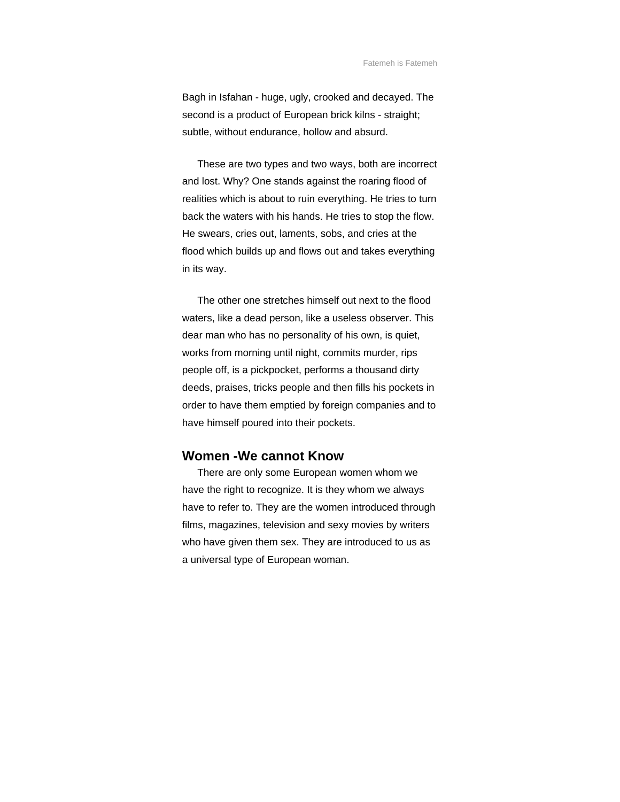Bagh in Isfahan - huge, ugly, crooked and decayed. The second is a product of European brick kilns - straight; subtle, without endurance, hollow and absurd.

These are two types and two ways, both are incorrect and lost. Why? One stands against the roaring flood of realities which is about to ruin everything. He tries to turn back the waters with his hands. He tries to stop the flow. He swears, cries out, laments, sobs, and cries at the flood which builds up and flows out and takes everything in its way.

The other one stretches himself out next to the flood waters, like a dead person, like a useless observer. This dear man who has no personality of his own, is quiet, works from morning until night, commits murder, rips people off, is a pickpocket, performs a thousand dirty deeds, praises, tricks people and then fills his pockets in order to have them emptied by foreign companies and to have himself poured into their pockets.

### **Women -We cannot Know**

There are only some European women whom we have the right to recognize. It is they whom we always have to refer to. They are the women introduced through films, magazines, television and sexy movies by writers who have given them sex. They are introduced to us as a universal type of European woman.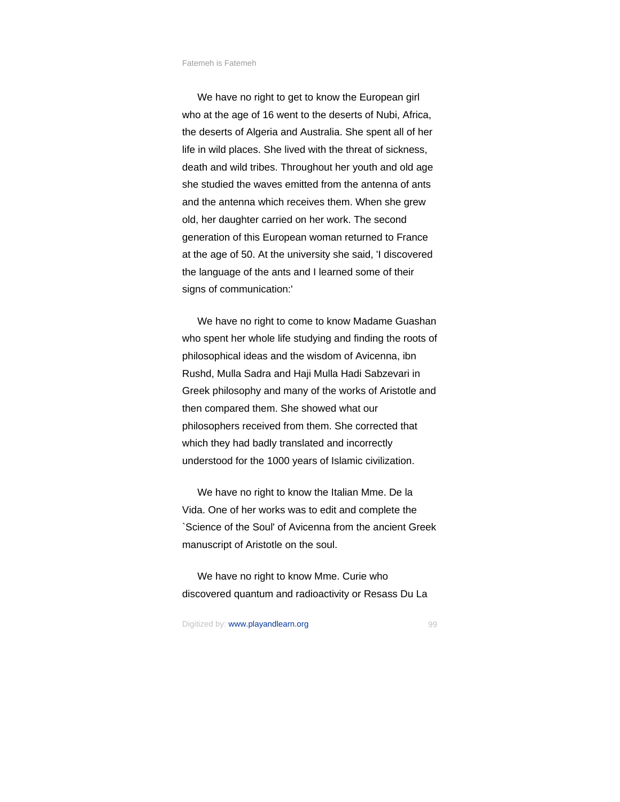We have no right to get to know the European girl who at the age of 16 went to the deserts of Nubi, Africa, the deserts of Algeria and Australia. She spent all of her life in wild places. She lived with the threat of sickness, death and wild tribes. Throughout her youth and old age she studied the waves emitted from the antenna of ants and the antenna which receives them. When she grew old, her daughter carried on her work. The second generation of this European woman returned to France at the age of 50. At the university she said, 'I discovered the language of the ants and I learned some of their signs of communication:'

We have no right to come to know Madame Guashan who spent her whole life studying and finding the roots of philosophical ideas and the wisdom of Avicenna, ibn Rushd, Mulla Sadra and Haji Mulla Hadi Sabzevari in Greek philosophy and many of the works of Aristotle and then compared them. She showed what our philosophers received from them. She corrected that which they had badly translated and incorrectly understood for the 1000 years of Islamic civilization.

We have no right to know the Italian Mme. De la Vida. One of her works was to edit and complete the `Science of the Soul' of Avicenna from the ancient Greek manuscript of Aristotle on the soul.

We have no right to know Mme. Curie who discovered quantum and radioactivity or Resass Du La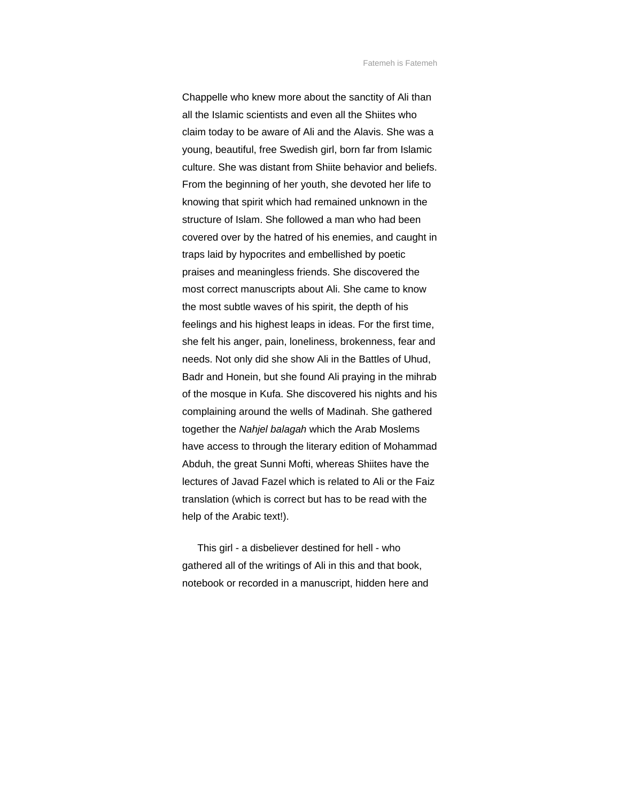Chappelle who knew more about the sanctity of Ali than all the Islamic scientists and even all the Shiites who claim today to be aware of Ali and the Alavis. She was a young, beautiful, free Swedish girl, born far from Islamic culture. She was distant from Shiite behavior and beliefs. From the beginning of her youth, she devoted her life to knowing that spirit which had remained unknown in the structure of Islam. She followed a man who had been covered over by the hatred of his enemies, and caught in traps laid by hypocrites and embellished by poetic praises and meaningless friends. She discovered the most correct manuscripts about Ali. She came to know the most subtle waves of his spirit, the depth of his feelings and his highest leaps in ideas. For the first time, she felt his anger, pain, loneliness, brokenness, fear and needs. Not only did she show Ali in the Battles of Uhud, Badr and Honein, but she found Ali praying in the mihrab of the mosque in Kufa. She discovered his nights and his complaining around the wells of Madinah. She gathered together the *Nahjel balagah* which the Arab Moslems have access to through the literary edition of Mohammad Abduh, the great Sunni Mofti, whereas Shiites have the lectures of Javad Fazel which is related to Ali or the Faiz translation (which is correct but has to be read with the help of the Arabic text!).

This girl - a disbeliever destined for hell - who gathered all of the writings of Ali in this and that book, notebook or recorded in a manuscript, hidden here and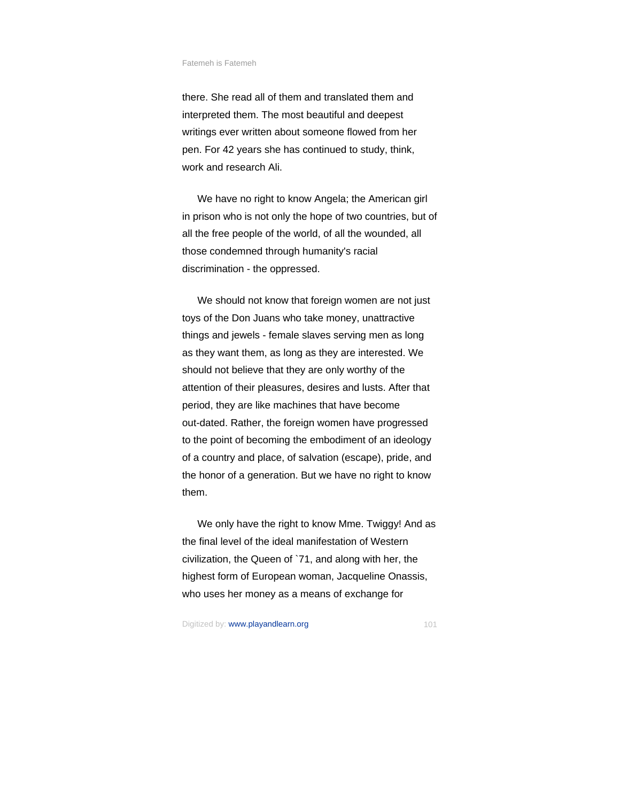there. She read all of them and translated them and interpreted them. The most beautiful and deepest writings ever written about someone flowed from her pen. For 42 years she has continued to study, think, work and research Ali.

We have no right to know Angela; the American girl in prison who is not only the hope of two countries, but of all the free people of the world, of all the wounded, all those condemned through humanity's racial discrimination - the oppressed.

We should not know that foreign women are not just toys of the Don Juans who take money, unattractive things and jewels - female slaves serving men as long as they want them, as long as they are interested. We should not believe that they are only worthy of the attention of their pleasures, desires and lusts. After that period, they are like machines that have become out-dated. Rather, the foreign women have progressed to the point of becoming the embodiment of an ideology of a country and place, of salvation (escape), pride, and the honor of a generation. But we have no right to know them.

We only have the right to know Mme. Twiggy! And as the final level of the ideal manifestation of Western civilization, the Queen of `71, and along with her, the highest form of European woman, Jacqueline Onassis, who uses her money as a means of exchange for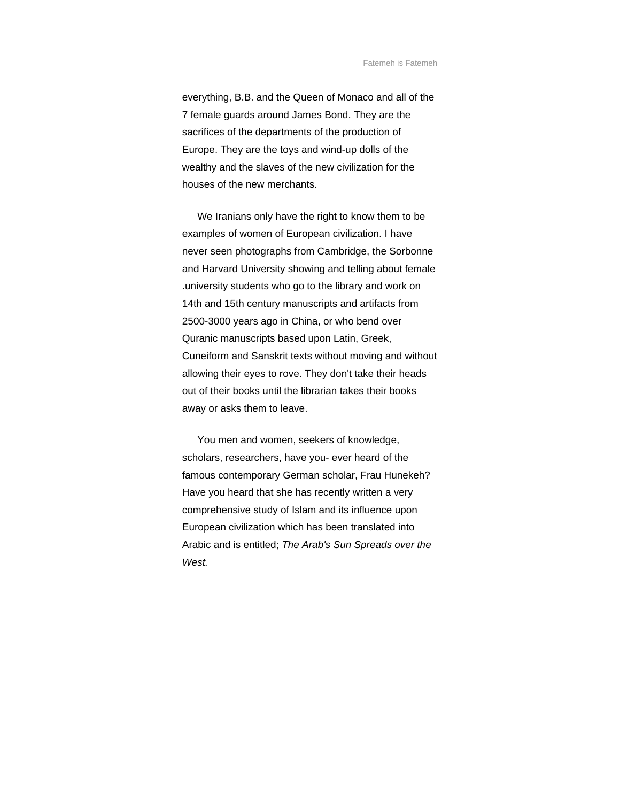everything, B.B. and the Queen of Monaco and all of the 7 female guards around James Bond. They are the sacrifices of the departments of the production of Europe. They are the toys and wind-up dolls of the wealthy and the slaves of the new civilization for the houses of the new merchants.

We Iranians only have the right to know them to be examples of women of European civilization. I have never seen photographs from Cambridge, the Sorbonne and Harvard University showing and telling about female .university students who go to the library and work on 14th and 15th century manuscripts and artifacts from 2500-3000 years ago in China, or who bend over Quranic manuscripts based upon Latin, Greek, Cuneiform and Sanskrit texts without moving and without allowing their eyes to rove. They don't take their heads out of their books until the librarian takes their books away or asks them to leave.

You men and women, seekers of knowledge, scholars, researchers, have you- ever heard of the famous contemporary German scholar, Frau Hunekeh? Have you heard that she has recently written a very comprehensive study of Islam and its influence upon European civilization which has been translated into Arabic and is entitled; *The Arab's Sun Spreads over the West.*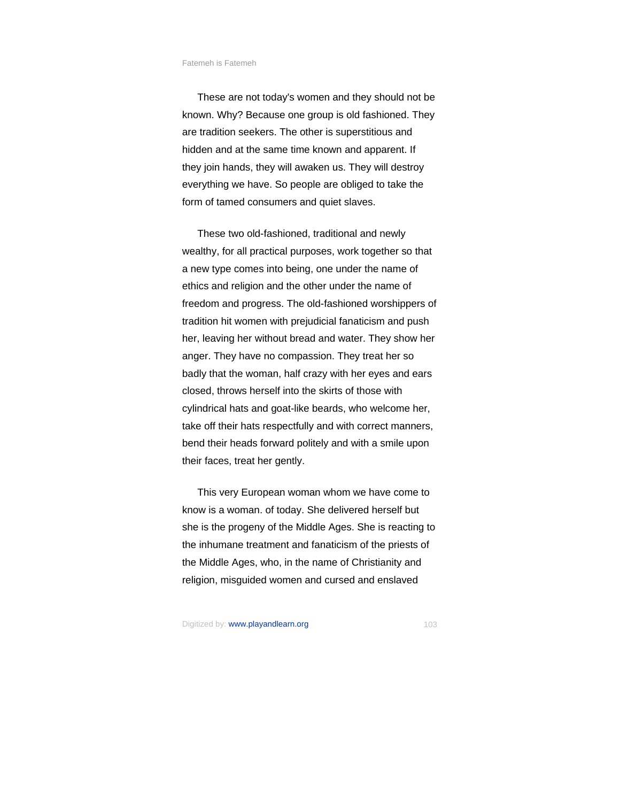These are not today's women and they should not be known. Why? Because one group is old fashioned. They are tradition seekers. The other is superstitious and hidden and at the same time known and apparent. If they join hands, they will awaken us. They will destroy everything we have. So people are obliged to take the form of tamed consumers and quiet slaves.

These two old-fashioned, traditional and newly wealthy, for all practical purposes, work together so that a new type comes into being, one under the name of ethics and religion and the other under the name of freedom and progress. The old-fashioned worshippers of tradition hit women with prejudicial fanaticism and push her, leaving her without bread and water. They show her anger. They have no compassion. They treat her so badly that the woman, half crazy with her eyes and ears closed, throws herself into the skirts of those with cylindrical hats and goat-like beards, who welcome her, take off their hats respectfully and with correct manners, bend their heads forward politely and with a smile upon their faces, treat her gently.

This very European woman whom we have come to know is a woman. of today. She delivered herself but she is the progeny of the Middle Ages. She is reacting to the inhumane treatment and fanaticism of the priests of the Middle Ages, who, in the name of Christianity and religion, misguided women and cursed and enslaved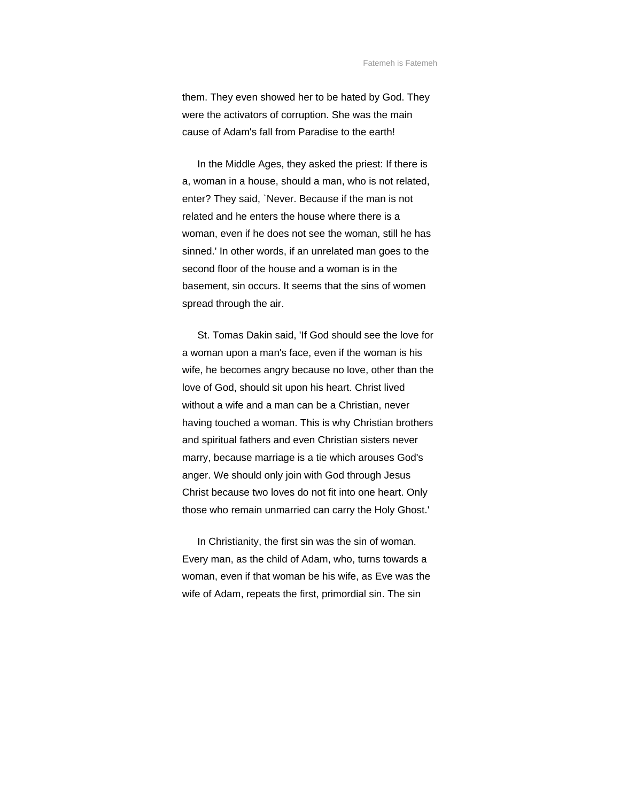them. They even showed her to be hated by God. They were the activators of corruption. She was the main cause of Adam's fall from Paradise to the earth!

In the Middle Ages, they asked the priest: If there is a, woman in a house, should a man, who is not related, enter? They said, `Never. Because if the man is not related and he enters the house where there is a woman, even if he does not see the woman, still he has sinned.' In other words, if an unrelated man goes to the second floor of the house and a woman is in the basement, sin occurs. It seems that the sins of women spread through the air.

St. Tomas Dakin said, 'If God should see the love for a woman upon a man's face, even if the woman is his wife, he becomes angry because no love, other than the love of God, should sit upon his heart. Christ lived without a wife and a man can be a Christian, never having touched a woman. This is why Christian brothers and spiritual fathers and even Christian sisters never marry, because marriage is a tie which arouses God's anger. We should only join with God through Jesus Christ because two loves do not fit into one heart. Only those who remain unmarried can carry the Holy Ghost.'

In Christianity, the first sin was the sin of woman. Every man, as the child of Adam, who, turns towards a woman, even if that woman be his wife, as Eve was the wife of Adam, repeats the first, primordial sin. The sin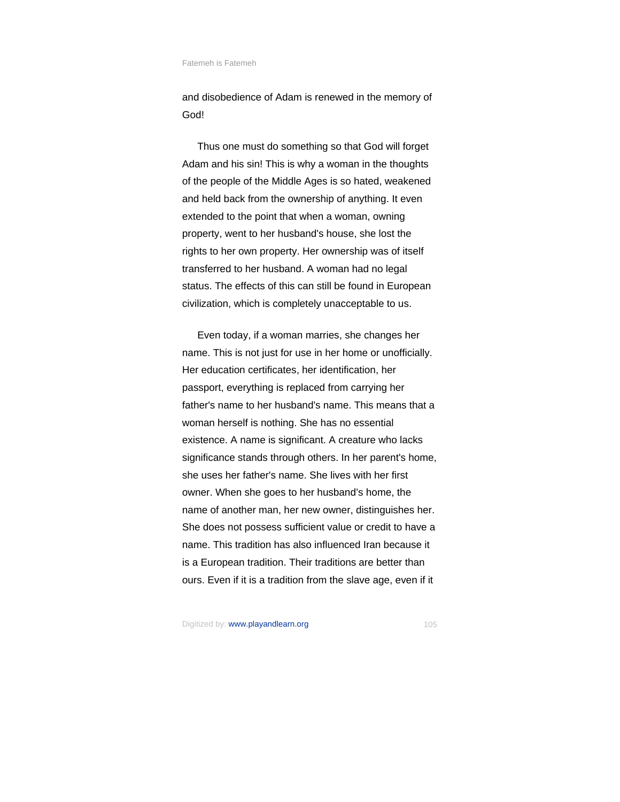and disobedience of Adam is renewed in the memory of God!

Thus one must do something so that God will forget Adam and his sin! This is why a woman in the thoughts of the people of the Middle Ages is so hated, weakened and held back from the ownership of anything. It even extended to the point that when a woman, owning property, went to her husband's house, she lost the rights to her own property. Her ownership was of itself transferred to her husband. A woman had no legal status. The effects of this can still be found in European civilization, which is completely unacceptable to us.

Even today, if a woman marries, she changes her name. This is not just for use in her home or unofficially. Her education certificates, her identification, her passport, everything is replaced from carrying her father's name to her husband's name. This means that a woman herself is nothing. She has no essential existence. A name is significant. A creature who lacks significance stands through others. In her parent's home, she uses her father's name. She lives with her first owner. When she goes to her husband's home, the name of another man, her new owner, distinguishes her. She does not possess sufficient value or credit to have a name. This tradition has also influenced Iran because it is a European tradition. Their traditions are better than ours. Even if it is a tradition from the slave age, even if it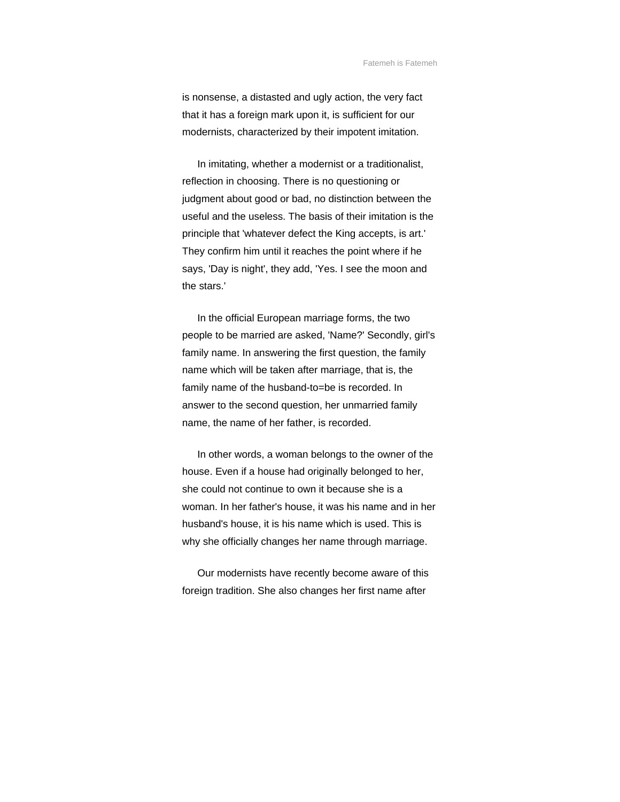is nonsense, a distasted and ugly action, the very fact that it has a foreign mark upon it, is sufficient for our modernists, characterized by their impotent imitation.

In imitating, whether a modernist or a traditionalist, reflection in choosing. There is no questioning or judgment about good or bad, no distinction between the useful and the useless. The basis of their imitation is the principle that 'whatever defect the King accepts, is art.' They confirm him until it reaches the point where if he says, 'Day is night', they add, 'Yes. I see the moon and the stars.'

In the official European marriage forms, the two people to be married are asked, 'Name?' Secondly, girl's family name. In answering the first question, the family name which will be taken after marriage, that is, the family name of the husband-to=be is recorded. In answer to the second question, her unmarried family name, the name of her father, is recorded.

In other words, a woman belongs to the owner of the house. Even if a house had originally belonged to her, she could not continue to own it because she is a woman. In her father's house, it was his name and in her husband's house, it is his name which is used. This is why she officially changes her name through marriage.

Our modernists have recently become aware of this foreign tradition. She also changes her first name after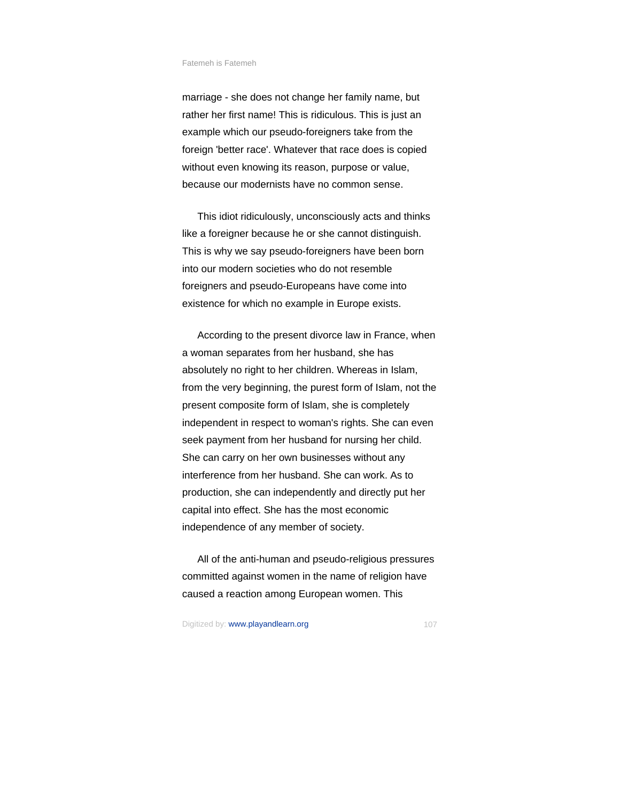marriage - she does not change her family name, but rather her first name! This is ridiculous. This is just an example which our pseudo-foreigners take from the foreign 'better race'. Whatever that race does is copied without even knowing its reason, purpose or value, because our modernists have no common sense.

This idiot ridiculously, unconsciously acts and thinks like a foreigner because he or she cannot distinguish. This is why we say pseudo-foreigners have been born into our modern societies who do not resemble foreigners and pseudo-Europeans have come into existence for which no example in Europe exists.

According to the present divorce law in France, when a woman separates from her husband, she has absolutely no right to her children. Whereas in Islam, from the very beginning, the purest form of Islam, not the present composite form of Islam, she is completely independent in respect to woman's rights. She can even seek payment from her husband for nursing her child. She can carry on her own businesses without any interference from her husband. She can work. As to production, she can independently and directly put her capital into effect. She has the most economic independence of any member of society.

All of the anti-human and pseudo-religious pressures committed against women in the name of religion have caused a reaction among European women. This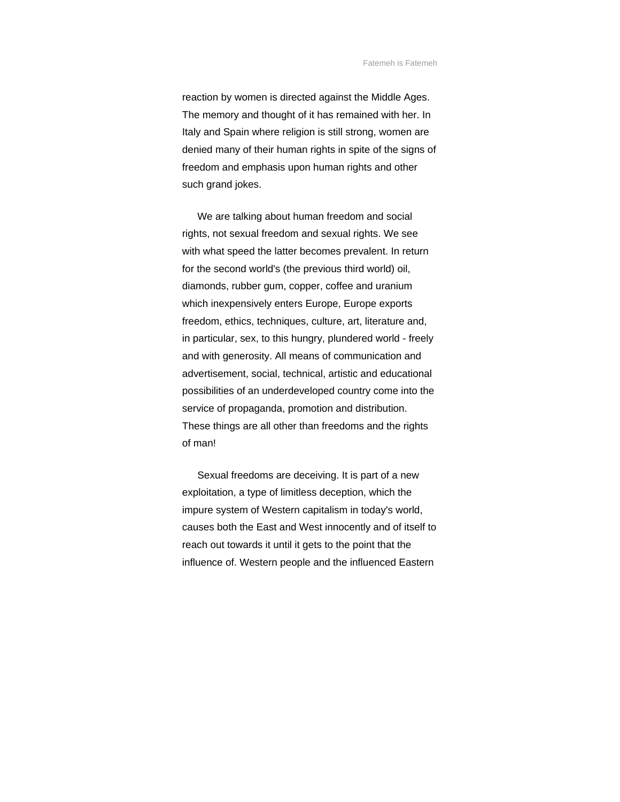reaction by women is directed against the Middle Ages. The memory and thought of it has remained with her. In Italy and Spain where religion is still strong, women are denied many of their human rights in spite of the signs of freedom and emphasis upon human rights and other such grand jokes.

We are talking about human freedom and social rights, not sexual freedom and sexual rights. We see with what speed the latter becomes prevalent. In return for the second world's (the previous third world) oil, diamonds, rubber gum, copper, coffee and uranium which inexpensively enters Europe, Europe exports freedom, ethics, techniques, culture, art, literature and, in particular, sex, to this hungry, plundered world - freely and with generosity. All means of communication and advertisement, social, technical, artistic and educational possibilities of an underdeveloped country come into the service of propaganda, promotion and distribution. These things are all other than freedoms and the rights of man!

Sexual freedoms are deceiving. It is part of a new exploitation, a type of limitless deception, which the impure system of Western capitalism in today's world, causes both the East and West innocently and of itself to reach out towards it until it gets to the point that the influence of. Western people and the influenced Eastern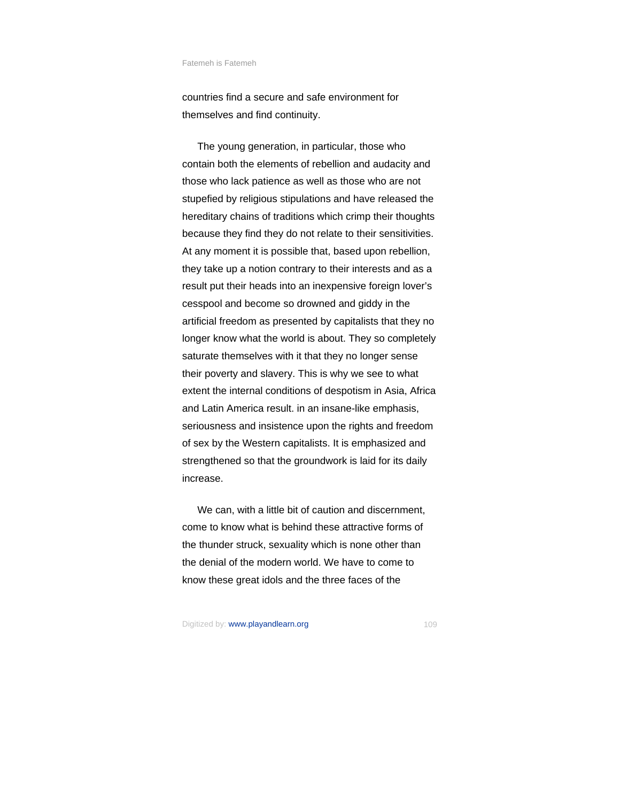countries find a secure and safe environment for themselves and find continuity.

The young generation, in particular, those who contain both the elements of rebellion and audacity and those who lack patience as well as those who are not stupefied by religious stipulations and have released the hereditary chains of traditions which crimp their thoughts because they find they do not relate to their sensitivities. At any moment it is possible that, based upon rebellion, they take up a notion contrary to their interests and as a result put their heads into an inexpensive foreign lover's cesspool and become so drowned and giddy in the artificial freedom as presented by capitalists that they no longer know what the world is about. They so completely saturate themselves with it that they no longer sense their poverty and slavery. This is why we see to what extent the internal conditions of despotism in Asia, Africa and Latin America result. in an insane-like emphasis, seriousness and insistence upon the rights and freedom of sex by the Western capitalists. It is emphasized and strengthened so that the groundwork is laid for its daily increase.

We can, with a little bit of caution and discernment, come to know what is behind these attractive forms of the thunder struck, sexuality which is none other than the denial of the modern world. We have to come to know these great idols and the three faces of the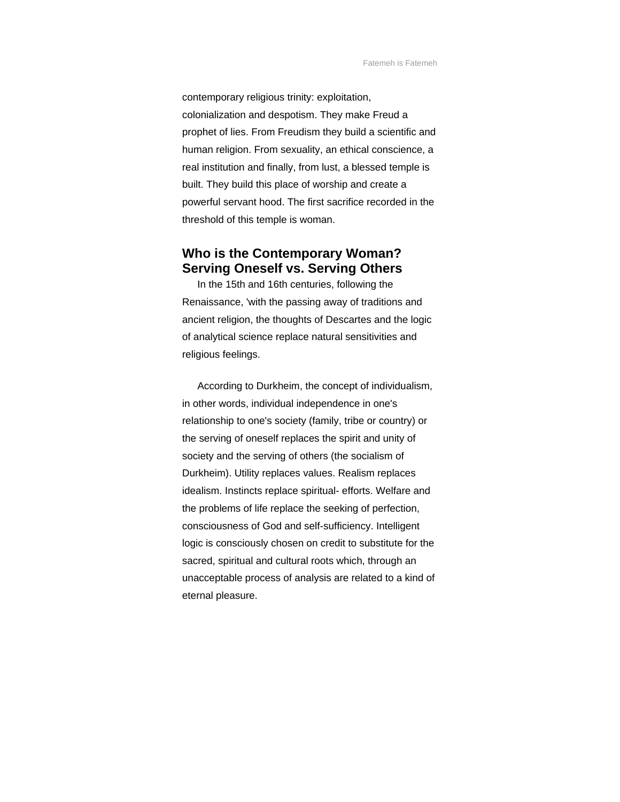contemporary religious trinity: exploitation, colonialization and despotism. They make Freud a prophet of lies. From Freudism they build a scientific and human religion. From sexuality, an ethical conscience, a real institution and finally, from lust, a blessed temple is built. They build this place of worship and create a powerful servant hood. The first sacrifice recorded in the threshold of this temple is woman.

## **Who is the Contemporary Woman? Serving Oneself vs. Serving Others**

In the 15th and 16th centuries, following the Renaissance, 'with the passing away of traditions and ancient religion, the thoughts of Descartes and the logic of analytical science replace natural sensitivities and religious feelings.

According to Durkheim, the concept of individualism, in other words, individual independence in one's relationship to one's society (family, tribe or country) or the serving of oneself replaces the spirit and unity of society and the serving of others (the socialism of Durkheim). Utility replaces values. Realism replaces idealism. Instincts replace spiritual- efforts. Welfare and the problems of life replace the seeking of perfection, consciousness of God and self-sufficiency. Intelligent logic is consciously chosen on credit to substitute for the sacred, spiritual and cultural roots which, through an unacceptable process of analysis are related to a kind of eternal pleasure.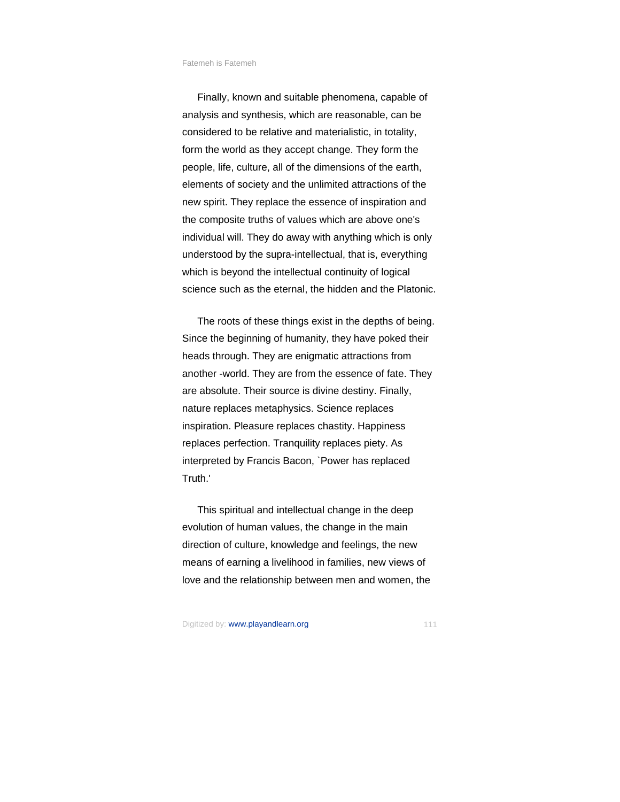Finally, known and suitable phenomena, capable of analysis and synthesis, which are reasonable, can be considered to be relative and materialistic, in totality, form the world as they accept change. They form the people, life, culture, all of the dimensions of the earth, elements of society and the unlimited attractions of the new spirit. They replace the essence of inspiration and the composite truths of values which are above one's individual will. They do away with anything which is only understood by the supra-intellectual, that is, everything which is beyond the intellectual continuity of logical science such as the eternal, the hidden and the Platonic.

The roots of these things exist in the depths of being. Since the beginning of humanity, they have poked their heads through. They are enigmatic attractions from another -world. They are from the essence of fate. They are absolute. Their source is divine destiny. Finally, nature replaces metaphysics. Science replaces inspiration. Pleasure replaces chastity. Happiness replaces perfection. Tranquility replaces piety. As interpreted by Francis Bacon, `Power has replaced Truth.'

This spiritual and intellectual change in the deep evolution of human values, the change in the main direction of culture, knowledge and feelings, the new means of earning a livelihood in families, new views of love and the relationship between men and women, the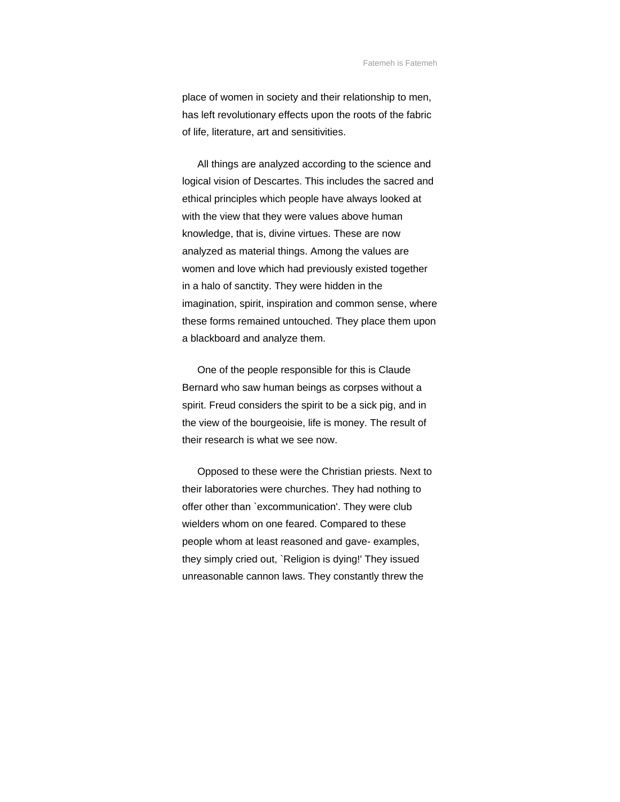place of women in society and their relationship to men, has left revolutionary effects upon the roots of the fabric of life, literature, art and sensitivities.

All things are analyzed according to the science and logical vision of Descartes. This includes the sacred and ethical principles which people have always looked at with the view that they were values above human knowledge, that is, divine virtues. These are now analyzed as material things. Among the values are women and love which had previously existed together in a halo of sanctity. They were hidden in the imagination, spirit, inspiration and common sense, where these forms remained untouched. They place them upon a blackboard and analyze them.

One of the people responsible for this is Claude Bernard who saw human beings as corpses without a spirit. Freud considers the spirit to be a sick pig, and in the view of the bourgeoisie, life is money. The result of their research is what we see now.

Opposed to these were the Christian priests. Next to their laboratories were churches. They had nothing to offer other than `excommunication'. They were club wielders whom on one feared. Compared to these people whom at least reasoned and gave- examples, they simply cried out, `Religion is dying!' They issued unreasonable cannon laws. They constantly threw the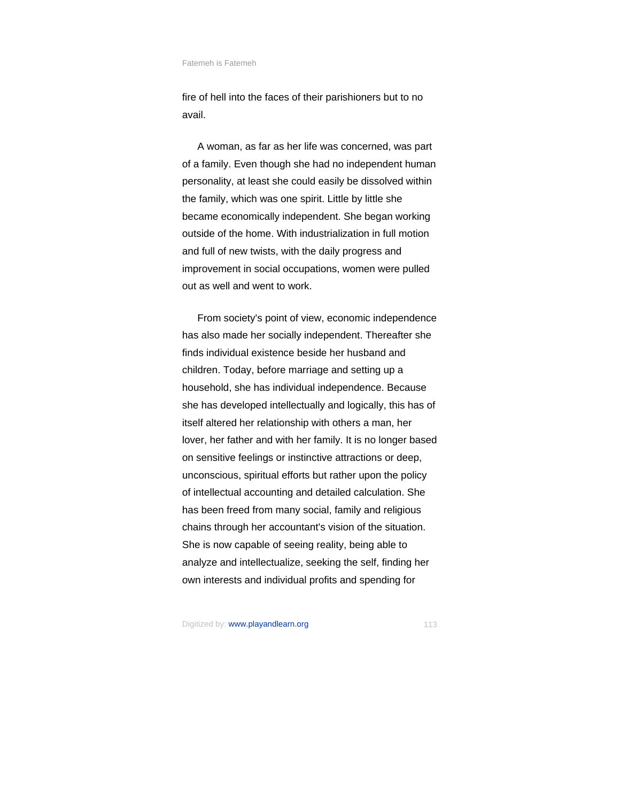fire of hell into the faces of their parishioners but to no avail.

A woman, as far as her life was concerned, was part of a family. Even though she had no independent human personality, at least she could easily be dissolved within the family, which was one spirit. Little by little she became economically independent. She began working outside of the home. With industrialization in full motion and full of new twists, with the daily progress and improvement in social occupations, women were pulled out as well and went to work.

From society's point of view, economic independence has also made her socially independent. Thereafter she finds individual existence beside her husband and children. Today, before marriage and setting up a household, she has individual independence. Because she has developed intellectually and logically, this has of itself altered her relationship with others a man, her lover, her father and with her family. It is no longer based on sensitive feelings or instinctive attractions or deep, unconscious, spiritual efforts but rather upon the policy of intellectual accounting and detailed calculation. She has been freed from many social, family and religious chains through her accountant's vision of the situation. She is now capable of seeing reality, being able to analyze and intellectualize, seeking the self, finding her own interests and individual profits and spending for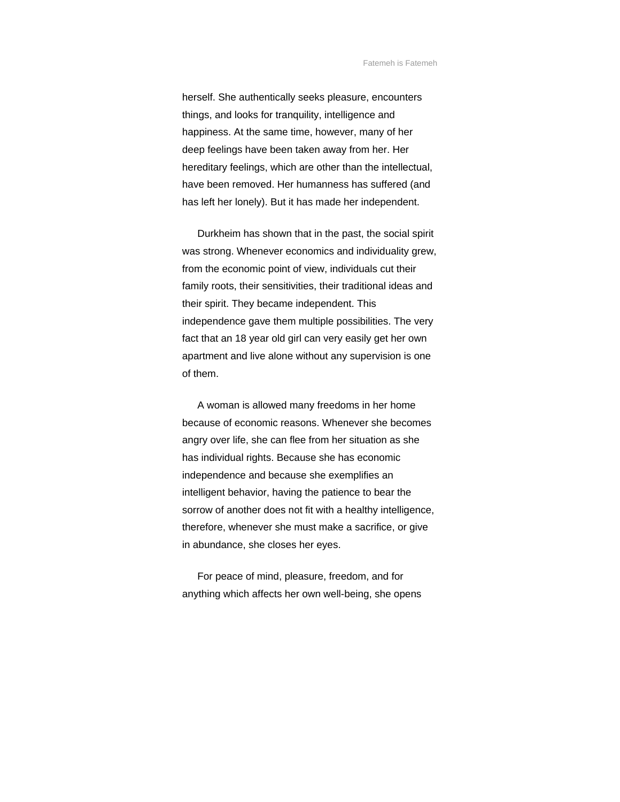herself. She authentically seeks pleasure, encounters things, and looks for tranquility, intelligence and happiness. At the same time, however, many of her deep feelings have been taken away from her. Her hereditary feelings, which are other than the intellectual, have been removed. Her humanness has suffered (and has left her lonely). But it has made her independent.

Durkheim has shown that in the past, the social spirit was strong. Whenever economics and individuality grew, from the economic point of view, individuals cut their family roots, their sensitivities, their traditional ideas and their spirit. They became independent. This independence gave them multiple possibilities. The very fact that an 18 year old girl can very easily get her own apartment and live alone without any supervision is one of them.

A woman is allowed many freedoms in her home because of economic reasons. Whenever she becomes angry over life, she can flee from her situation as she has individual rights. Because she has economic independence and because she exemplifies an intelligent behavior, having the patience to bear the sorrow of another does not fit with a healthy intelligence, therefore, whenever she must make a sacrifice, or give in abundance, she closes her eyes.

For peace of mind, pleasure, freedom, and for anything which affects her own well-being, she opens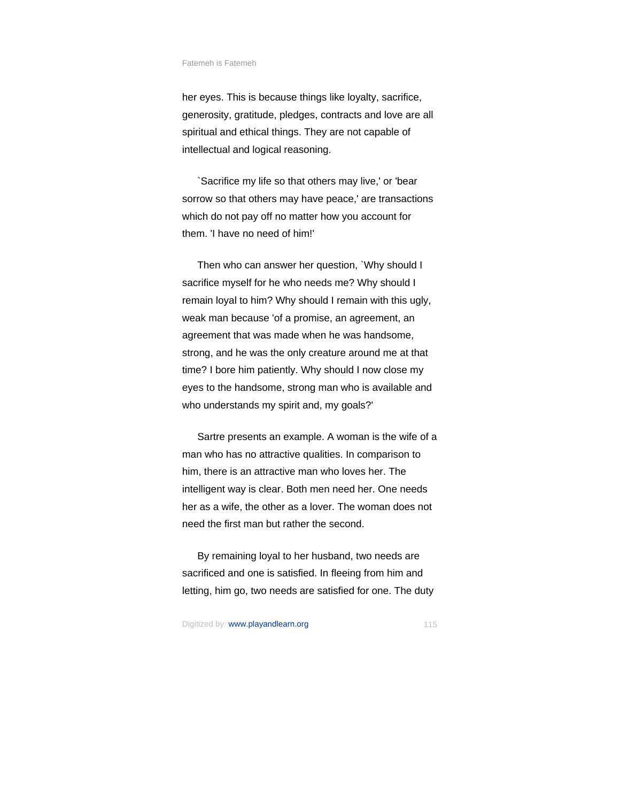#### Fatemeh is Fatemeh

her eyes. This is because things like loyalty, sacrifice, generosity, gratitude, pledges, contracts and love are all spiritual and ethical things. They are not capable of intellectual and logical reasoning.

`Sacrifice my life so that others may live,' or 'bear sorrow so that others may have peace,' are transactions which do not pay off no matter how you account for them. 'I have no need of him!'

Then who can answer her question, `Why should I sacrifice myself for he who needs me? Why should I remain loyal to him? Why should I remain with this ugly, weak man because 'of a promise, an agreement, an agreement that was made when he was handsome, strong, and he was the only creature around me at that time? I bore him patiently. Why should I now close my eyes to the handsome, strong man who is available and who understands my spirit and, my goals?'

Sartre presents an example. A woman is the wife of a man who has no attractive qualities. In comparison to him, there is an attractive man who loves her. The intelligent way is clear. Both men need her. One needs her as a wife, the other as a lover. The woman does not need the first man but rather the second.

By remaining loyal to her husband, two needs are sacrificed and one is satisfied. In fleeing from him and letting, him go, two needs are satisfied for one. The duty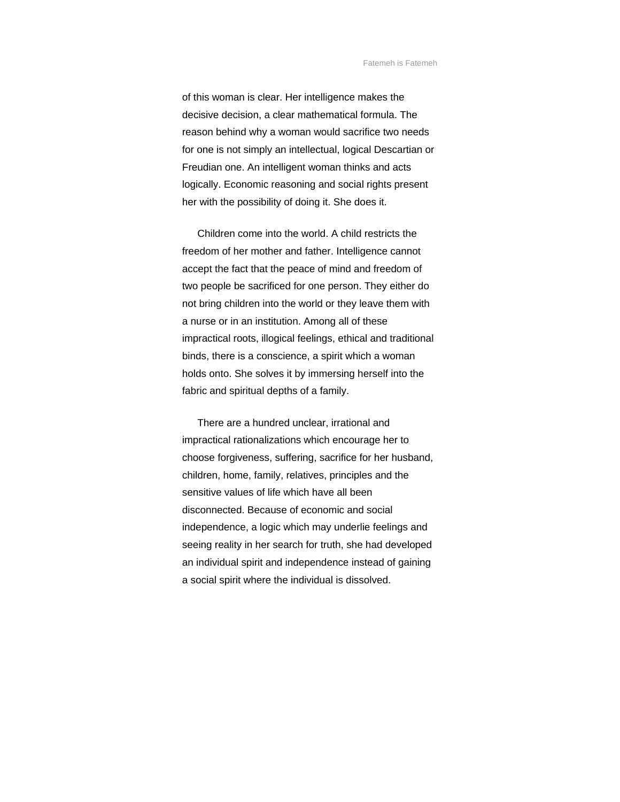of this woman is clear. Her intelligence makes the decisive decision, a clear mathematical formula. The reason behind why a woman would sacrifice two needs for one is not simply an intellectual, logical Descartian or Freudian one. An intelligent woman thinks and acts logically. Economic reasoning and social rights present her with the possibility of doing it. She does it.

Children come into the world. A child restricts the freedom of her mother and father. Intelligence cannot accept the fact that the peace of mind and freedom of two people be sacrificed for one person. They either do not bring children into the world or they leave them with a nurse or in an institution. Among all of these impractical roots, illogical feelings, ethical and traditional binds, there is a conscience, a spirit which a woman holds onto. She solves it by immersing herself into the fabric and spiritual depths of a family.

There are a hundred unclear, irrational and impractical rationalizations which encourage her to choose forgiveness, suffering, sacrifice for her husband, children, home, family, relatives, principles and the sensitive values of life which have all been disconnected. Because of economic and social independence, a logic which may underlie feelings and seeing reality in her search for truth, she had developed an individual spirit and independence instead of gaining a social spirit where the individual is dissolved.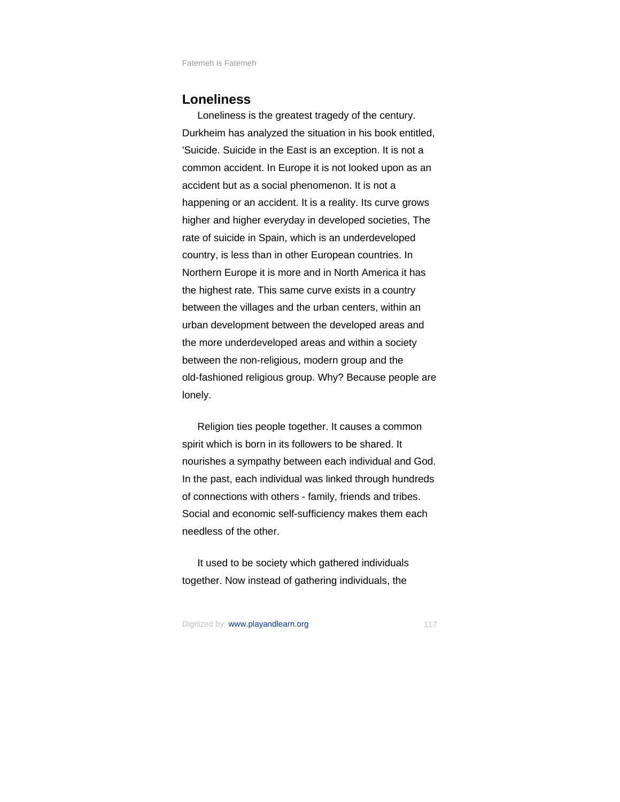### **Loneliness**

Loneliness is the greatest tragedy of the century. Durkheim has analyzed the situation in his book entitled, 'Suicide. Suicide in the East is an exception. It is not a common accident. In Europe it is not looked upon as an accident but as a social phenomenon. It is not a happening or an accident. It is a reality. Its curve grows higher and higher everyday in developed societies, The rate of suicide in Spain, which is an underdeveloped country, is less than in other European countries. In Northern Europe it is more and in North America it has the highest rate. This same curve exists in a country between the villages and the urban centers, within an urban development between the developed areas and the more underdeveloped areas and within a society between the non-religious, modern group and the old-fashioned religious group. Why? Because people are lonely.

Religion ties people together. It causes a common spirit which is born in its followers to be shared. It nourishes a sympathy between each individual and God. In the past, each individual was linked through hundreds of connections with others - family, friends and tribes. Social and economic self-sufficiency makes them each needless of the other.

It used to be society which gathered individuals together. Now instead of gathering individuals, the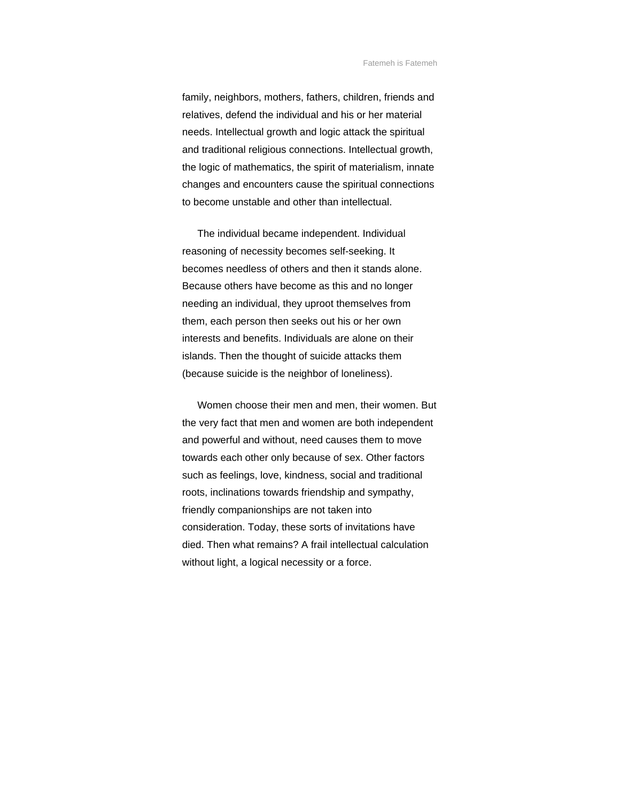family, neighbors, mothers, fathers, children, friends and relatives, defend the individual and his or her material needs. Intellectual growth and logic attack the spiritual and traditional religious connections. Intellectual growth, the logic of mathematics, the spirit of materialism, innate changes and encounters cause the spiritual connections to become unstable and other than intellectual.

The individual became independent. Individual reasoning of necessity becomes self-seeking. It becomes needless of others and then it stands alone. Because others have become as this and no longer needing an individual, they uproot themselves from them, each person then seeks out his or her own interests and benefits. Individuals are alone on their islands. Then the thought of suicide attacks them (because suicide is the neighbor of loneliness).

Women choose their men and men, their women. But the very fact that men and women are both independent and powerful and without, need causes them to move towards each other only because of sex. Other factors such as feelings, love, kindness, social and traditional roots, inclinations towards friendship and sympathy, friendly companionships are not taken into consideration. Today, these sorts of invitations have died. Then what remains? A frail intellectual calculation without light, a logical necessity or a force.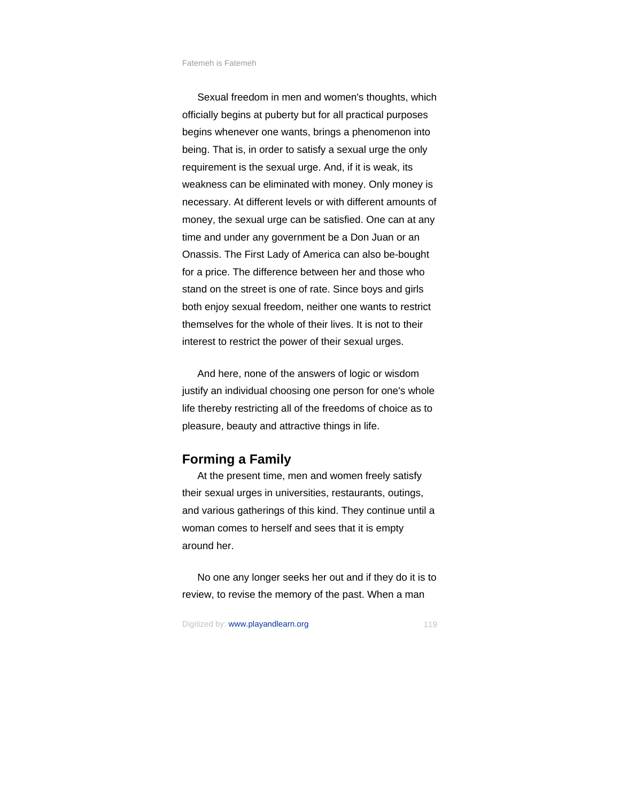Sexual freedom in men and women's thoughts, which officially begins at puberty but for all practical purposes begins whenever one wants, brings a phenomenon into being. That is, in order to satisfy a sexual urge the only requirement is the sexual urge. And, if it is weak, its weakness can be eliminated with money. Only money is necessary. At different levels or with different amounts of money, the sexual urge can be satisfied. One can at any time and under any government be a Don Juan or an Onassis. The First Lady of America can also be-bought for a price. The difference between her and those who stand on the street is one of rate. Since boys and girls both enjoy sexual freedom, neither one wants to restrict themselves for the whole of their lives. It is not to their interest to restrict the power of their sexual urges.

And here, none of the answers of logic or wisdom justify an individual choosing one person for one's whole life thereby restricting all of the freedoms of choice as to pleasure, beauty and attractive things in life.

# **Forming a Family**

At the present time, men and women freely satisfy their sexual urges in universities, restaurants, outings, and various gatherings of this kind. They continue until a woman comes to herself and sees that it is empty around her.

No one any longer seeks her out and if they do it is to review, to revise the memory of the past. When a man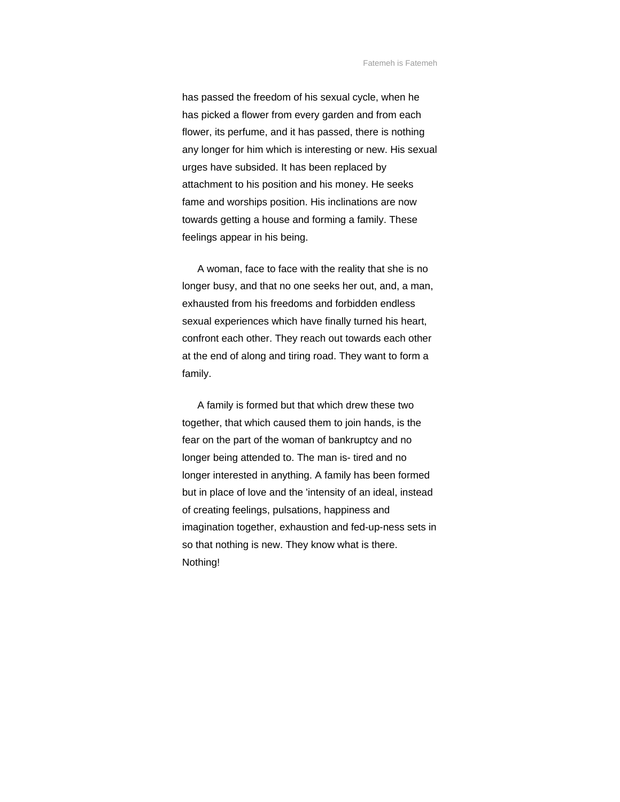has passed the freedom of his sexual cycle, when he has picked a flower from every garden and from each flower, its perfume, and it has passed, there is nothing any longer for him which is interesting or new. His sexual urges have subsided. It has been replaced by attachment to his position and his money. He seeks fame and worships position. His inclinations are now towards getting a house and forming a family. These feelings appear in his being.

A woman, face to face with the reality that she is no longer busy, and that no one seeks her out, and, a man, exhausted from his freedoms and forbidden endless sexual experiences which have finally turned his heart, confront each other. They reach out towards each other at the end of along and tiring road. They want to form a family.

A family is formed but that which drew these two together, that which caused them to join hands, is the fear on the part of the woman of bankruptcy and no longer being attended to. The man is- tired and no longer interested in anything. A family has been formed but in place of love and the 'intensity of an ideal, instead of creating feelings, pulsations, happiness and imagination together, exhaustion and fed-up-ness sets in so that nothing is new. They know what is there. Nothing!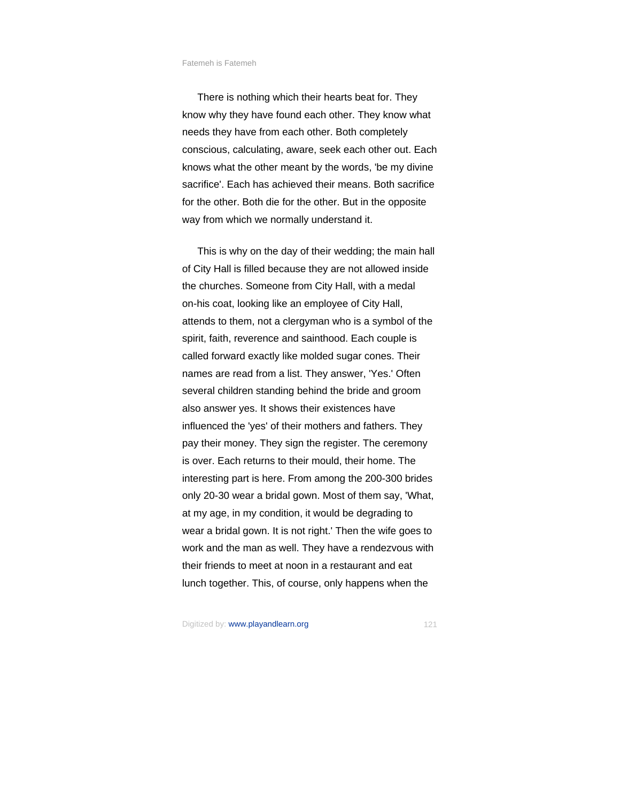There is nothing which their hearts beat for. They know why they have found each other. They know what needs they have from each other. Both completely conscious, calculating, aware, seek each other out. Each knows what the other meant by the words, 'be my divine sacrifice'. Each has achieved their means. Both sacrifice for the other. Both die for the other. But in the opposite way from which we normally understand it.

This is why on the day of their wedding; the main hall of City Hall is filled because they are not allowed inside the churches. Someone from City Hall, with a medal on-his coat, looking like an employee of City Hall, attends to them, not a clergyman who is a symbol of the spirit, faith, reverence and sainthood. Each couple is called forward exactly like molded sugar cones. Their names are read from a list. They answer, 'Yes.' Often several children standing behind the bride and groom also answer yes. It shows their existences have influenced the 'yes' of their mothers and fathers. They pay their money. They sign the register. The ceremony is over. Each returns to their mould, their home. The interesting part is here. From among the 200-300 brides only 20-30 wear a bridal gown. Most of them say, 'What, at my age, in my condition, it would be degrading to wear a bridal gown. It is not right.' Then the wife goes to work and the man as well. They have a rendezvous with their friends to meet at noon in a restaurant and eat lunch together. This, of course, only happens when the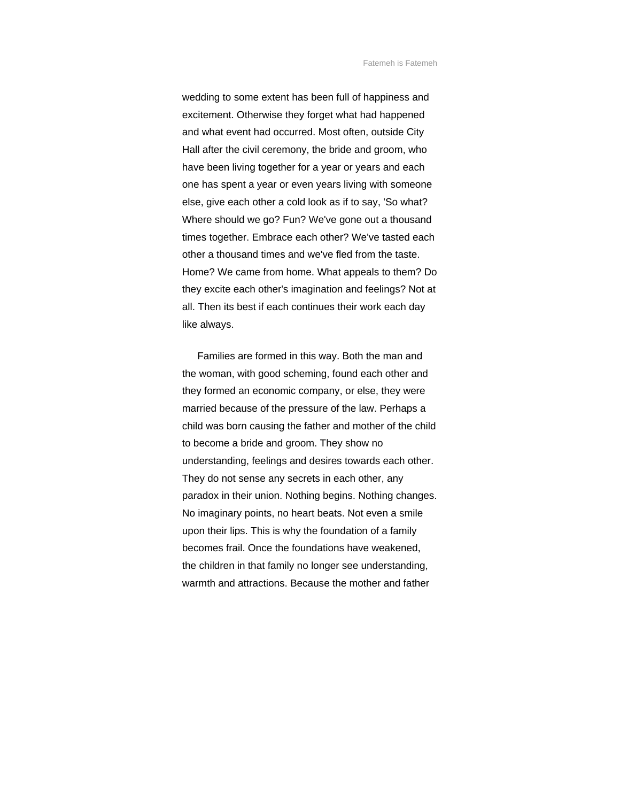wedding to some extent has been full of happiness and excitement. Otherwise they forget what had happened and what event had occurred. Most often, outside City Hall after the civil ceremony, the bride and groom, who have been living together for a year or years and each one has spent a year or even years living with someone else, give each other a cold look as if to say, 'So what? Where should we go? Fun? We've gone out a thousand times together. Embrace each other? We've tasted each other a thousand times and we've fled from the taste. Home? We came from home. What appeals to them? Do they excite each other's imagination and feelings? Not at all. Then its best if each continues their work each day like always.

Families are formed in this way. Both the man and the woman, with good scheming, found each other and they formed an economic company, or else, they were married because of the pressure of the law. Perhaps a child was born causing the father and mother of the child to become a bride and groom. They show no understanding, feelings and desires towards each other. They do not sense any secrets in each other, any paradox in their union. Nothing begins. Nothing changes. No imaginary points, no heart beats. Not even a smile upon their lips. This is why the foundation of a family becomes frail. Once the foundations have weakened, the children in that family no longer see understanding, warmth and attractions. Because the mother and father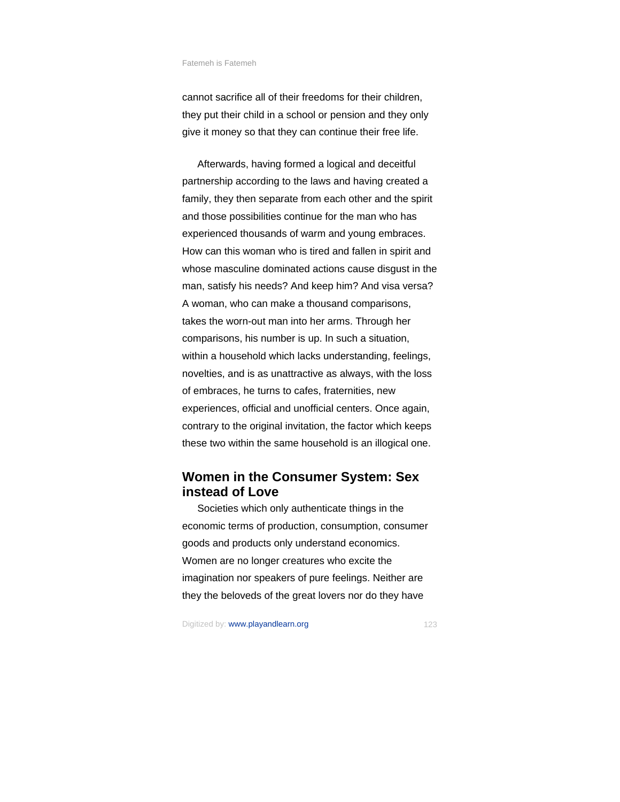#### Fatemeh is Fatemeh

cannot sacrifice all of their freedoms for their children, they put their child in a school or pension and they only give it money so that they can continue their free life.

Afterwards, having formed a logical and deceitful partnership according to the laws and having created a family, they then separate from each other and the spirit and those possibilities continue for the man who has experienced thousands of warm and young embraces. How can this woman who is tired and fallen in spirit and whose masculine dominated actions cause disgust in the man, satisfy his needs? And keep him? And visa versa? A woman, who can make a thousand comparisons, takes the worn-out man into her arms. Through her comparisons, his number is up. In such a situation, within a household which lacks understanding, feelings, novelties, and is as unattractive as always, with the loss of embraces, he turns to cafes, fraternities, new experiences, official and unofficial centers. Once again, contrary to the original invitation, the factor which keeps these two within the same household is an illogical one.

# **Women in the Consumer System: Sex instead of Love**

Societies which only authenticate things in the economic terms of production, consumption, consumer goods and products only understand economics. Women are no longer creatures who excite the imagination nor speakers of pure feelings. Neither are they the beloveds of the great lovers nor do they have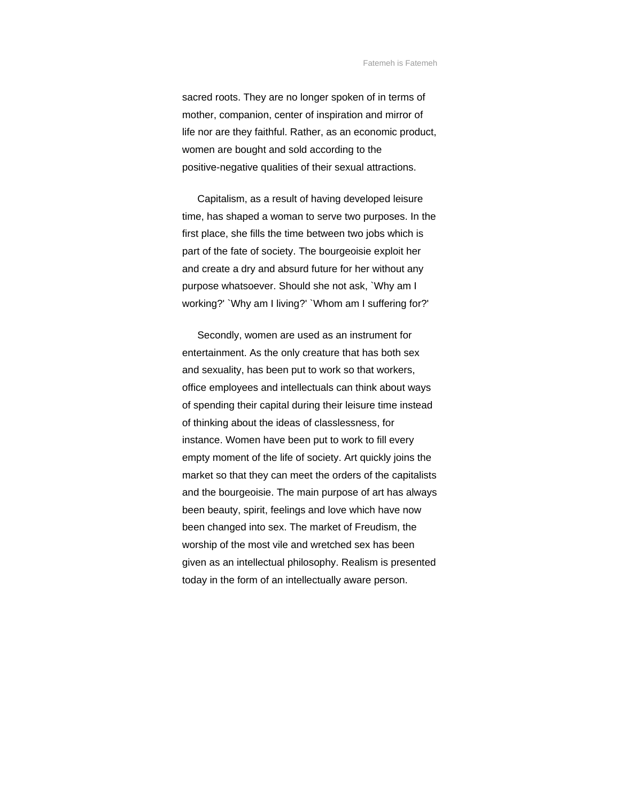sacred roots. They are no longer spoken of in terms of mother, companion, center of inspiration and mirror of life nor are they faithful. Rather, as an economic product, women are bought and sold according to the positive-negative qualities of their sexual attractions.

Capitalism, as a result of having developed leisure time, has shaped a woman to serve two purposes. In the first place, she fills the time between two jobs which is part of the fate of society. The bourgeoisie exploit her and create a dry and absurd future for her without any purpose whatsoever. Should she not ask, `Why am I working?' `Why am I living?' `Whom am I suffering for?'

Secondly, women are used as an instrument for entertainment. As the only creature that has both sex and sexuality, has been put to work so that workers, office employees and intellectuals can think about ways of spending their capital during their leisure time instead of thinking about the ideas of classlessness, for instance. Women have been put to work to fill every empty moment of the life of society. Art quickly joins the market so that they can meet the orders of the capitalists and the bourgeoisie. The main purpose of art has always been beauty, spirit, feelings and love which have now been changed into sex. The market of Freudism, the worship of the most vile and wretched sex has been given as an intellectual philosophy. Realism is presented today in the form of an intellectually aware person.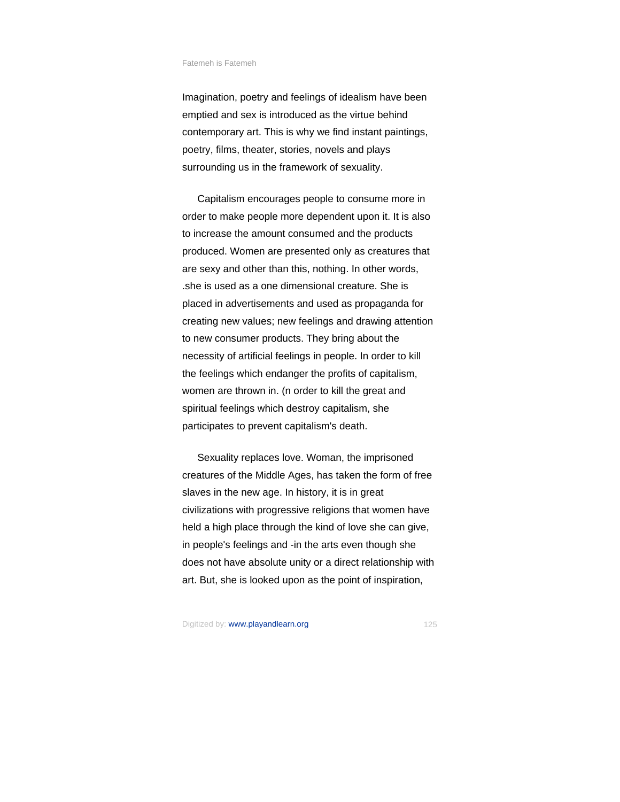#### Fatemeh is Fatemeh

Imagination, poetry and feelings of idealism have been emptied and sex is introduced as the virtue behind contemporary art. This is why we find instant paintings, poetry, films, theater, stories, novels and plays surrounding us in the framework of sexuality.

Capitalism encourages people to consume more in order to make people more dependent upon it. It is also to increase the amount consumed and the products produced. Women are presented only as creatures that are sexy and other than this, nothing. In other words, .she is used as a one dimensional creature. She is placed in advertisements and used as propaganda for creating new values; new feelings and drawing attention to new consumer products. They bring about the necessity of artificial feelings in people. In order to kill the feelings which endanger the profits of capitalism, women are thrown in. (n order to kill the great and spiritual feelings which destroy capitalism, she participates to prevent capitalism's death.

Sexuality replaces love. Woman, the imprisoned creatures of the Middle Ages, has taken the form of free slaves in the new age. In history, it is in great civilizations with progressive religions that women have held a high place through the kind of love she can give, in people's feelings and -in the arts even though she does not have absolute unity or a direct relationship with art. But, she is looked upon as the point of inspiration,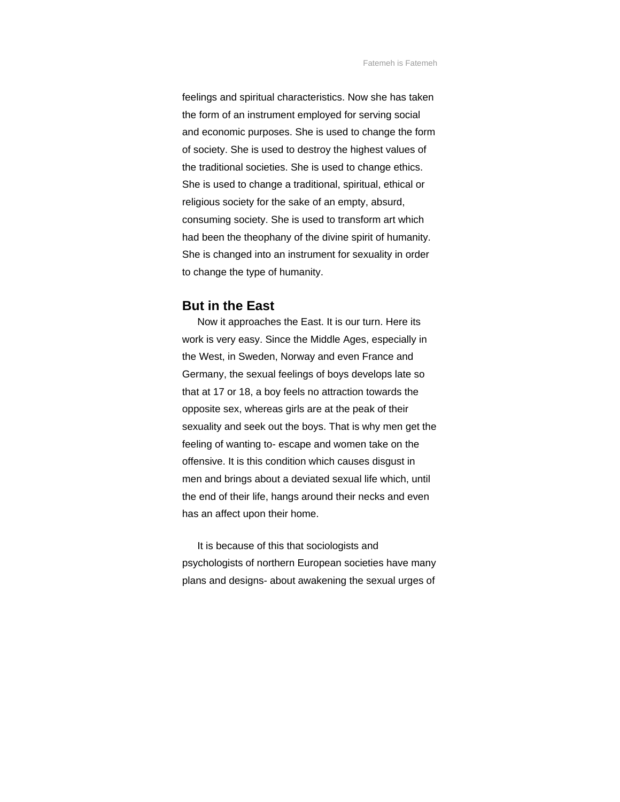feelings and spiritual characteristics. Now she has taken the form of an instrument employed for serving social and economic purposes. She is used to change the form of society. She is used to destroy the highest values of the traditional societies. She is used to change ethics. She is used to change a traditional, spiritual, ethical or religious society for the sake of an empty, absurd, consuming society. She is used to transform art which had been the theophany of the divine spirit of humanity. She is changed into an instrument for sexuality in order to change the type of humanity.

### **But in the East**

Now it approaches the East. It is our turn. Here its work is very easy. Since the Middle Ages, especially in the West, in Sweden, Norway and even France and Germany, the sexual feelings of boys develops late so that at 17 or 18, a boy feels no attraction towards the opposite sex, whereas girls are at the peak of their sexuality and seek out the boys. That is why men get the feeling of wanting to- escape and women take on the offensive. It is this condition which causes disgust in men and brings about a deviated sexual life which, until the end of their life, hangs around their necks and even has an affect upon their home.

It is because of this that sociologists and psychologists of northern European societies have many plans and designs- about awakening the sexual urges of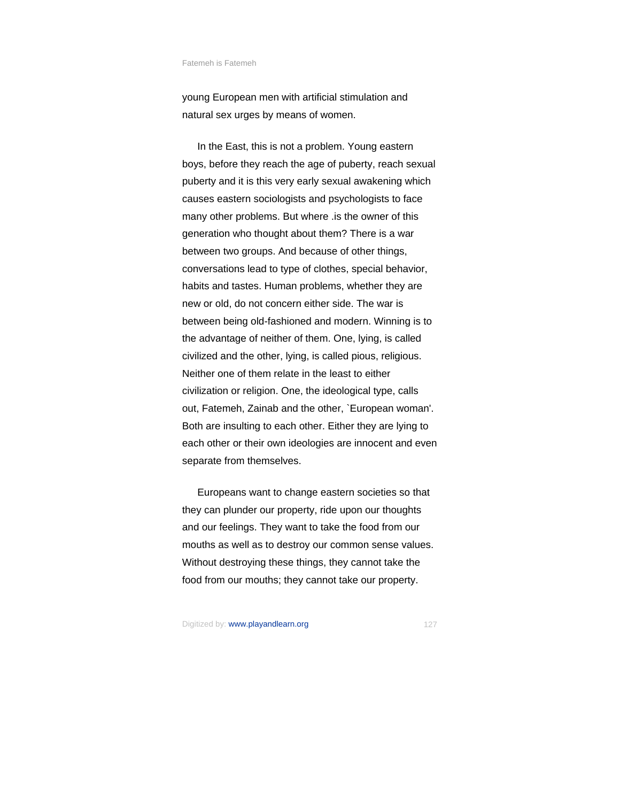young European men with artificial stimulation and natural sex urges by means of women.

In the East, this is not a problem. Young eastern boys, before they reach the age of puberty, reach sexual puberty and it is this very early sexual awakening which causes eastern sociologists and psychologists to face many other problems. But where .is the owner of this generation who thought about them? There is a war between two groups. And because of other things, conversations lead to type of clothes, special behavior, habits and tastes. Human problems, whether they are new or old, do not concern either side. The war is between being old-fashioned and modern. Winning is to the advantage of neither of them. One, lying, is called civilized and the other, lying, is called pious, religious. Neither one of them relate in the least to either civilization or religion. One, the ideological type, calls out, Fatemeh, Zainab and the other, `European woman'. Both are insulting to each other. Either they are lying to each other or their own ideologies are innocent and even separate from themselves.

Europeans want to change eastern societies so that they can plunder our property, ride upon our thoughts and our feelings. They want to take the food from our mouths as well as to destroy our common sense values. Without destroying these things, they cannot take the food from our mouths; they cannot take our property.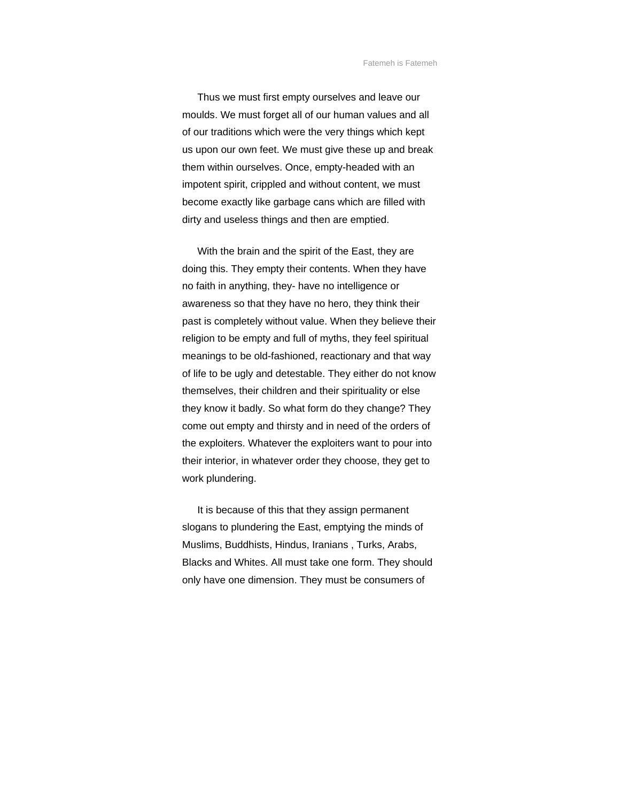Thus we must first empty ourselves and leave our moulds. We must forget all of our human values and all of our traditions which were the very things which kept us upon our own feet. We must give these up and break them within ourselves. Once, empty-headed with an impotent spirit, crippled and without content, we must become exactly like garbage cans which are filled with dirty and useless things and then are emptied.

With the brain and the spirit of the East, they are doing this. They empty their contents. When they have no faith in anything, they- have no intelligence or awareness so that they have no hero, they think their past is completely without value. When they believe their religion to be empty and full of myths, they feel spiritual meanings to be old-fashioned, reactionary and that way of life to be ugly and detestable. They either do not know themselves, their children and their spirituality or else they know it badly. So what form do they change? They come out empty and thirsty and in need of the orders of the exploiters. Whatever the exploiters want to pour into their interior, in whatever order they choose, they get to work plundering.

It is because of this that they assign permanent slogans to plundering the East, emptying the minds of Muslims, Buddhists, Hindus, Iranians , Turks, Arabs, Blacks and Whites. All must take one form. They should only have one dimension. They must be consumers of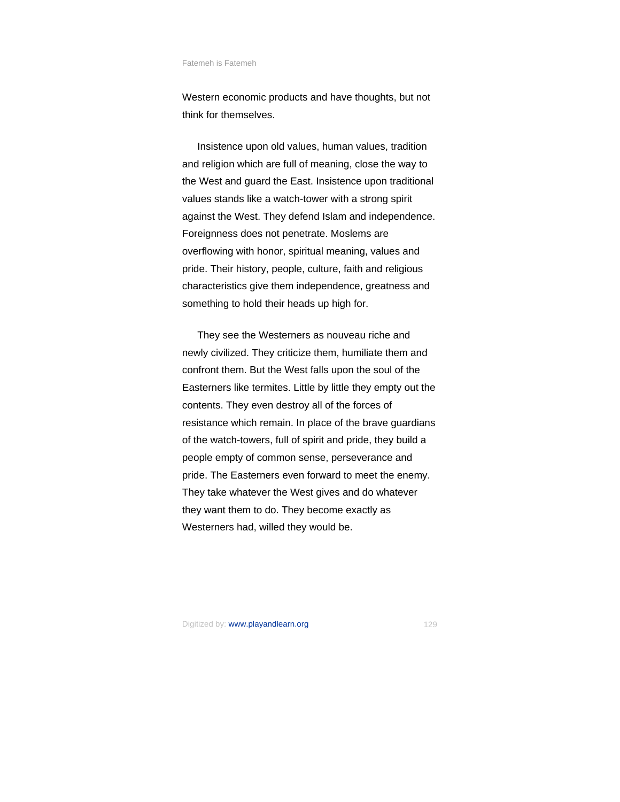Western economic products and have thoughts, but not think for themselves.

Insistence upon old values, human values, tradition and religion which are full of meaning, close the way to the West and guard the East. Insistence upon traditional values stands like a watch-tower with a strong spirit against the West. They defend Islam and independence. Foreignness does not penetrate. Moslems are overflowing with honor, spiritual meaning, values and pride. Their history, people, culture, faith and religious characteristics give them independence, greatness and something to hold their heads up high for.

They see the Westerners as nouveau riche and newly civilized. They criticize them, humiliate them and confront them. But the West falls upon the soul of the Easterners like termites. Little by little they empty out the contents. They even destroy all of the forces of resistance which remain. In place of the brave guardians of the watch-towers, full of spirit and pride, they build a people empty of common sense, perseverance and pride. The Easterners even forward to meet the enemy. They take whatever the West gives and do whatever they want them to do. They become exactly as Westerners had, willed they would be.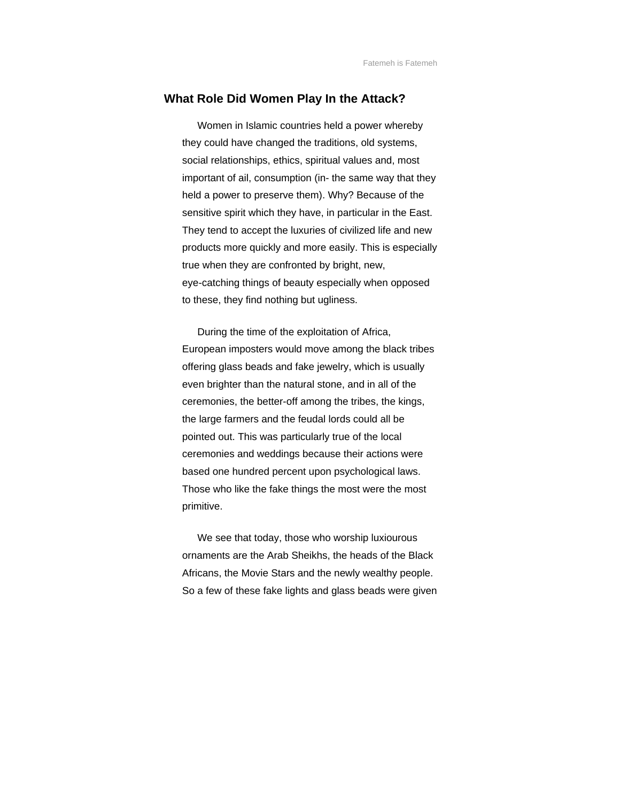### **What Role Did Women Play In the Attack?**

Women in Islamic countries held a power whereby they could have changed the traditions, old systems, social relationships, ethics, spiritual values and, most important of ail, consumption (in- the same way that they held a power to preserve them). Why? Because of the sensitive spirit which they have, in particular in the East. They tend to accept the luxuries of civilized life and new products more quickly and more easily. This is especially true when they are confronted by bright, new, eye-catching things of beauty especially when opposed to these, they find nothing but ugliness.

During the time of the exploitation of Africa, European imposters would move among the black tribes offering glass beads and fake jewelry, which is usually even brighter than the natural stone, and in all of the ceremonies, the better-off among the tribes, the kings, the large farmers and the feudal lords could all be pointed out. This was particularly true of the local ceremonies and weddings because their actions were based one hundred percent upon psychological laws. Those who like the fake things the most were the most primitive.

We see that today, those who worship luxiourous ornaments are the Arab Sheikhs, the heads of the Black Africans, the Movie Stars and the newly wealthy people. So a few of these fake lights and glass beads were given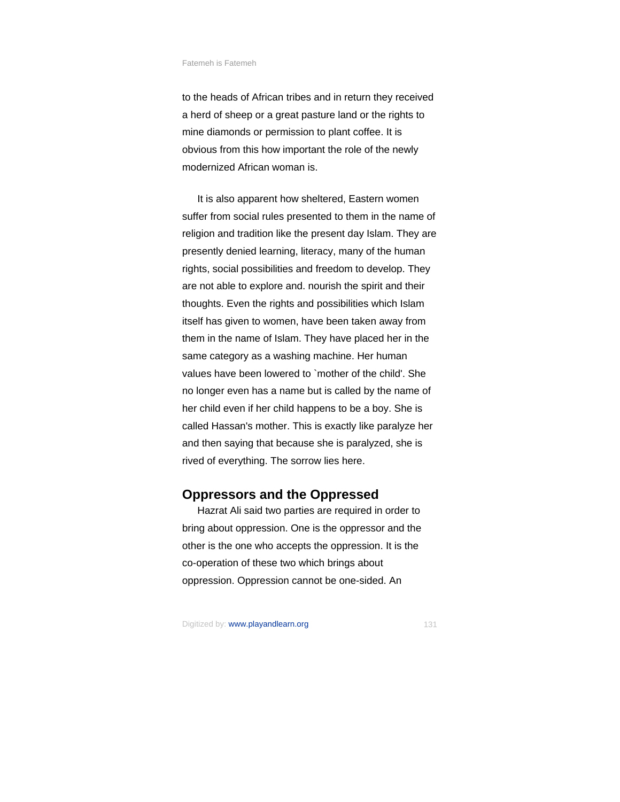#### Fatemeh is Fatemeh

to the heads of African tribes and in return they received a herd of sheep or a great pasture land or the rights to mine diamonds or permission to plant coffee. It is obvious from this how important the role of the newly modernized African woman is.

It is also apparent how sheltered, Eastern women suffer from social rules presented to them in the name of religion and tradition like the present day Islam. They are presently denied learning, literacy, many of the human rights, social possibilities and freedom to develop. They are not able to explore and. nourish the spirit and their thoughts. Even the rights and possibilities which Islam itself has given to women, have been taken away from them in the name of Islam. They have placed her in the same category as a washing machine. Her human values have been lowered to `mother of the child'. She no longer even has a name but is called by the name of her child even if her child happens to be a boy. She is called Hassan's mother. This is exactly like paralyze her and then saying that because she is paralyzed, she is rived of everything. The sorrow lies here.

# **Oppressors and the Oppressed**

Hazrat Ali said two parties are required in order to bring about oppression. One is the oppressor and the other is the one who accepts the oppression. It is the co-operation of these two which brings about oppression. Oppression cannot be one-sided. An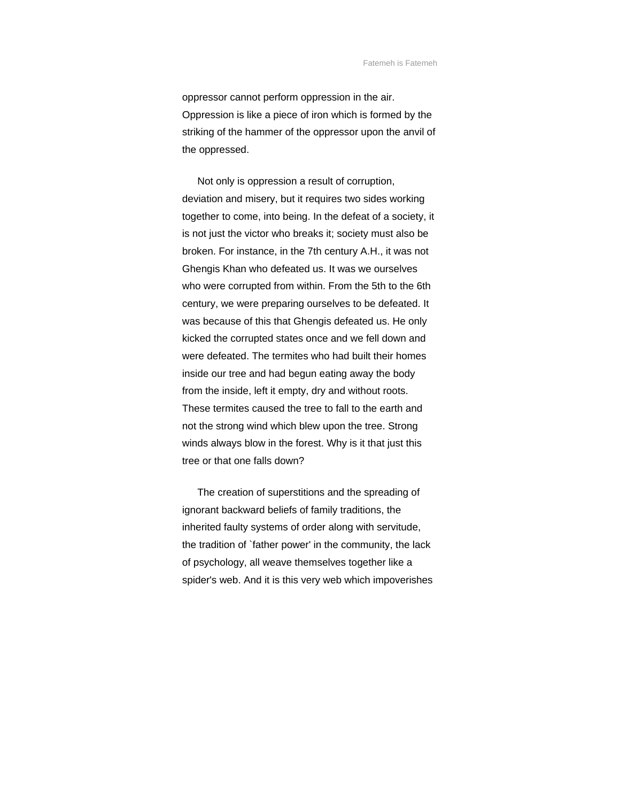oppressor cannot perform oppression in the air. Oppression is like a piece of iron which is formed by the striking of the hammer of the oppressor upon the anvil of the oppressed.

Not only is oppression a result of corruption, deviation and misery, but it requires two sides working together to come, into being. In the defeat of a society, it is not just the victor who breaks it; society must also be broken. For instance, in the 7th century A.H., it was not Ghengis Khan who defeated us. It was we ourselves who were corrupted from within. From the 5th to the 6th century, we were preparing ourselves to be defeated. It was because of this that Ghengis defeated us. He only kicked the corrupted states once and we fell down and were defeated. The termites who had built their homes inside our tree and had begun eating away the body from the inside, left it empty, dry and without roots. These termites caused the tree to fall to the earth and not the strong wind which blew upon the tree. Strong winds always blow in the forest. Why is it that just this tree or that one falls down?

The creation of superstitions and the spreading of ignorant backward beliefs of family traditions, the inherited faulty systems of order along with servitude, the tradition of `father power' in the community, the lack of psychology, all weave themselves together like a spider's web. And it is this very web which impoverishes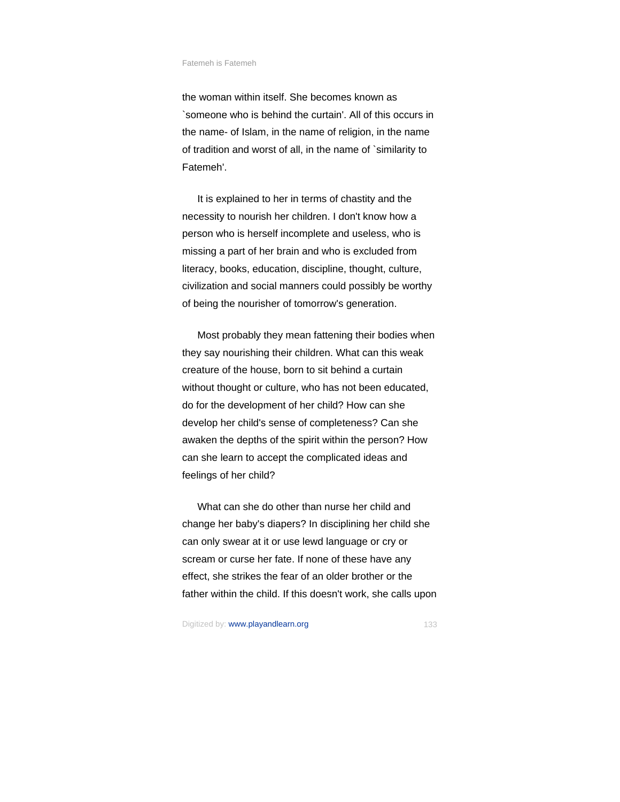the woman within itself. She becomes known as `someone who is behind the curtain'. All of this occurs in the name- of Islam, in the name of religion, in the name of tradition and worst of all, in the name of `similarity to Fatemeh'.

It is explained to her in terms of chastity and the necessity to nourish her children. I don't know how a person who is herself incomplete and useless, who is missing a part of her brain and who is excluded from literacy, books, education, discipline, thought, culture, civilization and social manners could possibly be worthy of being the nourisher of tomorrow's generation.

Most probably they mean fattening their bodies when they say nourishing their children. What can this weak creature of the house, born to sit behind a curtain without thought or culture, who has not been educated, do for the development of her child? How can she develop her child's sense of completeness? Can she awaken the depths of the spirit within the person? How can she learn to accept the complicated ideas and feelings of her child?

What can she do other than nurse her child and change her baby's diapers? In disciplining her child she can only swear at it or use lewd language or cry or scream or curse her fate. If none of these have any effect, she strikes the fear of an older brother or the father within the child. If this doesn't work, she calls upon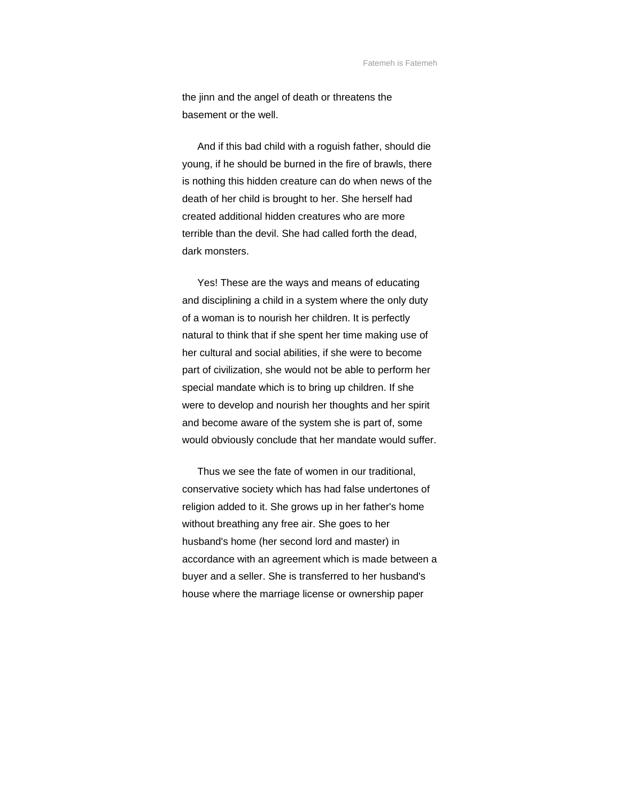the jinn and the angel of death or threatens the basement or the well.

And if this bad child with a roguish father, should die young, if he should be burned in the fire of brawls, there is nothing this hidden creature can do when news of the death of her child is brought to her. She herself had created additional hidden creatures who are more terrible than the devil. She had called forth the dead, dark monsters.

Yes! These are the ways and means of educating and disciplining a child in a system where the only duty of a woman is to nourish her children. It is perfectly natural to think that if she spent her time making use of her cultural and social abilities, if she were to become part of civilization, she would not be able to perform her special mandate which is to bring up children. If she were to develop and nourish her thoughts and her spirit and become aware of the system she is part of, some would obviously conclude that her mandate would suffer.

Thus we see the fate of women in our traditional, conservative society which has had false undertones of religion added to it. She grows up in her father's home without breathing any free air. She goes to her husband's home (her second lord and master) in accordance with an agreement which is made between a buyer and a seller. She is transferred to her husband's house where the marriage license or ownership paper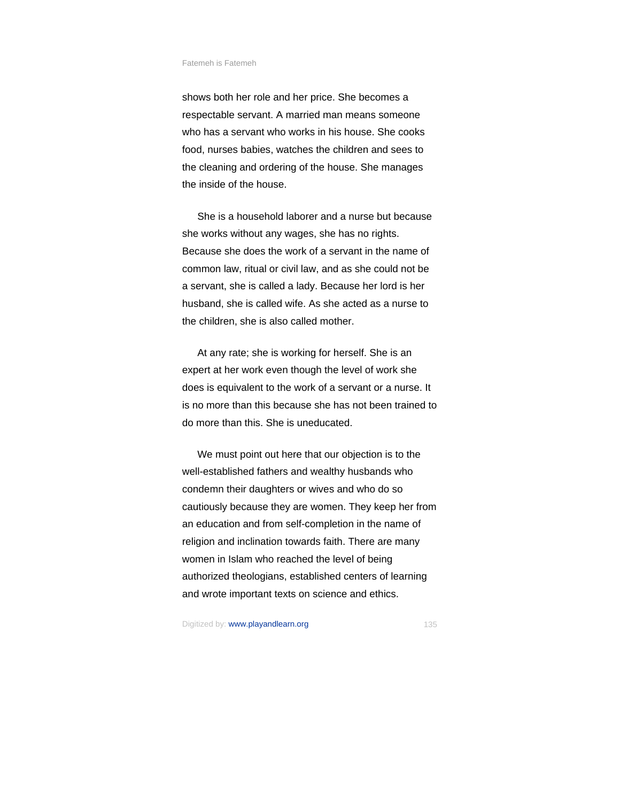#### Fatemeh is Fatemeh

shows both her role and her price. She becomes a respectable servant. A married man means someone who has a servant who works in his house. She cooks food, nurses babies, watches the children and sees to the cleaning and ordering of the house. She manages the inside of the house.

She is a household laborer and a nurse but because she works without any wages, she has no rights. Because she does the work of a servant in the name of common law, ritual or civil law, and as she could not be a servant, she is called a lady. Because her lord is her husband, she is called wife. As she acted as a nurse to the children, she is also called mother.

At any rate; she is working for herself. She is an expert at her work even though the level of work she does is equivalent to the work of a servant or a nurse. It is no more than this because she has not been trained to do more than this. She is uneducated.

We must point out here that our objection is to the well-established fathers and wealthy husbands who condemn their daughters or wives and who do so cautiously because they are women. They keep her from an education and from self-completion in the name of religion and inclination towards faith. There are many women in Islam who reached the level of being authorized theologians, established centers of learning and wrote important texts on science and ethics.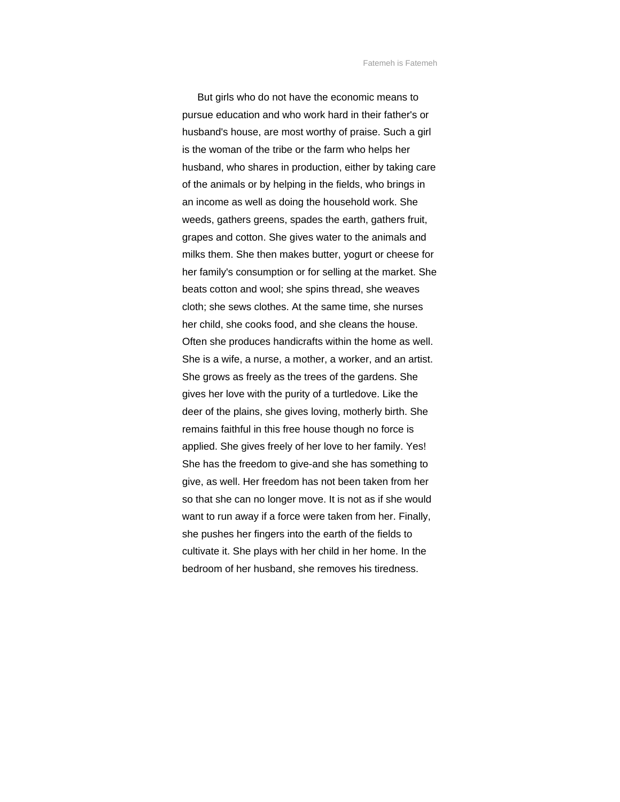But girls who do not have the economic means to pursue education and who work hard in their father's or husband's house, are most worthy of praise. Such a girl is the woman of the tribe or the farm who helps her husband, who shares in production, either by taking care of the animals or by helping in the fields, who brings in an income as well as doing the household work. She weeds, gathers greens, spades the earth, gathers fruit, grapes and cotton. She gives water to the animals and milks them. She then makes butter, yogurt or cheese for her family's consumption or for selling at the market. She beats cotton and wool; she spins thread, she weaves cloth; she sews clothes. At the same time, she nurses her child, she cooks food, and she cleans the house. Often she produces handicrafts within the home as well. She is a wife, a nurse, a mother, a worker, and an artist. She grows as freely as the trees of the gardens. She gives her love with the purity of a turtledove. Like the deer of the plains, she gives loving, motherly birth. She remains faithful in this free house though no force is applied. She gives freely of her love to her family. Yes! She has the freedom to give-and she has something to give, as well. Her freedom has not been taken from her so that she can no longer move. It is not as if she would want to run away if a force were taken from her. Finally, she pushes her fingers into the earth of the fields to cultivate it. She plays with her child in her home. In the bedroom of her husband, she removes his tiredness.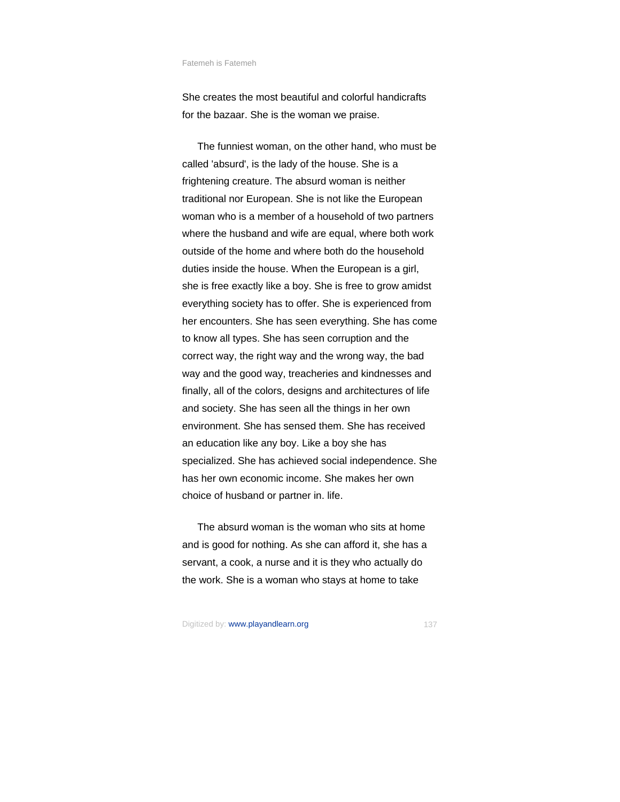She creates the most beautiful and colorful handicrafts for the bazaar. She is the woman we praise.

The funniest woman, on the other hand, who must be called 'absurd', is the lady of the house. She is a frightening creature. The absurd woman is neither traditional nor European. She is not like the European woman who is a member of a household of two partners where the husband and wife are equal, where both work outside of the home and where both do the household duties inside the house. When the European is a girl, she is free exactly like a boy. She is free to grow amidst everything society has to offer. She is experienced from her encounters. She has seen everything. She has come to know all types. She has seen corruption and the correct way, the right way and the wrong way, the bad way and the good way, treacheries and kindnesses and finally, all of the colors, designs and architectures of life and society. She has seen all the things in her own environment. She has sensed them. She has received an education like any boy. Like a boy she has specialized. She has achieved social independence. She has her own economic income. She makes her own choice of husband or partner in. life.

The absurd woman is the woman who sits at home and is good for nothing. As she can afford it, she has a servant, a cook, a nurse and it is they who actually do the work. She is a woman who stays at home to take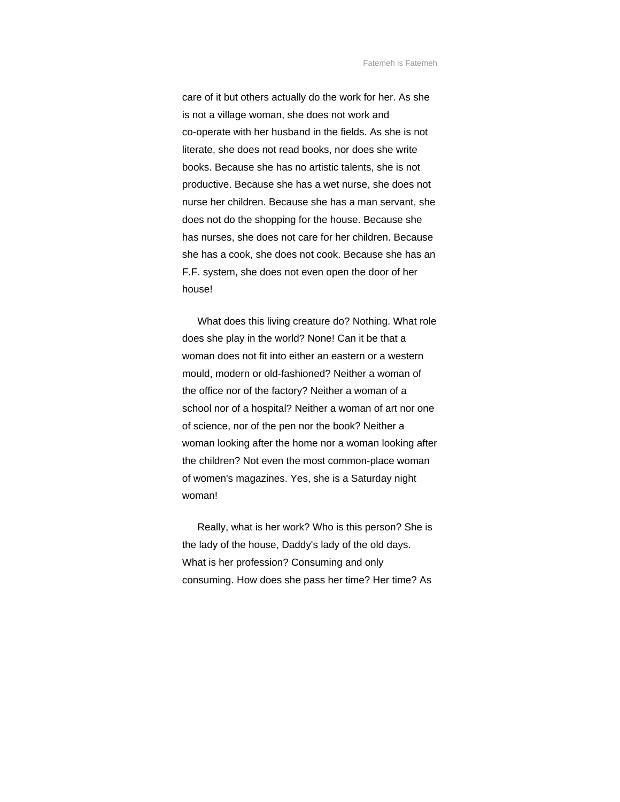care of it but others actually do the work for her. As she is not a village woman, she does not work and co-operate with her husband in the fields. As she is not literate, she does not read books, nor does she write books. Because she has no artistic talents, she is not productive. Because she has a wet nurse, she does not nurse her children. Because she has a man servant, she does not do the shopping for the house. Because she has nurses, she does not care for her children. Because she has a cook, she does not cook. Because she has an F.F. system, she does not even open the door of her house!

What does this living creature do? Nothing. What role does she play in the world? None! Can it be that a woman does not fit into either an eastern or a western mould, modern or old-fashioned? Neither a woman of the office nor of the factory? Neither a woman of a school nor of a hospital? Neither a woman of art nor one of science, nor of the pen nor the book? Neither a woman looking after the home nor a woman looking after the children? Not even the most common-place woman of women's magazines. Yes, she is a Saturday night woman!

Really, what is her work? Who is this person? She is the lady of the house, Daddy's lady of the old days. What is her profession? Consuming and only consuming. How does she pass her time? Her time? As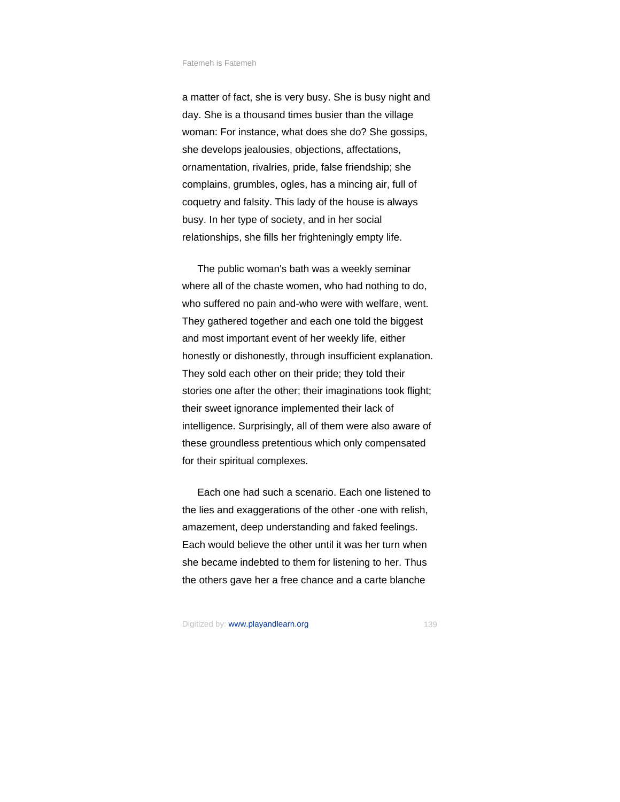a matter of fact, she is very busy. She is busy night and day. She is a thousand times busier than the village woman: For instance, what does she do? She gossips, she develops jealousies, objections, affectations, ornamentation, rivalries, pride, false friendship; she complains, grumbles, ogles, has a mincing air, full of coquetry and falsity. This lady of the house is always busy. In her type of society, and in her social relationships, she fills her frighteningly empty life.

The public woman's bath was a weekly seminar where all of the chaste women, who had nothing to do, who suffered no pain and-who were with welfare, went. They gathered together and each one told the biggest and most important event of her weekly life, either honestly or dishonestly, through insufficient explanation. They sold each other on their pride; they told their stories one after the other; their imaginations took flight; their sweet ignorance implemented their lack of intelligence. Surprisingly, all of them were also aware of these groundless pretentious which only compensated for their spiritual complexes.

Each one had such a scenario. Each one listened to the lies and exaggerations of the other -one with relish, amazement, deep understanding and faked feelings. Each would believe the other until it was her turn when she became indebted to them for listening to her. Thus the others gave her a free chance and a carte blanche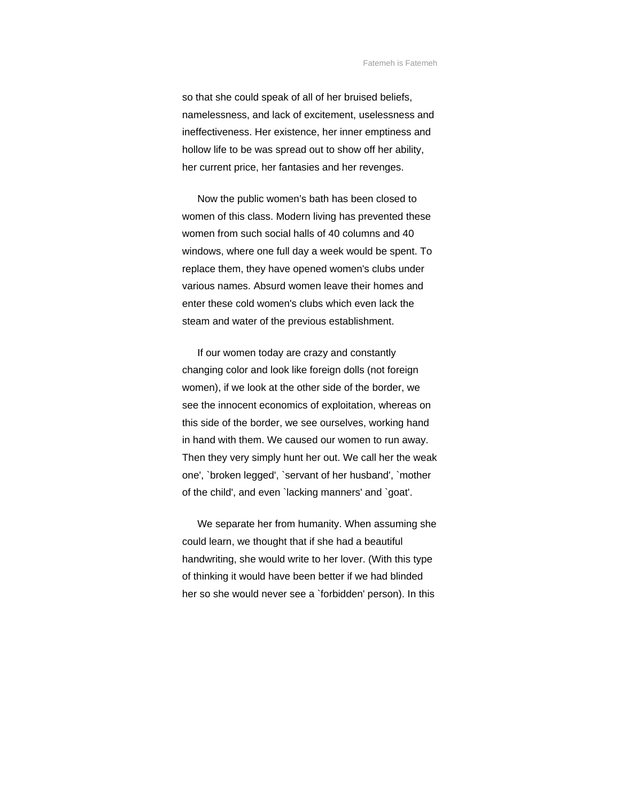so that she could speak of all of her bruised beliefs, namelessness, and lack of excitement, uselessness and ineffectiveness. Her existence, her inner emptiness and hollow life to be was spread out to show off her ability, her current price, her fantasies and her revenges.

Now the public women's bath has been closed to women of this class. Modern living has prevented these women from such social halls of 40 columns and 40 windows, where one full day a week would be spent. To replace them, they have opened women's clubs under various names. Absurd women leave their homes and enter these cold women's clubs which even lack the steam and water of the previous establishment.

If our women today are crazy and constantly changing color and look like foreign dolls (not foreign women), if we look at the other side of the border, we see the innocent economics of exploitation, whereas on this side of the border, we see ourselves, working hand in hand with them. We caused our women to run away. Then they very simply hunt her out. We call her the weak one', `broken legged', `servant of her husband', `mother of the child', and even `lacking manners' and `goat'.

We separate her from humanity. When assuming she could learn, we thought that if she had a beautiful handwriting, she would write to her lover. (With this type of thinking it would have been better if we had blinded her so she would never see a `forbidden' person). In this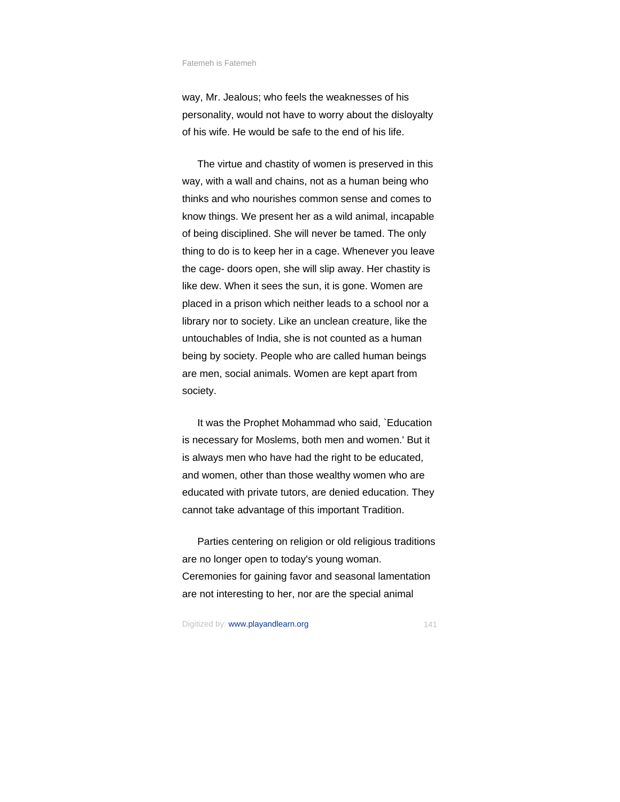way, Mr. Jealous; who feels the weaknesses of his personality, would not have to worry about the disloyalty of his wife. He would be safe to the end of his life.

The virtue and chastity of women is preserved in this way, with a wall and chains, not as a human being who thinks and who nourishes common sense and comes to know things. We present her as a wild animal, incapable of being disciplined. She will never be tamed. The only thing to do is to keep her in a cage. Whenever you leave the cage- doors open, she will slip away. Her chastity is like dew. When it sees the sun, it is gone. Women are placed in a prison which neither leads to a school nor a library nor to society. Like an unclean creature, like the untouchables of India, she is not counted as a human being by society. People who are called human beings are men, social animals. Women are kept apart from society.

It was the Prophet Mohammad who said, `Education is necessary for Moslems, both men and women.' But it is always men who have had the right to be educated, and women, other than those wealthy women who are educated with private tutors, are denied education. They cannot take advantage of this important Tradition.

Parties centering on religion or old religious traditions are no longer open to today's young woman. Ceremonies for gaining favor and seasonal lamentation are not interesting to her, nor are the special animal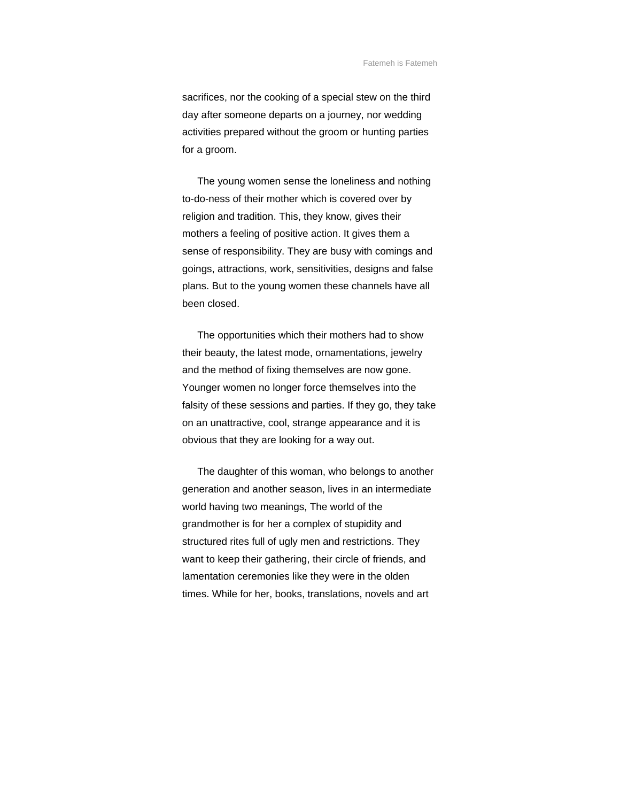sacrifices, nor the cooking of a special stew on the third day after someone departs on a journey, nor wedding activities prepared without the groom or hunting parties for a groom.

The young women sense the loneliness and nothing to-do-ness of their mother which is covered over by religion and tradition. This, they know, gives their mothers a feeling of positive action. It gives them a sense of responsibility. They are busy with comings and goings, attractions, work, sensitivities, designs and false plans. But to the young women these channels have all been closed.

The opportunities which their mothers had to show their beauty, the latest mode, ornamentations, jewelry and the method of fixing themselves are now gone. Younger women no longer force themselves into the falsity of these sessions and parties. If they go, they take on an unattractive, cool, strange appearance and it is obvious that they are looking for a way out.

The daughter of this woman, who belongs to another generation and another season, lives in an intermediate world having two meanings, The world of the grandmother is for her a complex of stupidity and structured rites full of ugly men and restrictions. They want to keep their gathering, their circle of friends, and lamentation ceremonies like they were in the olden times. While for her, books, translations, novels and art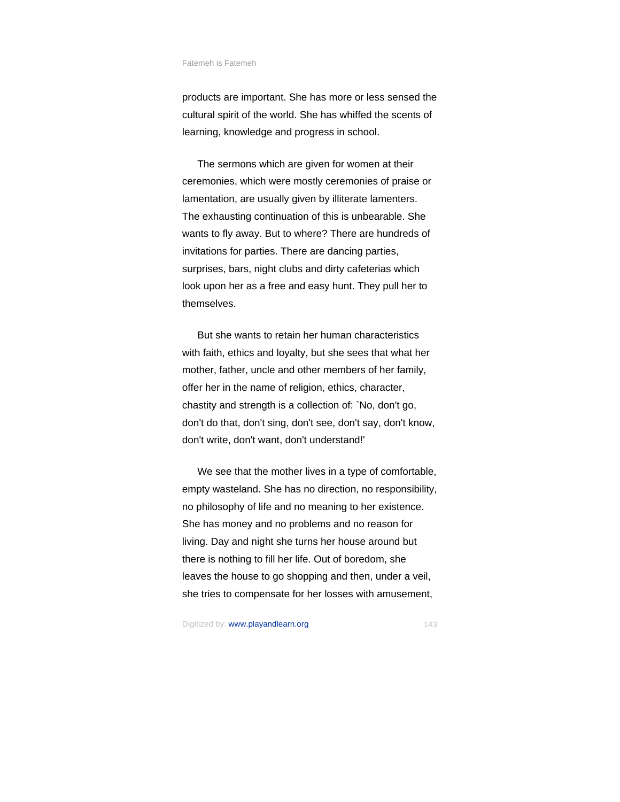products are important. She has more or less sensed the cultural spirit of the world. She has whiffed the scents of learning, knowledge and progress in school.

The sermons which are given for women at their ceremonies, which were mostly ceremonies of praise or lamentation, are usually given by illiterate lamenters. The exhausting continuation of this is unbearable. She wants to fly away. But to where? There are hundreds of invitations for parties. There are dancing parties, surprises, bars, night clubs and dirty cafeterias which look upon her as a free and easy hunt. They pull her to themselves.

But she wants to retain her human characteristics with faith, ethics and loyalty, but she sees that what her mother, father, uncle and other members of her family, offer her in the name of religion, ethics, character, chastity and strength is a collection of: `No, don't go, don't do that, don't sing, don't see, don't say, don't know, don't write, don't want, don't understand!'

We see that the mother lives in a type of comfortable, empty wasteland. She has no direction, no responsibility, no philosophy of life and no meaning to her existence. She has money and no problems and no reason for living. Day and night she turns her house around but there is nothing to fill her life. Out of boredom, she leaves the house to go shopping and then, under a veil, she tries to compensate for her losses with amusement,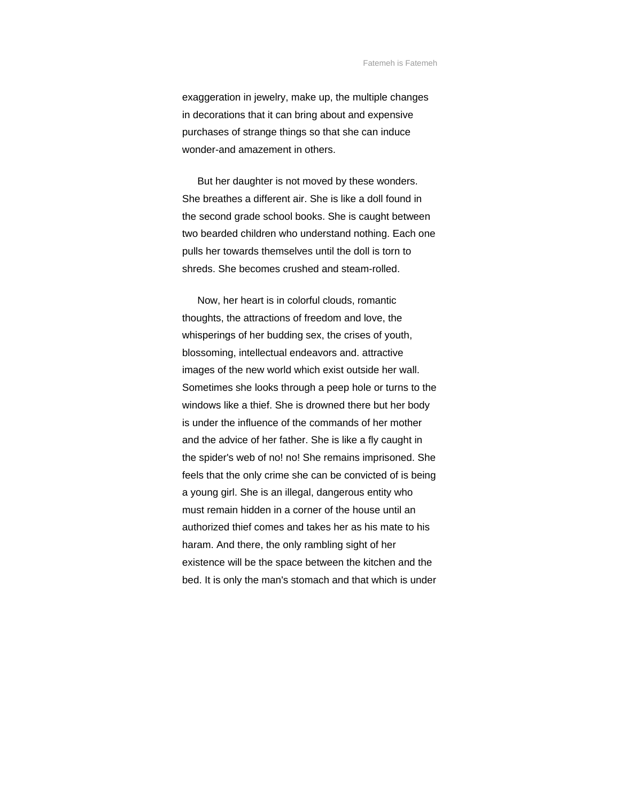exaggeration in jewelry, make up, the multiple changes in decorations that it can bring about and expensive purchases of strange things so that she can induce wonder-and amazement in others.

But her daughter is not moved by these wonders. She breathes a different air. She is like a doll found in the second grade school books. She is caught between two bearded children who understand nothing. Each one pulls her towards themselves until the doll is torn to shreds. She becomes crushed and steam-rolled.

Now, her heart is in colorful clouds, romantic thoughts, the attractions of freedom and love, the whisperings of her budding sex, the crises of youth, blossoming, intellectual endeavors and. attractive images of the new world which exist outside her wall. Sometimes she looks through a peep hole or turns to the windows like a thief. She is drowned there but her body is under the influence of the commands of her mother and the advice of her father. She is like a fly caught in the spider's web of no! no! She remains imprisoned. She feels that the only crime she can be convicted of is being a young girl. She is an illegal, dangerous entity who must remain hidden in a corner of the house until an authorized thief comes and takes her as his mate to his haram. And there, the only rambling sight of her existence will be the space between the kitchen and the bed. It is only the man's stomach and that which is under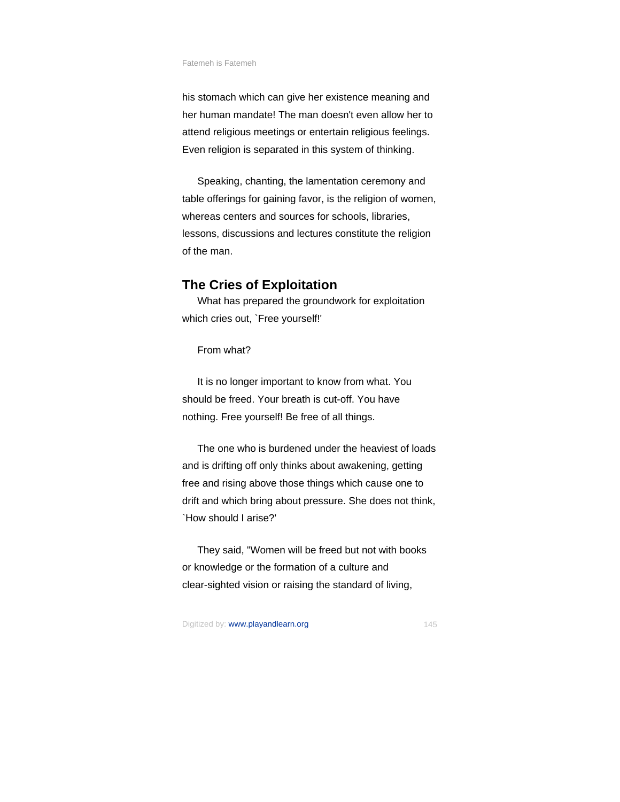his stomach which can give her existence meaning and her human mandate! The man doesn't even allow her to attend religious meetings or entertain religious feelings. Even religion is separated in this system of thinking.

Speaking, chanting, the lamentation ceremony and table offerings for gaining favor, is the religion of women, whereas centers and sources for schools, libraries, lessons, discussions and lectures constitute the religion of the man.

## **The Cries of Exploitation**

What has prepared the groundwork for exploitation which cries out, `Free yourself!'

#### From what?

It is no longer important to know from what. You should be freed. Your breath is cut-off. You have nothing. Free yourself! Be free of all things.

The one who is burdened under the heaviest of loads and is drifting off only thinks about awakening, getting free and rising above those things which cause one to drift and which bring about pressure. She does not think, `How should I arise?'

They said, "Women will be freed but not with books or knowledge or the formation of a culture and clear-sighted vision or raising the standard of living,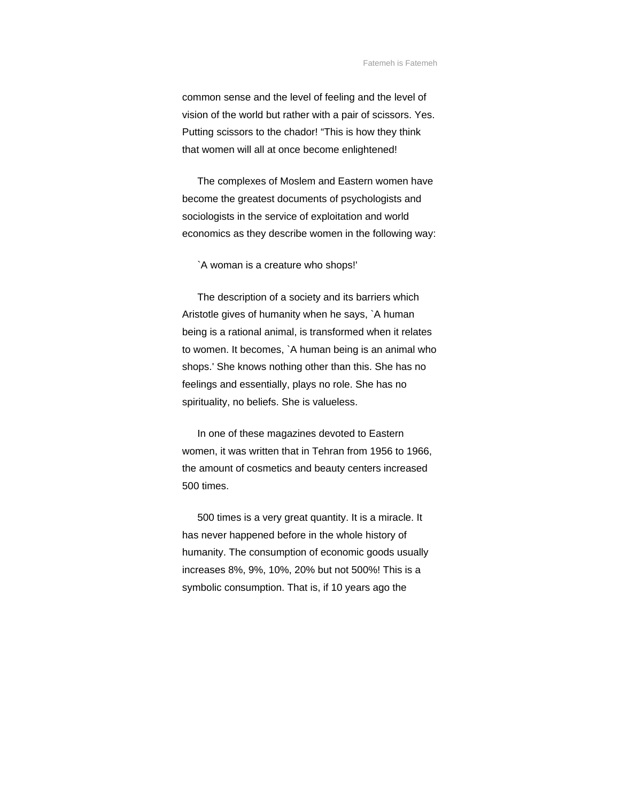common sense and the level of feeling and the level of vision of the world but rather with a pair of scissors. Yes. Putting scissors to the chador! "This is how they think that women will all at once become enlightened!

The complexes of Moslem and Eastern women have become the greatest documents of psychologists and sociologists in the service of exploitation and world economics as they describe women in the following way:

`A woman is a creature who shops!'

The description of a society and its barriers which Aristotle gives of humanity when he says, `A human being is a rational animal, is transformed when it relates to women. It becomes, `A human being is an animal who shops.' She knows nothing other than this. She has no feelings and essentially, plays no role. She has no spirituality, no beliefs. She is valueless.

In one of these magazines devoted to Eastern women, it was written that in Tehran from 1956 to 1966, the amount of cosmetics and beauty centers increased 500 times.

500 times is a very great quantity. It is a miracle. It has never happened before in the whole history of humanity. The consumption of economic goods usually increases 8%, 9%, 10%, 20% but not 500%! This is a symbolic consumption. That is, if 10 years ago the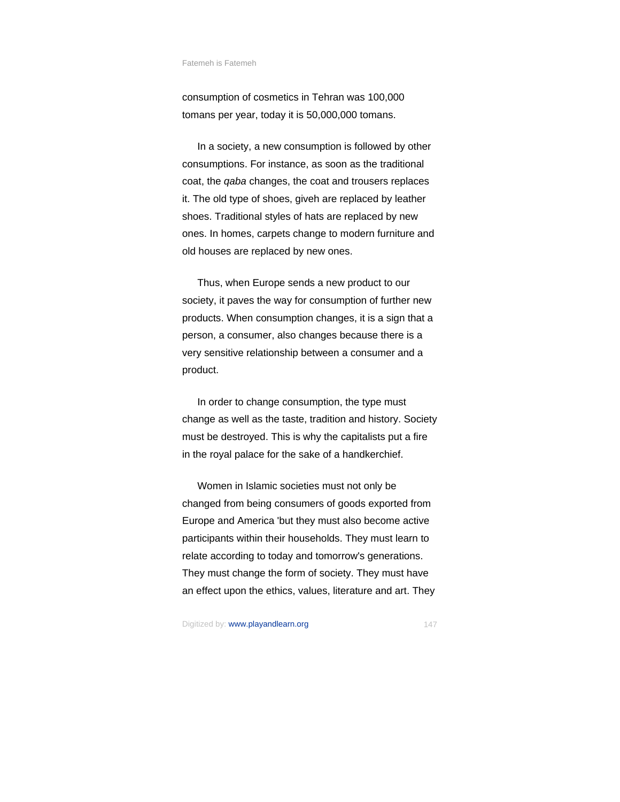consumption of cosmetics in Tehran was 100,000 tomans per year, today it is 50,000,000 tomans.

In a society, a new consumption is followed by other consumptions. For instance, as soon as the traditional coat, the *qaba* changes, the coat and trousers replaces it. The old type of shoes, giveh are replaced by leather shoes. Traditional styles of hats are replaced by new ones. In homes, carpets change to modern furniture and old houses are replaced by new ones.

Thus, when Europe sends a new product to our society, it paves the way for consumption of further new products. When consumption changes, it is a sign that a person, a consumer, also changes because there is a very sensitive relationship between a consumer and a product.

In order to change consumption, the type must change as well as the taste, tradition and history. Society must be destroyed. This is why the capitalists put a fire in the royal palace for the sake of a handkerchief.

Women in Islamic societies must not only be changed from being consumers of goods exported from Europe and America 'but they must also become active participants within their households. They must learn to relate according to today and tomorrow's generations. They must change the form of society. They must have an effect upon the ethics, values, literature and art. They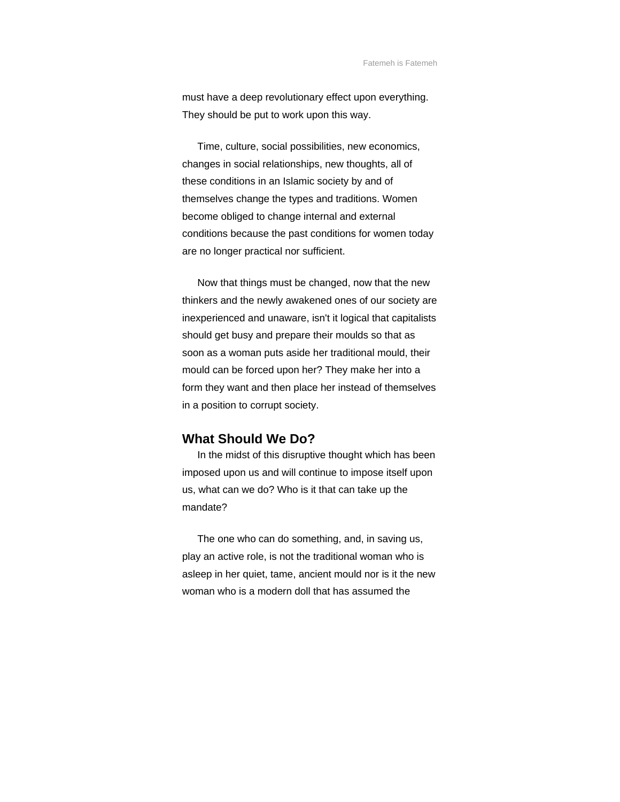must have a deep revolutionary effect upon everything. They should be put to work upon this way.

Time, culture, social possibilities, new economics, changes in social relationships, new thoughts, all of these conditions in an Islamic society by and of themselves change the types and traditions. Women become obliged to change internal and external conditions because the past conditions for women today are no longer practical nor sufficient.

Now that things must be changed, now that the new thinkers and the newly awakened ones of our society are inexperienced and unaware, isn't it logical that capitalists should get busy and prepare their moulds so that as soon as a woman puts aside her traditional mould, their mould can be forced upon her? They make her into a form they want and then place her instead of themselves in a position to corrupt society.

### **What Should We Do?**

In the midst of this disruptive thought which has been imposed upon us and will continue to impose itself upon us, what can we do? Who is it that can take up the mandate?

The one who can do something, and, in saving us, play an active role, is not the traditional woman who is asleep in her quiet, tame, ancient mould nor is it the new woman who is a modern doll that has assumed the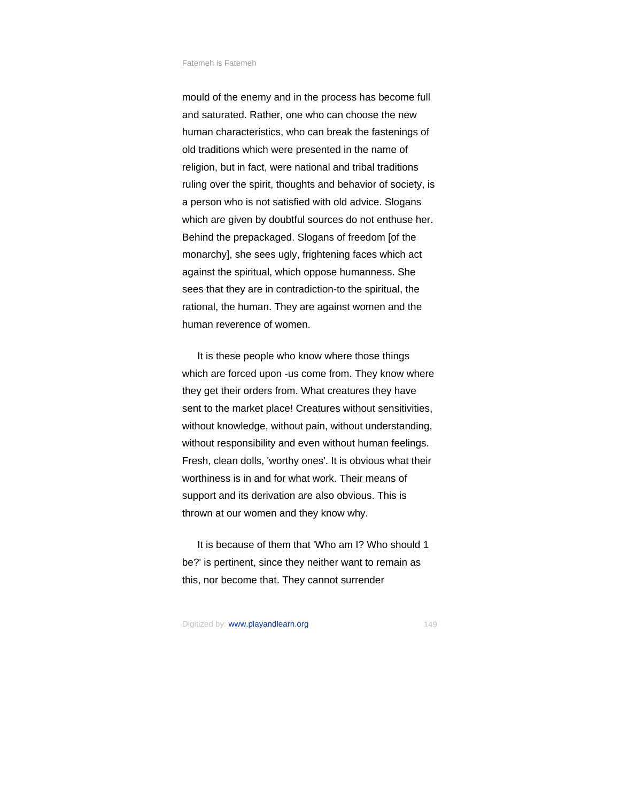mould of the enemy and in the process has become full and saturated. Rather, one who can choose the new human characteristics, who can break the fastenings of old traditions which were presented in the name of religion, but in fact, were national and tribal traditions ruling over the spirit, thoughts and behavior of society, is a person who is not satisfied with old advice. Slogans which are given by doubtful sources do not enthuse her. Behind the prepackaged. Slogans of freedom [of the monarchy], she sees ugly, frightening faces which act against the spiritual, which oppose humanness. She sees that they are in contradiction-to the spiritual, the rational, the human. They are against women and the human reverence of women.

It is these people who know where those things which are forced upon -us come from. They know where they get their orders from. What creatures they have sent to the market place! Creatures without sensitivities, without knowledge, without pain, without understanding, without responsibility and even without human feelings. Fresh, clean dolls, 'worthy ones'. It is obvious what their worthiness is in and for what work. Their means of support and its derivation are also obvious. This is thrown at our women and they know why.

It is because of them that 'Who am I? Who should 1 be?' is pertinent, since they neither want to remain as this, nor become that. They cannot surrender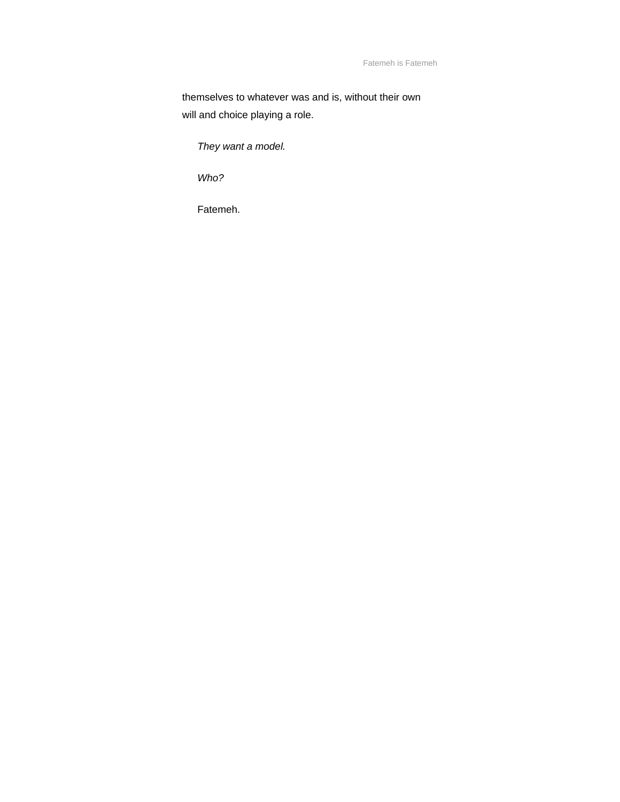themselves to whatever was and is, without their own will and choice playing a role.

*They want a model.*

*Who?*

Fatemeh.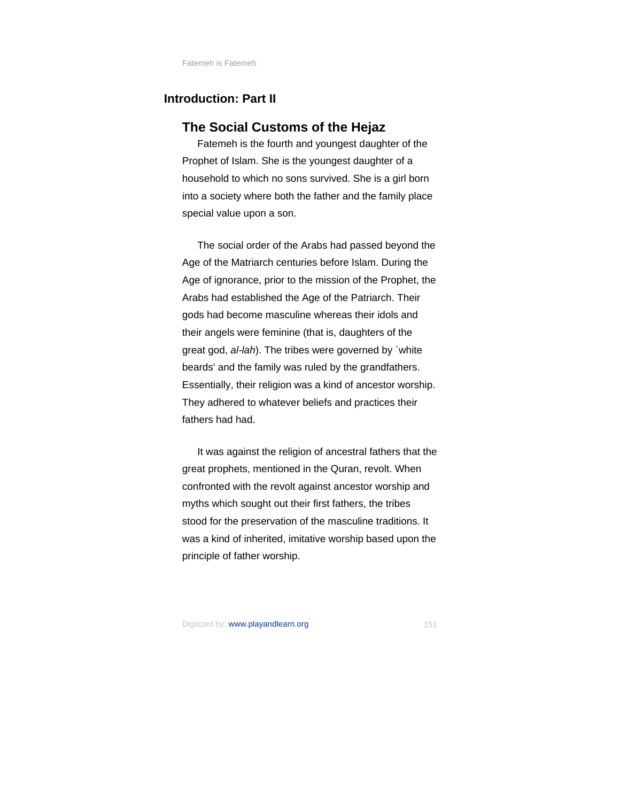## **Introduction: Part II**

## **The Social Customs of the Hejaz**

Fatemeh is the fourth and youngest daughter of the Prophet of Islam. She is the youngest daughter of a household to which no sons survived. She is a girl born into a society where both the father and the family place special value upon a son.

The social order of the Arabs had passed beyond the Age of the Matriarch centuries before Islam. During the Age of ignorance, prior to the mission of the Prophet, the Arabs had established the Age of the Patriarch. Their gods had become masculine whereas their idols and their angels were feminine (that is, daughters of the great god, *al-lah*). The tribes were governed by `white beards' and the family was ruled by the grandfathers. Essentially, their religion was a kind of ancestor worship. They adhered to whatever beliefs and practices their fathers had had.

It was against the religion of ancestral fathers that the great prophets, mentioned in the Quran, revolt. When confronted with the revolt against ancestor worship and myths which sought out their first fathers, the tribes stood for the preservation of the masculine traditions. It was a kind of inherited, imitative worship based upon the principle of father worship.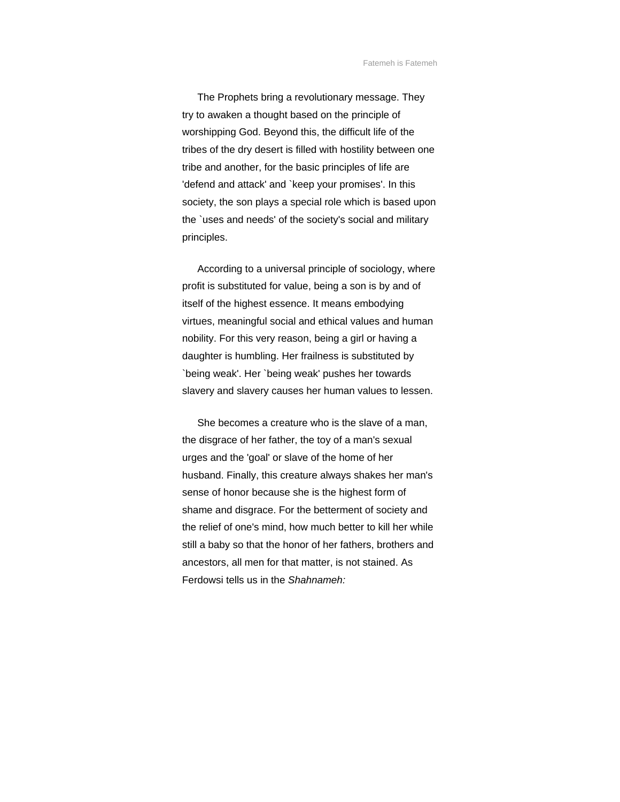The Prophets bring a revolutionary message. They try to awaken a thought based on the principle of worshipping God. Beyond this, the difficult life of the tribes of the dry desert is filled with hostility between one tribe and another, for the basic principles of life are 'defend and attack' and `keep your promises'. In this society, the son plays a special role which is based upon the `uses and needs' of the society's social and military principles.

According to a universal principle of sociology, where profit is substituted for value, being a son is by and of itself of the highest essence. It means embodying virtues, meaningful social and ethical values and human nobility. For this very reason, being a girl or having a daughter is humbling. Her frailness is substituted by `being weak'. Her `being weak' pushes her towards slavery and slavery causes her human values to lessen.

She becomes a creature who is the slave of a man, the disgrace of her father, the toy of a man's sexual urges and the 'goal' or slave of the home of her husband. Finally, this creature always shakes her man's sense of honor because she is the highest form of shame and disgrace. For the betterment of society and the relief of one's mind, how much better to kill her while still a baby so that the honor of her fathers, brothers and ancestors, all men for that matter, is not stained. As Ferdowsi tells us in the *Shahnameh:*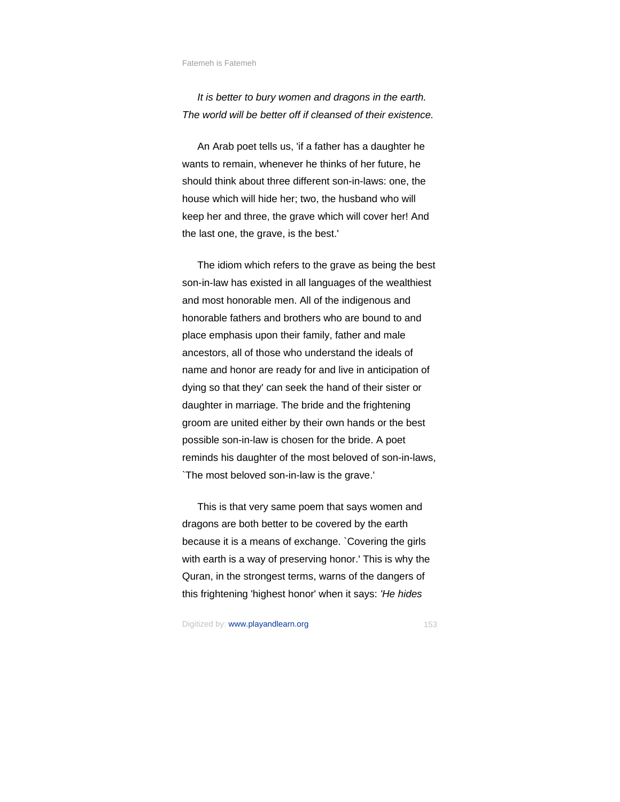*It is better to bury women and dragons in the earth. The world will be better off if cleansed of their existence.*

An Arab poet tells us, 'if a father has a daughter he wants to remain, whenever he thinks of her future, he should think about three different son-in-laws: one, the house which will hide her; two, the husband who will keep her and three, the grave which will cover her! And the last one, the grave, is the best.'

The idiom which refers to the grave as being the best son-in-law has existed in all languages of the wealthiest and most honorable men. All of the indigenous and honorable fathers and brothers who are bound to and place emphasis upon their family, father and male ancestors, all of those who understand the ideals of name and honor are ready for and live in anticipation of dying so that they' can seek the hand of their sister or daughter in marriage. The bride and the frightening groom are united either by their own hands or the best possible son-in-law is chosen for the bride. A poet reminds his daughter of the most beloved of son-in-laws, `The most beloved son-in-law is the grave.'

This is that very same poem that says women and dragons are both better to be covered by the earth because it is a means of exchange. `Covering the girls with earth is a way of preserving honor.' This is why the Quran, in the strongest terms, warns of the dangers of this frightening 'highest honor' when it says: *'He hides*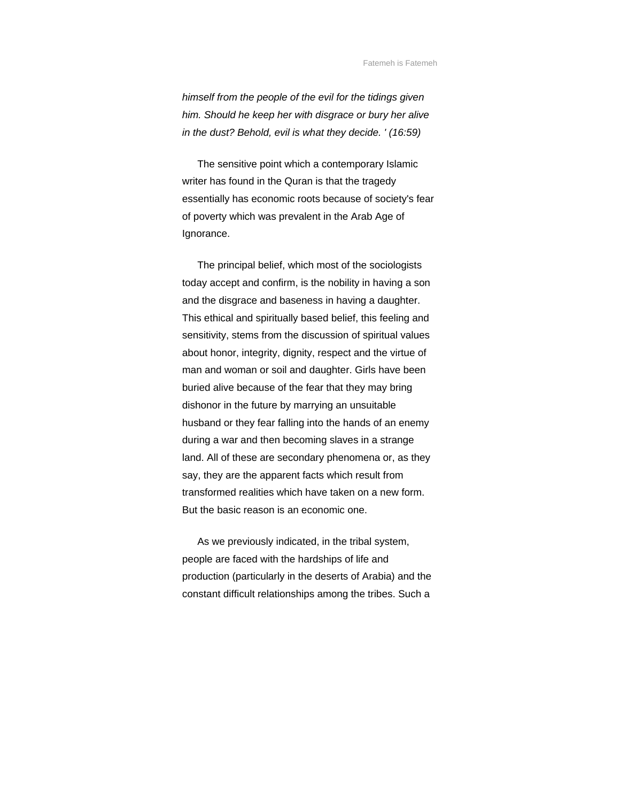*himself from the people of the evil for the tidings given him. Should he keep her with disgrace or bury her alive in the dust? Behold, evil is what they decide. ' (16:59)*

The sensitive point which a contemporary Islamic writer has found in the Quran is that the tragedy essentially has economic roots because of society's fear of poverty which was prevalent in the Arab Age of Ignorance.

The principal belief, which most of the sociologists today accept and confirm, is the nobility in having a son and the disgrace and baseness in having a daughter. This ethical and spiritually based belief, this feeling and sensitivity, stems from the discussion of spiritual values about honor, integrity, dignity, respect and the virtue of man and woman or soil and daughter. Girls have been buried alive because of the fear that they may bring dishonor in the future by marrying an unsuitable husband or they fear falling into the hands of an enemy during a war and then becoming slaves in a strange land. All of these are secondary phenomena or, as they say, they are the apparent facts which result from transformed realities which have taken on a new form. But the basic reason is an economic one.

As we previously indicated, in the tribal system, people are faced with the hardships of life and production (particularly in the deserts of Arabia) and the constant difficult relationships among the tribes. Such a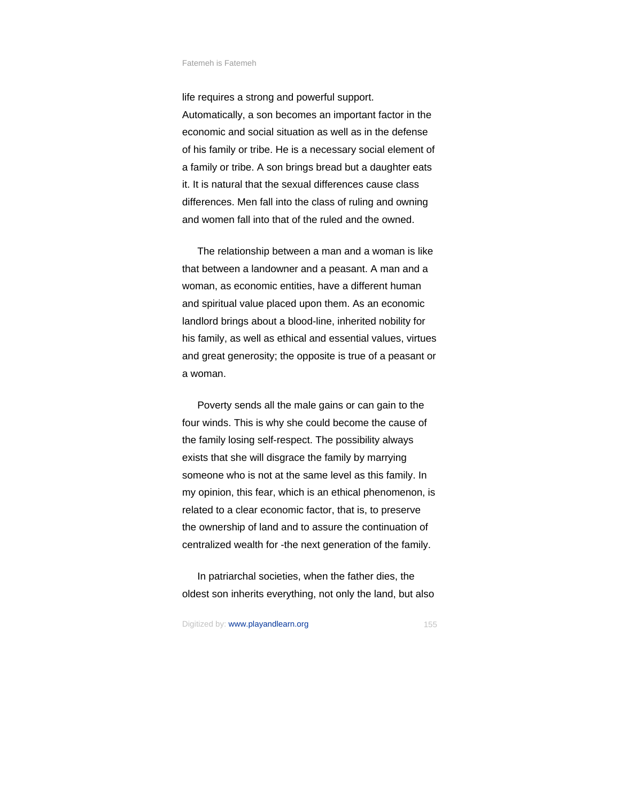#### Fatemeh is Fatemeh

life requires a strong and powerful support. Automatically, a son becomes an important factor in the economic and social situation as well as in the defense of his family or tribe. He is a necessary social element of a family or tribe. A son brings bread but a daughter eats it. It is natural that the sexual differences cause class differences. Men fall into the class of ruling and owning and women fall into that of the ruled and the owned.

The relationship between a man and a woman is like that between a landowner and a peasant. A man and a woman, as economic entities, have a different human and spiritual value placed upon them. As an economic landlord brings about a blood-line, inherited nobility for his family, as well as ethical and essential values, virtues and great generosity; the opposite is true of a peasant or a woman.

Poverty sends all the male gains or can gain to the four winds. This is why she could become the cause of the family losing self-respect. The possibility always exists that she will disgrace the family by marrying someone who is not at the same level as this family. In my opinion, this fear, which is an ethical phenomenon, is related to a clear economic factor, that is, to preserve the ownership of land and to assure the continuation of centralized wealth for -the next generation of the family.

In patriarchal societies, when the father dies, the oldest son inherits everything, not only the land, but also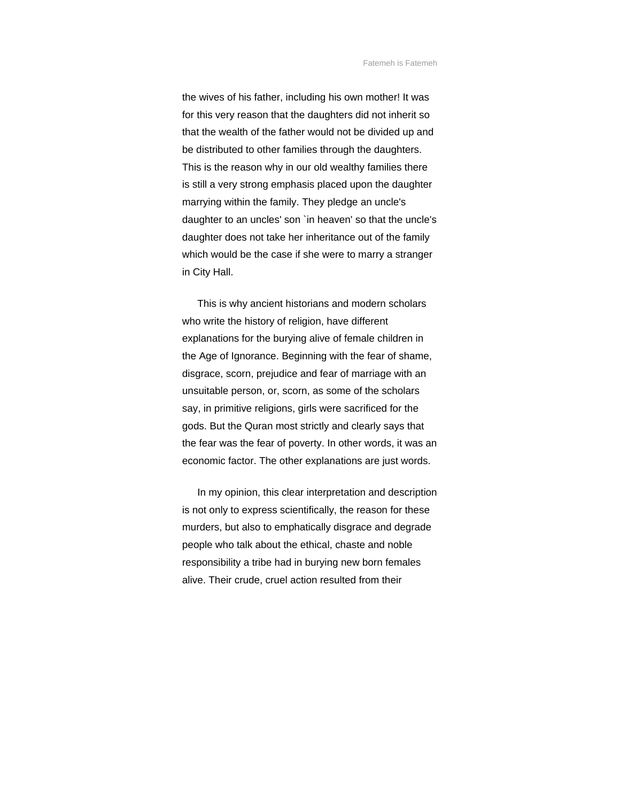the wives of his father, including his own mother! It was for this very reason that the daughters did not inherit so that the wealth of the father would not be divided up and be distributed to other families through the daughters. This is the reason why in our old wealthy families there is still a very strong emphasis placed upon the daughter marrying within the family. They pledge an uncle's daughter to an uncles' son `in heaven' so that the uncle's daughter does not take her inheritance out of the family which would be the case if she were to marry a stranger in City Hall.

This is why ancient historians and modern scholars who write the history of religion, have different explanations for the burying alive of female children in the Age of Ignorance. Beginning with the fear of shame, disgrace, scorn, prejudice and fear of marriage with an unsuitable person, or, scorn, as some of the scholars say, in primitive religions, girls were sacrificed for the gods. But the Quran most strictly and clearly says that the fear was the fear of poverty. In other words, it was an economic factor. The other explanations are just words.

In my opinion, this clear interpretation and description is not only to express scientifically, the reason for these murders, but also to emphatically disgrace and degrade people who talk about the ethical, chaste and noble responsibility a tribe had in burying new born females alive. Their crude, cruel action resulted from their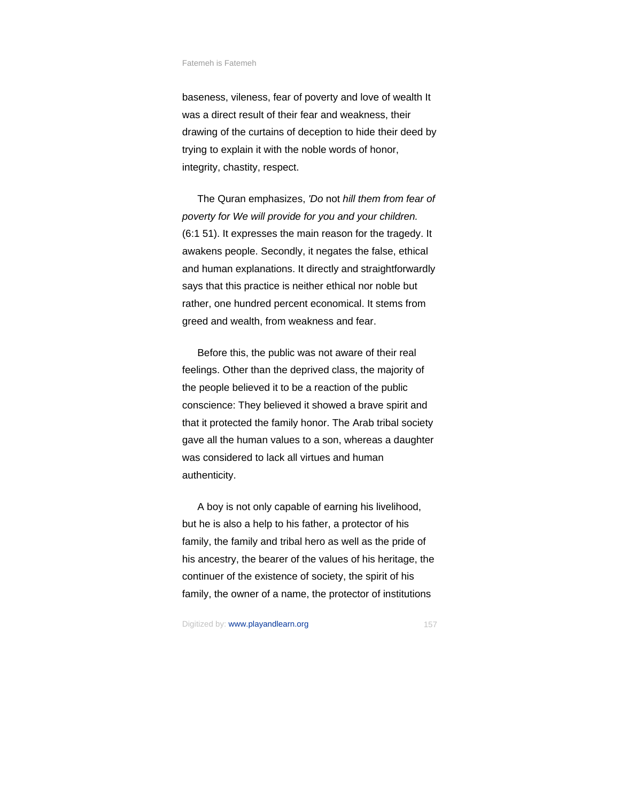#### Fatemeh is Fatemeh

baseness, vileness, fear of poverty and love of wealth It was a direct result of their fear and weakness, their drawing of the curtains of deception to hide their deed by trying to explain it with the noble words of honor, integrity, chastity, respect.

The Quran emphasizes, *'Do* not *hill them from fear of poverty for We will provide for you and your children.*  (6:1 51). It expresses the main reason for the tragedy. It awakens people. Secondly, it negates the false, ethical and human explanations. It directly and straightforwardly says that this practice is neither ethical nor noble but rather, one hundred percent economical. It stems from greed and wealth, from weakness and fear.

Before this, the public was not aware of their real feelings. Other than the deprived class, the majority of the people believed it to be a reaction of the public conscience: They believed it showed a brave spirit and that it protected the family honor. The Arab tribal society gave all the human values to a son, whereas a daughter was considered to lack all virtues and human authenticity.

A boy is not only capable of earning his livelihood, but he is also a help to his father, a protector of his family, the family and tribal hero as well as the pride of his ancestry, the bearer of the values of his heritage, the continuer of the existence of society, the spirit of his family, the owner of a name, the protector of institutions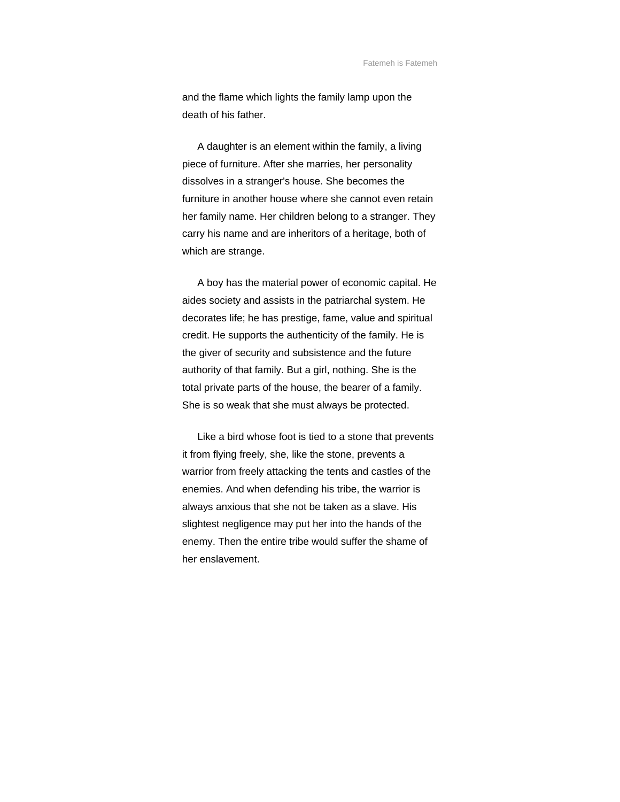Fatemeh is Fatemeh

and the flame which lights the family lamp upon the death of his father.

A daughter is an element within the family, a living piece of furniture. After she marries, her personality dissolves in a stranger's house. She becomes the furniture in another house where she cannot even retain her family name. Her children belong to a stranger. They carry his name and are inheritors of a heritage, both of which are strange.

A boy has the material power of economic capital. He aides society and assists in the patriarchal system. He decorates life; he has prestige, fame, value and spiritual credit. He supports the authenticity of the family. He is the giver of security and subsistence and the future authority of that family. But a girl, nothing. She is the total private parts of the house, the bearer of a family. She is so weak that she must always be protected.

Like a bird whose foot is tied to a stone that prevents it from flying freely, she, like the stone, prevents a warrior from freely attacking the tents and castles of the enemies. And when defending his tribe, the warrior is always anxious that she not be taken as a slave. His slightest negligence may put her into the hands of the enemy. Then the entire tribe would suffer the shame of her enslavement.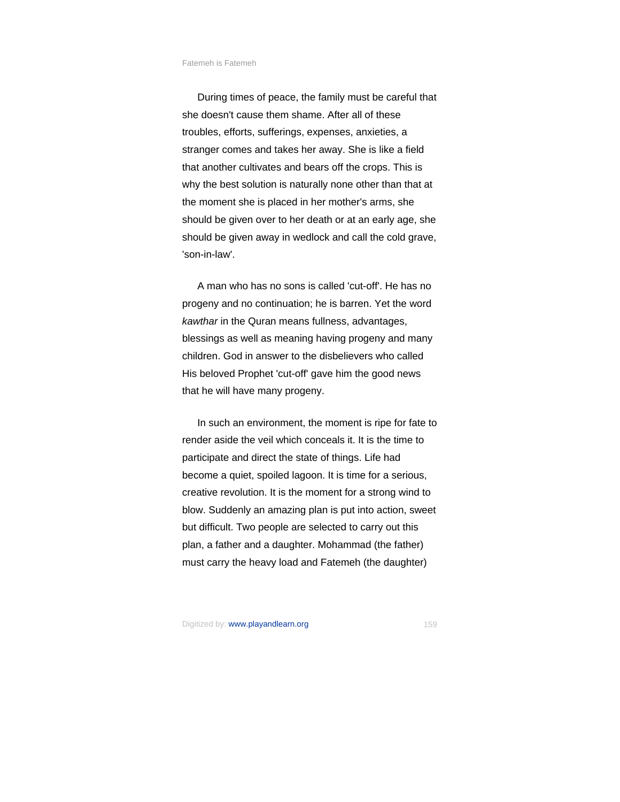During times of peace, the family must be careful that she doesn't cause them shame. After all of these troubles, efforts, sufferings, expenses, anxieties, a stranger comes and takes her away. She is like a field that another cultivates and bears off the crops. This is why the best solution is naturally none other than that at the moment she is placed in her mother's arms, she should be given over to her death or at an early age, she should be given away in wedlock and call the cold grave, 'son-in-law'.

A man who has no sons is called 'cut-off'. He has no progeny and no continuation; he is barren. Yet the word *kawthar* in the Quran means fullness, advantages, blessings as well as meaning having progeny and many children. God in answer to the disbelievers who called His beloved Prophet 'cut-off' gave him the good news that he will have many progeny.

In such an environment, the moment is ripe for fate to render aside the veil which conceals it. It is the time to participate and direct the state of things. Life had become a quiet, spoiled lagoon. It is time for a serious, creative revolution. It is the moment for a strong wind to blow. Suddenly an amazing plan is put into action, sweet but difficult. Two people are selected to carry out this plan, a father and a daughter. Mohammad (the father) must carry the heavy load and Fatemeh (the daughter)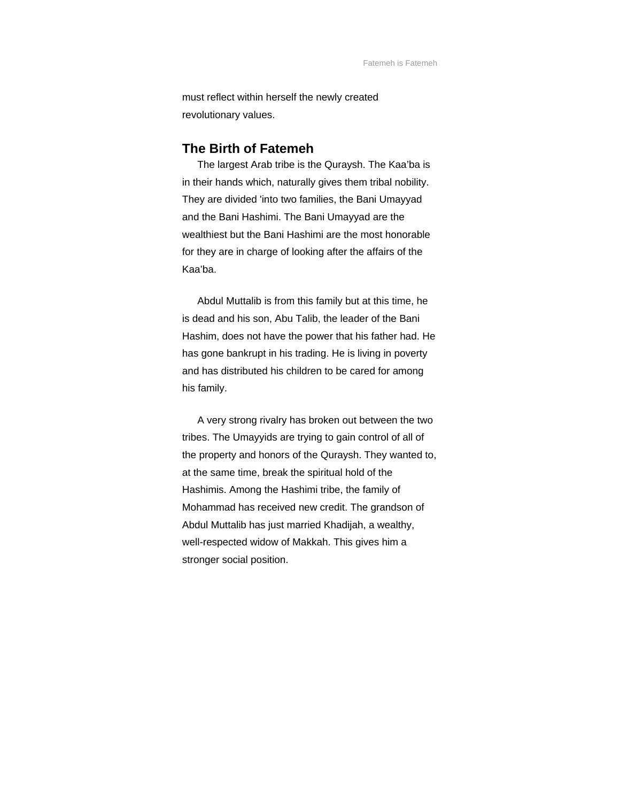must reflect within herself the newly created revolutionary values.

# **The Birth of Fatemeh**

The largest Arab tribe is the Quraysh. The Kaa'ba is in their hands which, naturally gives them tribal nobility. They are divided 'into two families, the Bani Umayyad and the Bani Hashimi. The Bani Umayyad are the wealthiest but the Bani Hashimi are the most honorable for they are in charge of looking after the affairs of the Kaa'ba.

Abdul Muttalib is from this family but at this time, he is dead and his son, Abu Talib, the leader of the Bani Hashim, does not have the power that his father had. He has gone bankrupt in his trading. He is living in poverty and has distributed his children to be cared for among his family.

A very strong rivalry has broken out between the two tribes. The Umayyids are trying to gain control of all of the property and honors of the Quraysh. They wanted to, at the same time, break the spiritual hold of the Hashimis. Among the Hashimi tribe, the family of Mohammad has received new credit. The grandson of Abdul Muttalib has just married Khadijah, a wealthy, well-respected widow of Makkah. This gives him a stronger social position.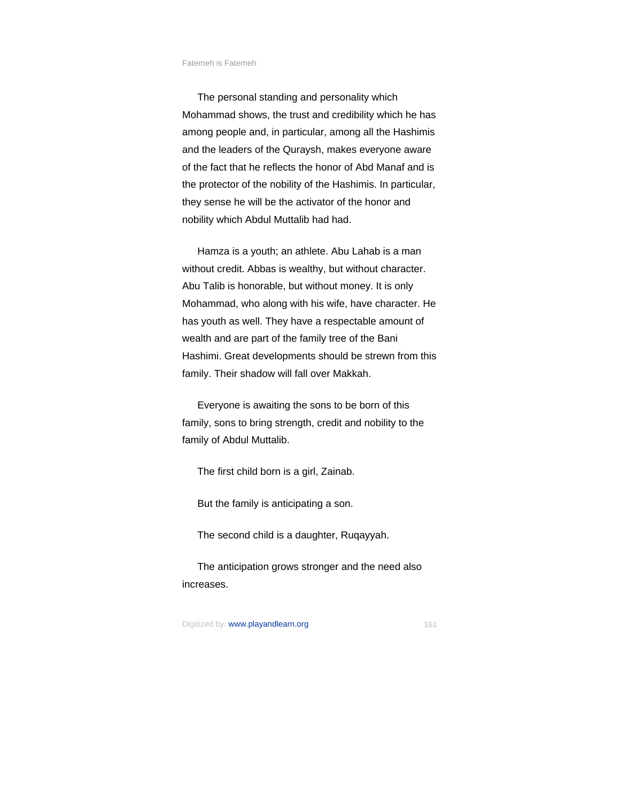The personal standing and personality which Mohammad shows, the trust and credibility which he has among people and, in particular, among all the Hashimis and the leaders of the Quraysh, makes everyone aware of the fact that he reflects the honor of Abd Manaf and is the protector of the nobility of the Hashimis. In particular, they sense he will be the activator of the honor and nobility which Abdul Muttalib had had.

Hamza is a youth; an athlete. Abu Lahab is a man without credit. Abbas is wealthy, but without character. Abu Talib is honorable, but without money. It is only Mohammad, who along with his wife, have character. He has youth as well. They have a respectable amount of wealth and are part of the family tree of the Bani Hashimi. Great developments should be strewn from this family. Their shadow will fall over Makkah.

Everyone is awaiting the sons to be born of this family, sons to bring strength, credit and nobility to the family of Abdul Muttalib.

The first child born is a girl, Zainab.

But the family is anticipating a son.

The second child is a daughter, Ruqayyah.

The anticipation grows stronger and the need also increases.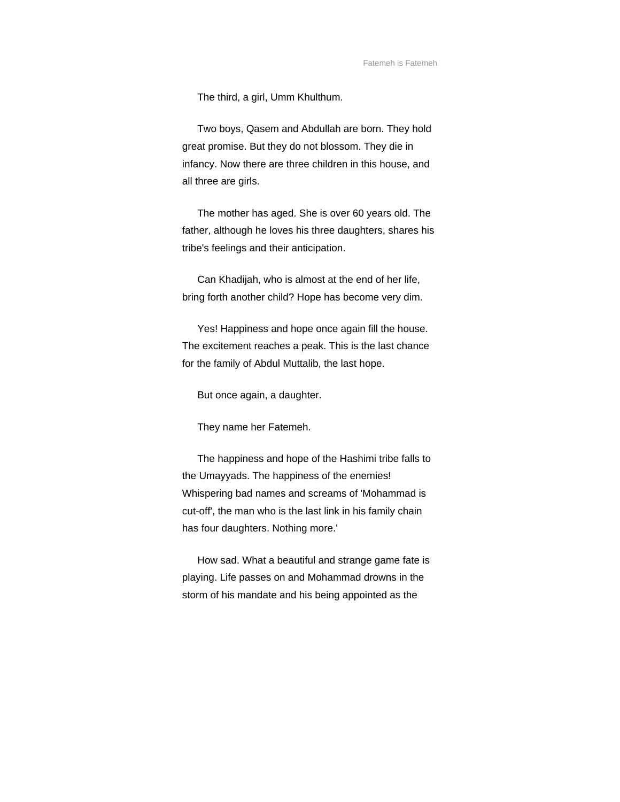The third, a girl, Umm Khulthum.

Two boys, Qasem and Abdullah are born. They hold great promise. But they do not blossom. They die in infancy. Now there are three children in this house, and all three are girls.

The mother has aged. She is over 60 years old. The father, although he loves his three daughters, shares his tribe's feelings and their anticipation.

Can Khadijah, who is almost at the end of her life, bring forth another child? Hope has become very dim.

Yes! Happiness and hope once again fill the house. The excitement reaches a peak. This is the last chance for the family of Abdul Muttalib, the last hope.

But once again, a daughter.

They name her Fatemeh.

The happiness and hope of the Hashimi tribe falls to the Umayyads. The happiness of the enemies! Whispering bad names and screams of 'Mohammad is cut-off', the man who is the last link in his family chain has four daughters. Nothing more.'

How sad. What a beautiful and strange game fate is playing. Life passes on and Mohammad drowns in the storm of his mandate and his being appointed as the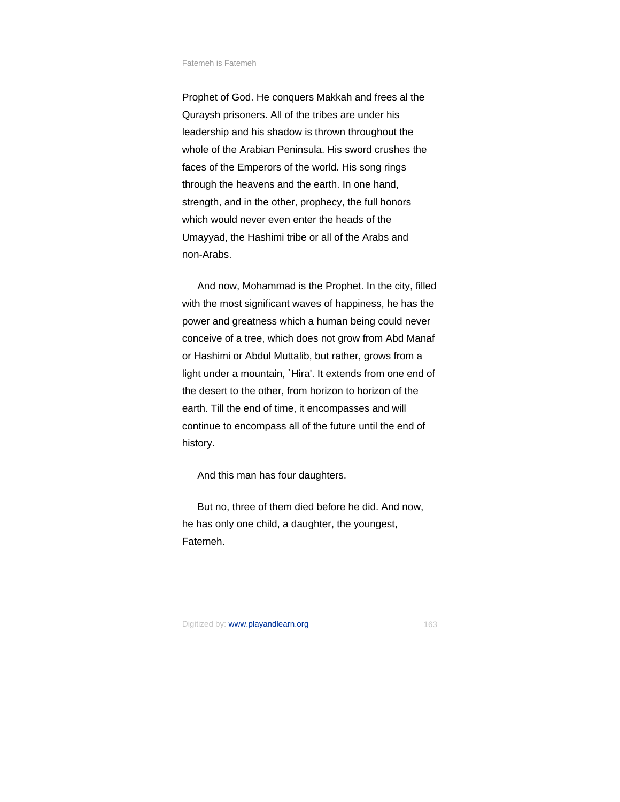Prophet of God. He conquers Makkah and frees al the Quraysh prisoners. All of the tribes are under his leadership and his shadow is thrown throughout the whole of the Arabian Peninsula. His sword crushes the faces of the Emperors of the world. His song rings through the heavens and the earth. In one hand, strength, and in the other, prophecy, the full honors which would never even enter the heads of the Umayyad, the Hashimi tribe or all of the Arabs and non-Arabs.

And now, Mohammad is the Prophet. In the city, filled with the most significant waves of happiness, he has the power and greatness which a human being could never conceive of a tree, which does not grow from Abd Manaf or Hashimi or Abdul Muttalib, but rather, grows from a light under a mountain, `Hira'. It extends from one end of the desert to the other, from horizon to horizon of the earth. Till the end of time, it encompasses and will continue to encompass all of the future until the end of history.

And this man has four daughters.

But no, three of them died before he did. And now, he has only one child, a daughter, the youngest, Fatemeh.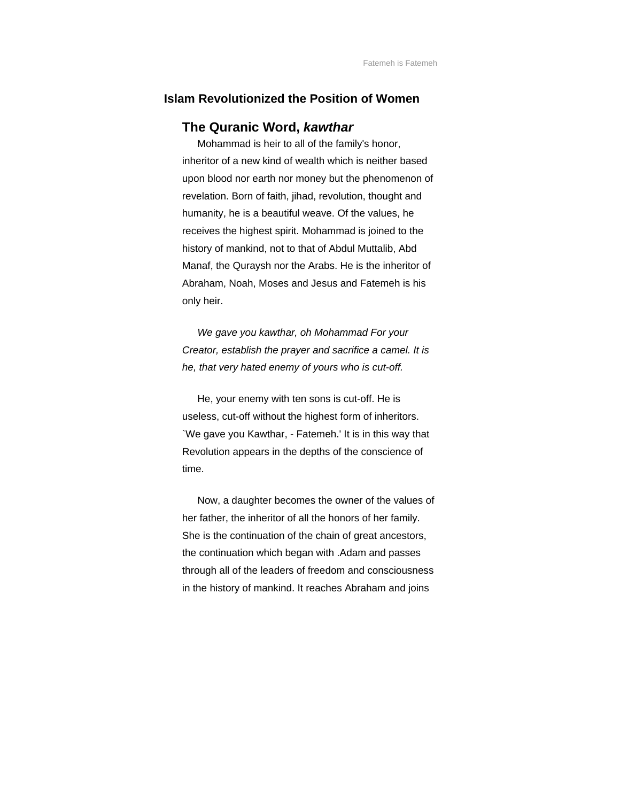#### **Islam Revolutionized the Position of Women**

## **The Quranic Word,** *kawthar*

Mohammad is heir to all of the family's honor, inheritor of a new kind of wealth which is neither based upon blood nor earth nor money but the phenomenon of revelation. Born of faith, jihad, revolution, thought and humanity, he is a beautiful weave. Of the values, he receives the highest spirit. Mohammad is joined to the history of mankind, not to that of Abdul Muttalib, Abd Manaf, the Quraysh nor the Arabs. He is the inheritor of Abraham, Noah, Moses and Jesus and Fatemeh is his only heir.

*We gave you kawthar, oh Mohammad For your Creator, establish the prayer and sacrifice a camel. It is he, that very hated enemy of yours who is cut-off.*

He, your enemy with ten sons is cut-off. He is useless, cut-off without the highest form of inheritors. `We gave you Kawthar, - Fatemeh.' It is in this way that Revolution appears in the depths of the conscience of time.

Now, a daughter becomes the owner of the values of her father, the inheritor of all the honors of her family. She is the continuation of the chain of great ancestors, the continuation which began with .Adam and passes through all of the leaders of freedom and consciousness in the history of mankind. It reaches Abraham and joins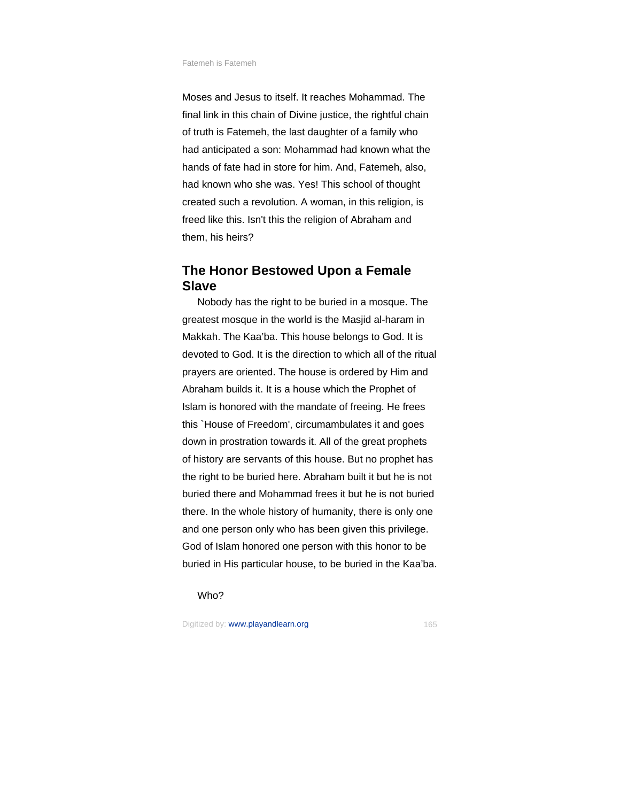Moses and Jesus to itself. It reaches Mohammad. The final link in this chain of Divine justice, the rightful chain of truth is Fatemeh, the last daughter of a family who had anticipated a son: Mohammad had known what the hands of fate had in store for him. And, Fatemeh, also, had known who she was. Yes! This school of thought created such a revolution. A woman, in this religion, is freed like this. Isn't this the religion of Abraham and them, his heirs?

## **The Honor Bestowed Upon a Female Slave**

Nobody has the right to be buried in a mosque. The greatest mosque in the world is the Masjid al-haram in Makkah. The Kaa'ba. This house belongs to God. It is devoted to God. It is the direction to which all of the ritual prayers are oriented. The house is ordered by Him and Abraham builds it. It is a house which the Prophet of Islam is honored with the mandate of freeing. He frees this `House of Freedom', circumambulates it and goes down in prostration towards it. All of the great prophets of history are servants of this house. But no prophet has the right to be buried here. Abraham built it but he is not buried there and Mohammad frees it but he is not buried there. In the whole history of humanity, there is only one and one person only who has been given this privilege. God of Islam honored one person with this honor to be buried in His particular house, to be buried in the Kaa'ba.

Who?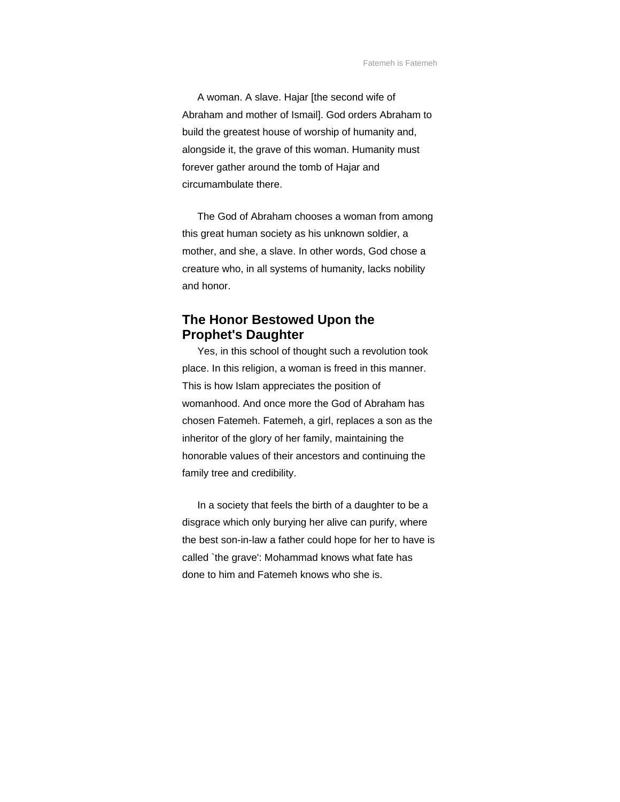A woman. A slave. Hajar [the second wife of Abraham and mother of Ismail]. God orders Abraham to build the greatest house of worship of humanity and, alongside it, the grave of this woman. Humanity must forever gather around the tomb of Hajar and circumambulate there.

The God of Abraham chooses a woman from among this great human society as his unknown soldier, a mother, and she, a slave. In other words, God chose a creature who, in all systems of humanity, lacks nobility and honor.

## **The Honor Bestowed Upon the Prophet's Daughter**

Yes, in this school of thought such a revolution took place. In this religion, a woman is freed in this manner. This is how Islam appreciates the position of womanhood. And once more the God of Abraham has chosen Fatemeh. Fatemeh, a girl, replaces a son as the inheritor of the glory of her family, maintaining the honorable values of their ancestors and continuing the family tree and credibility.

In a society that feels the birth of a daughter to be a disgrace which only burying her alive can purify, where the best son-in-law a father could hope for her to have is called `the grave': Mohammad knows what fate has done to him and Fatemeh knows who she is.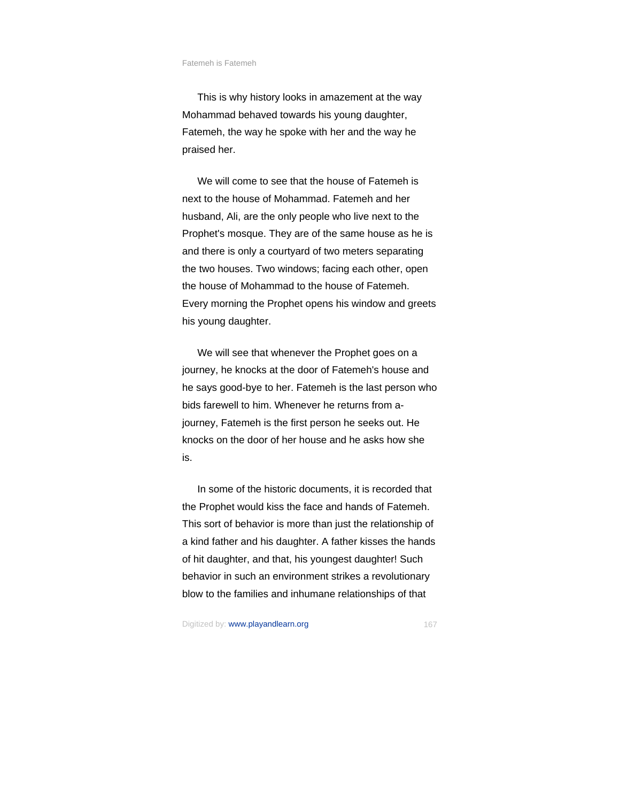This is why history looks in amazement at the way Mohammad behaved towards his young daughter, Fatemeh, the way he spoke with her and the way he praised her.

We will come to see that the house of Fatemeh is next to the house of Mohammad. Fatemeh and her husband, Ali, are the only people who live next to the Prophet's mosque. They are of the same house as he is and there is only a courtyard of two meters separating the two houses. Two windows; facing each other, open the house of Mohammad to the house of Fatemeh. Every morning the Prophet opens his window and greets his young daughter.

We will see that whenever the Prophet goes on a journey, he knocks at the door of Fatemeh's house and he says good-bye to her. Fatemeh is the last person who bids farewell to him. Whenever he returns from ajourney, Fatemeh is the first person he seeks out. He knocks on the door of her house and he asks how she is.

In some of the historic documents, it is recorded that the Prophet would kiss the face and hands of Fatemeh. This sort of behavior is more than just the relationship of a kind father and his daughter. A father kisses the hands of hit daughter, and that, his youngest daughter! Such behavior in such an environment strikes a revolutionary blow to the families and inhumane relationships of that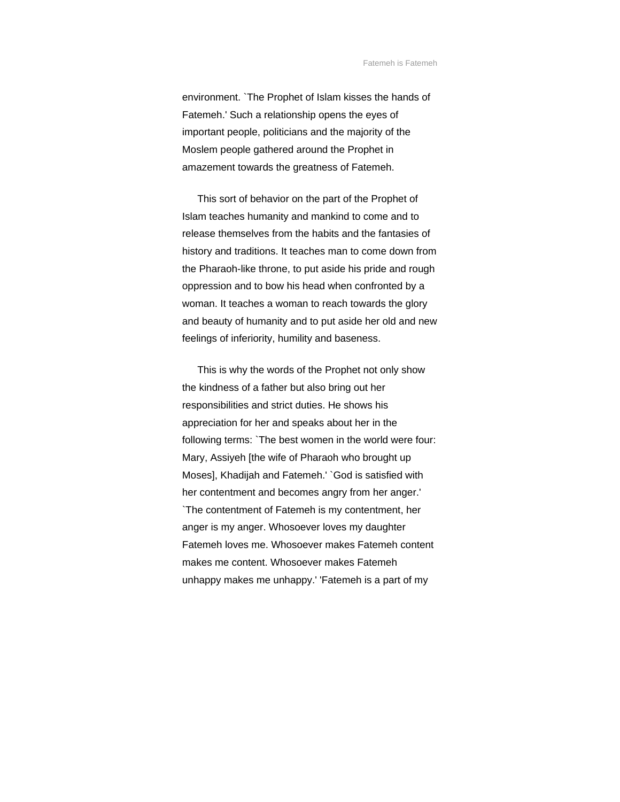environment. `The Prophet of Islam kisses the hands of Fatemeh.' Such a relationship opens the eyes of important people, politicians and the majority of the Moslem people gathered around the Prophet in amazement towards the greatness of Fatemeh.

This sort of behavior on the part of the Prophet of Islam teaches humanity and mankind to come and to release themselves from the habits and the fantasies of history and traditions. It teaches man to come down from the Pharaoh-like throne, to put aside his pride and rough oppression and to bow his head when confronted by a woman. It teaches a woman to reach towards the glory and beauty of humanity and to put aside her old and new feelings of inferiority, humility and baseness.

This is why the words of the Prophet not only show the kindness of a father but also bring out her responsibilities and strict duties. He shows his appreciation for her and speaks about her in the following terms: `The best women in the world were four: Mary, Assiyeh [the wife of Pharaoh who brought up Moses], Khadijah and Fatemeh.' `God is satisfied with her contentment and becomes angry from her anger.' `The contentment of Fatemeh is my contentment, her anger is my anger. Whosoever loves my daughter Fatemeh loves me. Whosoever makes Fatemeh content makes me content. Whosoever makes Fatemeh unhappy makes me unhappy.' 'Fatemeh is a part of my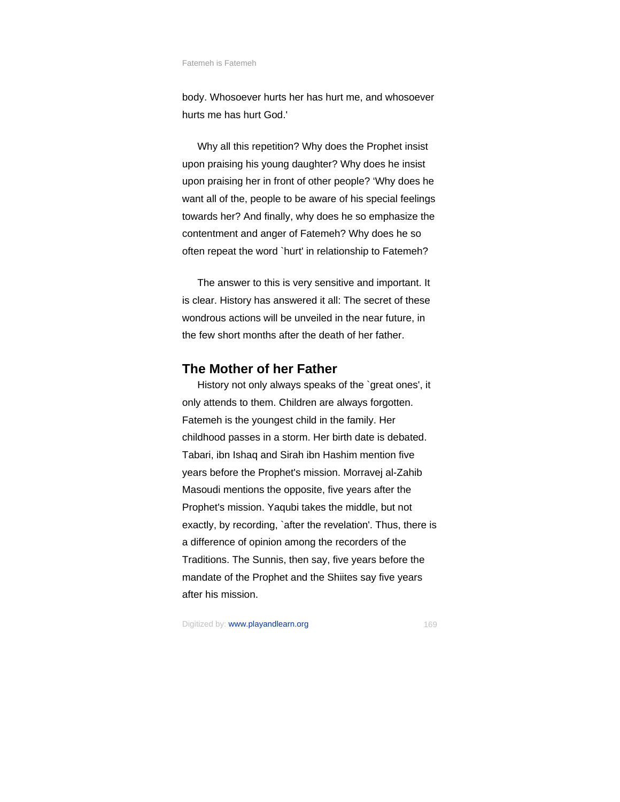body. Whosoever hurts her has hurt me, and whosoever hurts me has hurt God.'

Why all this repetition? Why does the Prophet insist upon praising his young daughter? Why does he insist upon praising her in front of other people? 'Why does he want all of the, people to be aware of his special feelings towards her? And finally, why does he so emphasize the contentment and anger of Fatemeh? Why does he so often repeat the word `hurt' in relationship to Fatemeh?

The answer to this is very sensitive and important. It is clear. History has answered it all: The secret of these wondrous actions will be unveiled in the near future, in the few short months after the death of her father.

## **The Mother of her Father**

History not only always speaks of the `great ones', it only attends to them. Children are always forgotten. Fatemeh is the youngest child in the family. Her childhood passes in a storm. Her birth date is debated. Tabari, ibn Ishaq and Sirah ibn Hashim mention five years before the Prophet's mission. Morravej al-Zahib Masoudi mentions the opposite, five years after the Prophet's mission. Yaqubi takes the middle, but not exactly, by recording, `after the revelation'. Thus, there is a difference of opinion among the recorders of the Traditions. The Sunnis, then say, five years before the mandate of the Prophet and the Shiites say five years after his mission.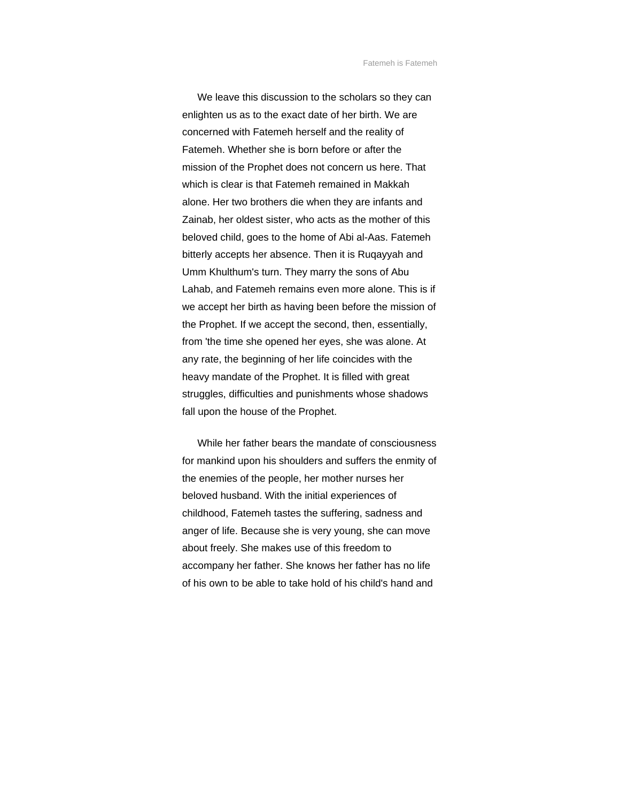We leave this discussion to the scholars so they can enlighten us as to the exact date of her birth. We are concerned with Fatemeh herself and the reality of Fatemeh. Whether she is born before or after the mission of the Prophet does not concern us here. That which is clear is that Fatemeh remained in Makkah alone. Her two brothers die when they are infants and Zainab, her oldest sister, who acts as the mother of this beloved child, goes to the home of Abi al-Aas. Fatemeh bitterly accepts her absence. Then it is Ruqayyah and Umm Khulthum's turn. They marry the sons of Abu Lahab, and Fatemeh remains even more alone. This is if we accept her birth as having been before the mission of the Prophet. If we accept the second, then, essentially, from 'the time she opened her eyes, she was alone. At any rate, the beginning of her life coincides with the heavy mandate of the Prophet. It is filled with great struggles, difficulties and punishments whose shadows fall upon the house of the Prophet.

While her father bears the mandate of consciousness for mankind upon his shoulders and suffers the enmity of the enemies of the people, her mother nurses her beloved husband. With the initial experiences of childhood, Fatemeh tastes the suffering, sadness and anger of life. Because she is very young, she can move about freely. She makes use of this freedom to accompany her father. She knows her father has no life of his own to be able to take hold of his child's hand and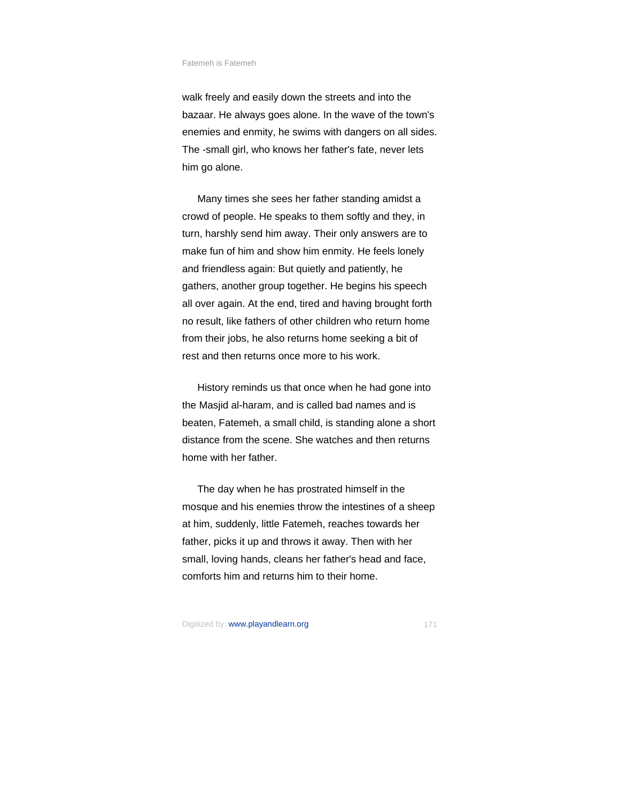walk freely and easily down the streets and into the bazaar. He always goes alone. In the wave of the town's enemies and enmity, he swims with dangers on all sides. The -small girl, who knows her father's fate, never lets him go alone.

Many times she sees her father standing amidst a crowd of people. He speaks to them softly and they, in turn, harshly send him away. Their only answers are to make fun of him and show him enmity. He feels lonely and friendless again: But quietly and patiently, he gathers, another group together. He begins his speech all over again. At the end, tired and having brought forth no result, like fathers of other children who return home from their jobs, he also returns home seeking a bit of rest and then returns once more to his work.

History reminds us that once when he had gone into the Masjid al-haram, and is called bad names and is beaten, Fatemeh, a small child, is standing alone a short distance from the scene. She watches and then returns home with her father.

The day when he has prostrated himself in the mosque and his enemies throw the intestines of a sheep at him, suddenly, little Fatemeh, reaches towards her father, picks it up and throws it away. Then with her small, loving hands, cleans her father's head and face, comforts him and returns him to their home.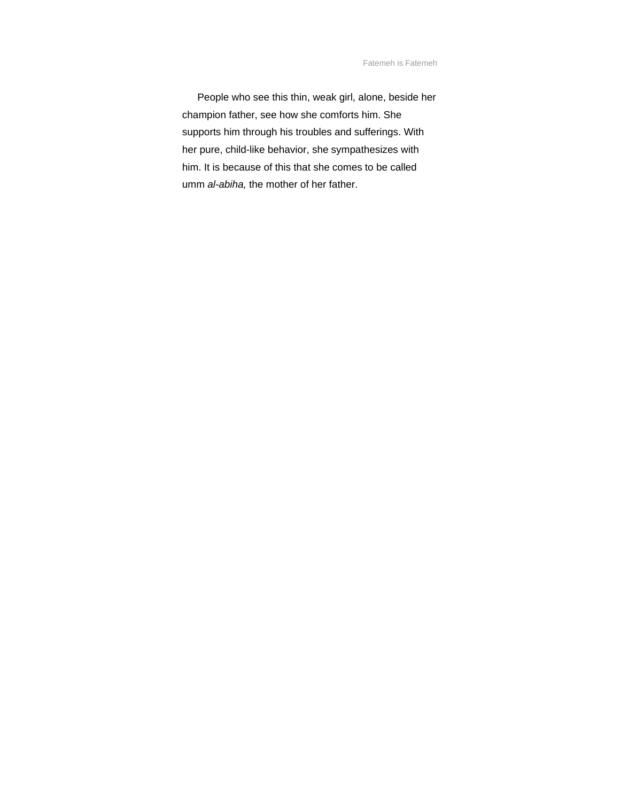People who see this thin, weak girl, alone, beside her champion father, see how she comforts him. She supports him through his troubles and sufferings. With her pure, child-like behavior, she sympathesizes with him. It is because of this that she comes to be called umm *al-abiha,* the mother of her father.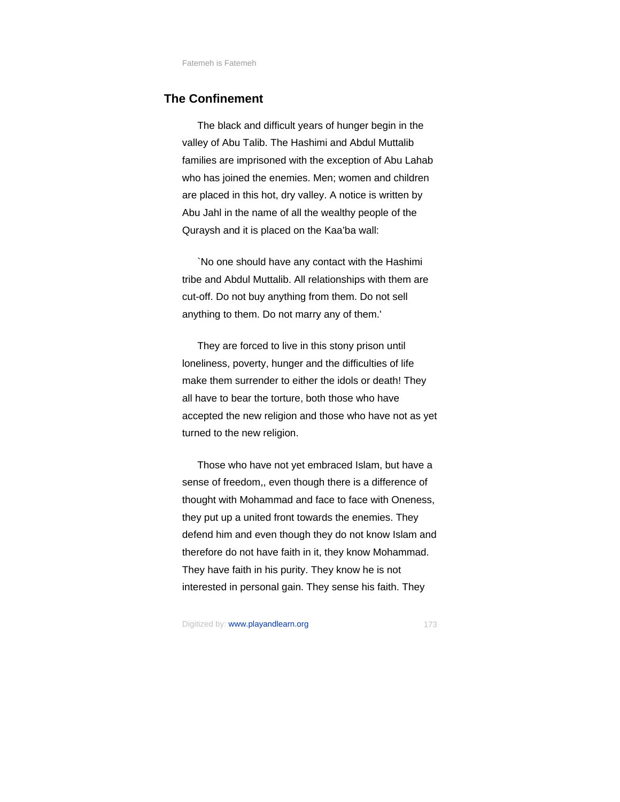## **The Confinement**

The black and difficult years of hunger begin in the valley of Abu Talib. The Hashimi and Abdul Muttalib families are imprisoned with the exception of Abu Lahab who has joined the enemies. Men; women and children are placed in this hot, dry valley. A notice is written by Abu Jahl in the name of all the wealthy people of the Quraysh and it is placed on the Kaa'ba wall:

`No one should have any contact with the Hashimi tribe and Abdul Muttalib. All relationships with them are cut-off. Do not buy anything from them. Do not sell anything to them. Do not marry any of them.'

They are forced to live in this stony prison until loneliness, poverty, hunger and the difficulties of life make them surrender to either the idols or death! They all have to bear the torture, both those who have accepted the new religion and those who have not as yet turned to the new religion.

Those who have not yet embraced Islam, but have a sense of freedom,, even though there is a difference of thought with Mohammad and face to face with Oneness, they put up a united front towards the enemies. They defend him and even though they do not know Islam and therefore do not have faith in it, they know Mohammad. They have faith in his purity. They know he is not interested in personal gain. They sense his faith. They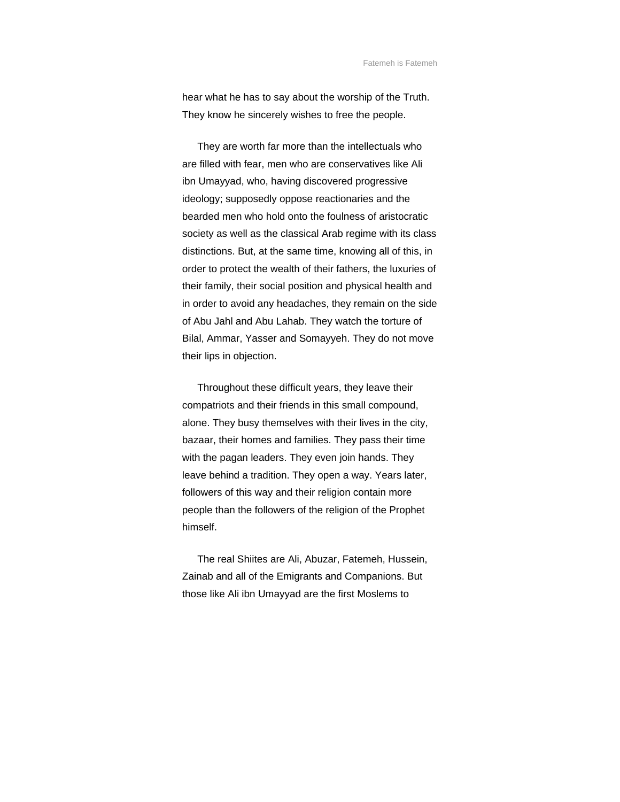hear what he has to say about the worship of the Truth. They know he sincerely wishes to free the people.

They are worth far more than the intellectuals who are filled with fear, men who are conservatives like Ali ibn Umayyad, who, having discovered progressive ideology; supposedly oppose reactionaries and the bearded men who hold onto the foulness of aristocratic society as well as the classical Arab regime with its class distinctions. But, at the same time, knowing all of this, in order to protect the wealth of their fathers, the luxuries of their family, their social position and physical health and in order to avoid any headaches, they remain on the side of Abu Jahl and Abu Lahab. They watch the torture of Bilal, Ammar, Yasser and Somayyeh. They do not move their lips in objection.

Throughout these difficult years, they leave their compatriots and their friends in this small compound, alone. They busy themselves with their lives in the city, bazaar, their homes and families. They pass their time with the pagan leaders. They even join hands. They leave behind a tradition. They open a way. Years later, followers of this way and their religion contain more people than the followers of the religion of the Prophet himself.

The real Shiites are Ali, Abuzar, Fatemeh, Hussein, Zainab and all of the Emigrants and Companions. But those like Ali ibn Umayyad are the first Moslems to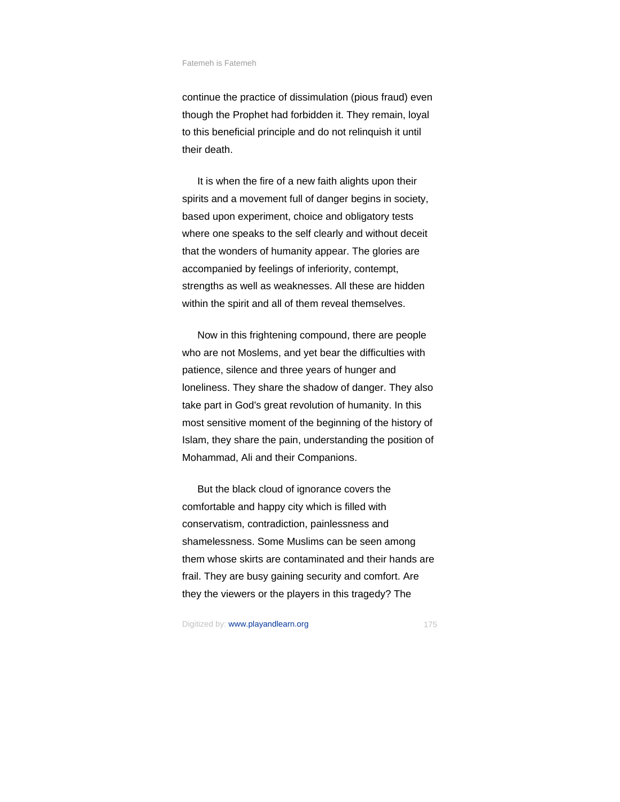continue the practice of dissimulation (pious fraud) even though the Prophet had forbidden it. They remain, loyal to this beneficial principle and do not relinquish it until their death.

It is when the fire of a new faith alights upon their spirits and a movement full of danger begins in society, based upon experiment, choice and obligatory tests where one speaks to the self clearly and without deceit that the wonders of humanity appear. The glories are accompanied by feelings of inferiority, contempt, strengths as well as weaknesses. All these are hidden within the spirit and all of them reveal themselves.

Now in this frightening compound, there are people who are not Moslems, and yet bear the difficulties with patience, silence and three years of hunger and loneliness. They share the shadow of danger. They also take part in God's great revolution of humanity. In this most sensitive moment of the beginning of the history of Islam, they share the pain, understanding the position of Mohammad, Ali and their Companions.

But the black cloud of ignorance covers the comfortable and happy city which is filled with conservatism, contradiction, painlessness and shamelessness. Some Muslims can be seen among them whose skirts are contaminated and their hands are frail. They are busy gaining security and comfort. Are they the viewers or the players in this tragedy? The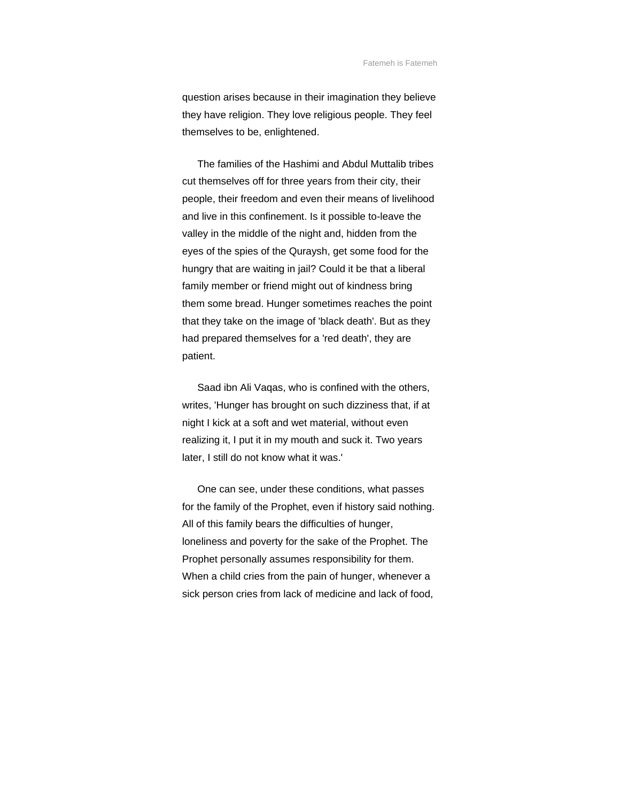question arises because in their imagination they believe they have religion. They love religious people. They feel themselves to be, enlightened.

The families of the Hashimi and Abdul Muttalib tribes cut themselves off for three years from their city, their people, their freedom and even their means of livelihood and live in this confinement. Is it possible to-leave the valley in the middle of the night and, hidden from the eyes of the spies of the Quraysh, get some food for the hungry that are waiting in jail? Could it be that a liberal family member or friend might out of kindness bring them some bread. Hunger sometimes reaches the point that they take on the image of 'black death'. But as they had prepared themselves for a 'red death', they are patient.

Saad ibn Ali Vaqas, who is confined with the others, writes, 'Hunger has brought on such dizziness that, if at night I kick at a soft and wet material, without even realizing it, I put it in my mouth and suck it. Two years later, I still do not know what it was.'

One can see, under these conditions, what passes for the family of the Prophet, even if history said nothing. All of this family bears the difficulties of hunger, loneliness and poverty for the sake of the Prophet. The Prophet personally assumes responsibility for them. When a child cries from the pain of hunger, whenever a sick person cries from lack of medicine and lack of food,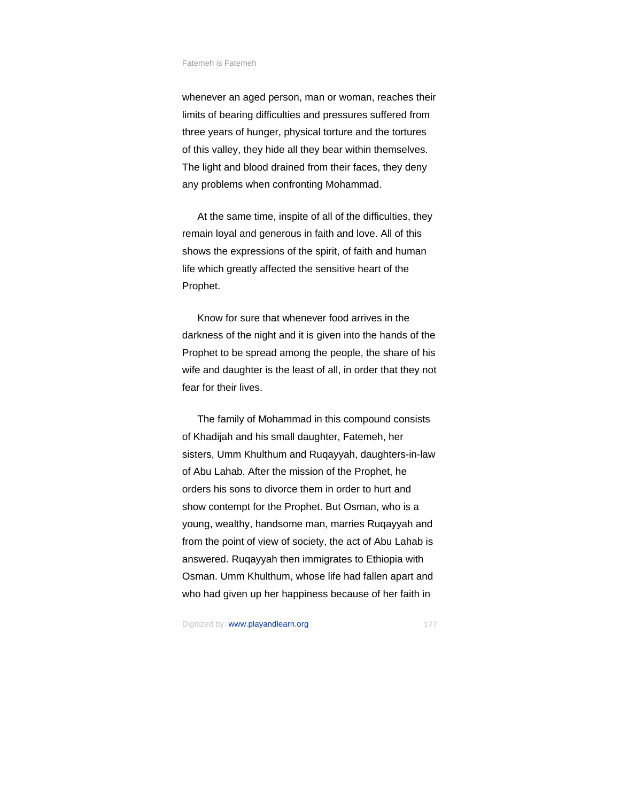whenever an aged person, man or woman, reaches their limits of bearing difficulties and pressures suffered from three years of hunger, physical torture and the tortures of this valley, they hide all they bear within themselves. The light and blood drained from their faces, they deny any problems when confronting Mohammad.

At the same time, inspite of all of the difficulties, they remain loyal and generous in faith and love. All of this shows the expressions of the spirit, of faith and human life which greatly affected the sensitive heart of the Prophet.

Know for sure that whenever food arrives in the darkness of the night and it is given into the hands of the Prophet to be spread among the people, the share of his wife and daughter is the least of all, in order that they not fear for their lives.

The family of Mohammad in this compound consists of Khadijah and his small daughter, Fatemeh, her sisters, Umm Khulthum and Ruqayyah, daughters-in-law of Abu Lahab. After the mission of the Prophet, he orders his sons to divorce them in order to hurt and show contempt for the Prophet. But Osman, who is a young, wealthy, handsome man, marries Ruqayyah and from the point of view of society, the act of Abu Lahab is answered. Ruqayyah then immigrates to Ethiopia with Osman. Umm Khulthum, whose life had fallen apart and who had given up her happiness because of her faith in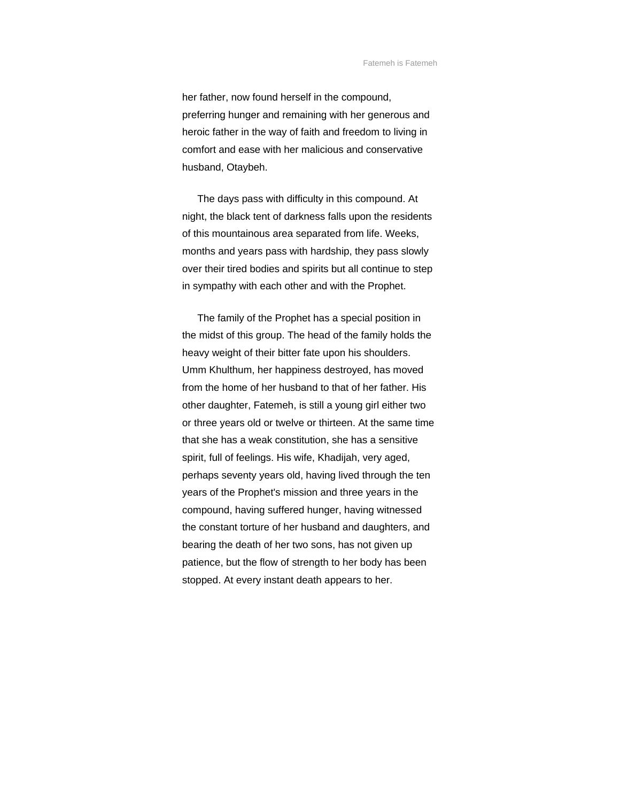her father, now found herself in the compound, preferring hunger and remaining with her generous and heroic father in the way of faith and freedom to living in comfort and ease with her malicious and conservative husband, Otaybeh.

The days pass with difficulty in this compound. At night, the black tent of darkness falls upon the residents of this mountainous area separated from life. Weeks, months and years pass with hardship, they pass slowly over their tired bodies and spirits but all continue to step in sympathy with each other and with the Prophet.

The family of the Prophet has a special position in the midst of this group. The head of the family holds the heavy weight of their bitter fate upon his shoulders. Umm Khulthum, her happiness destroyed, has moved from the home of her husband to that of her father. His other daughter, Fatemeh, is still a young girl either two or three years old or twelve or thirteen. At the same time that she has a weak constitution, she has a sensitive spirit, full of feelings. His wife, Khadijah, very aged, perhaps seventy years old, having lived through the ten years of the Prophet's mission and three years in the compound, having suffered hunger, having witnessed the constant torture of her husband and daughters, and bearing the death of her two sons, has not given up patience, but the flow of strength to her body has been stopped. At every instant death appears to her.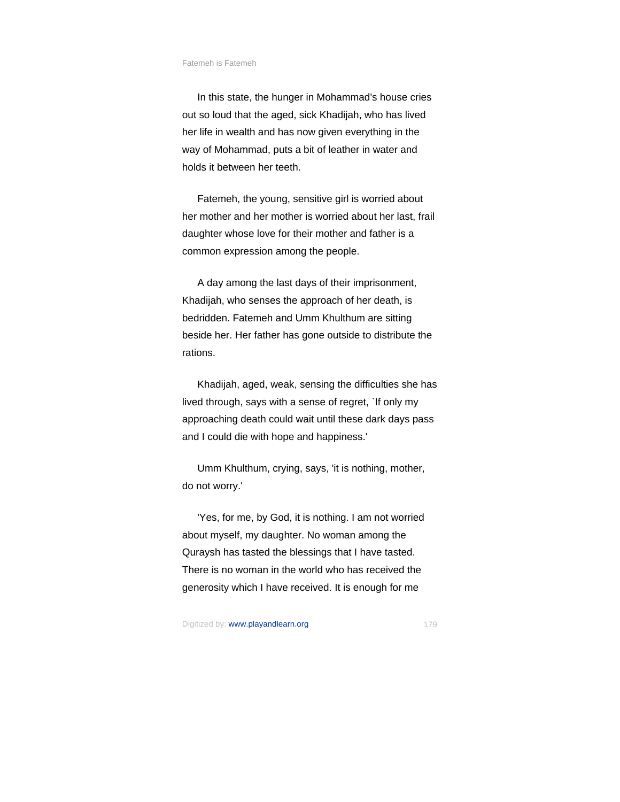In this state, the hunger in Mohammad's house cries out so loud that the aged, sick Khadijah, who has lived her life in wealth and has now given everything in the way of Mohammad, puts a bit of leather in water and holds it between her teeth.

Fatemeh, the young, sensitive girl is worried about her mother and her mother is worried about her last, frail daughter whose love for their mother and father is a common expression among the people.

A day among the last days of their imprisonment, Khadijah, who senses the approach of her death, is bedridden. Fatemeh and Umm Khulthum are sitting beside her. Her father has gone outside to distribute the rations.

Khadijah, aged, weak, sensing the difficulties she has lived through, says with a sense of regret, `If only my approaching death could wait until these dark days pass and I could die with hope and happiness.'

Umm Khulthum, crying, says, 'it is nothing, mother, do not worry.'

'Yes, for me, by God, it is nothing. I am not worried about myself, my daughter. No woman among the Quraysh has tasted the blessings that I have tasted. There is no woman in the world who has received the generosity which I have received. It is enough for me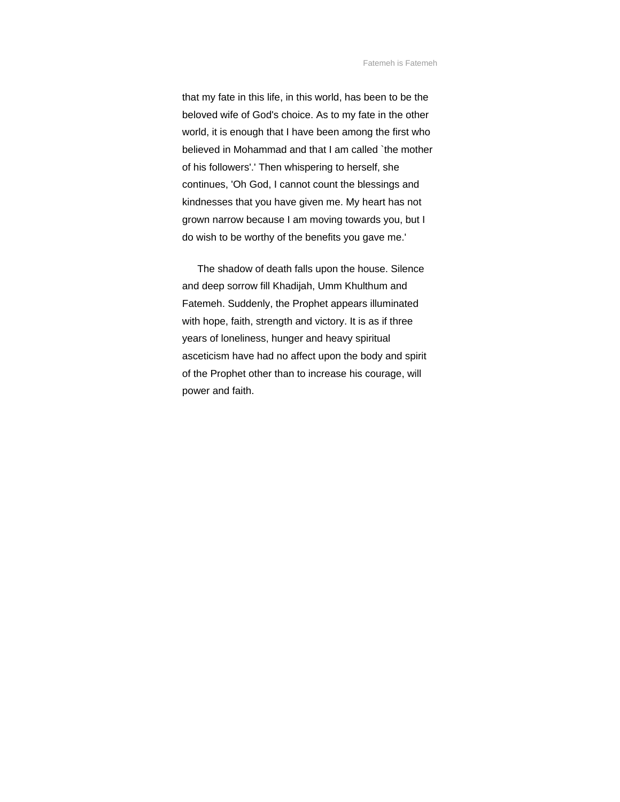that my fate in this life, in this world, has been to be the beloved wife of God's choice. As to my fate in the other world, it is enough that I have been among the first who believed in Mohammad and that I am called `the mother of his followers'.' Then whispering to herself, she continues, 'Oh God, I cannot count the blessings and kindnesses that you have given me. My heart has not grown narrow because I am moving towards you, but I do wish to be worthy of the benefits you gave me.'

The shadow of death falls upon the house. Silence and deep sorrow fill Khadijah, Umm Khulthum and Fatemeh. Suddenly, the Prophet appears illuminated with hope, faith, strength and victory. It is as if three years of loneliness, hunger and heavy spiritual asceticism have had no affect upon the body and spirit of the Prophet other than to increase his courage, will power and faith.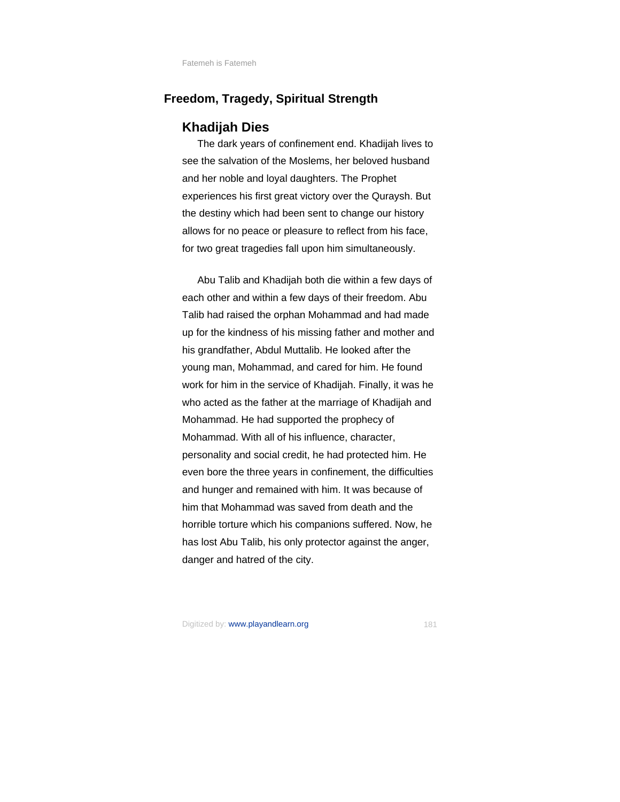### **Freedom, Tragedy, Spiritual Strength**

# **Khadijah Dies**

The dark years of confinement end. Khadijah lives to see the salvation of the Moslems, her beloved husband and her noble and loyal daughters. The Prophet experiences his first great victory over the Quraysh. But the destiny which had been sent to change our history allows for no peace or pleasure to reflect from his face, for two great tragedies fall upon him simultaneously.

Abu Talib and Khadijah both die within a few days of each other and within a few days of their freedom. Abu Talib had raised the orphan Mohammad and had made up for the kindness of his missing father and mother and his grandfather, Abdul Muttalib. He looked after the young man, Mohammad, and cared for him. He found work for him in the service of Khadijah. Finally, it was he who acted as the father at the marriage of Khadijah and Mohammad. He had supported the prophecy of Mohammad. With all of his influence, character, personality and social credit, he had protected him. He even bore the three years in confinement, the difficulties and hunger and remained with him. It was because of him that Mohammad was saved from death and the horrible torture which his companions suffered. Now, he has lost Abu Talib, his only protector against the anger, danger and hatred of the city.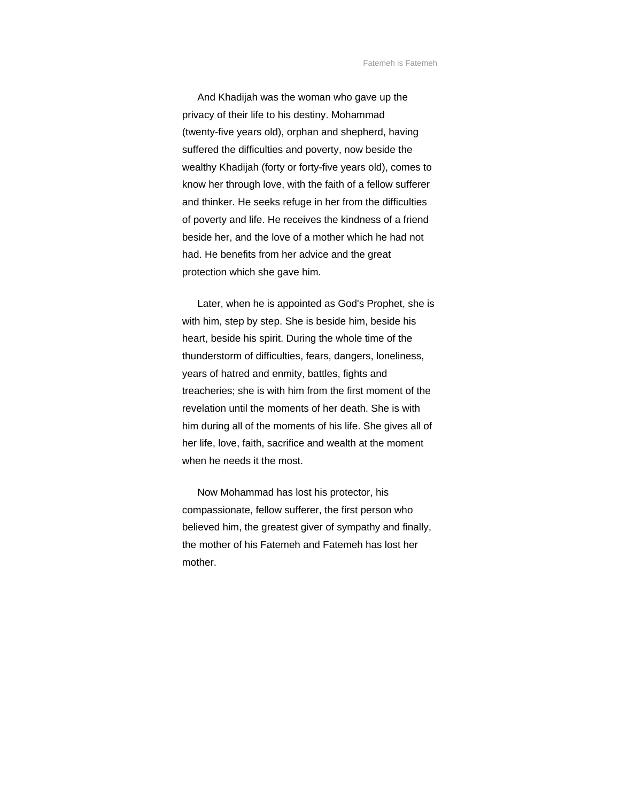And Khadijah was the woman who gave up the privacy of their life to his destiny. Mohammad (twenty-five years old), orphan and shepherd, having suffered the difficulties and poverty, now beside the wealthy Khadijah (forty or forty-five years old), comes to know her through love, with the faith of a fellow sufferer and thinker. He seeks refuge in her from the difficulties of poverty and life. He receives the kindness of a friend beside her, and the love of a mother which he had not had. He benefits from her advice and the great protection which she gave him.

Later, when he is appointed as God's Prophet, she is with him, step by step. She is beside him, beside his heart, beside his spirit. During the whole time of the thunderstorm of difficulties, fears, dangers, loneliness, years of hatred and enmity, battles, fights and treacheries; she is with him from the first moment of the revelation until the moments of her death. She is with him during all of the moments of his life. She gives all of her life, love, faith, sacrifice and wealth at the moment when he needs it the most.

Now Mohammad has lost his protector, his compassionate, fellow sufferer, the first person who believed him, the greatest giver of sympathy and finally, the mother of his Fatemeh and Fatemeh has lost her mother.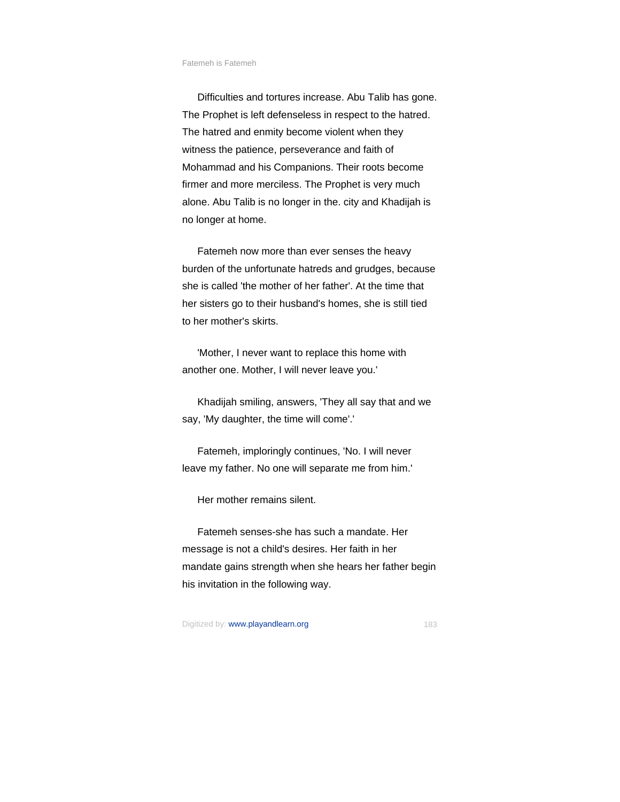Difficulties and tortures increase. Abu Talib has gone. The Prophet is left defenseless in respect to the hatred. The hatred and enmity become violent when they witness the patience, perseverance and faith of Mohammad and his Companions. Their roots become firmer and more merciless. The Prophet is very much alone. Abu Talib is no longer in the. city and Khadijah is no longer at home.

Fatemeh now more than ever senses the heavy burden of the unfortunate hatreds and grudges, because she is called 'the mother of her father'. At the time that her sisters go to their husband's homes, she is still tied to her mother's skirts.

'Mother, I never want to replace this home with another one. Mother, I will never leave you.'

Khadijah smiling, answers, 'They all say that and we say, 'My daughter, the time will come'.'

Fatemeh, imploringly continues, 'No. I will never leave my father. No one will separate me from him.'

Her mother remains silent.

Fatemeh senses-she has such a mandate. Her message is not a child's desires. Her faith in her mandate gains strength when she hears her father begin his invitation in the following way.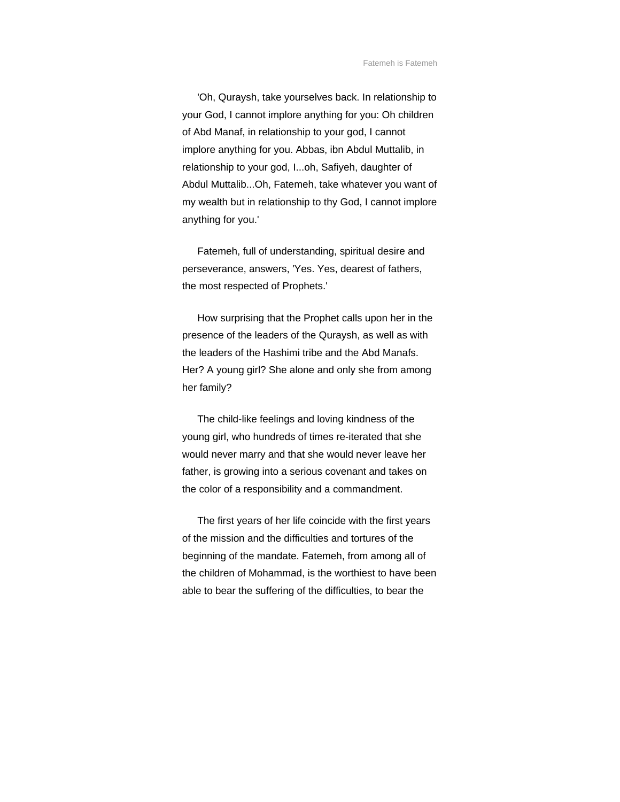'Oh, Quraysh, take yourselves back. In relationship to your God, I cannot implore anything for you: Oh children of Abd Manaf, in relationship to your god, I cannot implore anything for you. Abbas, ibn Abdul Muttalib, in relationship to your god, I...oh, Safiyeh, daughter of Abdul Muttalib...Oh, Fatemeh, take whatever you want of my wealth but in relationship to thy God, I cannot implore anything for you.'

Fatemeh, full of understanding, spiritual desire and perseverance, answers, 'Yes. Yes, dearest of fathers, the most respected of Prophets.'

How surprising that the Prophet calls upon her in the presence of the leaders of the Quraysh, as well as with the leaders of the Hashimi tribe and the Abd Manafs. Her? A young girl? She alone and only she from among her family?

The child-like feelings and loving kindness of the young girl, who hundreds of times re-iterated that she would never marry and that she would never leave her father, is growing into a serious covenant and takes on the color of a responsibility and a commandment.

The first years of her life coincide with the first years of the mission and the difficulties and tortures of the beginning of the mandate. Fatemeh, from among all of the children of Mohammad, is the worthiest to have been able to bear the suffering of the difficulties, to bear the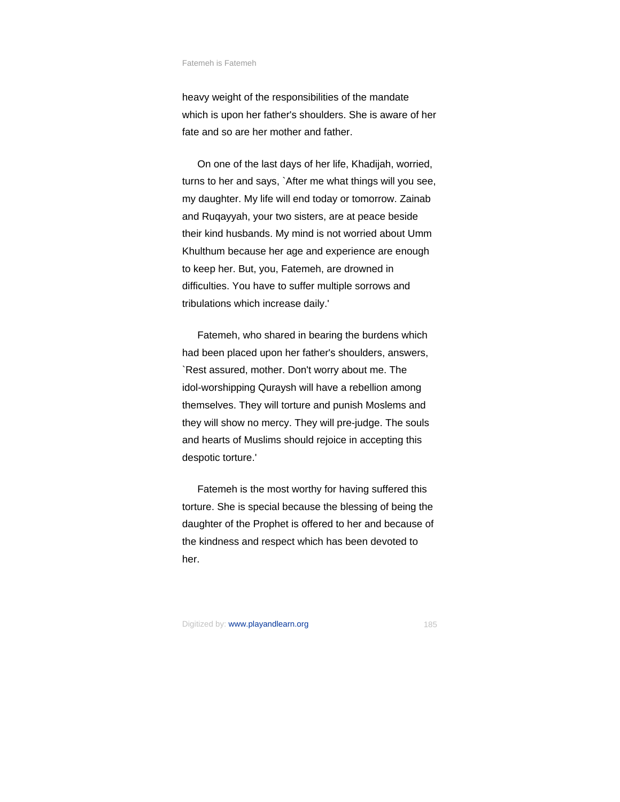#### Fatemeh is Fatemeh

heavy weight of the responsibilities of the mandate which is upon her father's shoulders. She is aware of her fate and so are her mother and father.

On one of the last days of her life, Khadijah, worried, turns to her and says, `After me what things will you see, my daughter. My life will end today or tomorrow. Zainab and Ruqayyah, your two sisters, are at peace beside their kind husbands. My mind is not worried about Umm Khulthum because her age and experience are enough to keep her. But, you, Fatemeh, are drowned in difficulties. You have to suffer multiple sorrows and tribulations which increase daily.'

Fatemeh, who shared in bearing the burdens which had been placed upon her father's shoulders, answers, `Rest assured, mother. Don't worry about me. The idol-worshipping Quraysh will have a rebellion among themselves. They will torture and punish Moslems and they will show no mercy. They will pre-judge. The souls and hearts of Muslims should rejoice in accepting this despotic torture.'

Fatemeh is the most worthy for having suffered this torture. She is special because the blessing of being the daughter of the Prophet is offered to her and because of the kindness and respect which has been devoted to her.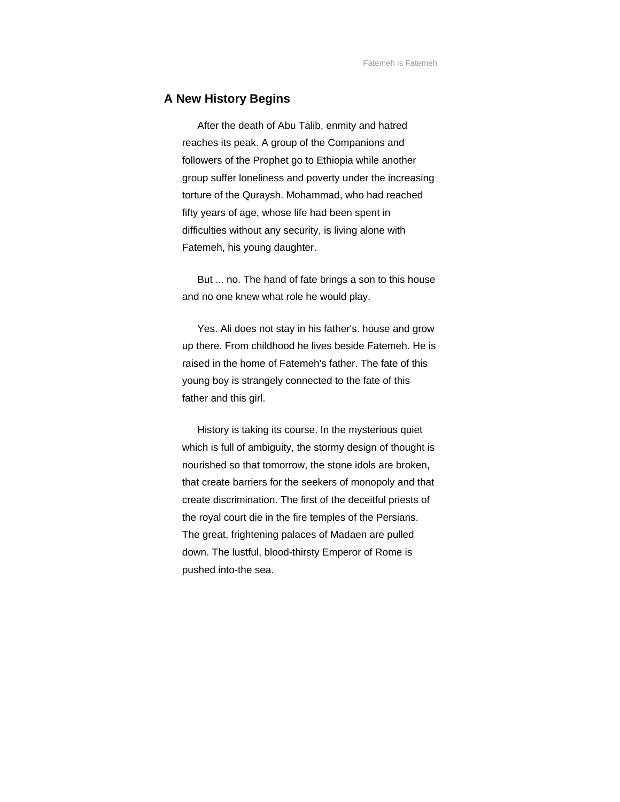## **A New History Begins**

After the death of Abu Talib, enmity and hatred reaches its peak. A group of the Companions and followers of the Prophet go to Ethiopia while another group suffer loneliness and poverty under the increasing torture of the Quraysh. Mohammad, who had reached fifty years of age, whose life had been spent in difficulties without any security, is living alone with Fatemeh, his young daughter.

But ... no. The hand of fate brings a son to this house and no one knew what role he would play.

Yes. Ali does not stay in his father's. house and grow up there. From childhood he lives beside Fatemeh. He is raised in the home of Fatemeh's father. The fate of this young boy is strangely connected to the fate of this father and this girl.

History is taking its course. In the mysterious quiet which is full of ambiguity, the stormy design of thought is nourished so that tomorrow, the stone idols are broken, that create barriers for the seekers of monopoly and that create discrimination. The first of the deceitful priests of the royal court die in the fire temples of the Persians. The great, frightening palaces of Madaen are pulled down. The lustful, blood-thirsty Emperor of Rome is pushed into-the sea.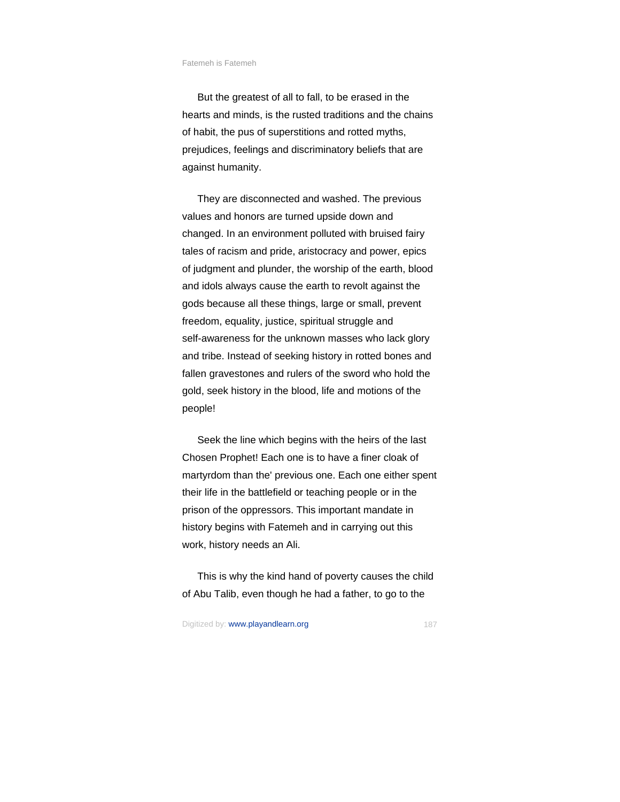But the greatest of all to fall, to be erased in the hearts and minds, is the rusted traditions and the chains of habit, the pus of superstitions and rotted myths, prejudices, feelings and discriminatory beliefs that are against humanity.

They are disconnected and washed. The previous values and honors are turned upside down and changed. In an environment polluted with bruised fairy tales of racism and pride, aristocracy and power, epics of judgment and plunder, the worship of the earth, blood and idols always cause the earth to revolt against the gods because all these things, large or small, prevent freedom, equality, justice, spiritual struggle and self-awareness for the unknown masses who lack glory and tribe. Instead of seeking history in rotted bones and fallen gravestones and rulers of the sword who hold the gold, seek history in the blood, life and motions of the people!

Seek the line which begins with the heirs of the last Chosen Prophet! Each one is to have a finer cloak of martyrdom than the' previous one. Each one either spent their life in the battlefield or teaching people or in the prison of the oppressors. This important mandate in history begins with Fatemeh and in carrying out this work, history needs an Ali.

This is why the kind hand of poverty causes the child of Abu Talib, even though he had a father, to go to the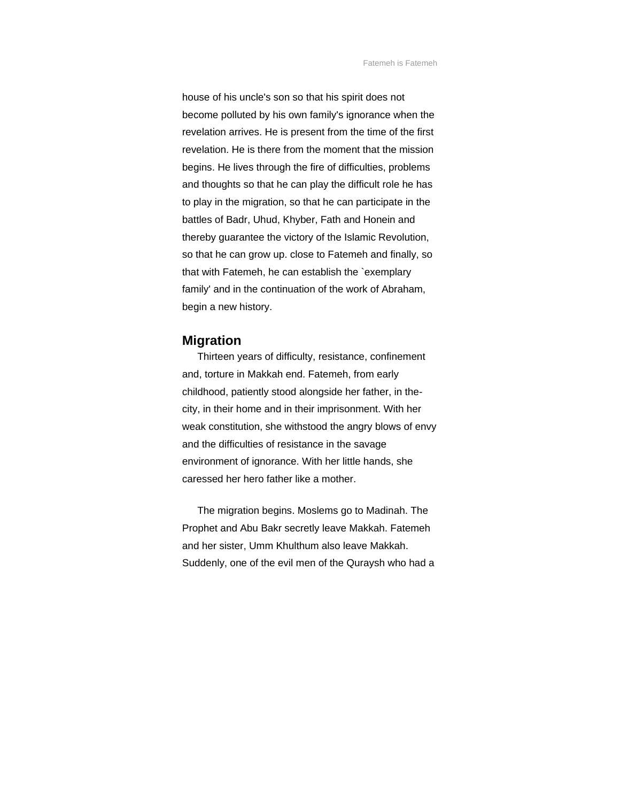house of his uncle's son so that his spirit does not become polluted by his own family's ignorance when the revelation arrives. He is present from the time of the first revelation. He is there from the moment that the mission begins. He lives through the fire of difficulties, problems and thoughts so that he can play the difficult role he has to play in the migration, so that he can participate in the battles of Badr, Uhud, Khyber, Fath and Honein and thereby guarantee the victory of the Islamic Revolution, so that he can grow up. close to Fatemeh and finally, so that with Fatemeh, he can establish the `exemplary family' and in the continuation of the work of Abraham, begin a new history.

## **Migration**

Thirteen years of difficulty, resistance, confinement and, torture in Makkah end. Fatemeh, from early childhood, patiently stood alongside her father, in thecity, in their home and in their imprisonment. With her weak constitution, she withstood the angry blows of envy and the difficulties of resistance in the savage environment of ignorance. With her little hands, she caressed her hero father like a mother.

The migration begins. Moslems go to Madinah. The Prophet and Abu Bakr secretly leave Makkah. Fatemeh and her sister, Umm Khulthum also leave Makkah. Suddenly, one of the evil men of the Quraysh who had a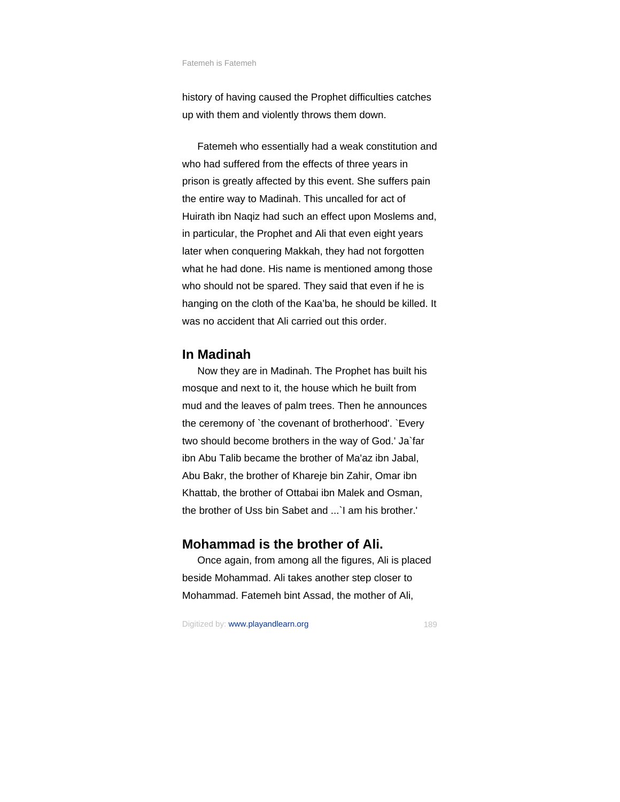history of having caused the Prophet difficulties catches up with them and violently throws them down.

Fatemeh who essentially had a weak constitution and who had suffered from the effects of three years in prison is greatly affected by this event. She suffers pain the entire way to Madinah. This uncalled for act of Huirath ibn Naqiz had such an effect upon Moslems and, in particular, the Prophet and Ali that even eight years later when conquering Makkah, they had not forgotten what he had done. His name is mentioned among those who should not be spared. They said that even if he is hanging on the cloth of the Kaa'ba, he should be killed. It was no accident that Ali carried out this order.

## **In Madinah**

Now they are in Madinah. The Prophet has built his mosque and next to it, the house which he built from mud and the leaves of palm trees. Then he announces the ceremony of `the covenant of brotherhood'. `Every two should become brothers in the way of God.' Ja`far ibn Abu Talib became the brother of Ma'az ibn Jabal, Abu Bakr, the brother of Khareje bin Zahir, Omar ibn Khattab, the brother of Ottabai ibn Malek and Osman, the brother of Uss bin Sabet and ...`I am his brother.'

# **Mohammad is the brother of Ali.**

Once again, from among all the figures, Ali is placed beside Mohammad. Ali takes another step closer to Mohammad. Fatemeh bint Assad, the mother of Ali,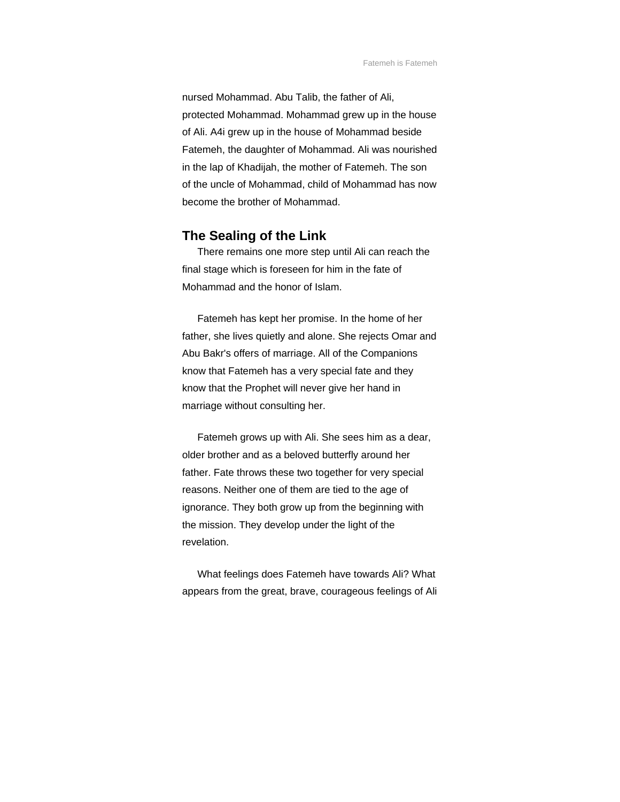nursed Mohammad. Abu Talib, the father of Ali, protected Mohammad. Mohammad grew up in the house of Ali. A4i grew up in the house of Mohammad beside Fatemeh, the daughter of Mohammad. Ali was nourished in the lap of Khadijah, the mother of Fatemeh. The son of the uncle of Mohammad, child of Mohammad has now become the brother of Mohammad.

# **The Sealing of the Link**

There remains one more step until Ali can reach the final stage which is foreseen for him in the fate of Mohammad and the honor of Islam.

Fatemeh has kept her promise. In the home of her father, she lives quietly and alone. She rejects Omar and Abu Bakr's offers of marriage. All of the Companions know that Fatemeh has a very special fate and they know that the Prophet will never give her hand in marriage without consulting her.

Fatemeh grows up with Ali. She sees him as a dear, older brother and as a beloved butterfly around her father. Fate throws these two together for very special reasons. Neither one of them are tied to the age of ignorance. They both grow up from the beginning with the mission. They develop under the light of the revelation.

What feelings does Fatemeh have towards Ali? What appears from the great, brave, courageous feelings of Ali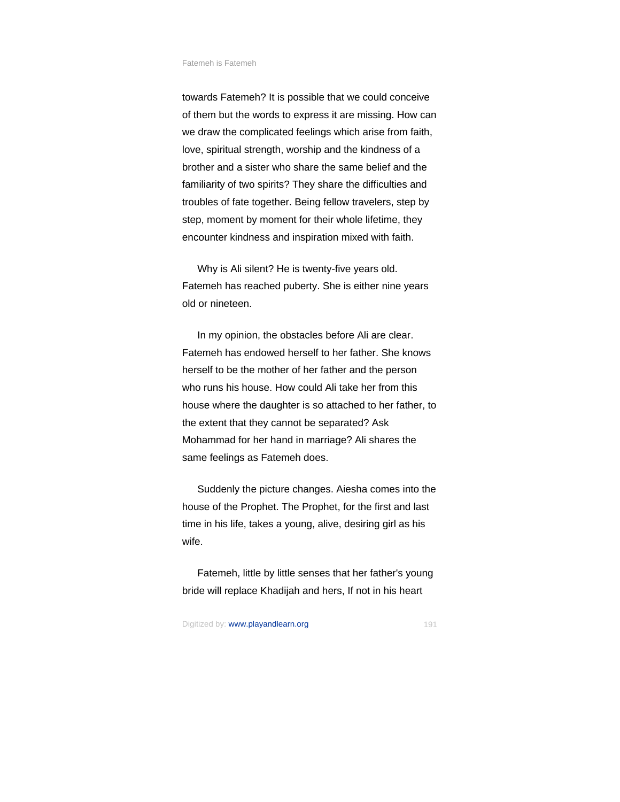towards Fatemeh? It is possible that we could conceive of them but the words to express it are missing. How can we draw the complicated feelings which arise from faith, love, spiritual strength, worship and the kindness of a brother and a sister who share the same belief and the familiarity of two spirits? They share the difficulties and troubles of fate together. Being fellow travelers, step by step, moment by moment for their whole lifetime, they encounter kindness and inspiration mixed with faith.

Why is Ali silent? He is twenty-five years old. Fatemeh has reached puberty. She is either nine years old or nineteen.

In my opinion, the obstacles before Ali are clear. Fatemeh has endowed herself to her father. She knows herself to be the mother of her father and the person who runs his house. How could Ali take her from this house where the daughter is so attached to her father, to the extent that they cannot be separated? Ask Mohammad for her hand in marriage? Ali shares the same feelings as Fatemeh does.

Suddenly the picture changes. Aiesha comes into the house of the Prophet. The Prophet, for the first and last time in his life, takes a young, alive, desiring girl as his wife.

Fatemeh, little by little senses that her father's young bride will replace Khadijah and hers, If not in his heart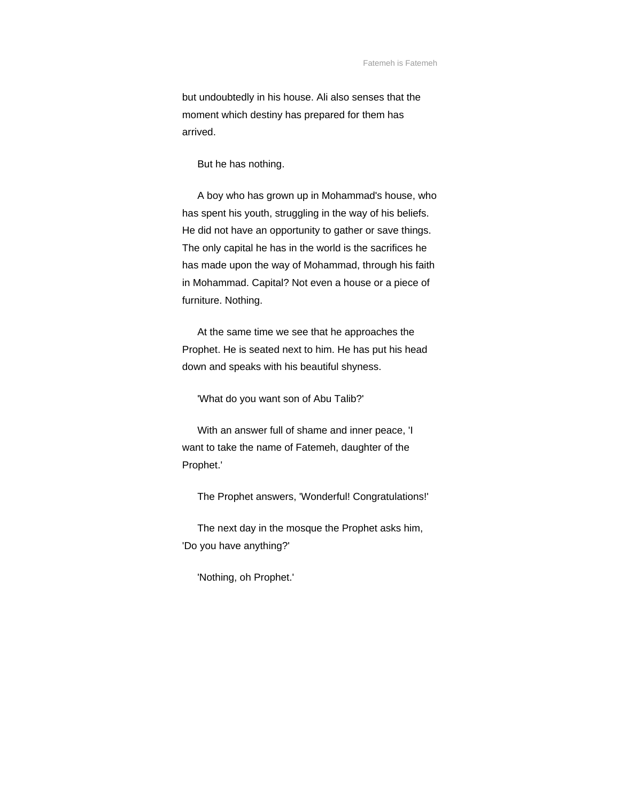but undoubtedly in his house. Ali also senses that the moment which destiny has prepared for them has arrived.

But he has nothing.

A boy who has grown up in Mohammad's house, who has spent his youth, struggling in the way of his beliefs. He did not have an opportunity to gather or save things. The only capital he has in the world is the sacrifices he has made upon the way of Mohammad, through his faith in Mohammad. Capital? Not even a house or a piece of furniture. Nothing.

At the same time we see that he approaches the Prophet. He is seated next to him. He has put his head down and speaks with his beautiful shyness.

'What do you want son of Abu Talib?'

With an answer full of shame and inner peace, 'I want to take the name of Fatemeh, daughter of the Prophet.'

The Prophet answers, 'Wonderful! Congratulations!'

The next day in the mosque the Prophet asks him, 'Do you have anything?'

'Nothing, oh Prophet.'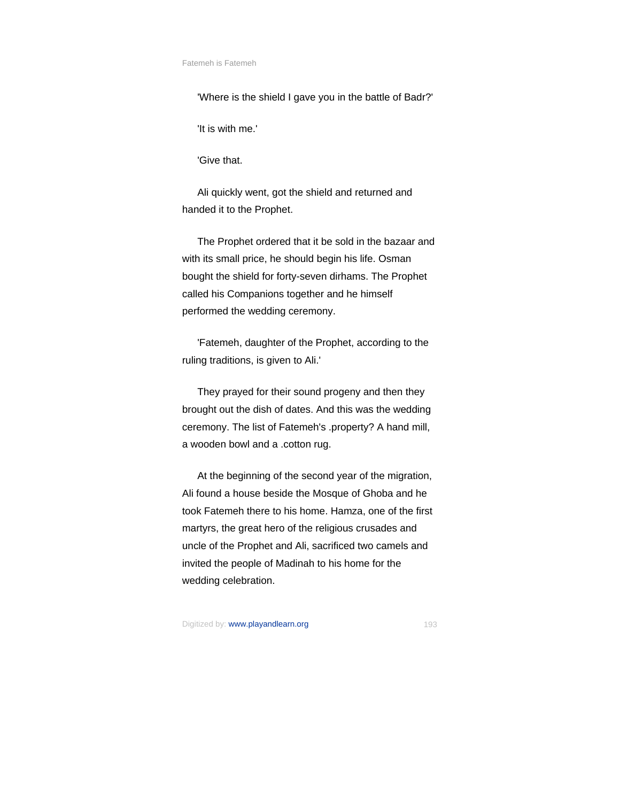'Where is the shield I gave you in the battle of Badr?' 'It is with me.'

'Give that.

Ali quickly went, got the shield and returned and handed it to the Prophet.

The Prophet ordered that it be sold in the bazaar and with its small price, he should begin his life. Osman bought the shield for forty-seven dirhams. The Prophet called his Companions together and he himself performed the wedding ceremony.

'Fatemeh, daughter of the Prophet, according to the ruling traditions, is given to Ali.'

They prayed for their sound progeny and then they brought out the dish of dates. And this was the wedding ceremony. The list of Fatemeh's .property? A hand mill, a wooden bowl and a .cotton rug.

At the beginning of the second year of the migration, Ali found a house beside the Mosque of Ghoba and he took Fatemeh there to his home. Hamza, one of the first martyrs, the great hero of the religious crusades and uncle of the Prophet and Ali, sacrificed two camels and invited the people of Madinah to his home for the wedding celebration.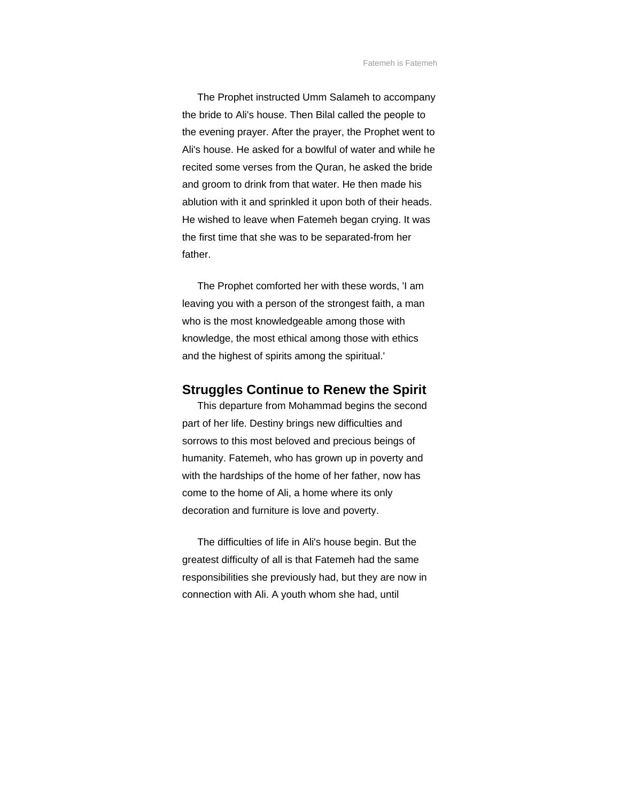The Prophet instructed Umm Salameh to accompany the bride to Ali's house. Then Bilal called the people to the evening prayer. After the prayer, the Prophet went to Ali's house. He asked for a bowlful of water and while he recited some verses from the Quran, he asked the bride and groom to drink from that water. He then made his ablution with it and sprinkled it upon both of their heads. He wished to leave when Fatemeh began crying. It was the first time that she was to be separated-from her father.

The Prophet comforted her with these words, 'I am leaving you with a person of the strongest faith, a man who is the most knowledgeable among those with knowledge, the most ethical among those with ethics and the highest of spirits among the spiritual.'

## **Struggles Continue to Renew the Spirit**

This departure from Mohammad begins the second part of her life. Destiny brings new difficulties and sorrows to this most beloved and precious beings of humanity. Fatemeh, who has grown up in poverty and with the hardships of the home of her father, now has come to the home of Ali, a home where its only decoration and furniture is love and poverty.

The difficulties of life in Ali's house begin. But the greatest difficulty of all is that Fatemeh had the same responsibilities she previously had, but they are now in connection with Ali. A youth whom she had, until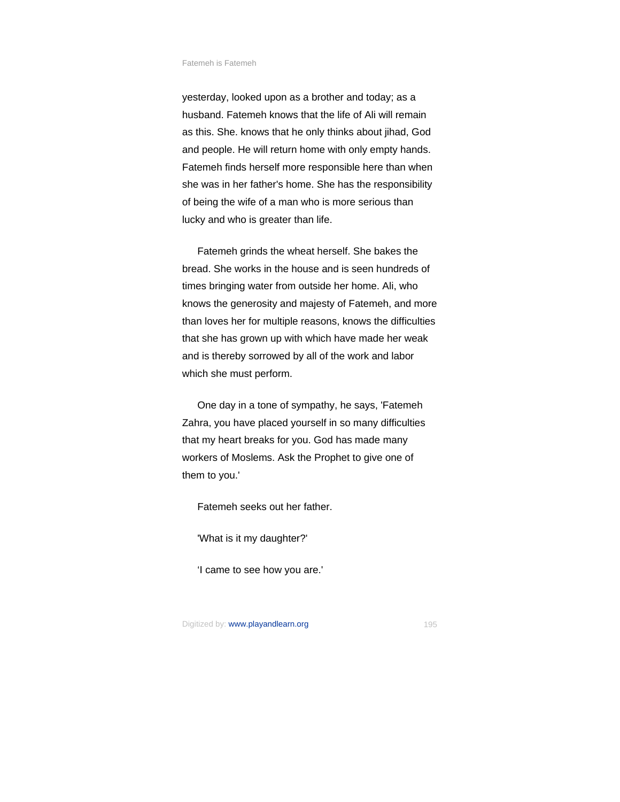#### Fatemeh is Fatemeh

yesterday, looked upon as a brother and today; as a husband. Fatemeh knows that the life of Ali will remain as this. She. knows that he only thinks about jihad, God and people. He will return home with only empty hands. Fatemeh finds herself more responsible here than when she was in her father's home. She has the responsibility of being the wife of a man who is more serious than lucky and who is greater than life.

Fatemeh grinds the wheat herself. She bakes the bread. She works in the house and is seen hundreds of times bringing water from outside her home. Ali, who knows the generosity and majesty of Fatemeh, and more than loves her for multiple reasons, knows the difficulties that she has grown up with which have made her weak and is thereby sorrowed by all of the work and labor which she must perform.

One day in a tone of sympathy, he says, 'Fatemeh Zahra, you have placed yourself in so many difficulties that my heart breaks for you. God has made many workers of Moslems. Ask the Prophet to give one of them to you.'

Fatemeh seeks out her father.

'What is it my daughter?'

'I came to see how you are.'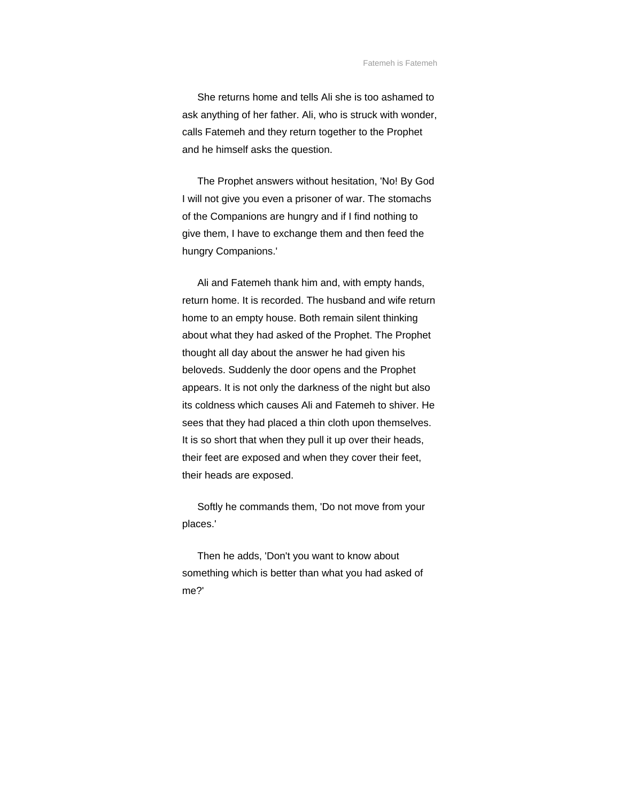She returns home and tells Ali she is too ashamed to ask anything of her father. Ali, who is struck with wonder, calls Fatemeh and they return together to the Prophet and he himself asks the question.

The Prophet answers without hesitation, 'No! By God I will not give you even a prisoner of war. The stomachs of the Companions are hungry and if I find nothing to give them, I have to exchange them and then feed the hungry Companions.'

Ali and Fatemeh thank him and, with empty hands, return home. It is recorded. The husband and wife return home to an empty house. Both remain silent thinking about what they had asked of the Prophet. The Prophet thought all day about the answer he had given his beloveds. Suddenly the door opens and the Prophet appears. It is not only the darkness of the night but also its coldness which causes Ali and Fatemeh to shiver. He sees that they had placed a thin cloth upon themselves. It is so short that when they pull it up over their heads, their feet are exposed and when they cover their feet, their heads are exposed.

Softly he commands them, 'Do not move from your places.'

Then he adds, 'Don't you want to know about something which is better than what you had asked of me?'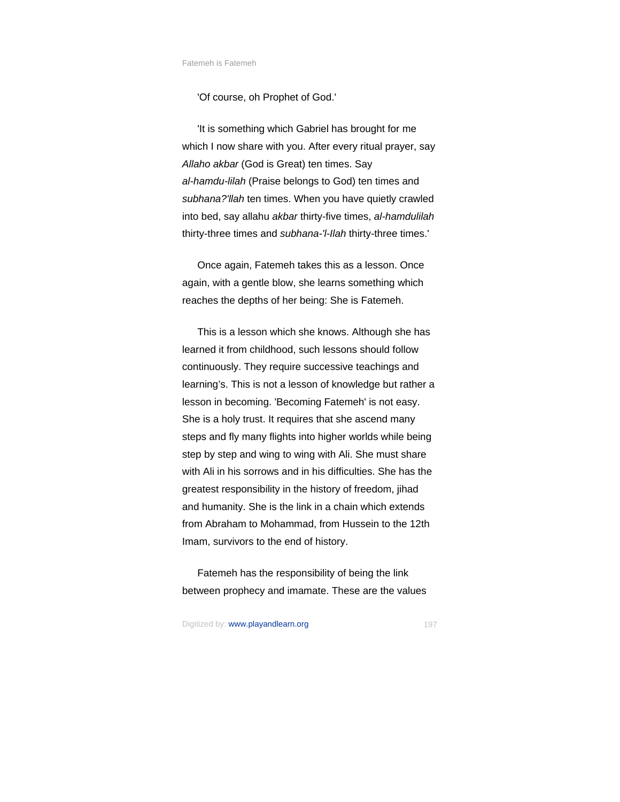'Of course, oh Prophet of God.'

'It is something which Gabriel has brought for me which I now share with you. After every ritual prayer, say *Allaho akbar* (God is Great) ten times. Say *al-hamdu-lilah* (Praise belongs to God) ten times and *subhana?'llah* ten times. When you have quietly crawled into bed, say allahu *akbar* thirty-five times, *al-hamdulilah*  thirty-three times and *subhana-'l-Ilah* thirty-three times.'

Once again, Fatemeh takes this as a lesson. Once again, with a gentle blow, she learns something which reaches the depths of her being: She is Fatemeh.

This is a lesson which she knows. Although she has learned it from childhood, such lessons should follow continuously. They require successive teachings and learning's. This is not a lesson of knowledge but rather a lesson in becoming. 'Becoming Fatemeh' is not easy. She is a holy trust. It requires that she ascend many steps and fly many flights into higher worlds while being step by step and wing to wing with Ali. She must share with Ali in his sorrows and in his difficulties. She has the greatest responsibility in the history of freedom, jihad and humanity. She is the link in a chain which extends from Abraham to Mohammad, from Hussein to the 12th Imam, survivors to the end of history.

Fatemeh has the responsibility of being the link between prophecy and imamate. These are the values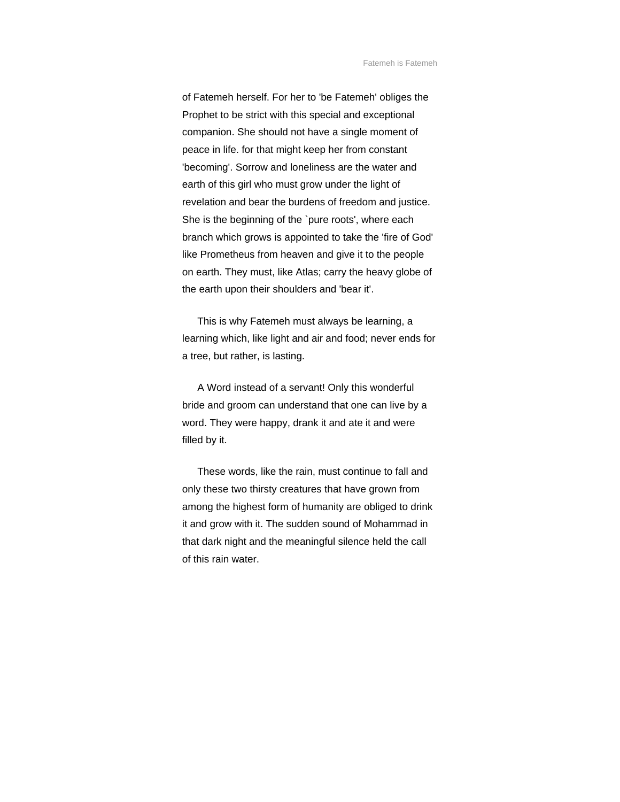of Fatemeh herself. For her to 'be Fatemeh' obliges the Prophet to be strict with this special and exceptional companion. She should not have a single moment of peace in life. for that might keep her from constant 'becoming'. Sorrow and loneliness are the water and earth of this girl who must grow under the light of revelation and bear the burdens of freedom and justice. She is the beginning of the `pure roots', where each branch which grows is appointed to take the 'fire of God' like Prometheus from heaven and give it to the people on earth. They must, like Atlas; carry the heavy globe of the earth upon their shoulders and 'bear it'.

This is why Fatemeh must always be learning, a learning which, like light and air and food; never ends for a tree, but rather, is lasting.

A Word instead of a servant! Only this wonderful bride and groom can understand that one can live by a word. They were happy, drank it and ate it and were filled by it.

These words, like the rain, must continue to fall and only these two thirsty creatures that have grown from among the highest form of humanity are obliged to drink it and grow with it. The sudden sound of Mohammad in that dark night and the meaningful silence held the call of this rain water.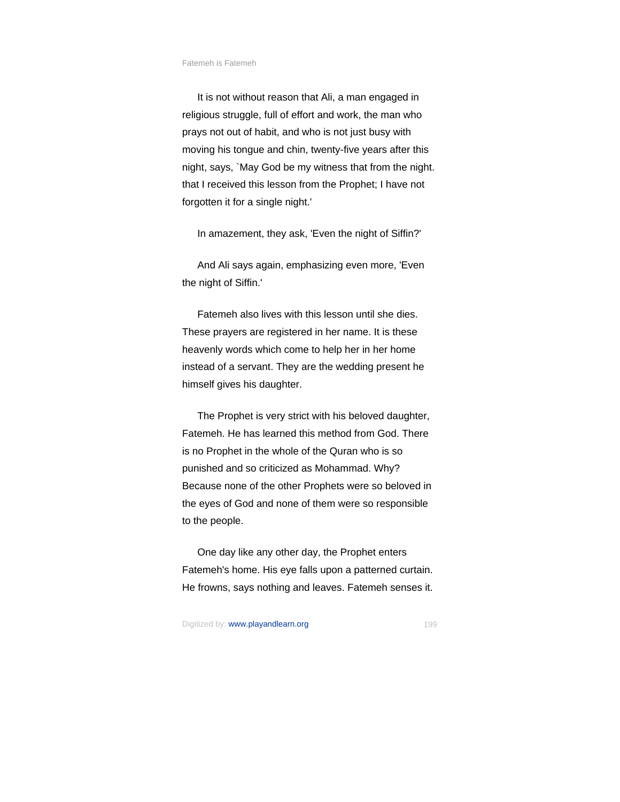Fatemeh is Fatemeh

It is not without reason that Ali, a man engaged in religious struggle, full of effort and work, the man who prays not out of habit, and who is not just busy with moving his tongue and chin, twenty-five years after this night, says, `May God be my witness that from the night. that I received this lesson from the Prophet; I have not forgotten it for a single night.'

In amazement, they ask, 'Even the night of Siffin?'

And Ali says again, emphasizing even more, 'Even the night of Siffin.'

Fatemeh also lives with this lesson until she dies. These prayers are registered in her name. It is these heavenly words which come to help her in her home instead of a servant. They are the wedding present he himself gives his daughter.

The Prophet is very strict with his beloved daughter, Fatemeh. He has learned this method from God. There is no Prophet in the whole of the Quran who is so punished and so criticized as Mohammad. Why? Because none of the other Prophets were so beloved in the eyes of God and none of them were so responsible to the people.

One day like any other day, the Prophet enters Fatemeh's home. His eye falls upon a patterned curtain. He frowns, says nothing and leaves. Fatemeh senses it.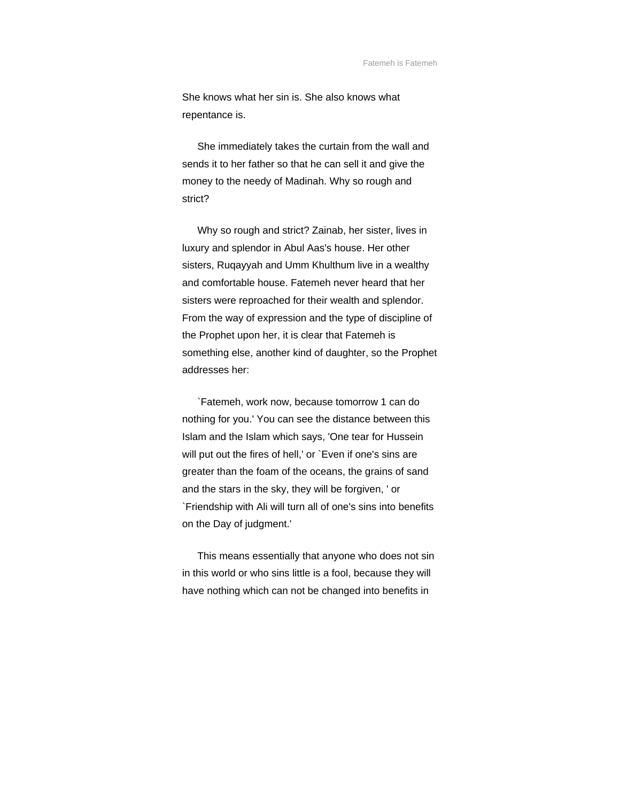She knows what her sin is. She also knows what repentance is.

She immediately takes the curtain from the wall and sends it to her father so that he can sell it and give the money to the needy of Madinah. Why so rough and strict?

Why so rough and strict? Zainab, her sister, lives in luxury and splendor in Abul Aas's house. Her other sisters, Ruqayyah and Umm Khulthum live in a wealthy and comfortable house. Fatemeh never heard that her sisters were reproached for their wealth and splendor. From the way of expression and the type of discipline of the Prophet upon her, it is clear that Fatemeh is something else, another kind of daughter, so the Prophet addresses her:

`Fatemeh, work now, because tomorrow 1 can do nothing for you.' You can see the distance between this Islam and the Islam which says, 'One tear for Hussein will put out the fires of hell,' or `Even if one's sins are greater than the foam of the oceans, the grains of sand and the stars in the sky, they will be forgiven, ' or `Friendship with Ali will turn all of one's sins into benefits on the Day of judgment.'

This means essentially that anyone who does not sin in this world or who sins little is a fool, because they will have nothing which can not be changed into benefits in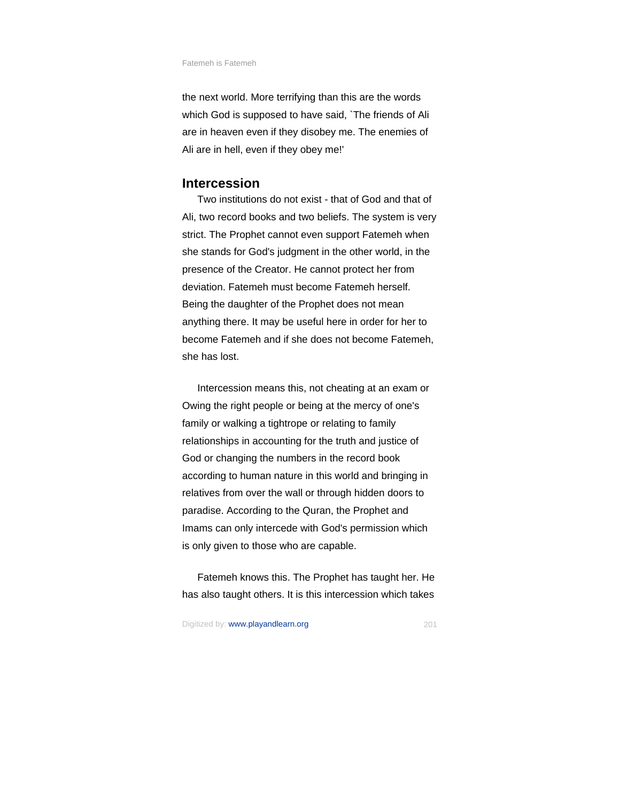the next world. More terrifying than this are the words which God is supposed to have said, `The friends of Ali are in heaven even if they disobey me. The enemies of Ali are in hell, even if they obey me!'

#### **Intercession**

Two institutions do not exist - that of God and that of Ali, two record books and two beliefs. The system is very strict. The Prophet cannot even support Fatemeh when she stands for God's judgment in the other world, in the presence of the Creator. He cannot protect her from deviation. Fatemeh must become Fatemeh herself. Being the daughter of the Prophet does not mean anything there. It may be useful here in order for her to become Fatemeh and if she does not become Fatemeh, she has lost.

Intercession means this, not cheating at an exam or Owing the right people or being at the mercy of one's family or walking a tightrope or relating to family relationships in accounting for the truth and justice of God or changing the numbers in the record book according to human nature in this world and bringing in relatives from over the wall or through hidden doors to paradise. According to the Quran, the Prophet and Imams can only intercede with God's permission which is only given to those who are capable.

Fatemeh knows this. The Prophet has taught her. He has also taught others. It is this intercession which takes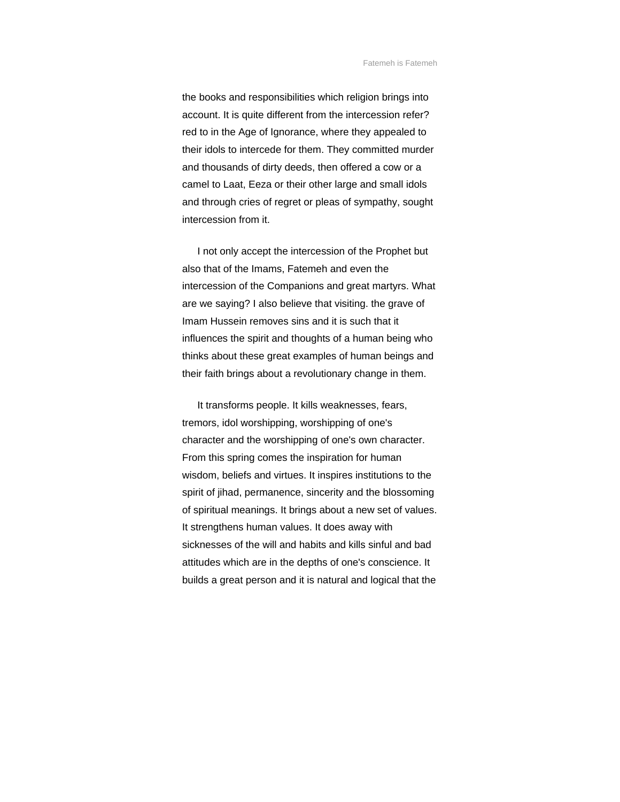the books and responsibilities which religion brings into account. It is quite different from the intercession refer? red to in the Age of Ignorance, where they appealed to their idols to intercede for them. They committed murder and thousands of dirty deeds, then offered a cow or a camel to Laat, Eeza or their other large and small idols and through cries of regret or pleas of sympathy, sought intercession from it.

I not only accept the intercession of the Prophet but also that of the Imams, Fatemeh and even the intercession of the Companions and great martyrs. What are we saying? I also believe that visiting. the grave of Imam Hussein removes sins and it is such that it influences the spirit and thoughts of a human being who thinks about these great examples of human beings and their faith brings about a revolutionary change in them.

It transforms people. It kills weaknesses, fears, tremors, idol worshipping, worshipping of one's character and the worshipping of one's own character. From this spring comes the inspiration for human wisdom, beliefs and virtues. It inspires institutions to the spirit of jihad, permanence, sincerity and the blossoming of spiritual meanings. It brings about a new set of values. It strengthens human values. It does away with sicknesses of the will and habits and kills sinful and bad attitudes which are in the depths of one's conscience. It builds a great person and it is natural and logical that the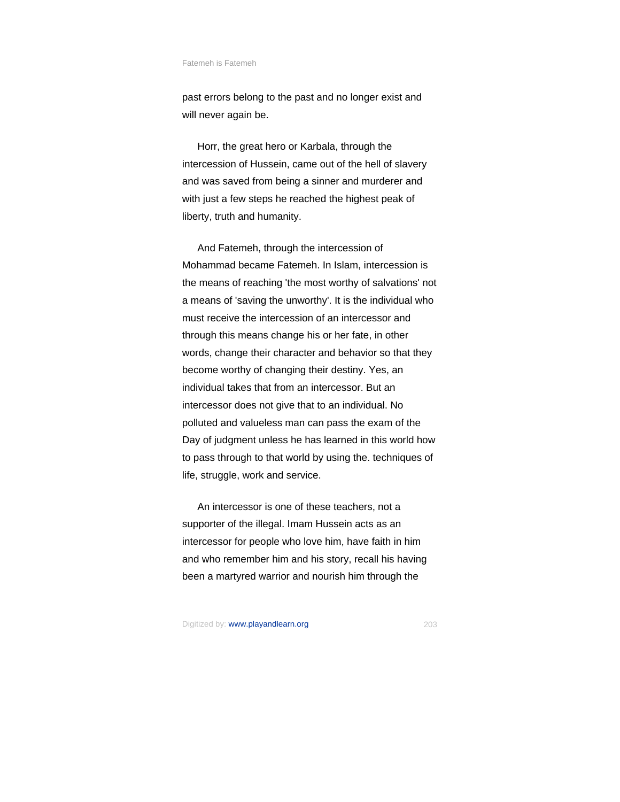past errors belong to the past and no longer exist and will never again be.

Horr, the great hero or Karbala, through the intercession of Hussein, came out of the hell of slavery and was saved from being a sinner and murderer and with just a few steps he reached the highest peak of liberty, truth and humanity.

And Fatemeh, through the intercession of Mohammad became Fatemeh. In Islam, intercession is the means of reaching 'the most worthy of salvations' not a means of 'saving the unworthy'. It is the individual who must receive the intercession of an intercessor and through this means change his or her fate, in other words, change their character and behavior so that they become worthy of changing their destiny. Yes, an individual takes that from an intercessor. But an intercessor does not give that to an individual. No polluted and valueless man can pass the exam of the Day of judgment unless he has learned in this world how to pass through to that world by using the. techniques of life, struggle, work and service.

An intercessor is one of these teachers, not a supporter of the illegal. Imam Hussein acts as an intercessor for people who love him, have faith in him and who remember him and his story, recall his having been a martyred warrior and nourish him through the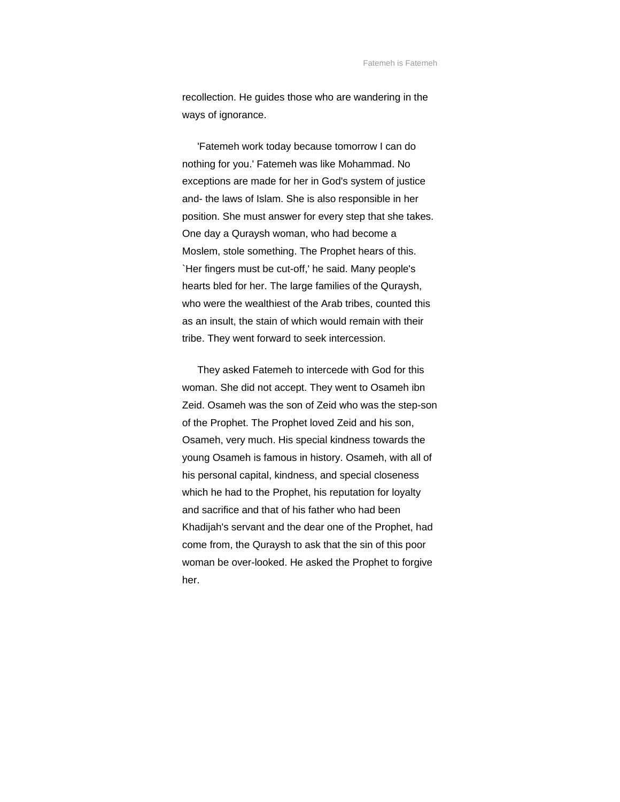recollection. He guides those who are wandering in the ways of ignorance.

'Fatemeh work today because tomorrow I can do nothing for you.' Fatemeh was like Mohammad. No exceptions are made for her in God's system of justice and- the laws of Islam. She is also responsible in her position. She must answer for every step that she takes. One day a Quraysh woman, who had become a Moslem, stole something. The Prophet hears of this. `Her fingers must be cut-off,' he said. Many people's hearts bled for her. The large families of the Quraysh, who were the wealthiest of the Arab tribes, counted this as an insult, the stain of which would remain with their tribe. They went forward to seek intercession.

They asked Fatemeh to intercede with God for this woman. She did not accept. They went to Osameh ibn Zeid. Osameh was the son of Zeid who was the step-son of the Prophet. The Prophet loved Zeid and his son, Osameh, very much. His special kindness towards the young Osameh is famous in history. Osameh, with all of his personal capital, kindness, and special closeness which he had to the Prophet, his reputation for loyalty and sacrifice and that of his father who had been Khadijah's servant and the dear one of the Prophet, had come from, the Quraysh to ask that the sin of this poor woman be over-looked. He asked the Prophet to forgive her.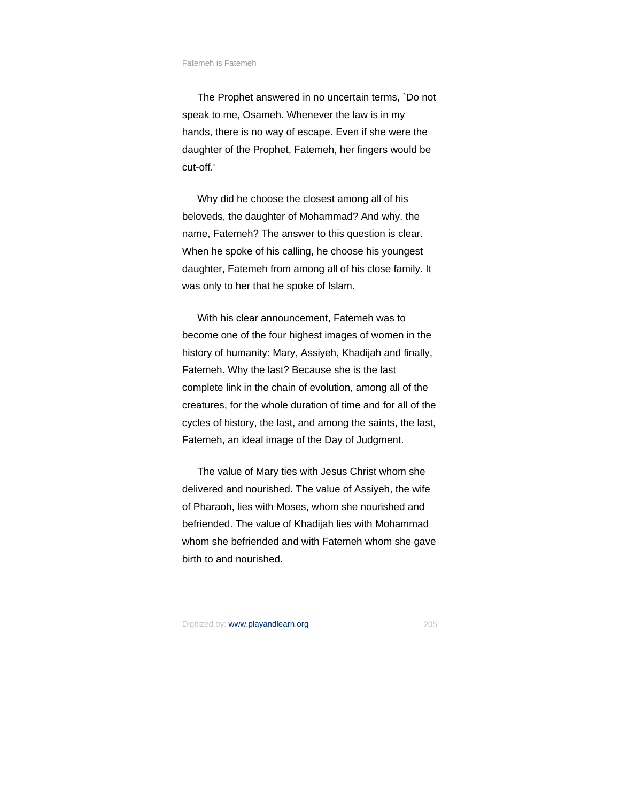The Prophet answered in no uncertain terms, `Do not speak to me, Osameh. Whenever the law is in my hands, there is no way of escape. Even if she were the daughter of the Prophet, Fatemeh, her fingers would be cut-off.'

Why did he choose the closest among all of his beloveds, the daughter of Mohammad? And why. the name, Fatemeh? The answer to this question is clear. When he spoke of his calling, he choose his youngest daughter, Fatemeh from among all of his close family. It was only to her that he spoke of Islam.

With his clear announcement, Fatemeh was to become one of the four highest images of women in the history of humanity: Mary, Assiyeh, Khadijah and finally, Fatemeh. Why the last? Because she is the last complete link in the chain of evolution, among all of the creatures, for the whole duration of time and for all of the cycles of history, the last, and among the saints, the last, Fatemeh, an ideal image of the Day of Judgment.

The value of Mary ties with Jesus Christ whom she delivered and nourished. The value of Assiyeh, the wife of Pharaoh, lies with Moses, whom she nourished and befriended. The value of Khadijah lies with Mohammad whom she befriended and with Fatemeh whom she gave birth to and nourished.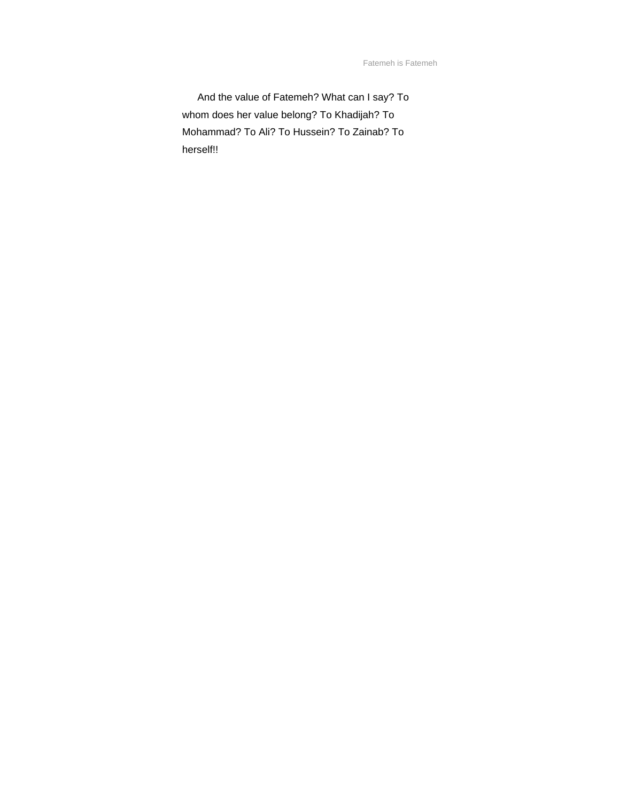And the value of Fatemeh? What can I say? To whom does her value belong? To Khadijah? To Mohammad? To Ali? To Hussein? To Zainab? To herself!!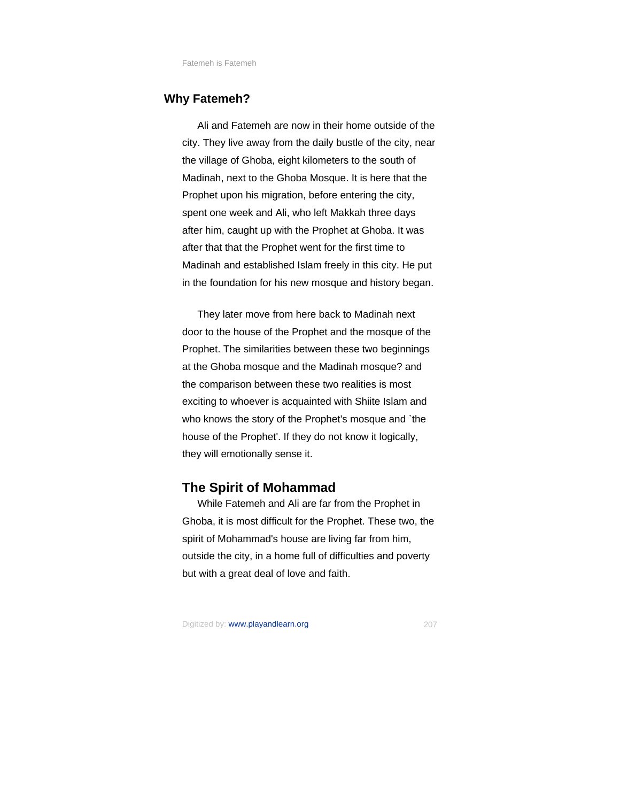#### **Why Fatemeh?**

Ali and Fatemeh are now in their home outside of the city. They live away from the daily bustle of the city, near the village of Ghoba, eight kilometers to the south of Madinah, next to the Ghoba Mosque. It is here that the Prophet upon his migration, before entering the city, spent one week and Ali, who left Makkah three days after him, caught up with the Prophet at Ghoba. It was after that that the Prophet went for the first time to Madinah and established Islam freely in this city. He put in the foundation for his new mosque and history began.

They later move from here back to Madinah next door to the house of the Prophet and the mosque of the Prophet. The similarities between these two beginnings at the Ghoba mosque and the Madinah mosque? and the comparison between these two realities is most exciting to whoever is acquainted with Shiite Islam and who knows the story of the Prophet's mosque and `the house of the Prophet'. If they do not know it logically, they will emotionally sense it.

### **The Spirit of Mohammad**

While Fatemeh and Ali are far from the Prophet in Ghoba, it is most difficult for the Prophet. These two, the spirit of Mohammad's house are living far from him, outside the city, in a home full of difficulties and poverty but with a great deal of love and faith.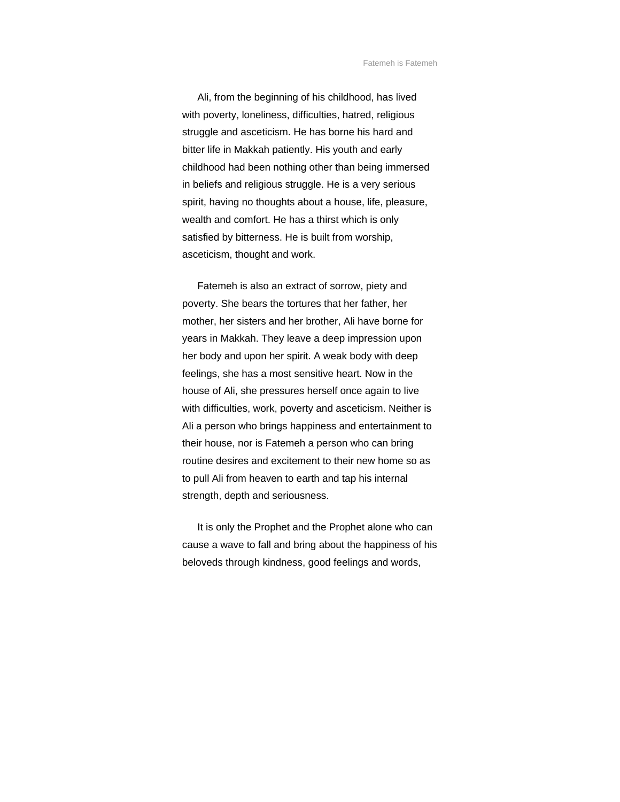Ali, from the beginning of his childhood, has lived with poverty, loneliness, difficulties, hatred, religious struggle and asceticism. He has borne his hard and bitter life in Makkah patiently. His youth and early childhood had been nothing other than being immersed in beliefs and religious struggle. He is a very serious spirit, having no thoughts about a house, life, pleasure, wealth and comfort. He has a thirst which is only satisfied by bitterness. He is built from worship, asceticism, thought and work.

Fatemeh is also an extract of sorrow, piety and poverty. She bears the tortures that her father, her mother, her sisters and her brother, Ali have borne for years in Makkah. They leave a deep impression upon her body and upon her spirit. A weak body with deep feelings, she has a most sensitive heart. Now in the house of Ali, she pressures herself once again to live with difficulties, work, poverty and asceticism. Neither is Ali a person who brings happiness and entertainment to their house, nor is Fatemeh a person who can bring routine desires and excitement to their new home so as to pull Ali from heaven to earth and tap his internal strength, depth and seriousness.

It is only the Prophet and the Prophet alone who can cause a wave to fall and bring about the happiness of his beloveds through kindness, good feelings and words,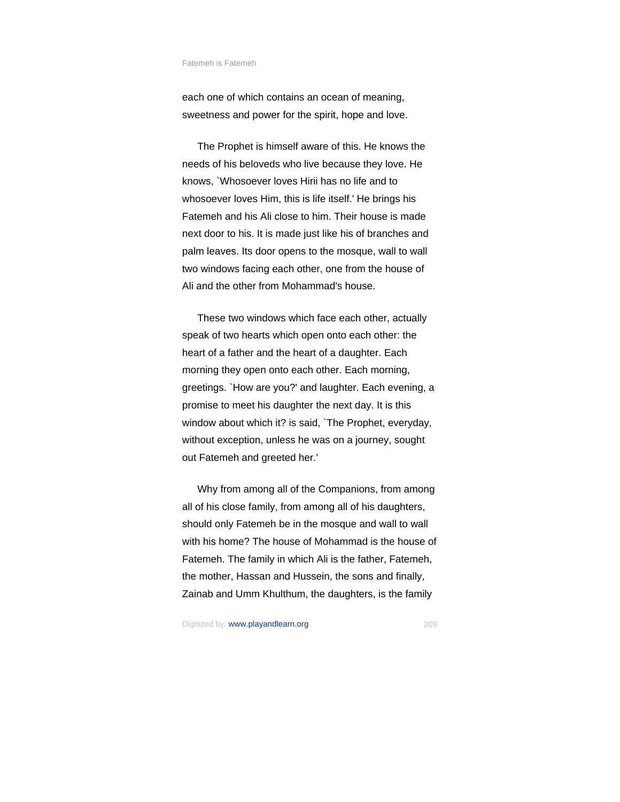each one of which contains an ocean of meaning, sweetness and power for the spirit, hope and love.

The Prophet is himself aware of this. He knows the needs of his beloveds who live because they love. He knows, `Whosoever loves Hirii has no life and to whosoever loves Him, this is life itself.' He brings his Fatemeh and his Ali close to him. Their house is made next door to his. It is made just like his of branches and palm leaves. Its door opens to the mosque, wall to wall two windows facing each other, one from the house of Ali and the other from Mohammad's house.

These two windows which face each other, actually speak of two hearts which open onto each other: the heart of a father and the heart of a daughter. Each morning they open onto each other. Each morning, greetings. `How are you?' and laughter. Each evening, a promise to meet his daughter the next day. It is this window about which it? is said, `The Prophet, everyday, without exception, unless he was on a journey, sought out Fatemeh and greeted her.'

Why from among all of the Companions, from among all of his close family, from among all of his daughters, should only Fatemeh be in the mosque and wall to wall with his home? The house of Mohammad is the house of Fatemeh. The family in which Ali is the father, Fatemeh, the mother, Hassan and Hussein, the sons and finally, Zainab and Umm Khulthum, the daughters, is the family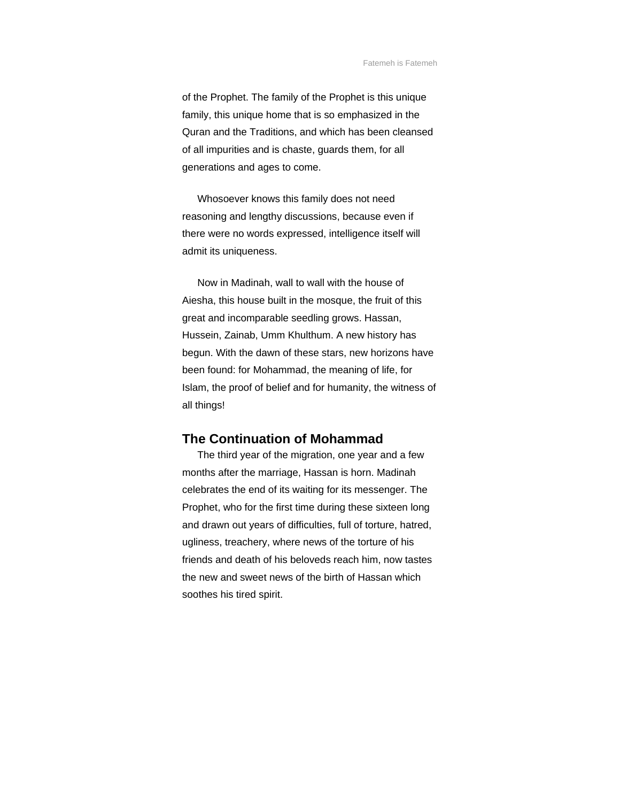of the Prophet. The family of the Prophet is this unique family, this unique home that is so emphasized in the Quran and the Traditions, and which has been cleansed of all impurities and is chaste, guards them, for all generations and ages to come.

Whosoever knows this family does not need reasoning and lengthy discussions, because even if there were no words expressed, intelligence itself will admit its uniqueness.

Now in Madinah, wall to wall with the house of Aiesha, this house built in the mosque, the fruit of this great and incomparable seedling grows. Hassan, Hussein, Zainab, Umm Khulthum. A new history has begun. With the dawn of these stars, new horizons have been found: for Mohammad, the meaning of life, for Islam, the proof of belief and for humanity, the witness of all things!

### **The Continuation of Mohammad**

The third year of the migration, one year and a few months after the marriage, Hassan is horn. Madinah celebrates the end of its waiting for its messenger. The Prophet, who for the first time during these sixteen long and drawn out years of difficulties, full of torture, hatred, ugliness, treachery, where news of the torture of his friends and death of his beloveds reach him, now tastes the new and sweet news of the birth of Hassan which soothes his tired spirit.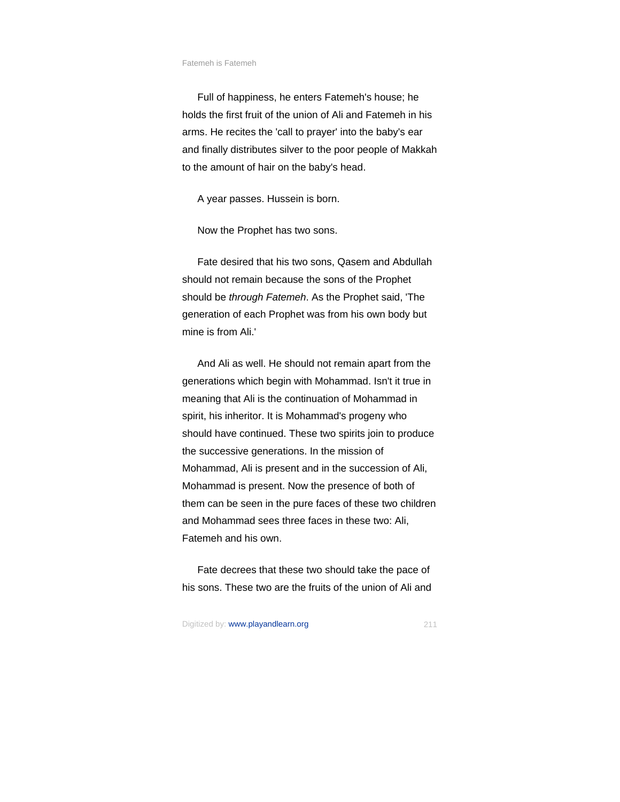Full of happiness, he enters Fatemeh's house; he holds the first fruit of the union of Ali and Fatemeh in his arms. He recites the 'call to prayer' into the baby's ear and finally distributes silver to the poor people of Makkah to the amount of hair on the baby's head.

A year passes. Hussein is born.

Now the Prophet has two sons.

Fate desired that his two sons, Qasem and Abdullah should not remain because the sons of the Prophet should be *through Fatemeh*. As the Prophet said, 'The generation of each Prophet was from his own body but mine is from Ali.'

And Ali as well. He should not remain apart from the generations which begin with Mohammad. Isn't it true in meaning that Ali is the continuation of Mohammad in spirit, his inheritor. It is Mohammad's progeny who should have continued. These two spirits join to produce the successive generations. In the mission of Mohammad, Ali is present and in the succession of Ali, Mohammad is present. Now the presence of both of them can be seen in the pure faces of these two children and Mohammad sees three faces in these two: Ali, Fatemeh and his own.

Fate decrees that these two should take the pace of his sons. These two are the fruits of the union of Ali and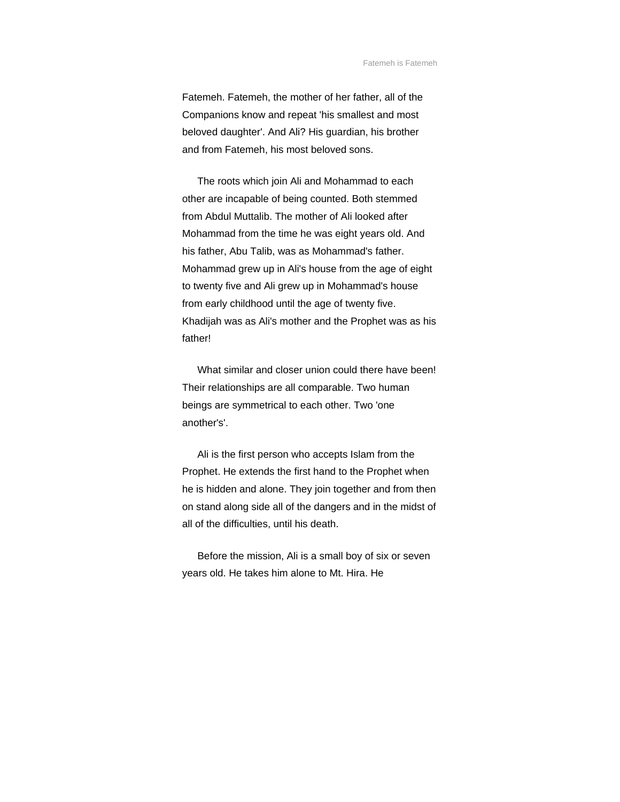Fatemeh. Fatemeh, the mother of her father, all of the Companions know and repeat 'his smallest and most beloved daughter'. And Ali? His guardian, his brother and from Fatemeh, his most beloved sons.

The roots which join Ali and Mohammad to each other are incapable of being counted. Both stemmed from Abdul Muttalib. The mother of Ali looked after Mohammad from the time he was eight years old. And his father, Abu Talib, was as Mohammad's father. Mohammad grew up in Ali's house from the age of eight to twenty five and Ali grew up in Mohammad's house from early childhood until the age of twenty five. Khadijah was as Ali's mother and the Prophet was as his father!

What similar and closer union could there have been! Their relationships are all comparable. Two human beings are symmetrical to each other. Two 'one another's'.

Ali is the first person who accepts Islam from the Prophet. He extends the first hand to the Prophet when he is hidden and alone. They join together and from then on stand along side all of the dangers and in the midst of all of the difficulties, until his death.

Before the mission, Ali is a small boy of six or seven years old. He takes him alone to Mt. Hira. He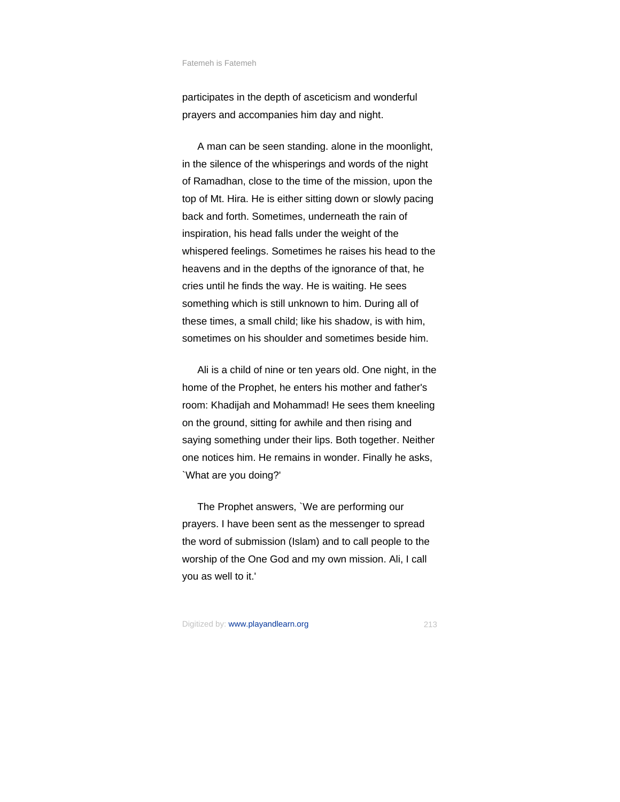participates in the depth of asceticism and wonderful prayers and accompanies him day and night.

A man can be seen standing. alone in the moonlight, in the silence of the whisperings and words of the night of Ramadhan, close to the time of the mission, upon the top of Mt. Hira. He is either sitting down or slowly pacing back and forth. Sometimes, underneath the rain of inspiration, his head falls under the weight of the whispered feelings. Sometimes he raises his head to the heavens and in the depths of the ignorance of that, he cries until he finds the way. He is waiting. He sees something which is still unknown to him. During all of these times, a small child; like his shadow, is with him, sometimes on his shoulder and sometimes beside him.

Ali is a child of nine or ten years old. One night, in the home of the Prophet, he enters his mother and father's room: Khadijah and Mohammad! He sees them kneeling on the ground, sitting for awhile and then rising and saying something under their lips. Both together. Neither one notices him. He remains in wonder. Finally he asks, `What are you doing?'

The Prophet answers, `We are performing our prayers. I have been sent as the messenger to spread the word of submission (Islam) and to call people to the worship of the One God and my own mission. Ali, I call you as well to it.'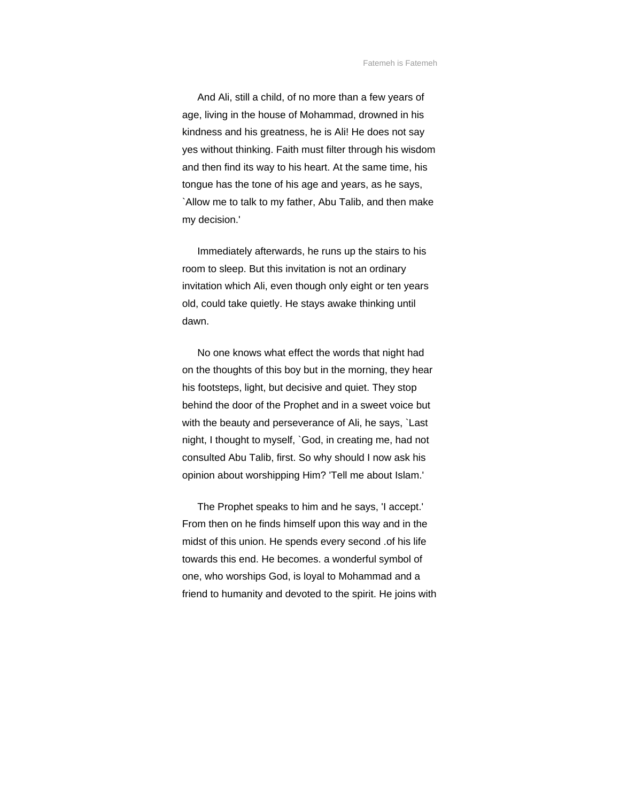And Ali, still a child, of no more than a few years of age, living in the house of Mohammad, drowned in his kindness and his greatness, he is Ali! He does not say yes without thinking. Faith must filter through his wisdom and then find its way to his heart. At the same time, his tongue has the tone of his age and years, as he says, `Allow me to talk to my father, Abu Talib, and then make my decision.'

Immediately afterwards, he runs up the stairs to his room to sleep. But this invitation is not an ordinary invitation which Ali, even though only eight or ten years old, could take quietly. He stays awake thinking until dawn.

No one knows what effect the words that night had on the thoughts of this boy but in the morning, they hear his footsteps, light, but decisive and quiet. They stop behind the door of the Prophet and in a sweet voice but with the beauty and perseverance of Ali, he says, `Last night, I thought to myself, `God, in creating me, had not consulted Abu Talib, first. So why should I now ask his opinion about worshipping Him? 'Tell me about Islam.'

The Prophet speaks to him and he says, 'I accept.' From then on he finds himself upon this way and in the midst of this union. He spends every second .of his life towards this end. He becomes. a wonderful symbol of one, who worships God, is loyal to Mohammad and a friend to humanity and devoted to the spirit. He joins with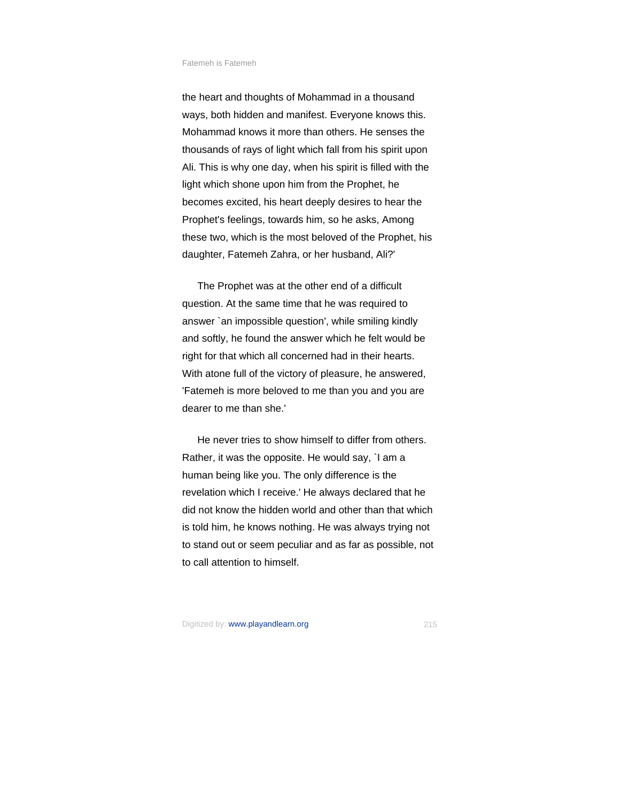the heart and thoughts of Mohammad in a thousand ways, both hidden and manifest. Everyone knows this. Mohammad knows it more than others. He senses the thousands of rays of light which fall from his spirit upon Ali. This is why one day, when his spirit is filled with the light which shone upon him from the Prophet, he becomes excited, his heart deeply desires to hear the Prophet's feelings, towards him, so he asks, Among these two, which is the most beloved of the Prophet, his daughter, Fatemeh Zahra, or her husband, Ali?'

The Prophet was at the other end of a difficult question. At the same time that he was required to answer `an impossible question', while smiling kindly and softly, he found the answer which he felt would be right for that which all concerned had in their hearts. With atone full of the victory of pleasure, he answered, 'Fatemeh is more beloved to me than you and you are dearer to me than she.'

He never tries to show himself to differ from others. Rather, it was the opposite. He would say, `I am a human being like you. The only difference is the revelation which I receive.' He always declared that he did not know the hidden world and other than that which is told him, he knows nothing. He was always trying not to stand out or seem peculiar and as far as possible, not to call attention to himself.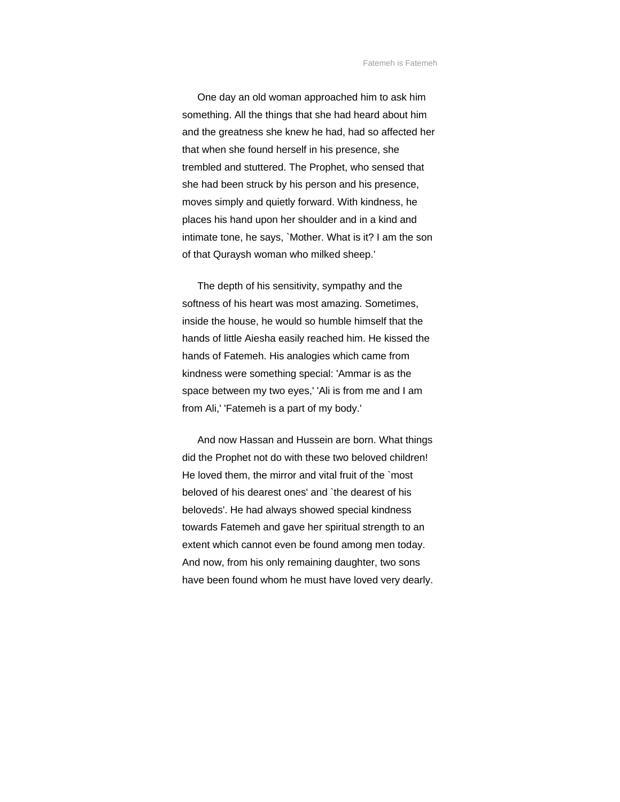One day an old woman approached him to ask him something. All the things that she had heard about him and the greatness she knew he had, had so affected her that when she found herself in his presence, she trembled and stuttered. The Prophet, who sensed that she had been struck by his person and his presence, moves simply and quietly forward. With kindness, he places his hand upon her shoulder and in a kind and intimate tone, he says, `Mother. What is it? I am the son of that Quraysh woman who milked sheep.'

The depth of his sensitivity, sympathy and the softness of his heart was most amazing. Sometimes, inside the house, he would so humble himself that the hands of little Aiesha easily reached him. He kissed the hands of Fatemeh. His analogies which came from kindness were something special: 'Ammar is as the space between my two eyes,' 'Ali is from me and I am from Ali,' 'Fatemeh is a part of my body.'

And now Hassan and Hussein are born. What things did the Prophet not do with these two beloved children! He loved them, the mirror and vital fruit of the `most beloved of his dearest ones' and `the dearest of his beloveds'. He had always showed special kindness towards Fatemeh and gave her spiritual strength to an extent which cannot even be found among men today. And now, from his only remaining daughter, two sons have been found whom he must have loved very dearly.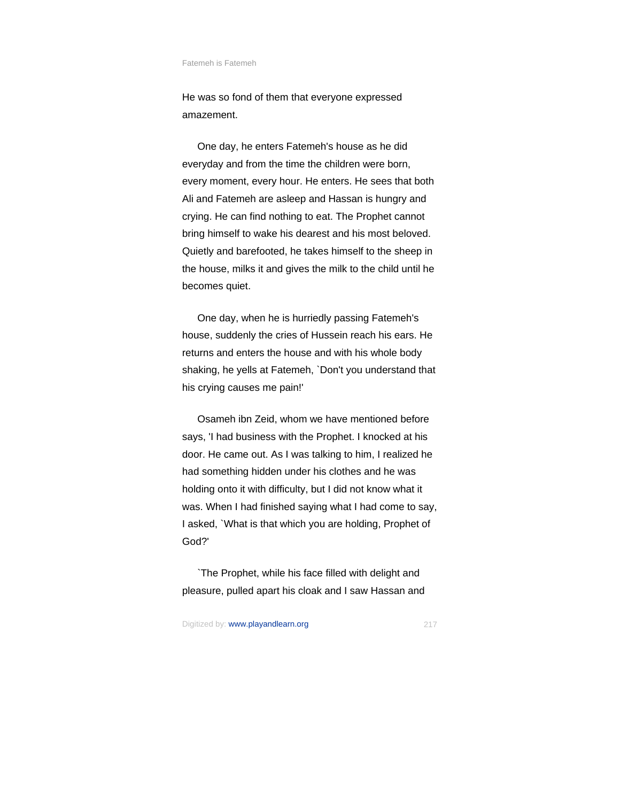He was so fond of them that everyone expressed amazement.

One day, he enters Fatemeh's house as he did everyday and from the time the children were born, every moment, every hour. He enters. He sees that both Ali and Fatemeh are asleep and Hassan is hungry and crying. He can find nothing to eat. The Prophet cannot bring himself to wake his dearest and his most beloved. Quietly and barefooted, he takes himself to the sheep in the house, milks it and gives the milk to the child until he becomes quiet.

One day, when he is hurriedly passing Fatemeh's house, suddenly the cries of Hussein reach his ears. He returns and enters the house and with his whole body shaking, he yells at Fatemeh, `Don't you understand that his crying causes me pain!'

Osameh ibn Zeid, whom we have mentioned before says, 'I had business with the Prophet. I knocked at his door. He came out. As I was talking to him, I realized he had something hidden under his clothes and he was holding onto it with difficulty, but I did not know what it was. When I had finished saying what I had come to say, I asked, `What is that which you are holding, Prophet of God?'

`The Prophet, while his face filled with delight and pleasure, pulled apart his cloak and I saw Hassan and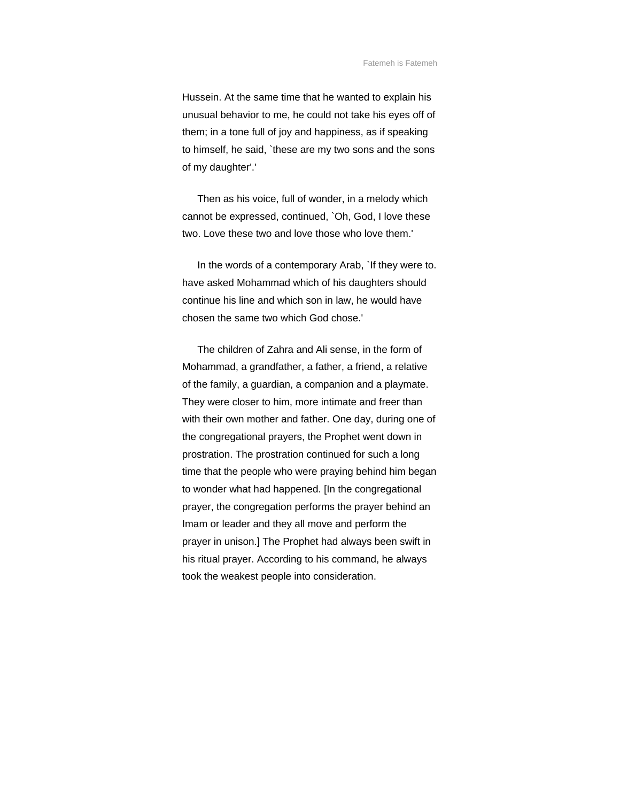Hussein. At the same time that he wanted to explain his unusual behavior to me, he could not take his eyes off of them; in a tone full of joy and happiness, as if speaking to himself, he said, `these are my two sons and the sons of my daughter'.'

Then as his voice, full of wonder, in a melody which cannot be expressed, continued, `Oh, God, I love these two. Love these two and love those who love them.'

In the words of a contemporary Arab, `If they were to. have asked Mohammad which of his daughters should continue his line and which son in law, he would have chosen the same two which God chose.'

The children of Zahra and Ali sense, in the form of Mohammad, a grandfather, a father, a friend, a relative of the family, a guardian, a companion and a playmate. They were closer to him, more intimate and freer than with their own mother and father. One day, during one of the congregational prayers, the Prophet went down in prostration. The prostration continued for such a long time that the people who were praying behind him began to wonder what had happened. [In the congregational prayer, the congregation performs the prayer behind an Imam or leader and they all move and perform the prayer in unison.] The Prophet had always been swift in his ritual prayer. According to his command, he always took the weakest people into consideration.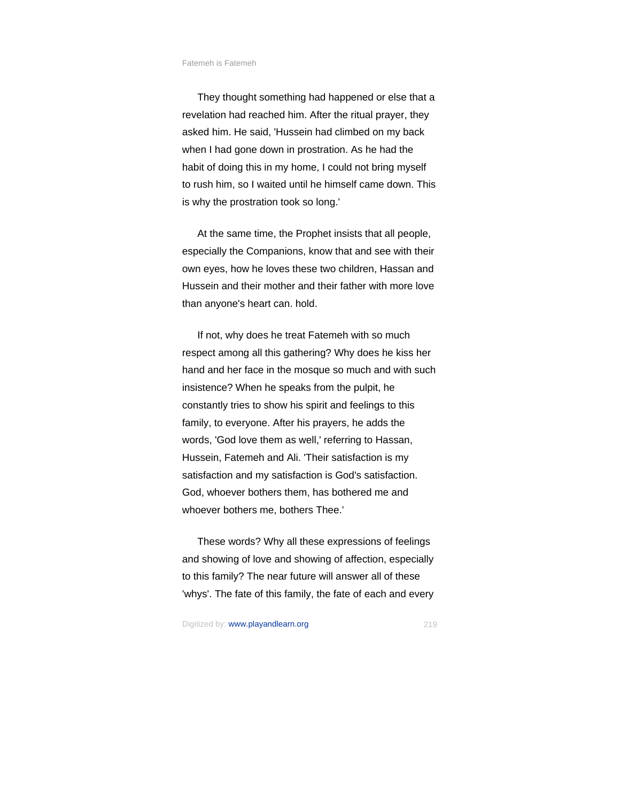They thought something had happened or else that a revelation had reached him. After the ritual prayer, they asked him. He said, 'Hussein had climbed on my back when I had gone down in prostration. As he had the habit of doing this in my home, I could not bring myself to rush him, so I waited until he himself came down. This is why the prostration took so long.'

At the same time, the Prophet insists that all people, especially the Companions, know that and see with their own eyes, how he loves these two children, Hassan and Hussein and their mother and their father with more love than anyone's heart can. hold.

If not, why does he treat Fatemeh with so much respect among all this gathering? Why does he kiss her hand and her face in the mosque so much and with such insistence? When he speaks from the pulpit, he constantly tries to show his spirit and feelings to this family, to everyone. After his prayers, he adds the words, 'God love them as well,' referring to Hassan, Hussein, Fatemeh and Ali. 'Their satisfaction is my satisfaction and my satisfaction is God's satisfaction. God, whoever bothers them, has bothered me and whoever bothers me, bothers Thee.'

These words? Why all these expressions of feelings and showing of love and showing of affection, especially to this family? The near future will answer all of these 'whys'. The fate of this family, the fate of each and every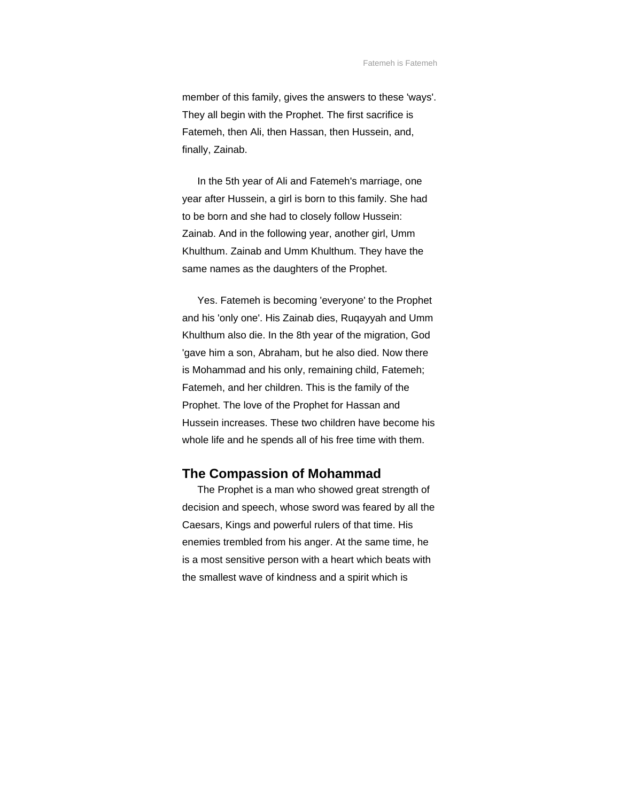member of this family, gives the answers to these 'ways'. They all begin with the Prophet. The first sacrifice is Fatemeh, then Ali, then Hassan, then Hussein, and, finally, Zainab.

In the 5th year of Ali and Fatemeh's marriage, one year after Hussein, a girl is born to this family. She had to be born and she had to closely follow Hussein: Zainab. And in the following year, another girl, Umm Khulthum. Zainab and Umm Khulthum. They have the same names as the daughters of the Prophet.

Yes. Fatemeh is becoming 'everyone' to the Prophet and his 'only one'. His Zainab dies, Ruqayyah and Umm Khulthum also die. In the 8th year of the migration, God 'gave him a son, Abraham, but he also died. Now there is Mohammad and his only, remaining child, Fatemeh; Fatemeh, and her children. This is the family of the Prophet. The love of the Prophet for Hassan and Hussein increases. These two children have become his whole life and he spends all of his free time with them.

# **The Compassion of Mohammad**

The Prophet is a man who showed great strength of decision and speech, whose sword was feared by all the Caesars, Kings and powerful rulers of that time. His enemies trembled from his anger. At the same time, he is a most sensitive person with a heart which beats with the smallest wave of kindness and a spirit which is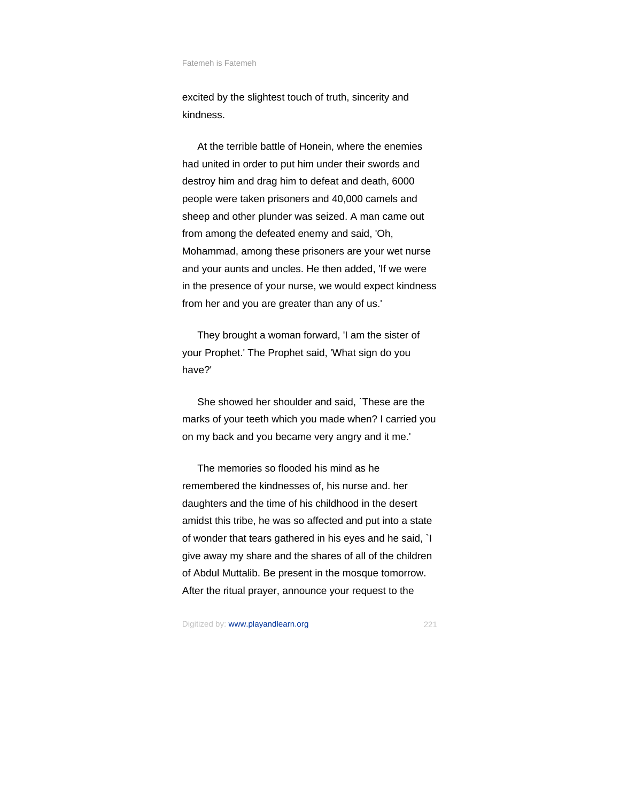excited by the slightest touch of truth, sincerity and kindness.

At the terrible battle of Honein, where the enemies had united in order to put him under their swords and destroy him and drag him to defeat and death, 6000 people were taken prisoners and 40,000 camels and sheep and other plunder was seized. A man came out from among the defeated enemy and said, 'Oh, Mohammad, among these prisoners are your wet nurse and your aunts and uncles. He then added, 'If we were in the presence of your nurse, we would expect kindness from her and you are greater than any of us.'

They brought a woman forward, 'I am the sister of your Prophet.' The Prophet said, 'What sign do you have?'

She showed her shoulder and said, `These are the marks of your teeth which you made when? I carried you on my back and you became very angry and it me.'

The memories so flooded his mind as he remembered the kindnesses of, his nurse and. her daughters and the time of his childhood in the desert amidst this tribe, he was so affected and put into a state of wonder that tears gathered in his eyes and he said, `I give away my share and the shares of all of the children of Abdul Muttalib. Be present in the mosque tomorrow. After the ritual prayer, announce your request to the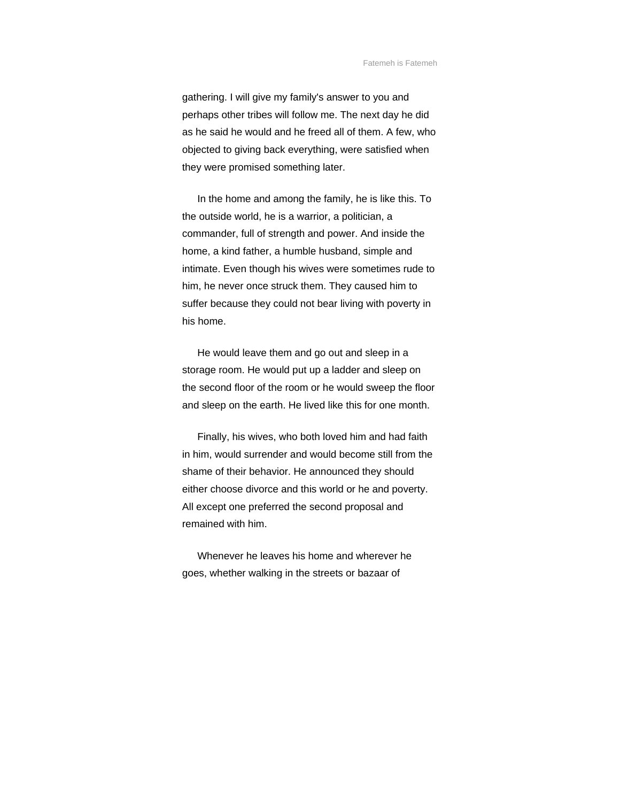gathering. I will give my family's answer to you and perhaps other tribes will follow me. The next day he did as he said he would and he freed all of them. A few, who objected to giving back everything, were satisfied when they were promised something later.

In the home and among the family, he is like this. To the outside world, he is a warrior, a politician, a commander, full of strength and power. And inside the home, a kind father, a humble husband, simple and intimate. Even though his wives were sometimes rude to him, he never once struck them. They caused him to suffer because they could not bear living with poverty in his home.

He would leave them and go out and sleep in a storage room. He would put up a ladder and sleep on the second floor of the room or he would sweep the floor and sleep on the earth. He lived like this for one month.

Finally, his wives, who both loved him and had faith in him, would surrender and would become still from the shame of their behavior. He announced they should either choose divorce and this world or he and poverty. All except one preferred the second proposal and remained with him.

Whenever he leaves his home and wherever he goes, whether walking in the streets or bazaar of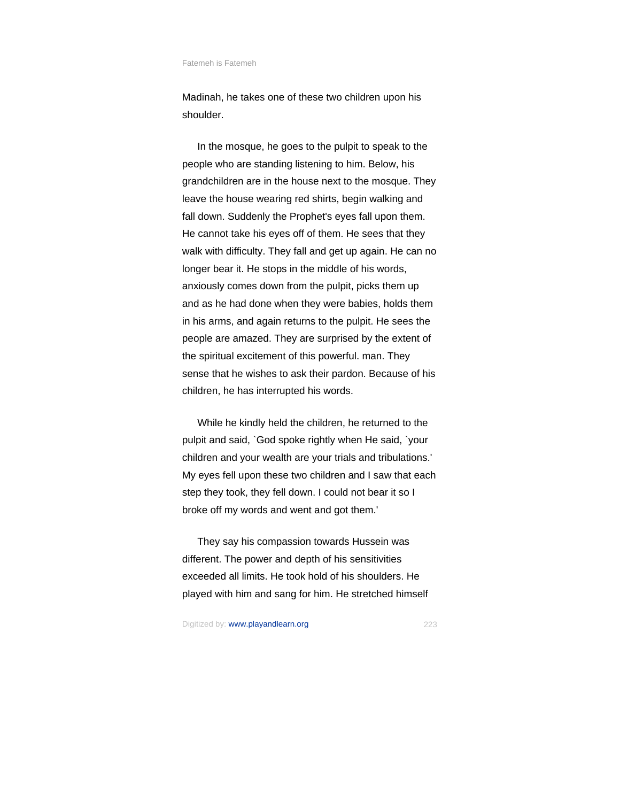Madinah, he takes one of these two children upon his shoulder.

In the mosque, he goes to the pulpit to speak to the people who are standing listening to him. Below, his grandchildren are in the house next to the mosque. They leave the house wearing red shirts, begin walking and fall down. Suddenly the Prophet's eyes fall upon them. He cannot take his eyes off of them. He sees that they walk with difficulty. They fall and get up again. He can no longer bear it. He stops in the middle of his words, anxiously comes down from the pulpit, picks them up and as he had done when they were babies, holds them in his arms, and again returns to the pulpit. He sees the people are amazed. They are surprised by the extent of the spiritual excitement of this powerful. man. They sense that he wishes to ask their pardon. Because of his children, he has interrupted his words.

While he kindly held the children, he returned to the pulpit and said, `God spoke rightly when He said, `your children and your wealth are your trials and tribulations.' My eyes fell upon these two children and I saw that each step they took, they fell down. I could not bear it so I broke off my words and went and got them.'

They say his compassion towards Hussein was different. The power and depth of his sensitivities exceeded all limits. He took hold of his shoulders. He played with him and sang for him. He stretched himself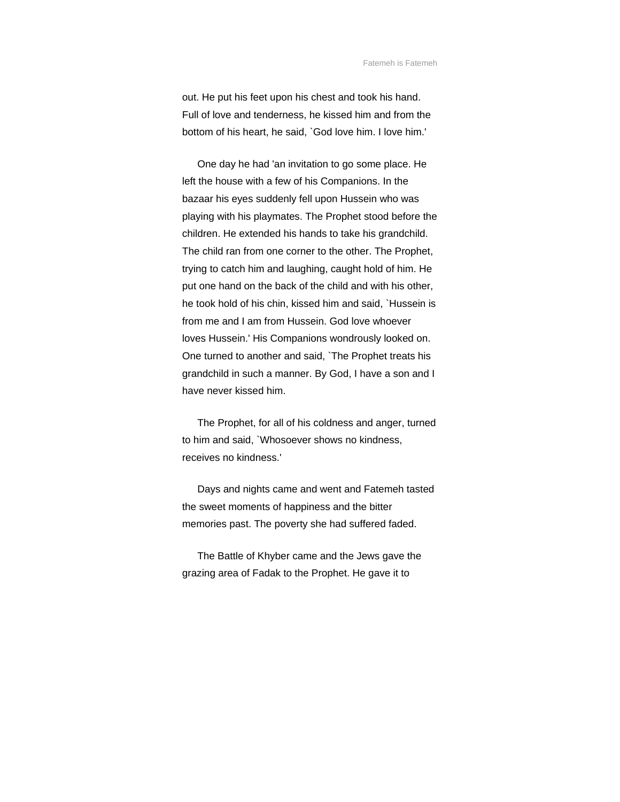out. He put his feet upon his chest and took his hand. Full of love and tenderness, he kissed him and from the bottom of his heart, he said, `God love him. I love him.'

One day he had 'an invitation to go some place. He left the house with a few of his Companions. In the bazaar his eyes suddenly fell upon Hussein who was playing with his playmates. The Prophet stood before the children. He extended his hands to take his grandchild. The child ran from one corner to the other. The Prophet, trying to catch him and laughing, caught hold of him. He put one hand on the back of the child and with his other, he took hold of his chin, kissed him and said, `Hussein is from me and I am from Hussein. God love whoever loves Hussein.' His Companions wondrously looked on. One turned to another and said, `The Prophet treats his grandchild in such a manner. By God, I have a son and I have never kissed him.

The Prophet, for all of his coldness and anger, turned to him and said, `Whosoever shows no kindness, receives no kindness.'

Days and nights came and went and Fatemeh tasted the sweet moments of happiness and the bitter memories past. The poverty she had suffered faded.

The Battle of Khyber came and the Jews gave the grazing area of Fadak to the Prophet. He gave it to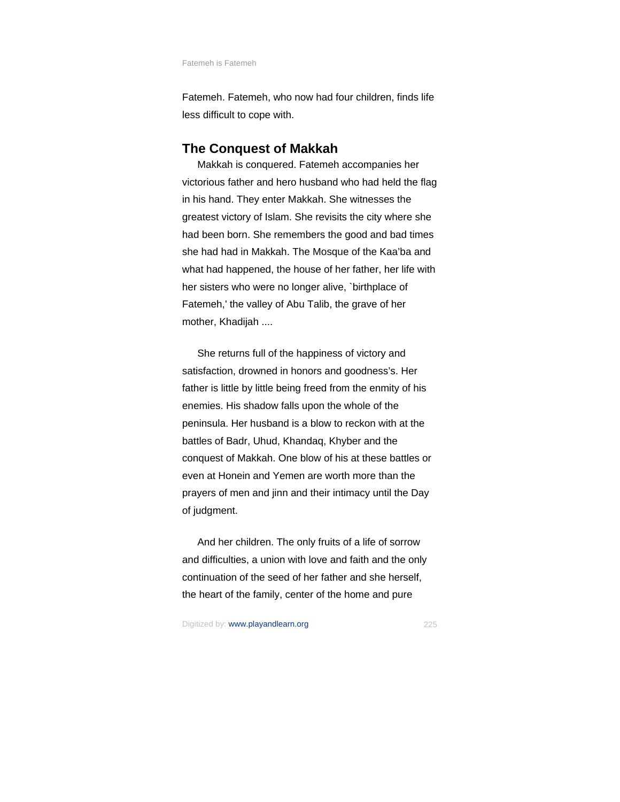Fatemeh. Fatemeh, who now had four children, finds life less difficult to cope with.

## **The Conquest of Makkah**

Makkah is conquered. Fatemeh accompanies her victorious father and hero husband who had held the flag in his hand. They enter Makkah. She witnesses the greatest victory of Islam. She revisits the city where she had been born. She remembers the good and bad times she had had in Makkah. The Mosque of the Kaa'ba and what had happened, the house of her father, her life with her sisters who were no longer alive, `birthplace of Fatemeh,' the valley of Abu Talib, the grave of her mother, Khadijah ....

She returns full of the happiness of victory and satisfaction, drowned in honors and goodness's. Her father is little by little being freed from the enmity of his enemies. His shadow falls upon the whole of the peninsula. Her husband is a blow to reckon with at the battles of Badr, Uhud, Khandaq, Khyber and the conquest of Makkah. One blow of his at these battles or even at Honein and Yemen are worth more than the prayers of men and jinn and their intimacy until the Day of judgment.

And her children. The only fruits of a life of sorrow and difficulties, a union with love and faith and the only continuation of the seed of her father and she herself, the heart of the family, center of the home and pure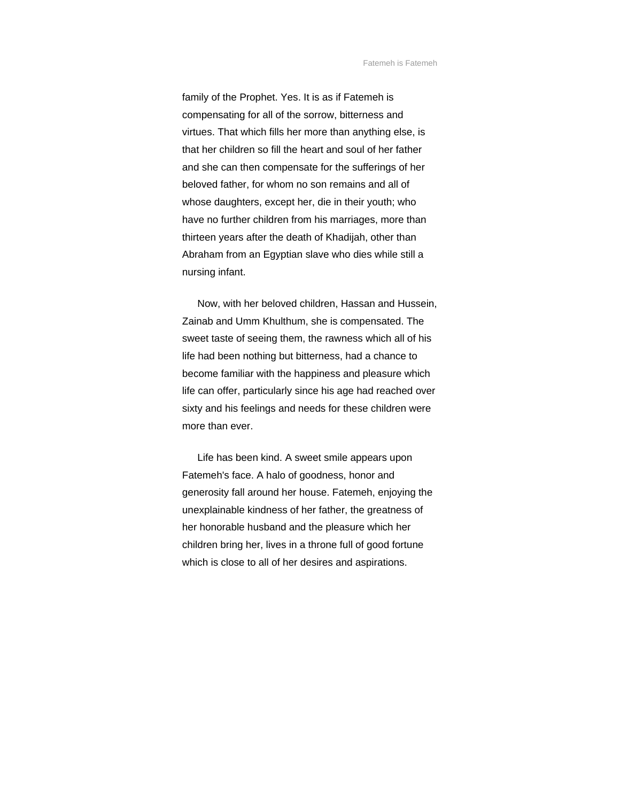family of the Prophet. Yes. It is as if Fatemeh is compensating for all of the sorrow, bitterness and virtues. That which fills her more than anything else, is that her children so fill the heart and soul of her father and she can then compensate for the sufferings of her beloved father, for whom no son remains and all of whose daughters, except her, die in their youth; who have no further children from his marriages, more than thirteen years after the death of Khadijah, other than Abraham from an Egyptian slave who dies while still a nursing infant.

Now, with her beloved children, Hassan and Hussein, Zainab and Umm Khulthum, she is compensated. The sweet taste of seeing them, the rawness which all of his life had been nothing but bitterness, had a chance to become familiar with the happiness and pleasure which life can offer, particularly since his age had reached over sixty and his feelings and needs for these children were more than ever.

Life has been kind. A sweet smile appears upon Fatemeh's face. A halo of goodness, honor and generosity fall around her house. Fatemeh, enjoying the unexplainable kindness of her father, the greatness of her honorable husband and the pleasure which her children bring her, lives in a throne full of good fortune which is close to all of her desires and aspirations.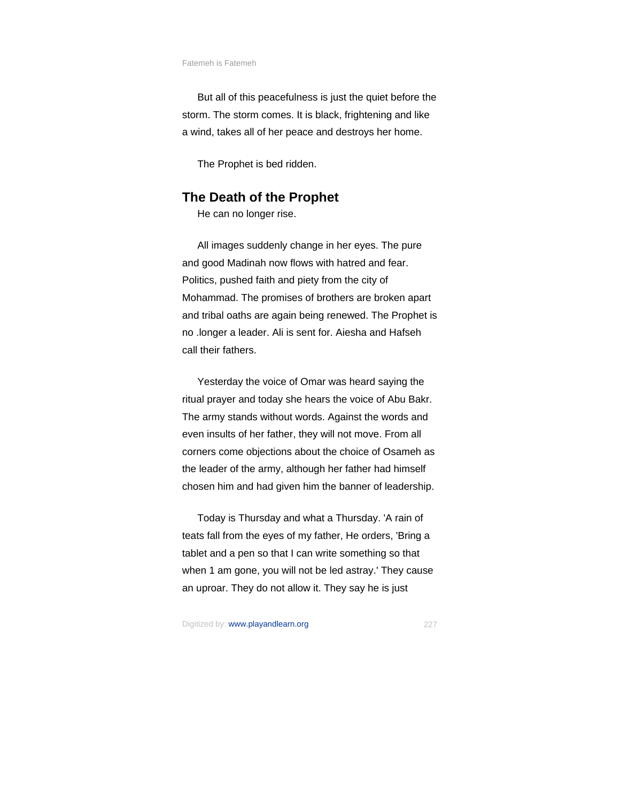Fatemeh is Fatemeh

But all of this peacefulness is just the quiet before the storm. The storm comes. It is black, frightening and like a wind, takes all of her peace and destroys her home.

The Prophet is bed ridden.

## **The Death of the Prophet**

He can no longer rise.

All images suddenly change in her eyes. The pure and good Madinah now flows with hatred and fear. Politics, pushed faith and piety from the city of Mohammad. The promises of brothers are broken apart and tribal oaths are again being renewed. The Prophet is no .longer a leader. Ali is sent for. Aiesha and Hafseh call their fathers.

Yesterday the voice of Omar was heard saying the ritual prayer and today she hears the voice of Abu Bakr. The army stands without words. Against the words and even insults of her father, they will not move. From all corners come objections about the choice of Osameh as the leader of the army, although her father had himself chosen him and had given him the banner of leadership.

Today is Thursday and what a Thursday. 'A rain of teats fall from the eyes of my father, He orders, 'Bring a tablet and a pen so that I can write something so that when 1 am gone, you will not be led astray.' They cause an uproar. They do not allow it. They say he is just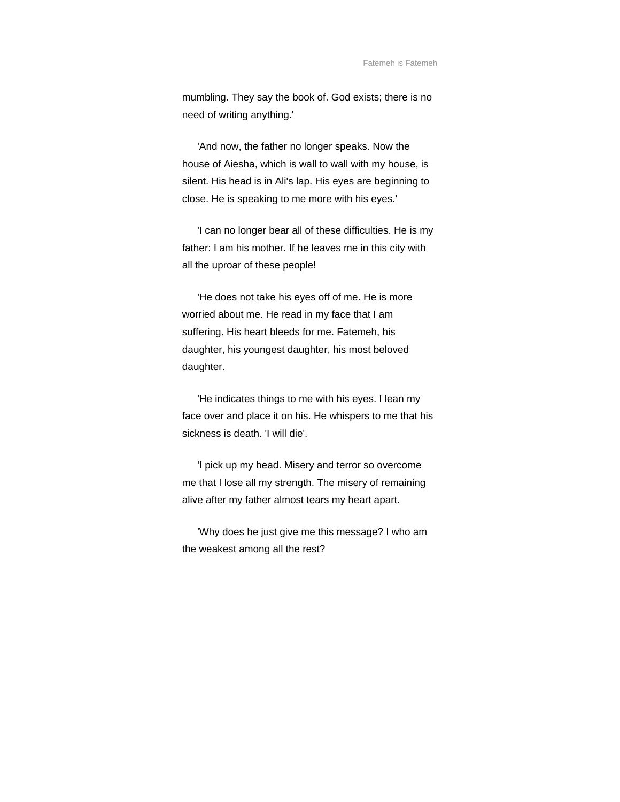mumbling. They say the book of. God exists; there is no need of writing anything.'

'And now, the father no longer speaks. Now the house of Aiesha, which is wall to wall with my house, is silent. His head is in Ali's lap. His eyes are beginning to close. He is speaking to me more with his eyes.'

'I can no longer bear all of these difficulties. He is my father: I am his mother. If he leaves me in this city with all the uproar of these people!

'He does not take his eyes off of me. He is more worried about me. He read in my face that I am suffering. His heart bleeds for me. Fatemeh, his daughter, his youngest daughter, his most beloved daughter.

'He indicates things to me with his eyes. I lean my face over and place it on his. He whispers to me that his sickness is death. 'I will die'.

'I pick up my head. Misery and terror so overcome me that I lose all my strength. The misery of remaining alive after my father almost tears my heart apart.

'Why does he just give me this message? I who am the weakest among all the rest?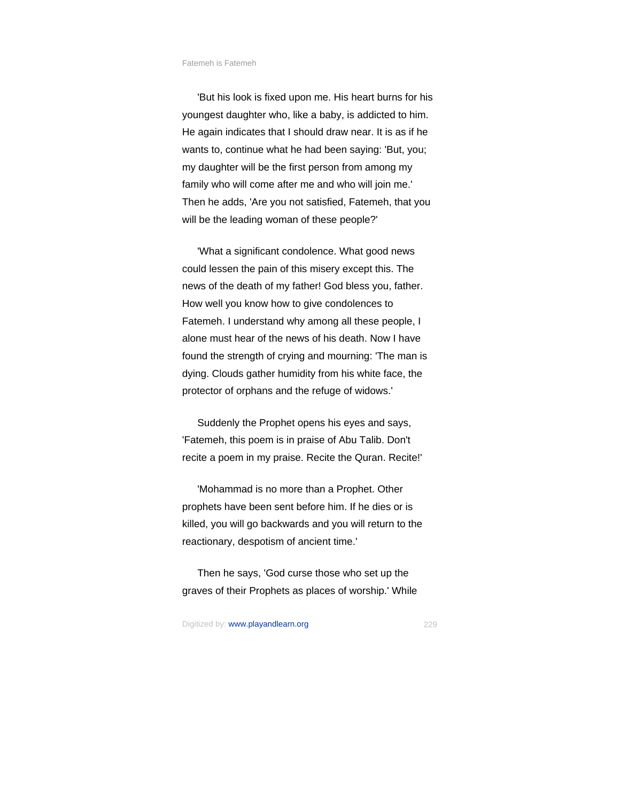'But his look is fixed upon me. His heart burns for his youngest daughter who, like a baby, is addicted to him. He again indicates that I should draw near. It is as if he wants to, continue what he had been saying: 'But, you; my daughter will be the first person from among my family who will come after me and who will join me.' Then he adds, 'Are you not satisfied, Fatemeh, that you will be the leading woman of these people?'

'What a significant condolence. What good news could lessen the pain of this misery except this. The news of the death of my father! God bless you, father. How well you know how to give condolences to Fatemeh. I understand why among all these people, I alone must hear of the news of his death. Now I have found the strength of crying and mourning: 'The man is dying. Clouds gather humidity from his white face, the protector of orphans and the refuge of widows.'

Suddenly the Prophet opens his eyes and says, 'Fatemeh, this poem is in praise of Abu Talib. Don't recite a poem in my praise. Recite the Quran. Recite!'

'Mohammad is no more than a Prophet. Other prophets have been sent before him. If he dies or is killed, you will go backwards and you will return to the reactionary, despotism of ancient time.'

Then he says, 'God curse those who set up the graves of their Prophets as places of worship.' While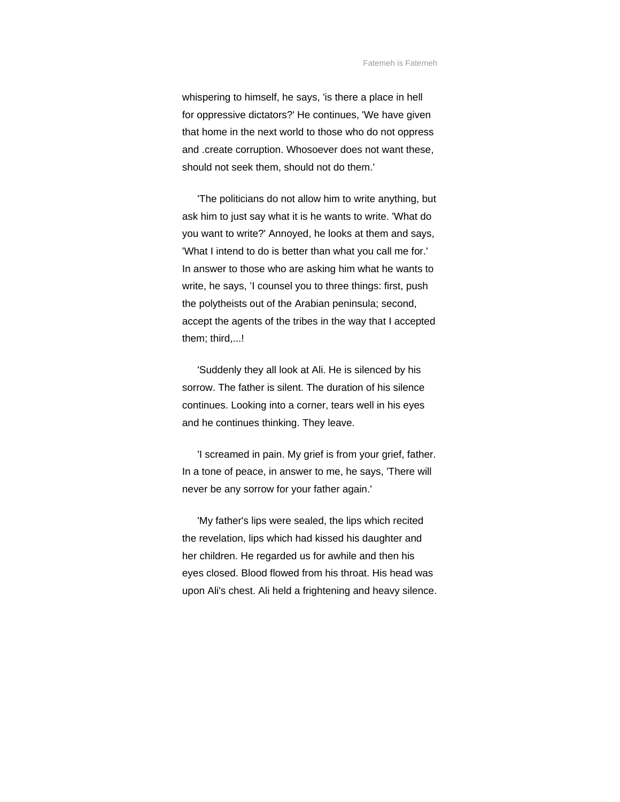whispering to himself, he says, 'is there a place in hell for oppressive dictators?' He continues, 'We have given that home in the next world to those who do not oppress and .create corruption. Whosoever does not want these, should not seek them, should not do them.'

'The politicians do not allow him to write anything, but ask him to just say what it is he wants to write. 'What do you want to write?' Annoyed, he looks at them and says, 'What I intend to do is better than what you call me for.' In answer to those who are asking him what he wants to write, he says, 'I counsel you to three things: first, push the polytheists out of the Arabian peninsula; second, accept the agents of the tribes in the way that I accepted them; third,...!

'Suddenly they all look at Ali. He is silenced by his sorrow. The father is silent. The duration of his silence continues. Looking into a corner, tears well in his eyes and he continues thinking. They leave.

'I screamed in pain. My grief is from your grief, father. In a tone of peace, in answer to me, he says, 'There will never be any sorrow for your father again.'

'My father's lips were sealed, the lips which recited the revelation, lips which had kissed his daughter and her children. He regarded us for awhile and then his eyes closed. Blood flowed from his throat. His head was upon Ali's chest. Ali held a frightening and heavy silence.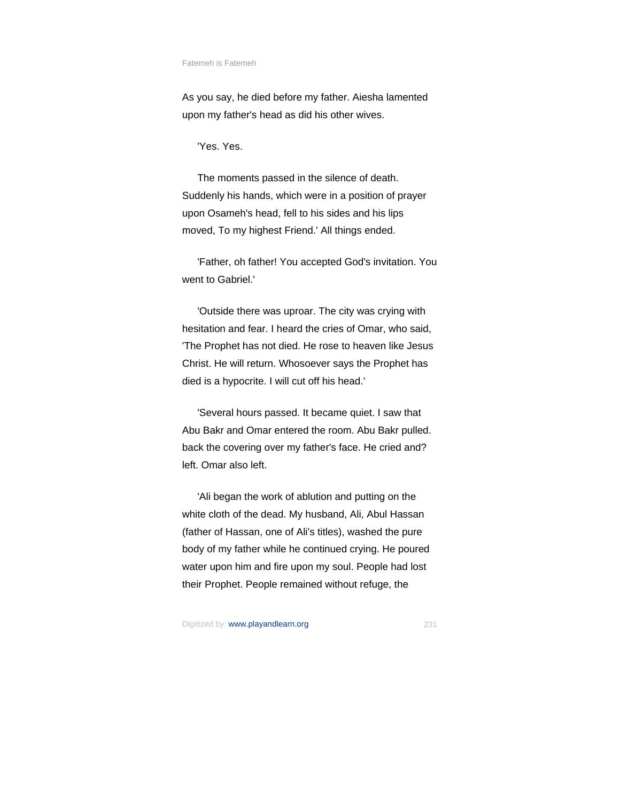As you say, he died before my father. Aiesha lamented upon my father's head as did his other wives.

'Yes. Yes.

The moments passed in the silence of death. Suddenly his hands, which were in a position of prayer upon Osameh's head, fell to his sides and his lips moved, To my highest Friend.' All things ended.

'Father, oh father! You accepted God's invitation. You went to Gabriel.'

'Outside there was uproar. The city was crying with hesitation and fear. I heard the cries of Omar, who said, 'The Prophet has not died. He rose to heaven like Jesus Christ. He will return. Whosoever says the Prophet has died is a hypocrite. I will cut off his head.'

'Several hours passed. It became quiet. I saw that Abu Bakr and Omar entered the room. Abu Bakr pulled. back the covering over my father's face. He cried and? left. Omar also left.

'Ali began the work of ablution and putting on the white cloth of the dead. My husband, Ali, Abul Hassan (father of Hassan, one of Ali's titles), washed the pure body of my father while he continued crying. He poured water upon him and fire upon my soul. People had lost their Prophet. People remained without refuge, the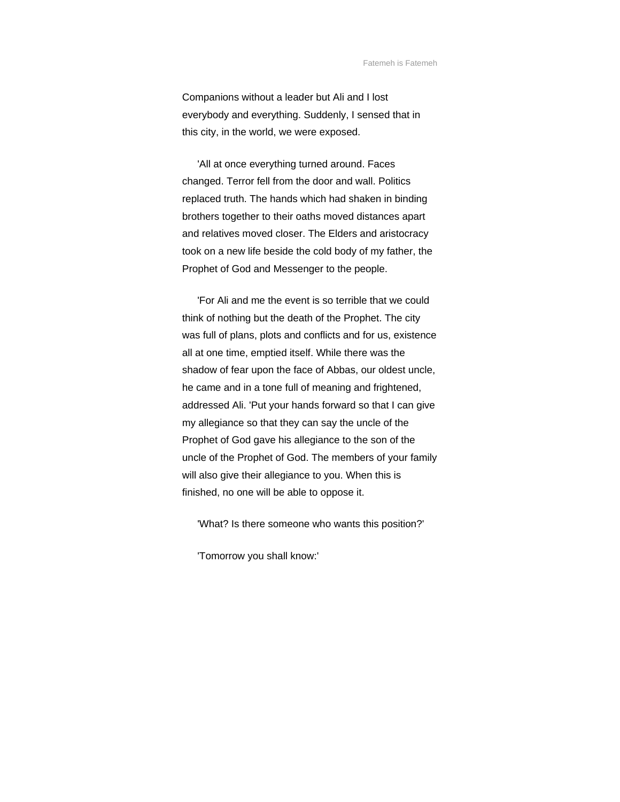Companions without a leader but Ali and I lost everybody and everything. Suddenly, I sensed that in this city, in the world, we were exposed.

'All at once everything turned around. Faces changed. Terror fell from the door and wall. Politics replaced truth. The hands which had shaken in binding brothers together to their oaths moved distances apart and relatives moved closer. The Elders and aristocracy took on a new life beside the cold body of my father, the Prophet of God and Messenger to the people.

'For Ali and me the event is so terrible that we could think of nothing but the death of the Prophet. The city was full of plans, plots and conflicts and for us, existence all at one time, emptied itself. While there was the shadow of fear upon the face of Abbas, our oldest uncle, he came and in a tone full of meaning and frightened, addressed Ali. 'Put your hands forward so that I can give my allegiance so that they can say the uncle of the Prophet of God gave his allegiance to the son of the uncle of the Prophet of God. The members of your family will also give their allegiance to you. When this is finished, no one will be able to oppose it.

'What? Is there someone who wants this position?'

'Tomorrow you shall know:'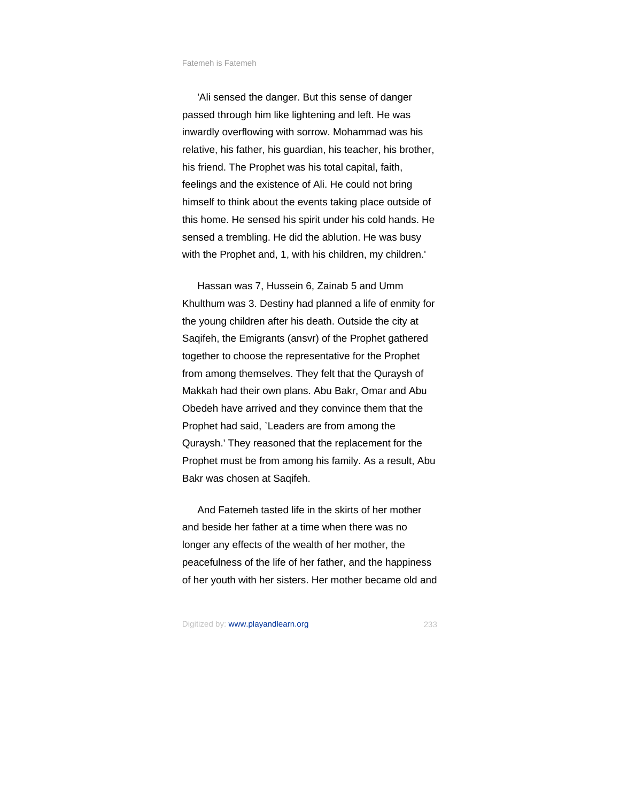'Ali sensed the danger. But this sense of danger passed through him like lightening and left. He was inwardly overflowing with sorrow. Mohammad was his relative, his father, his guardian, his teacher, his brother, his friend. The Prophet was his total capital, faith, feelings and the existence of Ali. He could not bring himself to think about the events taking place outside of this home. He sensed his spirit under his cold hands. He sensed a trembling. He did the ablution. He was busy with the Prophet and, 1, with his children, my children.'

Hassan was 7, Hussein 6, Zainab 5 and Umm Khulthum was 3. Destiny had planned a life of enmity for the young children after his death. Outside the city at Saqifeh, the Emigrants (ansvr) of the Prophet gathered together to choose the representative for the Prophet from among themselves. They felt that the Quraysh of Makkah had their own plans. Abu Bakr, Omar and Abu Obedeh have arrived and they convince them that the Prophet had said, `Leaders are from among the Quraysh.' They reasoned that the replacement for the Prophet must be from among his family. As a result, Abu Bakr was chosen at Saqifeh.

And Fatemeh tasted life in the skirts of her mother and beside her father at a time when there was no longer any effects of the wealth of her mother, the peacefulness of the life of her father, and the happiness of her youth with her sisters. Her mother became old and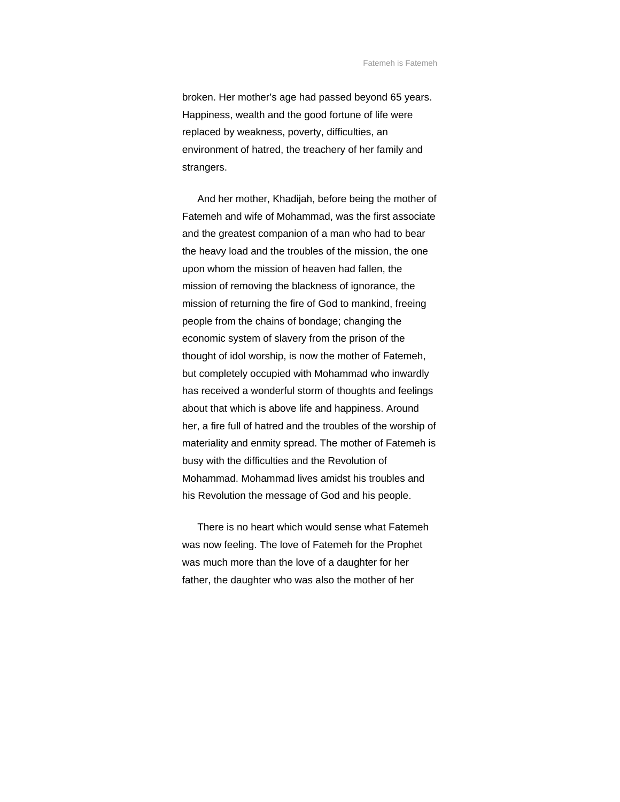broken. Her mother's age had passed beyond 65 years. Happiness, wealth and the good fortune of life were replaced by weakness, poverty, difficulties, an environment of hatred, the treachery of her family and strangers.

And her mother, Khadijah, before being the mother of Fatemeh and wife of Mohammad, was the first associate and the greatest companion of a man who had to bear the heavy load and the troubles of the mission, the one upon whom the mission of heaven had fallen, the mission of removing the blackness of ignorance, the mission of returning the fire of God to mankind, freeing people from the chains of bondage; changing the economic system of slavery from the prison of the thought of idol worship, is now the mother of Fatemeh, but completely occupied with Mohammad who inwardly has received a wonderful storm of thoughts and feelings about that which is above life and happiness. Around her, a fire full of hatred and the troubles of the worship of materiality and enmity spread. The mother of Fatemeh is busy with the difficulties and the Revolution of Mohammad. Mohammad lives amidst his troubles and his Revolution the message of God and his people.

There is no heart which would sense what Fatemeh was now feeling. The love of Fatemeh for the Prophet was much more than the love of a daughter for her father, the daughter who was also the mother of her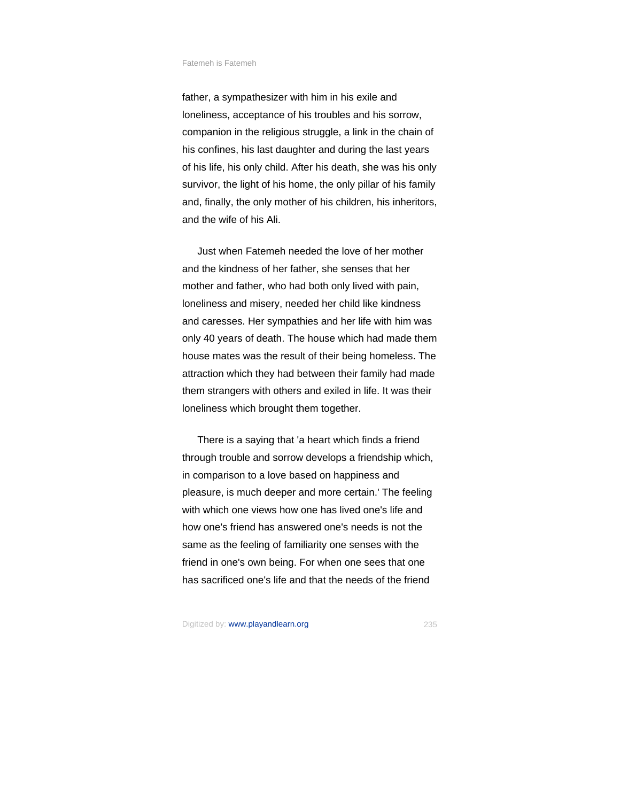#### Fatemeh is Fatemeh

father, a sympathesizer with him in his exile and loneliness, acceptance of his troubles and his sorrow, companion in the religious struggle, a link in the chain of his confines, his last daughter and during the last years of his life, his only child. After his death, she was his only survivor, the light of his home, the only pillar of his family and, finally, the only mother of his children, his inheritors, and the wife of his Ali.

Just when Fatemeh needed the love of her mother and the kindness of her father, she senses that her mother and father, who had both only lived with pain, loneliness and misery, needed her child like kindness and caresses. Her sympathies and her life with him was only 40 years of death. The house which had made them house mates was the result of their being homeless. The attraction which they had between their family had made them strangers with others and exiled in life. It was their loneliness which brought them together.

There is a saying that 'a heart which finds a friend through trouble and sorrow develops a friendship which, in comparison to a love based on happiness and pleasure, is much deeper and more certain.' The feeling with which one views how one has lived one's life and how one's friend has answered one's needs is not the same as the feeling of familiarity one senses with the friend in one's own being. For when one sees that one has sacrificed one's life and that the needs of the friend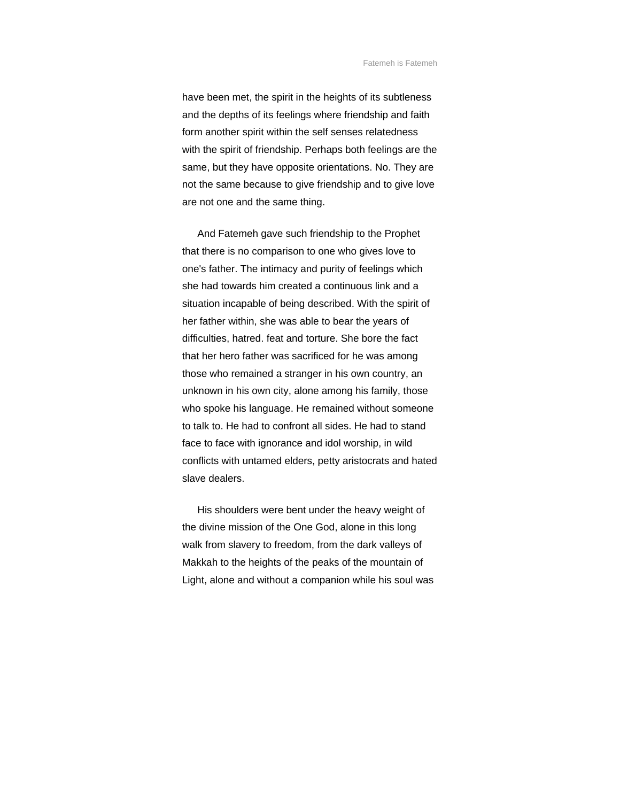have been met, the spirit in the heights of its subtleness and the depths of its feelings where friendship and faith form another spirit within the self senses relatedness with the spirit of friendship. Perhaps both feelings are the same, but they have opposite orientations. No. They are not the same because to give friendship and to give love are not one and the same thing.

And Fatemeh gave such friendship to the Prophet that there is no comparison to one who gives love to one's father. The intimacy and purity of feelings which she had towards him created a continuous link and a situation incapable of being described. With the spirit of her father within, she was able to bear the years of difficulties, hatred. feat and torture. She bore the fact that her hero father was sacrificed for he was among those who remained a stranger in his own country, an unknown in his own city, alone among his family, those who spoke his language. He remained without someone to talk to. He had to confront all sides. He had to stand face to face with ignorance and idol worship, in wild conflicts with untamed elders, petty aristocrats and hated slave dealers.

His shoulders were bent under the heavy weight of the divine mission of the One God, alone in this long walk from slavery to freedom, from the dark valleys of Makkah to the heights of the peaks of the mountain of Light, alone and without a companion while his soul was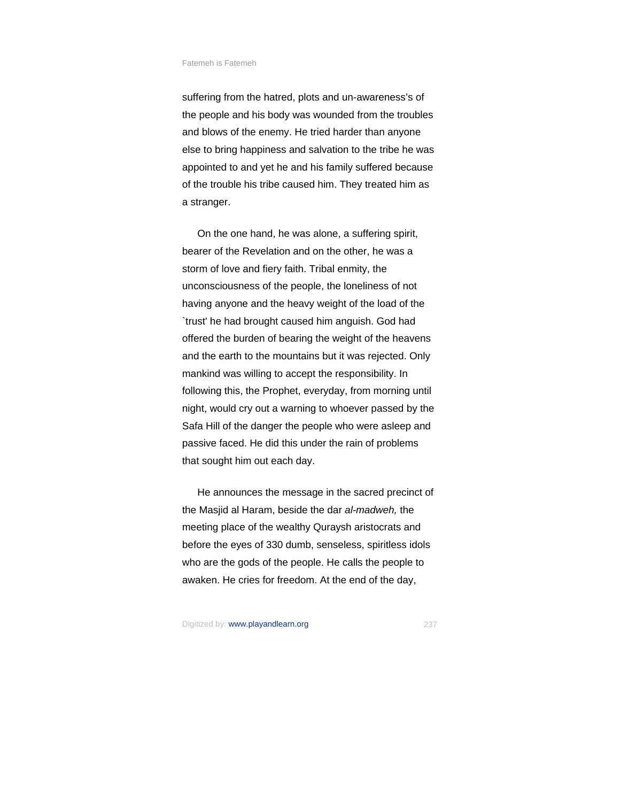suffering from the hatred, plots and un-awareness's of the people and his body was wounded from the troubles and blows of the enemy. He tried harder than anyone else to bring happiness and salvation to the tribe he was appointed to and yet he and his family suffered because of the trouble his tribe caused him. They treated him as a stranger.

On the one hand, he was alone, a suffering spirit, bearer of the Revelation and on the other, he was a storm of love and fiery faith. Tribal enmity, the unconsciousness of the people, the loneliness of not having anyone and the heavy weight of the load of the `trust' he had brought caused him anguish. God had offered the burden of bearing the weight of the heavens and the earth to the mountains but it was rejected. Only mankind was willing to accept the responsibility. In following this, the Prophet, everyday, from morning until night, would cry out a warning to whoever passed by the Safa Hill of the danger the people who were asleep and passive faced. He did this under the rain of problems that sought him out each day.

He announces the message in the sacred precinct of the Masjid al Haram, beside the dar *al-madweh,* the meeting place of the wealthy Quraysh aristocrats and before the eyes of 330 dumb, senseless, spiritless idols who are the gods of the people. He calls the people to awaken. He cries for freedom. At the end of the day,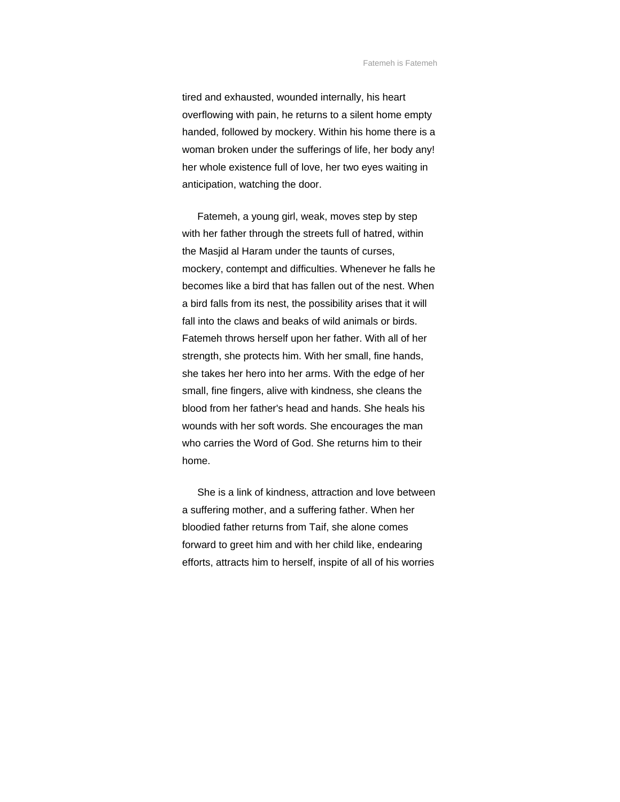tired and exhausted, wounded internally, his heart overflowing with pain, he returns to a silent home empty handed, followed by mockery. Within his home there is a woman broken under the sufferings of life, her body any! her whole existence full of love, her two eyes waiting in anticipation, watching the door.

Fatemeh, a young girl, weak, moves step by step with her father through the streets full of hatred, within the Masjid al Haram under the taunts of curses, mockery, contempt and difficulties. Whenever he falls he becomes like a bird that has fallen out of the nest. When a bird falls from its nest, the possibility arises that it will fall into the claws and beaks of wild animals or birds. Fatemeh throws herself upon her father. With all of her strength, she protects him. With her small, fine hands, she takes her hero into her arms. With the edge of her small, fine fingers, alive with kindness, she cleans the blood from her father's head and hands. She heals his wounds with her soft words. She encourages the man who carries the Word of God. She returns him to their home.

She is a link of kindness, attraction and love between a suffering mother, and a suffering father. When her bloodied father returns from Taif, she alone comes forward to greet him and with her child like, endearing efforts, attracts him to herself, inspite of all of his worries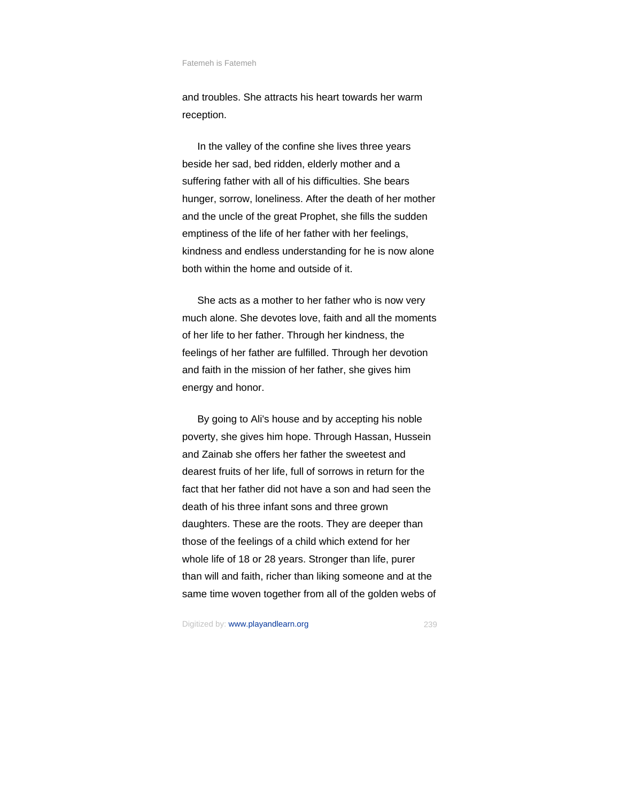and troubles. She attracts his heart towards her warm reception.

In the valley of the confine she lives three years beside her sad, bed ridden, elderly mother and a suffering father with all of his difficulties. She bears hunger, sorrow, loneliness. After the death of her mother and the uncle of the great Prophet, she fills the sudden emptiness of the life of her father with her feelings, kindness and endless understanding for he is now alone both within the home and outside of it.

She acts as a mother to her father who is now very much alone. She devotes love, faith and all the moments of her life to her father. Through her kindness, the feelings of her father are fulfilled. Through her devotion and faith in the mission of her father, she gives him energy and honor.

By going to Ali's house and by accepting his noble poverty, she gives him hope. Through Hassan, Hussein and Zainab she offers her father the sweetest and dearest fruits of her life, full of sorrows in return for the fact that her father did not have a son and had seen the death of his three infant sons and three grown daughters. These are the roots. They are deeper than those of the feelings of a child which extend for her whole life of 18 or 28 years. Stronger than life, purer than will and faith, richer than liking someone and at the same time woven together from all of the golden webs of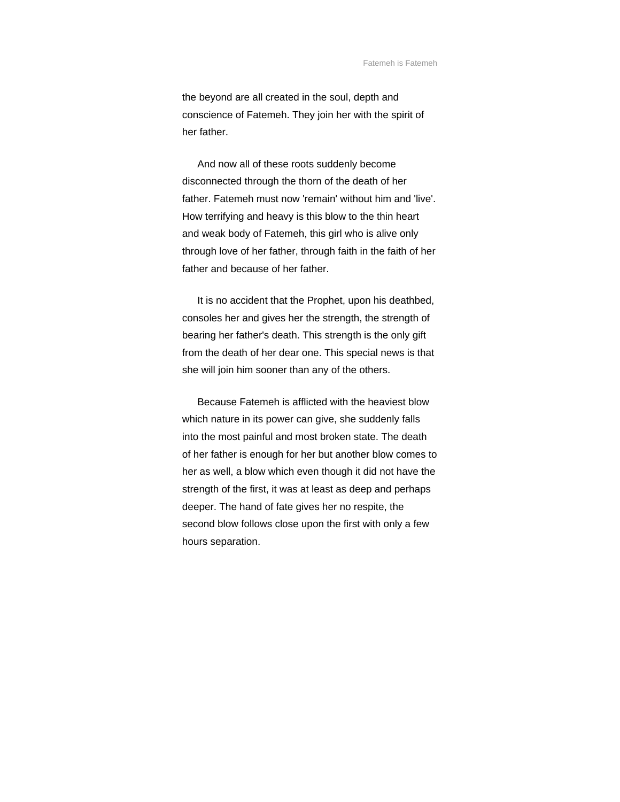the beyond are all created in the soul, depth and conscience of Fatemeh. They join her with the spirit of her father.

And now all of these roots suddenly become disconnected through the thorn of the death of her father. Fatemeh must now 'remain' without him and 'live'. How terrifying and heavy is this blow to the thin heart and weak body of Fatemeh, this girl who is alive only through love of her father, through faith in the faith of her father and because of her father.

It is no accident that the Prophet, upon his deathbed, consoles her and gives her the strength, the strength of bearing her father's death. This strength is the only gift from the death of her dear one. This special news is that she will join him sooner than any of the others.

Because Fatemeh is afflicted with the heaviest blow which nature in its power can give, she suddenly falls into the most painful and most broken state. The death of her father is enough for her but another blow comes to her as well, a blow which even though it did not have the strength of the first, it was at least as deep and perhaps deeper. The hand of fate gives her no respite, the second blow follows close upon the first with only a few hours separation.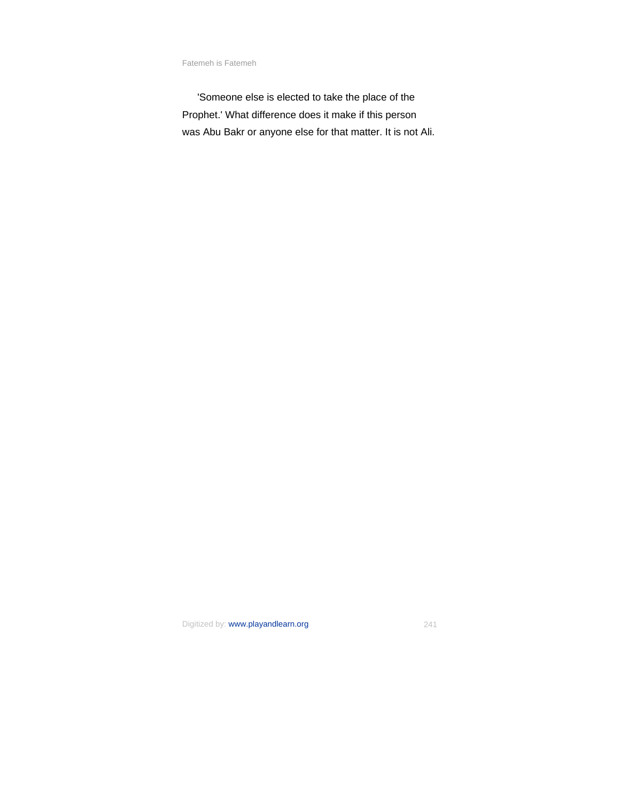Fatemeh is Fatemeh

'Someone else is elected to take the place of the Prophet.' What difference does it make if this person was Abu Bakr or anyone else for that matter. It is not Ali.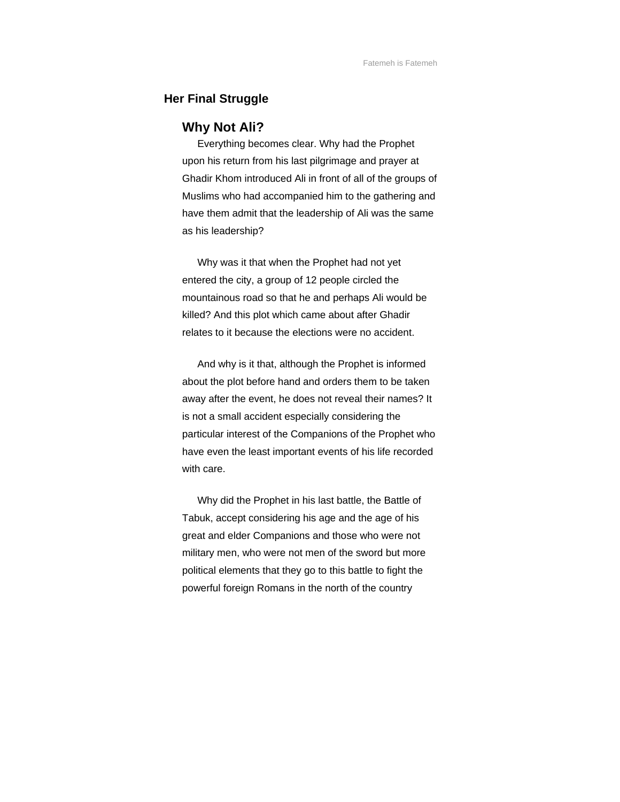## **Her Final Struggle**

# **Why Not Ali?**

Everything becomes clear. Why had the Prophet upon his return from his last pilgrimage and prayer at Ghadir Khom introduced Ali in front of all of the groups of Muslims who had accompanied him to the gathering and have them admit that the leadership of Ali was the same as his leadership?

Why was it that when the Prophet had not yet entered the city, a group of 12 people circled the mountainous road so that he and perhaps Ali would be killed? And this plot which came about after Ghadir relates to it because the elections were no accident.

And why is it that, although the Prophet is informed about the plot before hand and orders them to be taken away after the event, he does not reveal their names? It is not a small accident especially considering the particular interest of the Companions of the Prophet who have even the least important events of his life recorded with care.

Why did the Prophet in his last battle, the Battle of Tabuk, accept considering his age and the age of his great and elder Companions and those who were not military men, who were not men of the sword but more political elements that they go to this battle to fight the powerful foreign Romans in the north of the country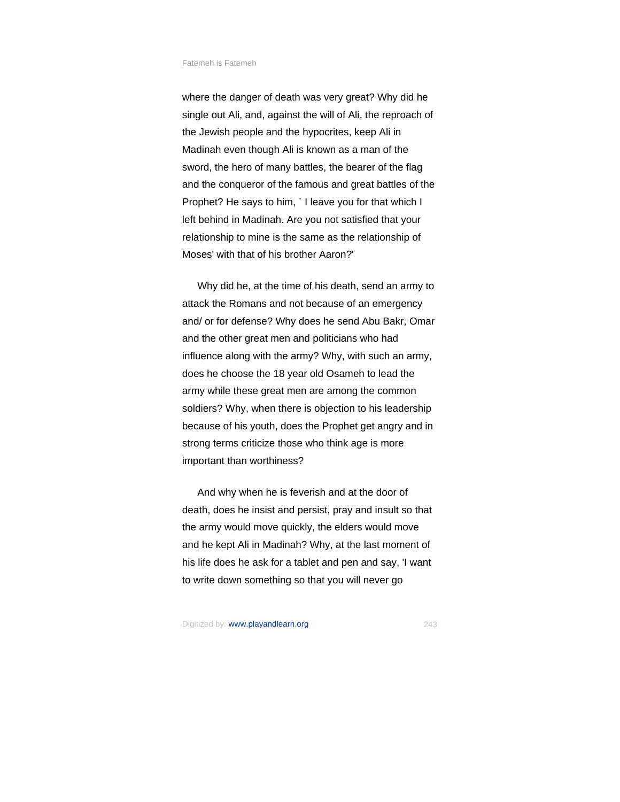where the danger of death was very great? Why did he single out Ali, and, against the will of Ali, the reproach of the Jewish people and the hypocrites, keep Ali in Madinah even though Ali is known as a man of the sword, the hero of many battles, the bearer of the flag and the conqueror of the famous and great battles of the Prophet? He says to him, ` I leave you for that which I left behind in Madinah. Are you not satisfied that your relationship to mine is the same as the relationship of Moses' with that of his brother Aaron?'

Why did he, at the time of his death, send an army to attack the Romans and not because of an emergency and/ or for defense? Why does he send Abu Bakr, Omar and the other great men and politicians who had influence along with the army? Why, with such an army, does he choose the 18 year old Osameh to lead the army while these great men are among the common soldiers? Why, when there is objection to his leadership because of his youth, does the Prophet get angry and in strong terms criticize those who think age is more important than worthiness?

And why when he is feverish and at the door of death, does he insist and persist, pray and insult so that the army would move quickly, the elders would move and he kept Ali in Madinah? Why, at the last moment of his life does he ask for a tablet and pen and say, 'I want to write down something so that you will never go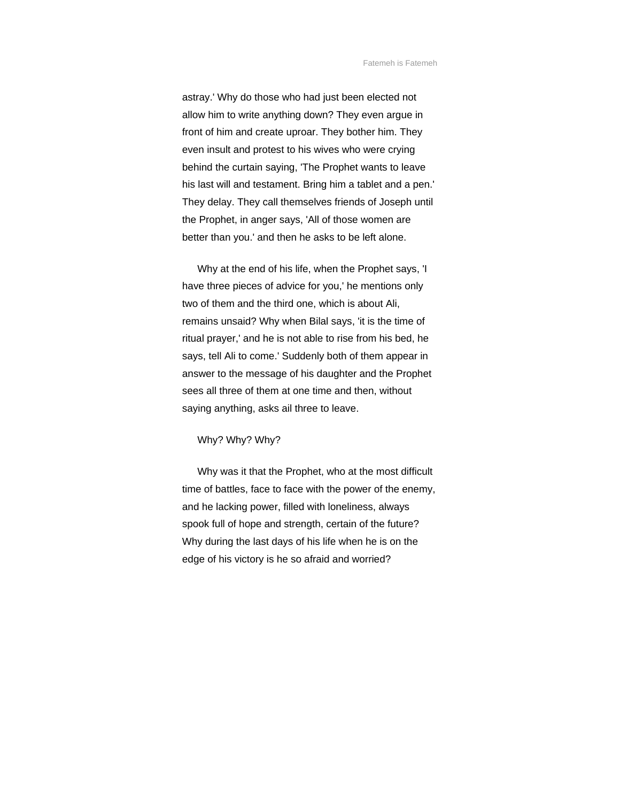astray.' Why do those who had just been elected not allow him to write anything down? They even argue in front of him and create uproar. They bother him. They even insult and protest to his wives who were crying behind the curtain saying, 'The Prophet wants to leave his last will and testament. Bring him a tablet and a pen.' They delay. They call themselves friends of Joseph until the Prophet, in anger says, 'All of those women are better than you.' and then he asks to be left alone.

Why at the end of his life, when the Prophet says, 'I have three pieces of advice for you,' he mentions only two of them and the third one, which is about Ali, remains unsaid? Why when Bilal says, 'it is the time of ritual prayer,' and he is not able to rise from his bed, he says, tell Ali to come.' Suddenly both of them appear in answer to the message of his daughter and the Prophet sees all three of them at one time and then, without saying anything, asks ail three to leave.

#### Why? Why? Why?

Why was it that the Prophet, who at the most difficult time of battles, face to face with the power of the enemy, and he lacking power, filled with loneliness, always spook full of hope and strength, certain of the future? Why during the last days of his life when he is on the edge of his victory is he so afraid and worried?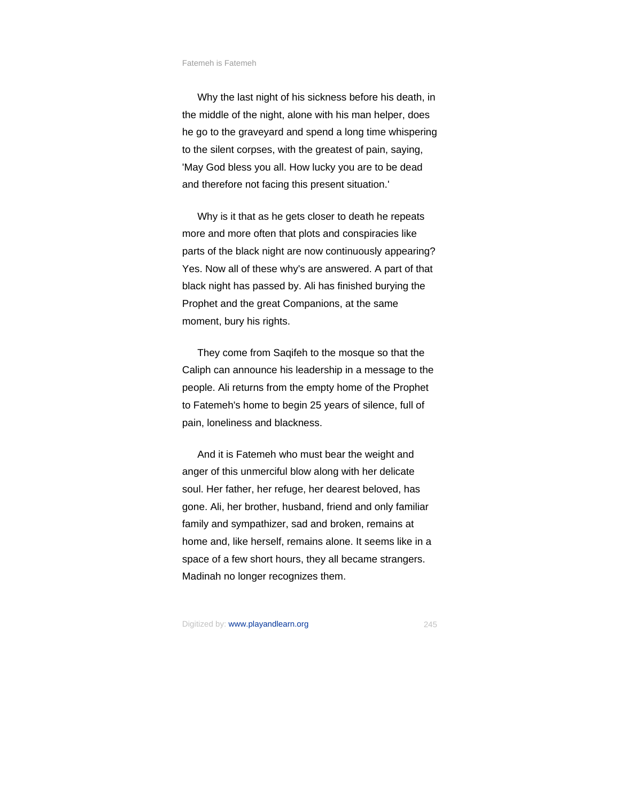Why the last night of his sickness before his death, in the middle of the night, alone with his man helper, does he go to the graveyard and spend a long time whispering to the silent corpses, with the greatest of pain, saying, 'May God bless you all. How lucky you are to be dead and therefore not facing this present situation.'

Why is it that as he gets closer to death he repeats more and more often that plots and conspiracies like parts of the black night are now continuously appearing? Yes. Now all of these why's are answered. A part of that black night has passed by. Ali has finished burying the Prophet and the great Companions, at the same moment, bury his rights.

They come from Saqifeh to the mosque so that the Caliph can announce his leadership in a message to the people. Ali returns from the empty home of the Prophet to Fatemeh's home to begin 25 years of silence, full of pain, loneliness and blackness.

And it is Fatemeh who must bear the weight and anger of this unmerciful blow along with her delicate soul. Her father, her refuge, her dearest beloved, has gone. Ali, her brother, husband, friend and only familiar family and sympathizer, sad and broken, remains at home and, like herself, remains alone. It seems like in a space of a few short hours, they all became strangers. Madinah no longer recognizes them.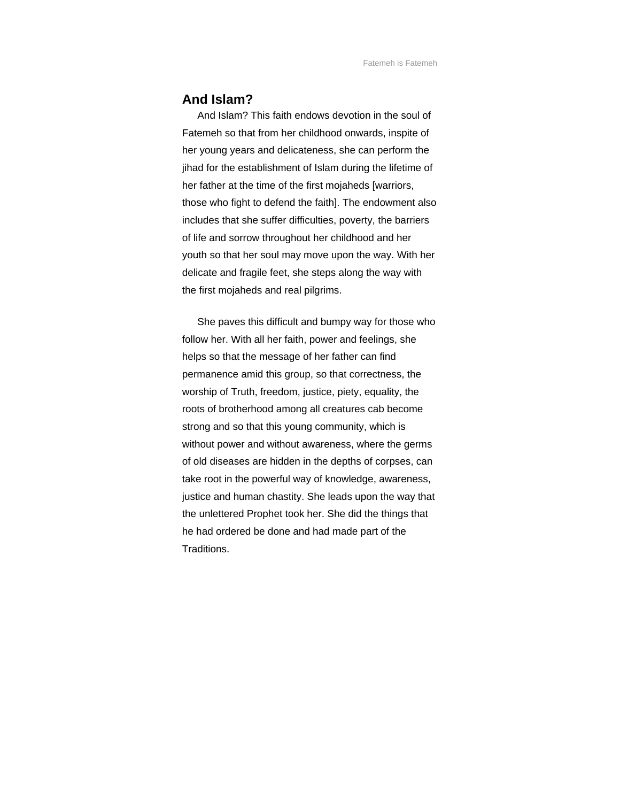## **And Islam?**

And Islam? This faith endows devotion in the soul of Fatemeh so that from her childhood onwards, inspite of her young years and delicateness, she can perform the jihad for the establishment of Islam during the lifetime of her father at the time of the first mojaheds [warriors, those who fight to defend the faith]. The endowment also includes that she suffer difficulties, poverty, the barriers of life and sorrow throughout her childhood and her youth so that her soul may move upon the way. With her delicate and fragile feet, she steps along the way with the first mojaheds and real pilgrims.

She paves this difficult and bumpy way for those who follow her. With all her faith, power and feelings, she helps so that the message of her father can find permanence amid this group, so that correctness, the worship of Truth, freedom, justice, piety, equality, the roots of brotherhood among all creatures cab become strong and so that this young community, which is without power and without awareness, where the germs of old diseases are hidden in the depths of corpses, can take root in the powerful way of knowledge, awareness, justice and human chastity. She leads upon the way that the unlettered Prophet took her. She did the things that he had ordered be done and had made part of the Traditions.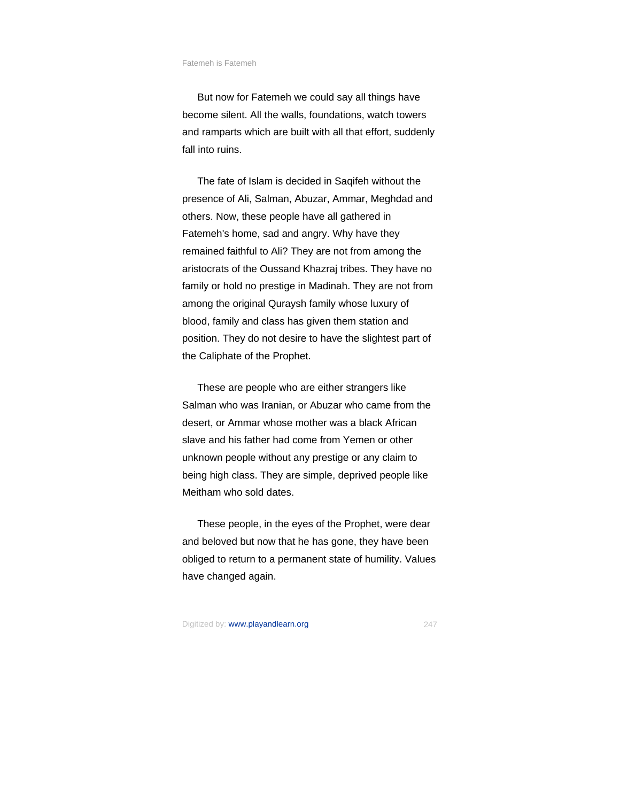But now for Fatemeh we could say all things have become silent. All the walls, foundations, watch towers and ramparts which are built with all that effort, suddenly fall into ruins.

The fate of Islam is decided in Saqifeh without the presence of Ali, Salman, Abuzar, Ammar, Meghdad and others. Now, these people have all gathered in Fatemeh's home, sad and angry. Why have they remained faithful to Ali? They are not from among the aristocrats of the Oussand Khazraj tribes. They have no family or hold no prestige in Madinah. They are not from among the original Quraysh family whose luxury of blood, family and class has given them station and position. They do not desire to have the slightest part of the Caliphate of the Prophet.

These are people who are either strangers like Salman who was Iranian, or Abuzar who came from the desert, or Ammar whose mother was a black African slave and his father had come from Yemen or other unknown people without any prestige or any claim to being high class. They are simple, deprived people like Meitham who sold dates.

These people, in the eyes of the Prophet, were dear and beloved but now that he has gone, they have been obliged to return to a permanent state of humility. Values have changed again.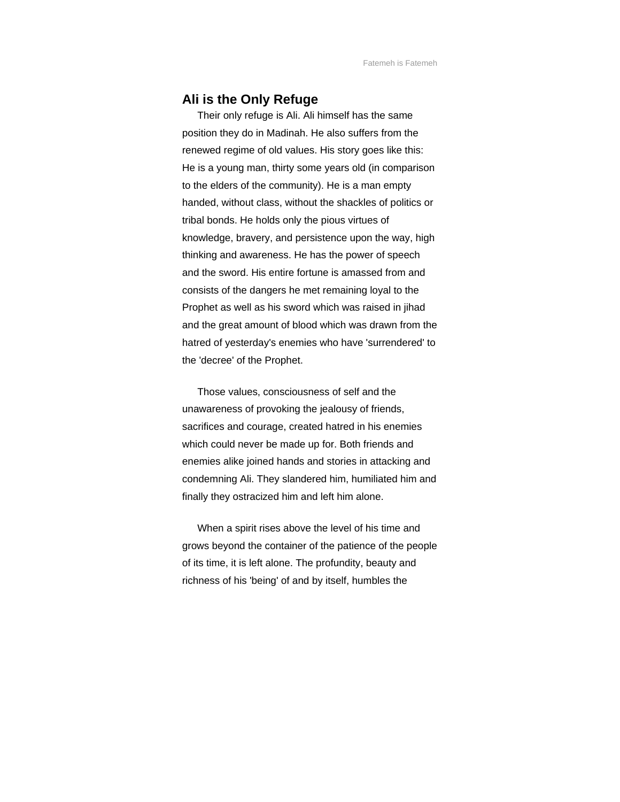# **Ali is the Only Refuge**

Their only refuge is Ali. Ali himself has the same position they do in Madinah. He also suffers from the renewed regime of old values. His story goes like this: He is a young man, thirty some years old (in comparison to the elders of the community). He is a man empty handed, without class, without the shackles of politics or tribal bonds. He holds only the pious virtues of knowledge, bravery, and persistence upon the way, high thinking and awareness. He has the power of speech and the sword. His entire fortune is amassed from and consists of the dangers he met remaining loyal to the Prophet as well as his sword which was raised in jihad and the great amount of blood which was drawn from the hatred of yesterday's enemies who have 'surrendered' to the 'decree' of the Prophet.

Those values, consciousness of self and the unawareness of provoking the jealousy of friends, sacrifices and courage, created hatred in his enemies which could never be made up for. Both friends and enemies alike joined hands and stories in attacking and condemning Ali. They slandered him, humiliated him and finally they ostracized him and left him alone.

When a spirit rises above the level of his time and grows beyond the container of the patience of the people of its time, it is left alone. The profundity, beauty and richness of his 'being' of and by itself, humbles the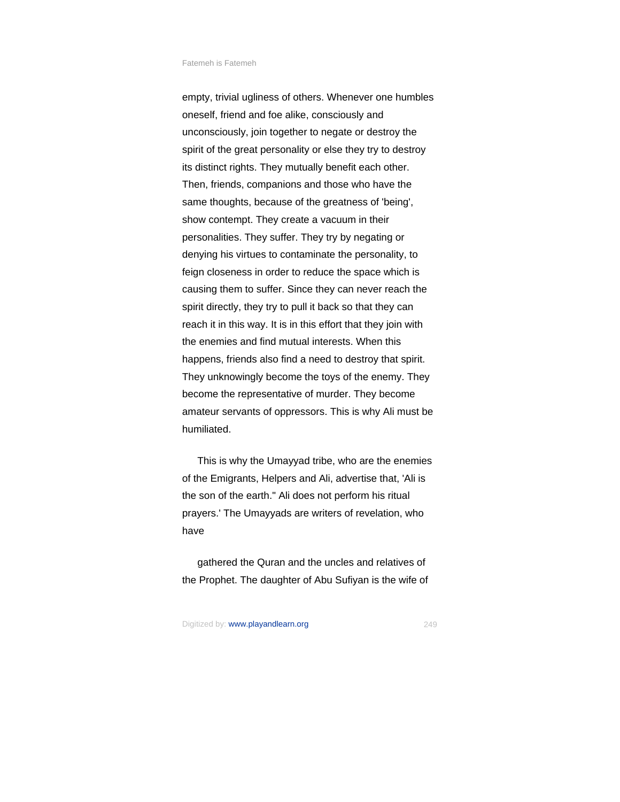empty, trivial ugliness of others. Whenever one humbles oneself, friend and foe alike, consciously and unconsciously, join together to negate or destroy the spirit of the great personality or else they try to destroy its distinct rights. They mutually benefit each other. Then, friends, companions and those who have the same thoughts, because of the greatness of 'being', show contempt. They create a vacuum in their personalities. They suffer. They try by negating or denying his virtues to contaminate the personality, to feign closeness in order to reduce the space which is causing them to suffer. Since they can never reach the spirit directly, they try to pull it back so that they can reach it in this way. It is in this effort that they join with the enemies and find mutual interests. When this happens, friends also find a need to destroy that spirit. They unknowingly become the toys of the enemy. They become the representative of murder. They become amateur servants of oppressors. This is why Ali must be humiliated.

This is why the Umayyad tribe, who are the enemies of the Emigrants, Helpers and Ali, advertise that, 'Ali is the son of the earth." Ali does not perform his ritual prayers.' The Umayyads are writers of revelation, who have

gathered the Quran and the uncles and relatives of the Prophet. The daughter of Abu Sufiyan is the wife of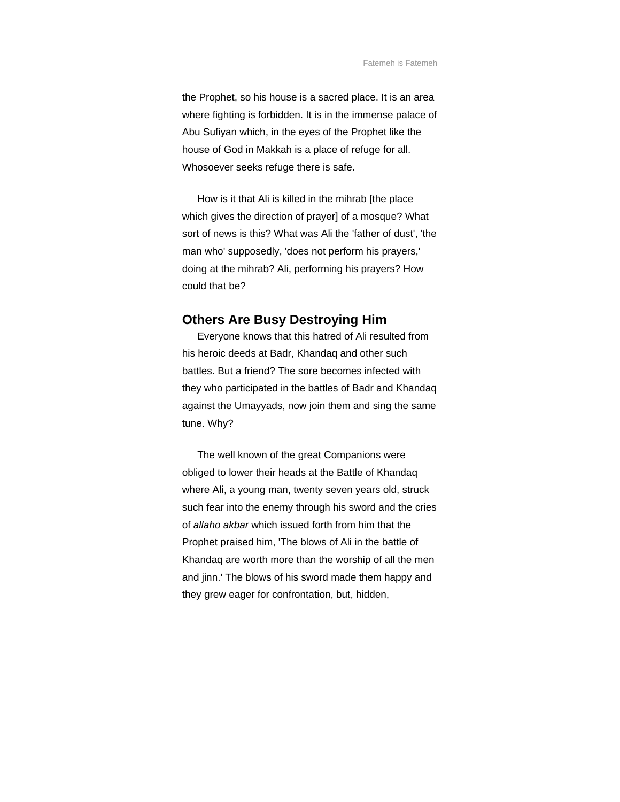the Prophet, so his house is a sacred place. It is an area where fighting is forbidden. It is in the immense palace of Abu Sufiyan which, in the eyes of the Prophet like the house of God in Makkah is a place of refuge for all. Whosoever seeks refuge there is safe.

How is it that Ali is killed in the mihrab [the place which gives the direction of prayer] of a mosque? What sort of news is this? What was Ali the 'father of dust', 'the man who' supposedly, 'does not perform his prayers,' doing at the mihrab? Ali, performing his prayers? How could that be?

#### **Others Are Busy Destroying Him**

Everyone knows that this hatred of Ali resulted from his heroic deeds at Badr, Khandaq and other such battles. But a friend? The sore becomes infected with they who participated in the battles of Badr and Khandaq against the Umayyads, now join them and sing the same tune. Why?

The well known of the great Companions were obliged to lower their heads at the Battle of Khandaq where Ali, a young man, twenty seven years old, struck such fear into the enemy through his sword and the cries of *allaho akbar* which issued forth from him that the Prophet praised him, 'The blows of Ali in the battle of Khandaq are worth more than the worship of all the men and jinn.' The blows of his sword made them happy and they grew eager for confrontation, but, hidden,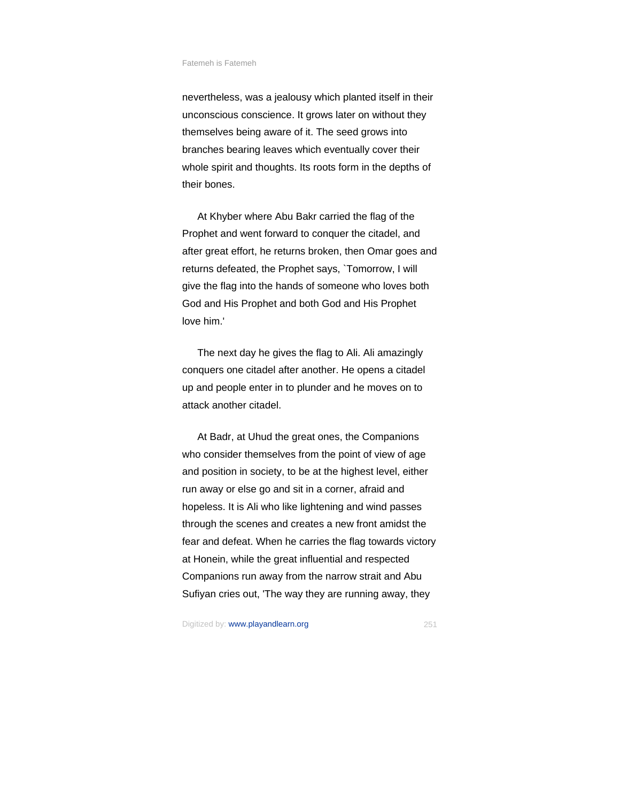nevertheless, was a jealousy which planted itself in their unconscious conscience. It grows later on without they themselves being aware of it. The seed grows into branches bearing leaves which eventually cover their whole spirit and thoughts. Its roots form in the depths of their bones.

At Khyber where Abu Bakr carried the flag of the Prophet and went forward to conquer the citadel, and after great effort, he returns broken, then Omar goes and returns defeated, the Prophet says, `Tomorrow, I will give the flag into the hands of someone who loves both God and His Prophet and both God and His Prophet love him.'

The next day he gives the flag to Ali. Ali amazingly conquers one citadel after another. He opens a citadel up and people enter in to plunder and he moves on to attack another citadel.

At Badr, at Uhud the great ones, the Companions who consider themselves from the point of view of age and position in society, to be at the highest level, either run away or else go and sit in a corner, afraid and hopeless. It is Ali who like lightening and wind passes through the scenes and creates a new front amidst the fear and defeat. When he carries the flag towards victory at Honein, while the great influential and respected Companions run away from the narrow strait and Abu Sufiyan cries out, 'The way they are running away, they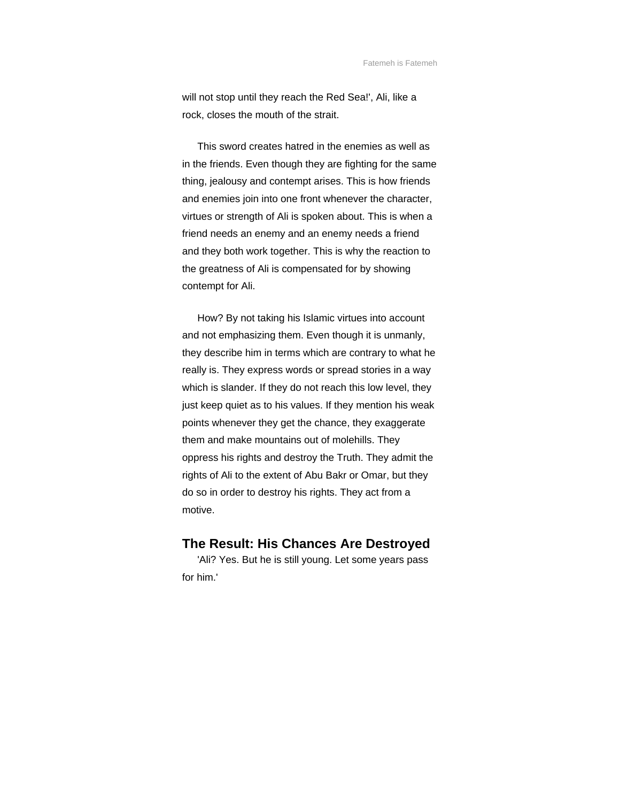will not stop until they reach the Red Sea!', Ali, like a rock, closes the mouth of the strait.

This sword creates hatred in the enemies as well as in the friends. Even though they are fighting for the same thing, jealousy and contempt arises. This is how friends and enemies join into one front whenever the character, virtues or strength of Ali is spoken about. This is when a friend needs an enemy and an enemy needs a friend and they both work together. This is why the reaction to the greatness of Ali is compensated for by showing contempt for Ali.

How? By not taking his Islamic virtues into account and not emphasizing them. Even though it is unmanly, they describe him in terms which are contrary to what he really is. They express words or spread stories in a way which is slander. If they do not reach this low level, they just keep quiet as to his values. If they mention his weak points whenever they get the chance, they exaggerate them and make mountains out of molehills. They oppress his rights and destroy the Truth. They admit the rights of Ali to the extent of Abu Bakr or Omar, but they do so in order to destroy his rights. They act from a motive.

### **The Result: His Chances Are Destroyed**

'Ali? Yes. But he is still young. Let some years pass for him.'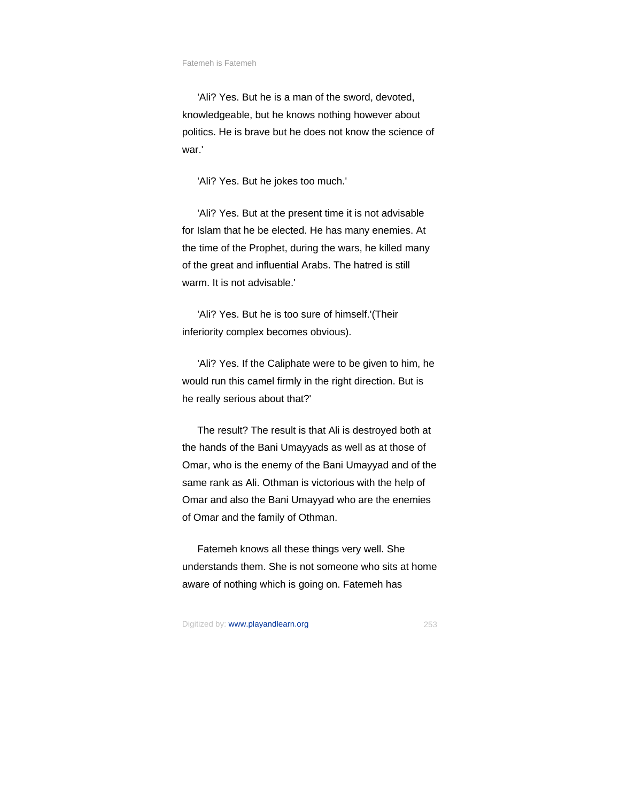'Ali? Yes. But he is a man of the sword, devoted, knowledgeable, but he knows nothing however about politics. He is brave but he does not know the science of war.'

'Ali? Yes. But he jokes too much.'

'Ali? Yes. But at the present time it is not advisable for Islam that he be elected. He has many enemies. At the time of the Prophet, during the wars, he killed many of the great and influential Arabs. The hatred is still warm. It is not advisable.'

'Ali? Yes. But he is too sure of himself.'(Their inferiority complex becomes obvious).

'Ali? Yes. If the Caliphate were to be given to him, he would run this camel firmly in the right direction. But is he really serious about that?'

The result? The result is that Ali is destroyed both at the hands of the Bani Umayyads as well as at those of Omar, who is the enemy of the Bani Umayyad and of the same rank as Ali. Othman is victorious with the help of Omar and also the Bani Umayyad who are the enemies of Omar and the family of Othman.

Fatemeh knows all these things very well. She understands them. She is not someone who sits at home aware of nothing which is going on. Fatemeh has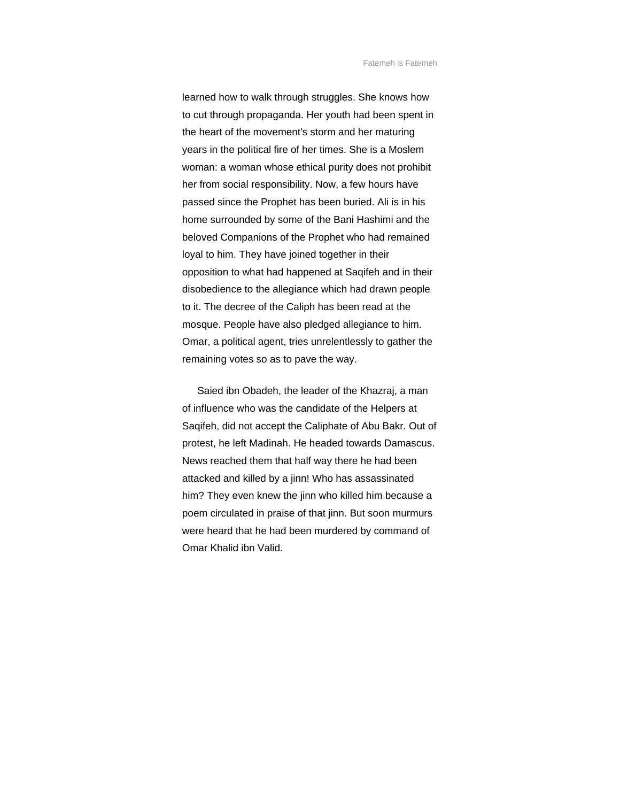learned how to walk through struggles. She knows how to cut through propaganda. Her youth had been spent in the heart of the movement's storm and her maturing years in the political fire of her times. She is a Moslem woman: a woman whose ethical purity does not prohibit her from social responsibility. Now, a few hours have passed since the Prophet has been buried. Ali is in his home surrounded by some of the Bani Hashimi and the beloved Companions of the Prophet who had remained loyal to him. They have joined together in their opposition to what had happened at Saqifeh and in their disobedience to the allegiance which had drawn people to it. The decree of the Caliph has been read at the mosque. People have also pledged allegiance to him. Omar, a political agent, tries unrelentlessly to gather the remaining votes so as to pave the way.

Saied ibn Obadeh, the leader of the Khazraj, a man of influence who was the candidate of the Helpers at Saqifeh, did not accept the Caliphate of Abu Bakr. Out of protest, he left Madinah. He headed towards Damascus. News reached them that half way there he had been attacked and killed by a jinn! Who has assassinated him? They even knew the jinn who killed him because a poem circulated in praise of that jinn. But soon murmurs were heard that he had been murdered by command of Omar Khalid ibn Valid.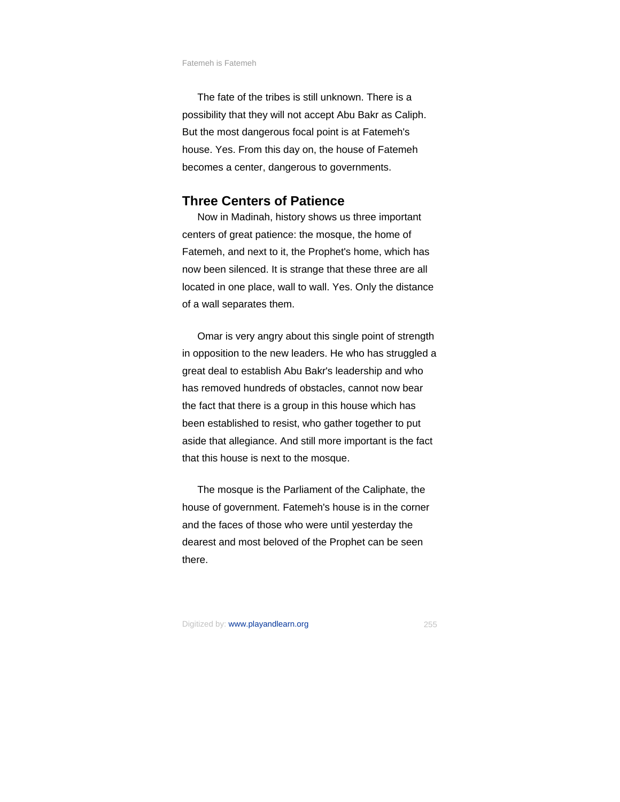The fate of the tribes is still unknown. There is a possibility that they will not accept Abu Bakr as Caliph. But the most dangerous focal point is at Fatemeh's house. Yes. From this day on, the house of Fatemeh becomes a center, dangerous to governments.

#### **Three Centers of Patience**

Now in Madinah, history shows us three important centers of great patience: the mosque, the home of Fatemeh, and next to it, the Prophet's home, which has now been silenced. It is strange that these three are all located in one place, wall to wall. Yes. Only the distance of a wall separates them.

Omar is very angry about this single point of strength in opposition to the new leaders. He who has struggled a great deal to establish Abu Bakr's leadership and who has removed hundreds of obstacles, cannot now bear the fact that there is a group in this house which has been established to resist, who gather together to put aside that allegiance. And still more important is the fact that this house is next to the mosque.

The mosque is the Parliament of the Caliphate, the house of government. Fatemeh's house is in the corner and the faces of those who were until yesterday the dearest and most beloved of the Prophet can be seen there.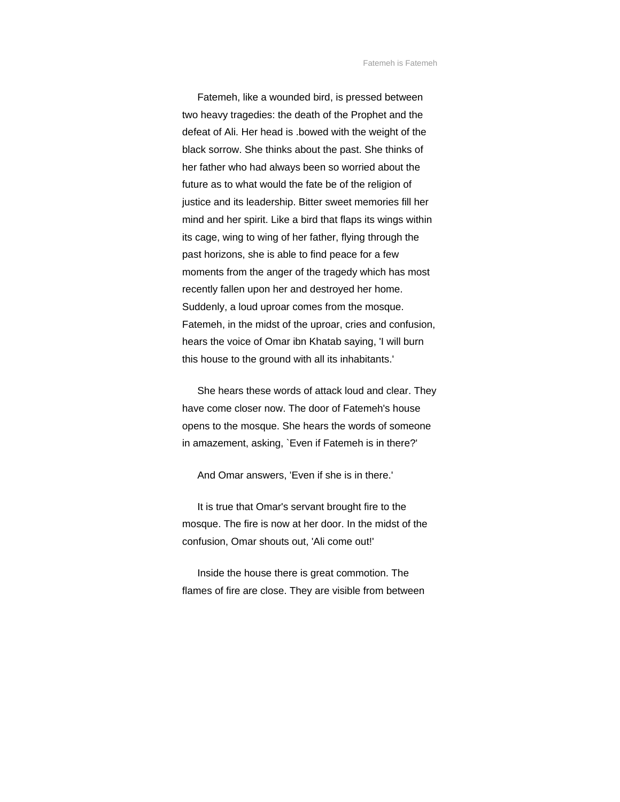Fatemeh, like a wounded bird, is pressed between two heavy tragedies: the death of the Prophet and the defeat of Ali. Her head is .bowed with the weight of the black sorrow. She thinks about the past. She thinks of her father who had always been so worried about the future as to what would the fate be of the religion of justice and its leadership. Bitter sweet memories fill her mind and her spirit. Like a bird that flaps its wings within its cage, wing to wing of her father, flying through the past horizons, she is able to find peace for a few moments from the anger of the tragedy which has most recently fallen upon her and destroyed her home. Suddenly, a loud uproar comes from the mosque. Fatemeh, in the midst of the uproar, cries and confusion, hears the voice of Omar ibn Khatab saying, 'I will burn this house to the ground with all its inhabitants.'

She hears these words of attack loud and clear. They have come closer now. The door of Fatemeh's house opens to the mosque. She hears the words of someone in amazement, asking, `Even if Fatemeh is in there?'

And Omar answers, 'Even if she is in there.'

It is true that Omar's servant brought fire to the mosque. The fire is now at her door. In the midst of the confusion, Omar shouts out, 'Ali come out!'

Inside the house there is great commotion. The flames of fire are close. They are visible from between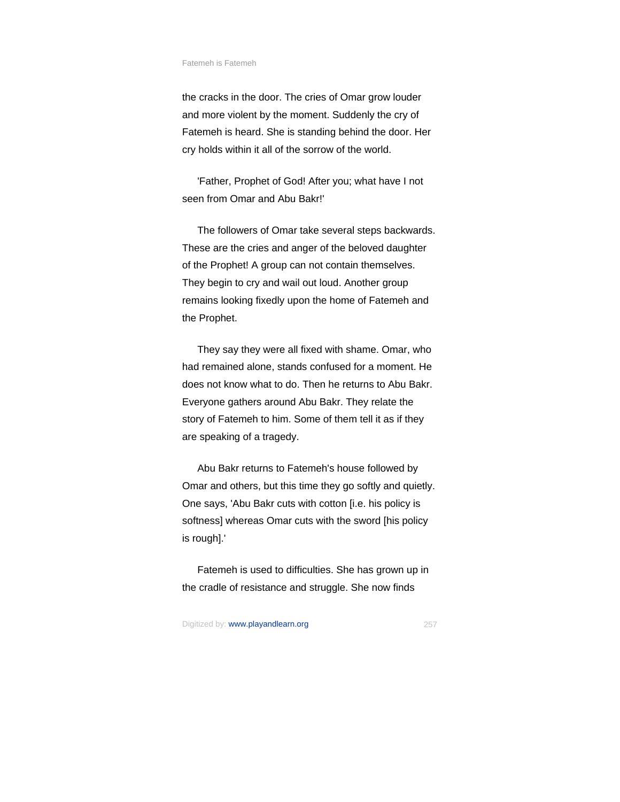the cracks in the door. The cries of Omar grow louder and more violent by the moment. Suddenly the cry of Fatemeh is heard. She is standing behind the door. Her cry holds within it all of the sorrow of the world.

'Father, Prophet of God! After you; what have I not seen from Omar and Abu Bakr!'

The followers of Omar take several steps backwards. These are the cries and anger of the beloved daughter of the Prophet! A group can not contain themselves. They begin to cry and wail out loud. Another group remains looking fixedly upon the home of Fatemeh and the Prophet.

They say they were all fixed with shame. Omar, who had remained alone, stands confused for a moment. He does not know what to do. Then he returns to Abu Bakr. Everyone gathers around Abu Bakr. They relate the story of Fatemeh to him. Some of them tell it as if they are speaking of a tragedy.

Abu Bakr returns to Fatemeh's house followed by Omar and others, but this time they go softly and quietly. One says, 'Abu Bakr cuts with cotton [i.e. his policy is softness] whereas Omar cuts with the sword [his policy is rough].'

Fatemeh is used to difficulties. She has grown up in the cradle of resistance and struggle. She now finds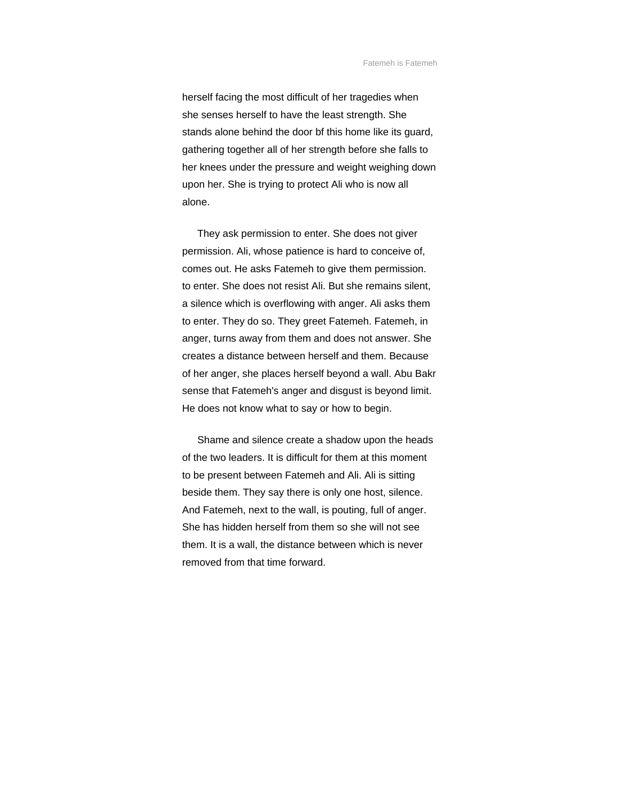herself facing the most difficult of her tragedies when she senses herself to have the least strength. She stands alone behind the door bf this home like its guard, gathering together all of her strength before she falls to her knees under the pressure and weight weighing down upon her. She is trying to protect Ali who is now all alone.

They ask permission to enter. She does not giver permission. Ali, whose patience is hard to conceive of, comes out. He asks Fatemeh to give them permission. to enter. She does not resist Ali. But she remains silent, a silence which is overflowing with anger. Ali asks them to enter. They do so. They greet Fatemeh. Fatemeh, in anger, turns away from them and does not answer. She creates a distance between herself and them. Because of her anger, she places herself beyond a wall. Abu Bakr sense that Fatemeh's anger and disgust is beyond limit. He does not know what to say or how to begin.

Shame and silence create a shadow upon the heads of the two leaders. It is difficult for them at this moment to be present between Fatemeh and Ali. Ali is sitting beside them. They say there is only one host, silence. And Fatemeh, next to the wall, is pouting, full of anger. She has hidden herself from them so she will not see them. It is a wall, the distance between which is never removed from that time forward.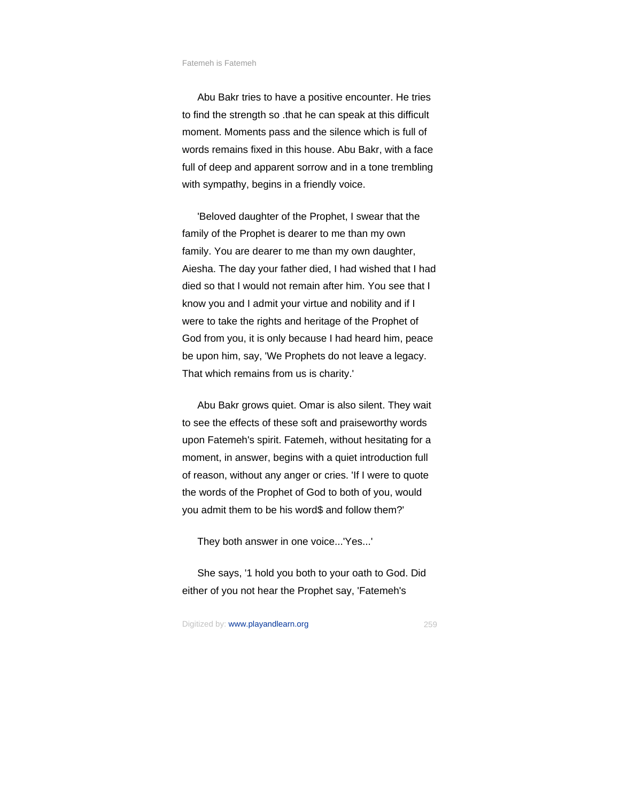Abu Bakr tries to have a positive encounter. He tries to find the strength so .that he can speak at this difficult moment. Moments pass and the silence which is full of words remains fixed in this house. Abu Bakr, with a face full of deep and apparent sorrow and in a tone trembling with sympathy, begins in a friendly voice.

'Beloved daughter of the Prophet, I swear that the family of the Prophet is dearer to me than my own family. You are dearer to me than my own daughter, Aiesha. The day your father died, I had wished that I had died so that I would not remain after him. You see that I know you and I admit your virtue and nobility and if I were to take the rights and heritage of the Prophet of God from you, it is only because I had heard him, peace be upon him, say, 'We Prophets do not leave a legacy. That which remains from us is charity.'

Abu Bakr grows quiet. Omar is also silent. They wait to see the effects of these soft and praiseworthy words upon Fatemeh's spirit. Fatemeh, without hesitating for a moment, in answer, begins with a quiet introduction full of reason, without any anger or cries. 'If I were to quote the words of the Prophet of God to both of you, would you admit them to be his word\$ and follow them?'

They both answer in one voice...'Yes...'

She says, '1 hold you both to your oath to God. Did either of you not hear the Prophet say, 'Fatemeh's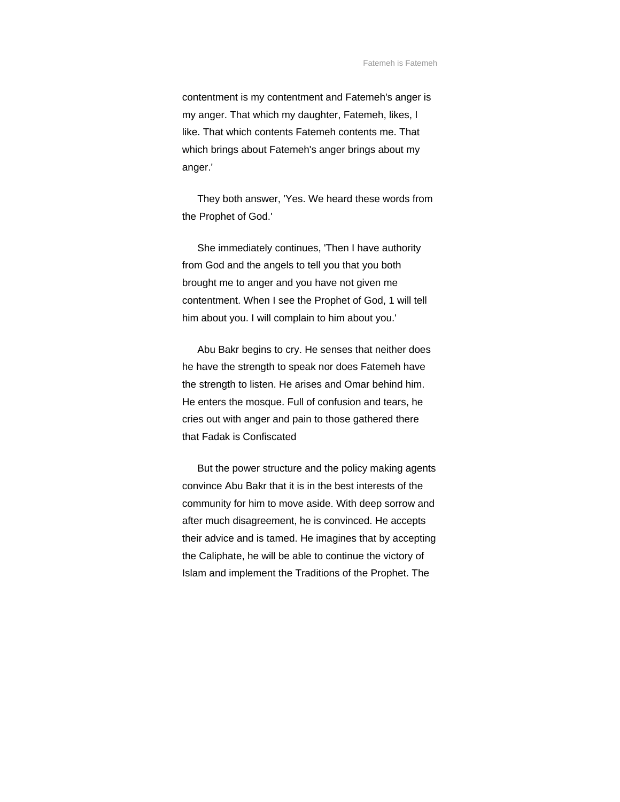contentment is my contentment and Fatemeh's anger is my anger. That which my daughter, Fatemeh, likes, I like. That which contents Fatemeh contents me. That which brings about Fatemeh's anger brings about my anger.'

They both answer, 'Yes. We heard these words from the Prophet of God.'

She immediately continues, 'Then I have authority from God and the angels to tell you that you both brought me to anger and you have not given me contentment. When I see the Prophet of God, 1 will tell him about you. I will complain to him about you.'

Abu Bakr begins to cry. He senses that neither does he have the strength to speak nor does Fatemeh have the strength to listen. He arises and Omar behind him. He enters the mosque. Full of confusion and tears, he cries out with anger and pain to those gathered there that Fadak is Confiscated

But the power structure and the policy making agents convince Abu Bakr that it is in the best interests of the community for him to move aside. With deep sorrow and after much disagreement, he is convinced. He accepts their advice and is tamed. He imagines that by accepting the Caliphate, he will be able to continue the victory of Islam and implement the Traditions of the Prophet. The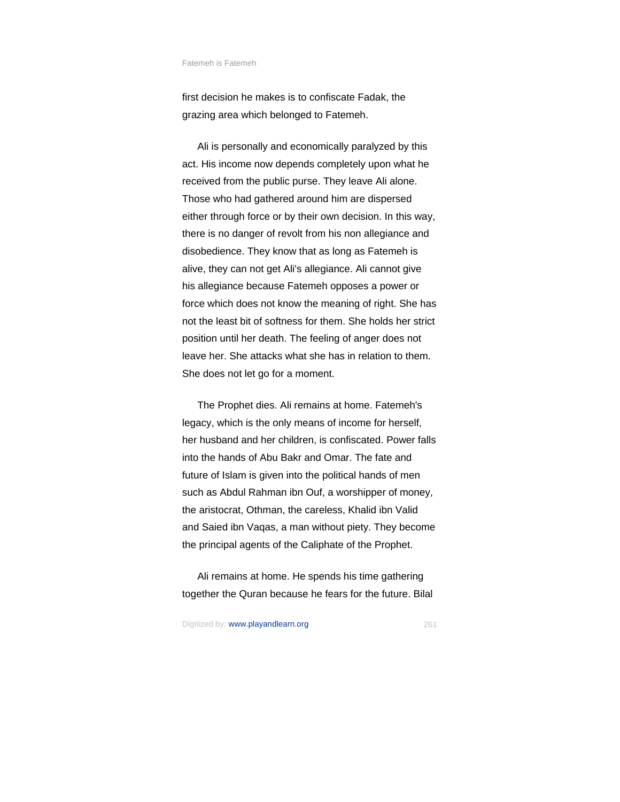first decision he makes is to confiscate Fadak, the grazing area which belonged to Fatemeh.

Ali is personally and economically paralyzed by this act. His income now depends completely upon what he received from the public purse. They leave Ali alone. Those who had gathered around him are dispersed either through force or by their own decision. In this way, there is no danger of revolt from his non allegiance and disobedience. They know that as long as Fatemeh is alive, they can not get Ali's allegiance. Ali cannot give his allegiance because Fatemeh opposes a power or force which does not know the meaning of right. She has not the least bit of softness for them. She holds her strict position until her death. The feeling of anger does not leave her. She attacks what she has in relation to them. She does not let go for a moment.

The Prophet dies. Ali remains at home. Fatemeh's legacy, which is the only means of income for herself, her husband and her children, is confiscated. Power falls into the hands of Abu Bakr and Omar. The fate and future of Islam is given into the political hands of men such as Abdul Rahman ibn Ouf, a worshipper of money, the aristocrat, Othman, the careless, Khalid ibn Valid and Saied ibn Vaqas, a man without piety. They become the principal agents of the Caliphate of the Prophet.

Ali remains at home. He spends his time gathering together the Quran because he fears for the future. Bilal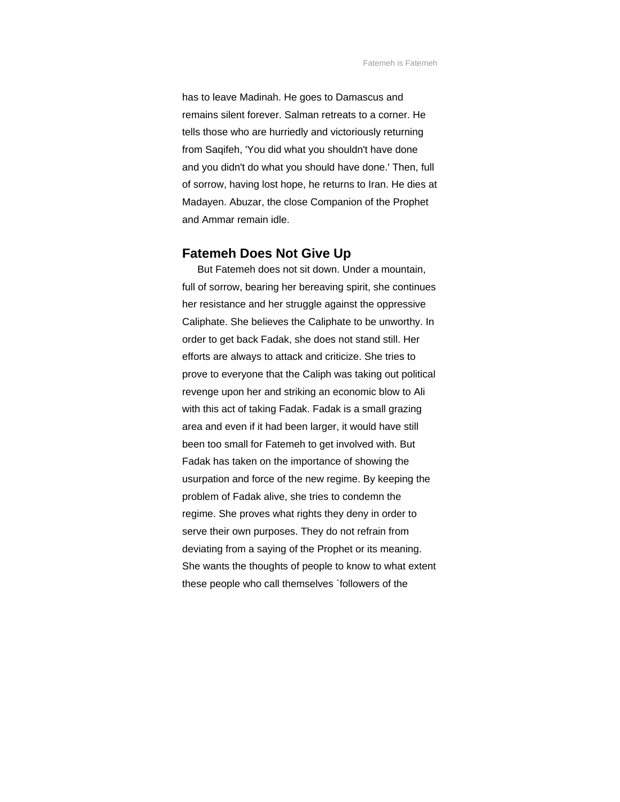has to leave Madinah. He goes to Damascus and remains silent forever. Salman retreats to a corner. He tells those who are hurriedly and victoriously returning from Saqifeh, 'You did what you shouldn't have done and you didn't do what you should have done.' Then, full of sorrow, having lost hope, he returns to Iran. He dies at Madayen. Abuzar, the close Companion of the Prophet and Ammar remain idle.

## **Fatemeh Does Not Give Up**

But Fatemeh does not sit down. Under a mountain, full of sorrow, bearing her bereaving spirit, she continues her resistance and her struggle against the oppressive Caliphate. She believes the Caliphate to be unworthy. In order to get back Fadak, she does not stand still. Her efforts are always to attack and criticize. She tries to prove to everyone that the Caliph was taking out political revenge upon her and striking an economic blow to Ali with this act of taking Fadak. Fadak is a small grazing area and even if it had been larger, it would have still been too small for Fatemeh to get involved with. But Fadak has taken on the importance of showing the usurpation and force of the new regime. By keeping the problem of Fadak alive, she tries to condemn the regime. She proves what rights they deny in order to serve their own purposes. They do not refrain from deviating from a saying of the Prophet or its meaning. She wants the thoughts of people to know to what extent these people who call themselves `followers of the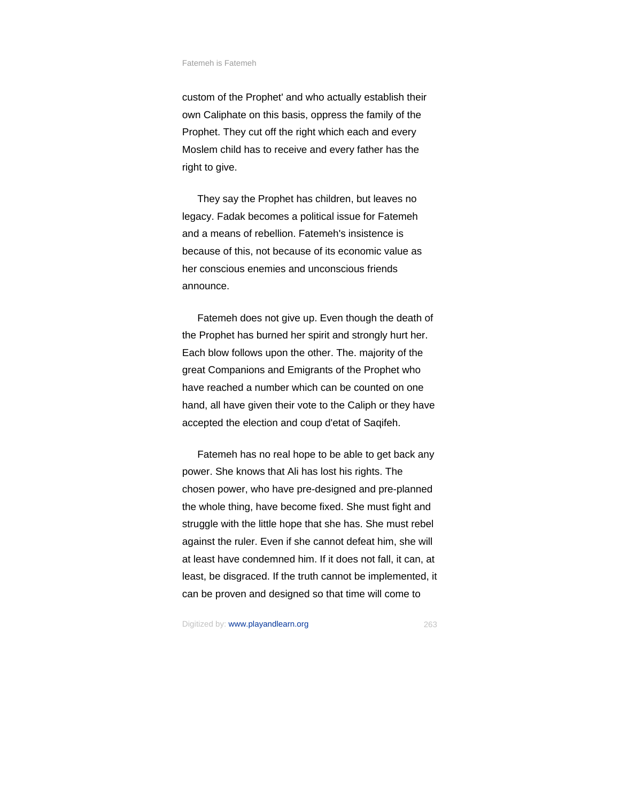custom of the Prophet' and who actually establish their own Caliphate on this basis, oppress the family of the Prophet. They cut off the right which each and every Moslem child has to receive and every father has the right to give.

They say the Prophet has children, but leaves no legacy. Fadak becomes a political issue for Fatemeh and a means of rebellion. Fatemeh's insistence is because of this, not because of its economic value as her conscious enemies and unconscious friends announce.

Fatemeh does not give up. Even though the death of the Prophet has burned her spirit and strongly hurt her. Each blow follows upon the other. The. majority of the great Companions and Emigrants of the Prophet who have reached a number which can be counted on one hand, all have given their vote to the Caliph or they have accepted the election and coup d'etat of Saqifeh.

Fatemeh has no real hope to be able to get back any power. She knows that Ali has lost his rights. The chosen power, who have pre-designed and pre-planned the whole thing, have become fixed. She must fight and struggle with the little hope that she has. She must rebel against the ruler. Even if she cannot defeat him, she will at least have condemned him. If it does not fall, it can, at least, be disgraced. If the truth cannot be implemented, it can be proven and designed so that time will come to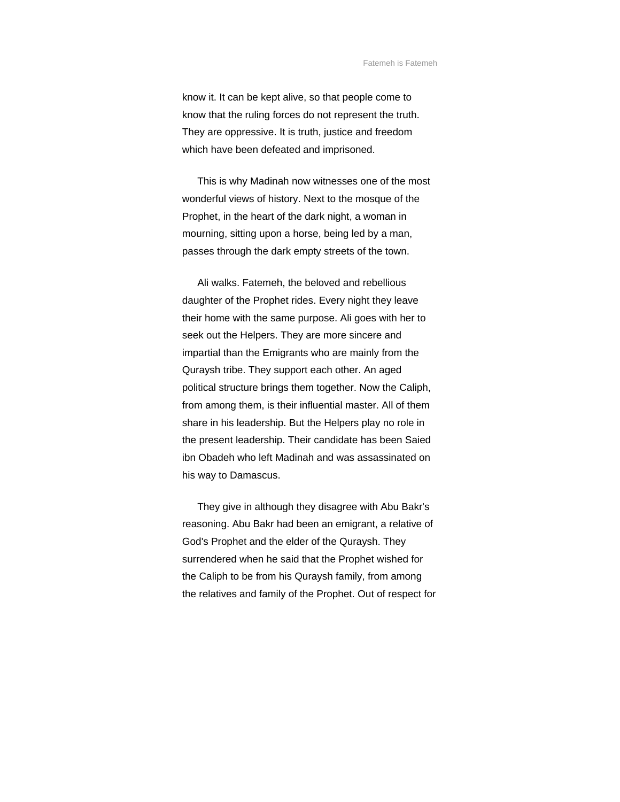know it. It can be kept alive, so that people come to know that the ruling forces do not represent the truth. They are oppressive. It is truth, justice and freedom which have been defeated and imprisoned.

This is why Madinah now witnesses one of the most wonderful views of history. Next to the mosque of the Prophet, in the heart of the dark night, a woman in mourning, sitting upon a horse, being led by a man, passes through the dark empty streets of the town.

Ali walks. Fatemeh, the beloved and rebellious daughter of the Prophet rides. Every night they leave their home with the same purpose. Ali goes with her to seek out the Helpers. They are more sincere and impartial than the Emigrants who are mainly from the Quraysh tribe. They support each other. An aged political structure brings them together. Now the Caliph, from among them, is their influential master. All of them share in his leadership. But the Helpers play no role in the present leadership. Their candidate has been Saied ibn Obadeh who left Madinah and was assassinated on his way to Damascus.

They give in although they disagree with Abu Bakr's reasoning. Abu Bakr had been an emigrant, a relative of God's Prophet and the elder of the Quraysh. They surrendered when he said that the Prophet wished for the Caliph to be from his Quraysh family, from among the relatives and family of the Prophet. Out of respect for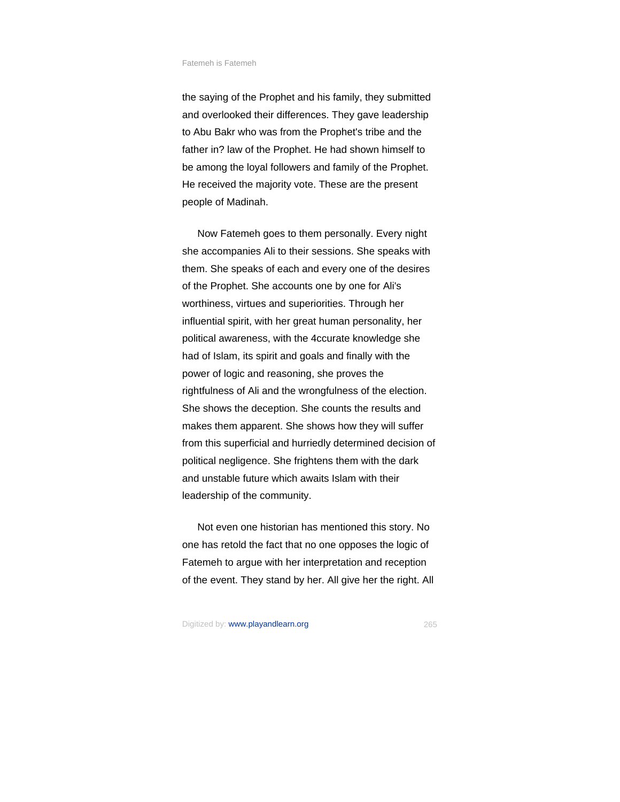the saying of the Prophet and his family, they submitted and overlooked their differences. They gave leadership to Abu Bakr who was from the Prophet's tribe and the father in? law of the Prophet. He had shown himself to be among the loyal followers and family of the Prophet. He received the majority vote. These are the present people of Madinah.

Now Fatemeh goes to them personally. Every night she accompanies Ali to their sessions. She speaks with them. She speaks of each and every one of the desires of the Prophet. She accounts one by one for Ali's worthiness, virtues and superiorities. Through her influential spirit, with her great human personality, her political awareness, with the 4ccurate knowledge she had of Islam, its spirit and goals and finally with the power of logic and reasoning, she proves the rightfulness of Ali and the wrongfulness of the election. She shows the deception. She counts the results and makes them apparent. She shows how they will suffer from this superficial and hurriedly determined decision of political negligence. She frightens them with the dark and unstable future which awaits Islam with their leadership of the community.

Not even one historian has mentioned this story. No one has retold the fact that no one opposes the logic of Fatemeh to argue with her interpretation and reception of the event. They stand by her. All give her the right. All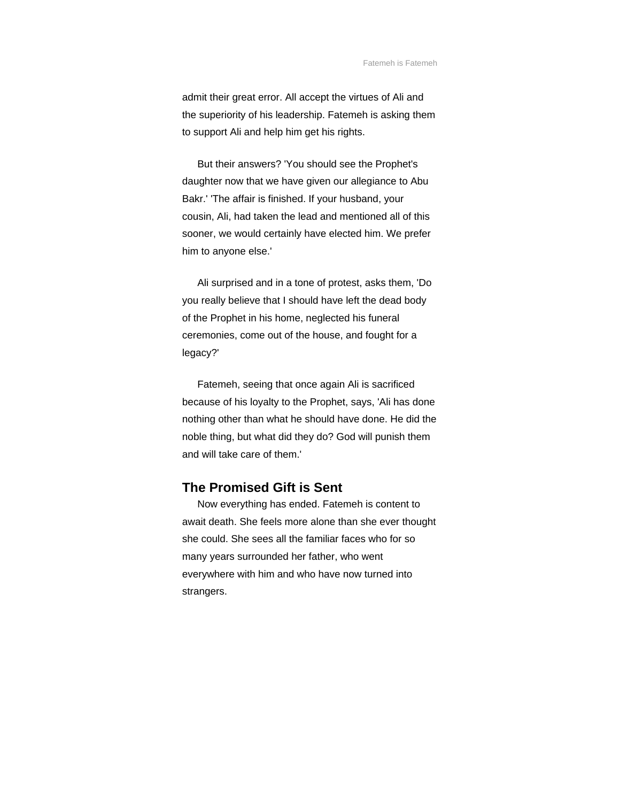admit their great error. All accept the virtues of Ali and the superiority of his leadership. Fatemeh is asking them to support Ali and help him get his rights.

But their answers? 'You should see the Prophet's daughter now that we have given our allegiance to Abu Bakr.' 'The affair is finished. If your husband, your cousin, Ali, had taken the lead and mentioned all of this sooner, we would certainly have elected him. We prefer him to anyone else.'

Ali surprised and in a tone of protest, asks them, 'Do you really believe that I should have left the dead body of the Prophet in his home, neglected his funeral ceremonies, come out of the house, and fought for a legacy?'

Fatemeh, seeing that once again Ali is sacrificed because of his loyalty to the Prophet, says, 'Ali has done nothing other than what he should have done. He did the noble thing, but what did they do? God will punish them and will take care of them.'

#### **The Promised Gift is Sent**

Now everything has ended. Fatemeh is content to await death. She feels more alone than she ever thought she could. She sees all the familiar faces who for so many years surrounded her father, who went everywhere with him and who have now turned into strangers.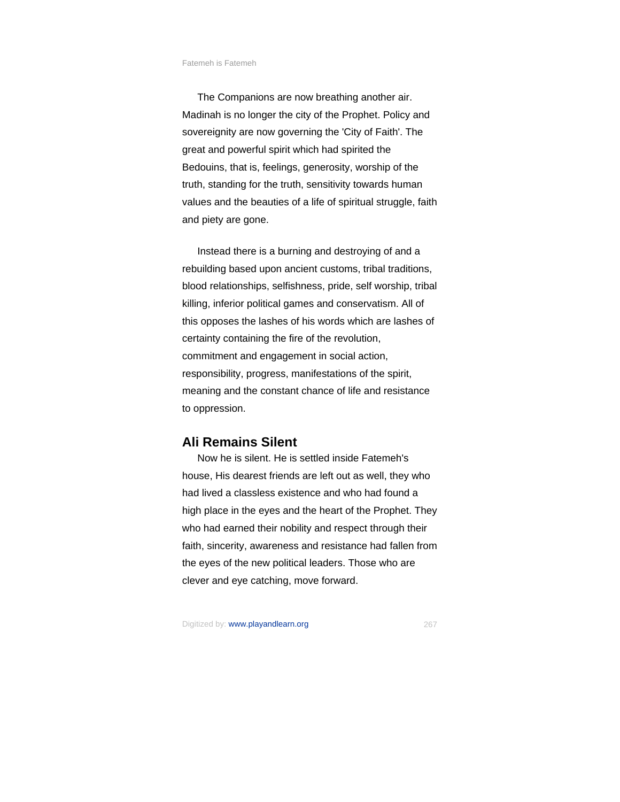The Companions are now breathing another air. Madinah is no longer the city of the Prophet. Policy and sovereignity are now governing the 'City of Faith'. The great and powerful spirit which had spirited the Bedouins, that is, feelings, generosity, worship of the truth, standing for the truth, sensitivity towards human values and the beauties of a life of spiritual struggle, faith and piety are gone.

Instead there is a burning and destroying of and a rebuilding based upon ancient customs, tribal traditions, blood relationships, selfishness, pride, self worship, tribal killing, inferior political games and conservatism. All of this opposes the lashes of his words which are lashes of certainty containing the fire of the revolution, commitment and engagement in social action, responsibility, progress, manifestations of the spirit, meaning and the constant chance of life and resistance to oppression.

# **Ali Remains Silent**

Now he is silent. He is settled inside Fatemeh's house, His dearest friends are left out as well, they who had lived a classless existence and who had found a high place in the eyes and the heart of the Prophet. They who had earned their nobility and respect through their faith, sincerity, awareness and resistance had fallen from the eyes of the new political leaders. Those who are clever and eye catching, move forward.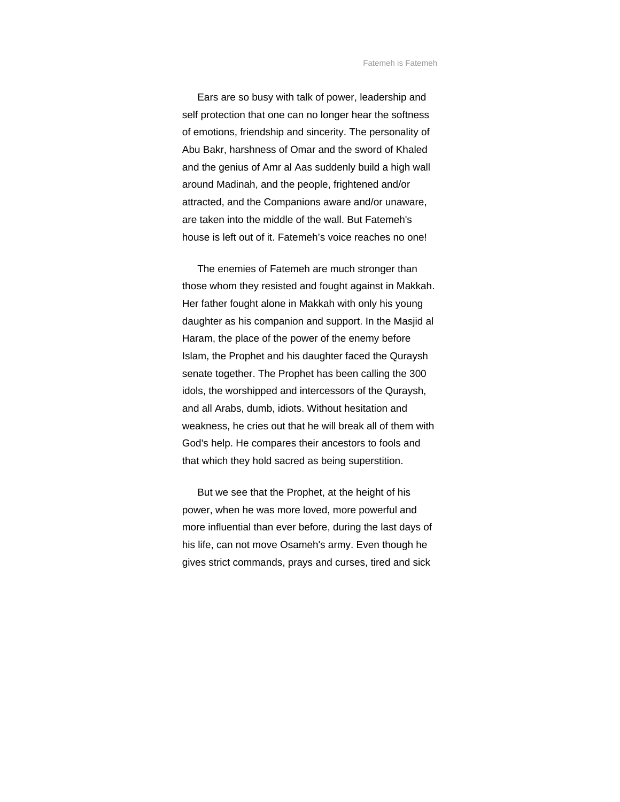Ears are so busy with talk of power, leadership and self protection that one can no longer hear the softness of emotions, friendship and sincerity. The personality of Abu Bakr, harshness of Omar and the sword of Khaled and the genius of Amr al Aas suddenly build a high wall around Madinah, and the people, frightened and/or attracted, and the Companions aware and/or unaware, are taken into the middle of the wall. But Fatemeh's house is left out of it. Fatemeh's voice reaches no one!

The enemies of Fatemeh are much stronger than those whom they resisted and fought against in Makkah. Her father fought alone in Makkah with only his young daughter as his companion and support. In the Masjid al Haram, the place of the power of the enemy before Islam, the Prophet and his daughter faced the Quraysh senate together. The Prophet has been calling the 300 idols, the worshipped and intercessors of the Quraysh, and all Arabs, dumb, idiots. Without hesitation and weakness, he cries out that he will break all of them with God's help. He compares their ancestors to fools and that which they hold sacred as being superstition.

But we see that the Prophet, at the height of his power, when he was more loved, more powerful and more influential than ever before, during the last days of his life, can not move Osameh's army. Even though he gives strict commands, prays and curses, tired and sick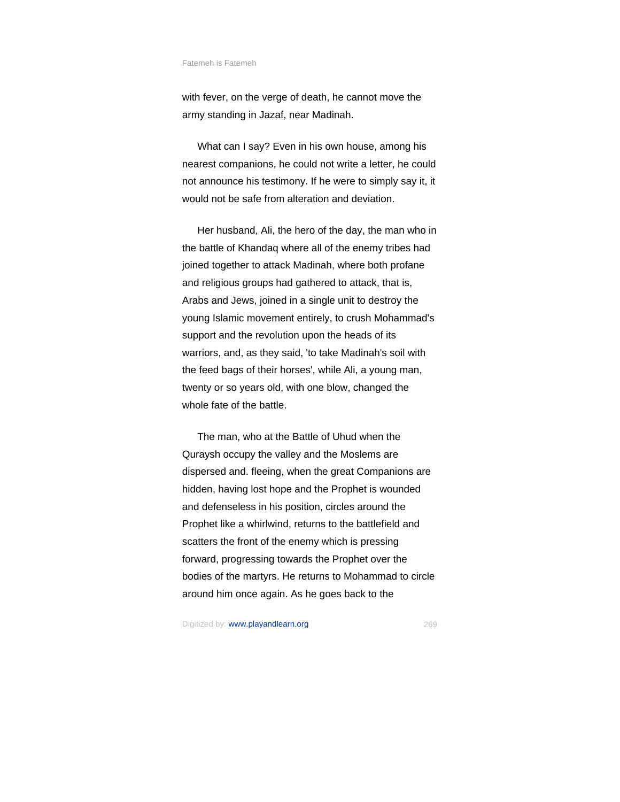with fever, on the verge of death, he cannot move the army standing in Jazaf, near Madinah.

What can I say? Even in his own house, among his nearest companions, he could not write a letter, he could not announce his testimony. If he were to simply say it, it would not be safe from alteration and deviation.

Her husband, Ali, the hero of the day, the man who in the battle of Khandaq where all of the enemy tribes had joined together to attack Madinah, where both profane and religious groups had gathered to attack, that is, Arabs and Jews, joined in a single unit to destroy the young Islamic movement entirely, to crush Mohammad's support and the revolution upon the heads of its warriors, and, as they said, 'to take Madinah's soil with the feed bags of their horses', while Ali, a young man, twenty or so years old, with one blow, changed the whole fate of the battle.

The man, who at the Battle of Uhud when the Quraysh occupy the valley and the Moslems are dispersed and. fleeing, when the great Companions are hidden, having lost hope and the Prophet is wounded and defenseless in his position, circles around the Prophet like a whirlwind, returns to the battlefield and scatters the front of the enemy which is pressing forward, progressing towards the Prophet over the bodies of the martyrs. He returns to Mohammad to circle around him once again. As he goes back to the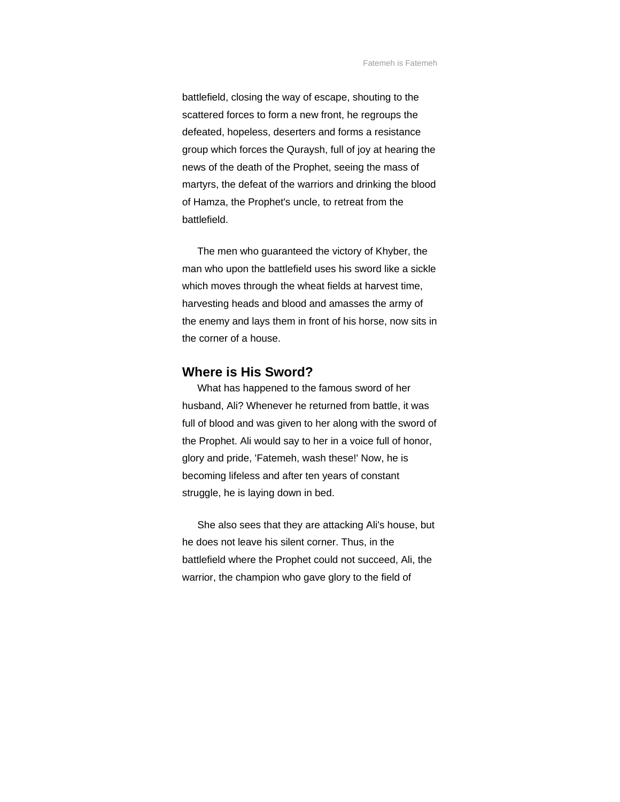battlefield, closing the way of escape, shouting to the scattered forces to form a new front, he regroups the defeated, hopeless, deserters and forms a resistance group which forces the Quraysh, full of joy at hearing the news of the death of the Prophet, seeing the mass of martyrs, the defeat of the warriors and drinking the blood of Hamza, the Prophet's uncle, to retreat from the battlefield.

The men who guaranteed the victory of Khyber, the man who upon the battlefield uses his sword like a sickle which moves through the wheat fields at harvest time. harvesting heads and blood and amasses the army of the enemy and lays them in front of his horse, now sits in the corner of a house.

#### **Where is His Sword?**

What has happened to the famous sword of her husband, Ali? Whenever he returned from battle, it was full of blood and was given to her along with the sword of the Prophet. Ali would say to her in a voice full of honor, glory and pride, 'Fatemeh, wash these!' Now, he is becoming lifeless and after ten years of constant struggle, he is laying down in bed.

She also sees that they are attacking Ali's house, but he does not leave his silent corner. Thus, in the battlefield where the Prophet could not succeed, Ali, the warrior, the champion who gave glory to the field of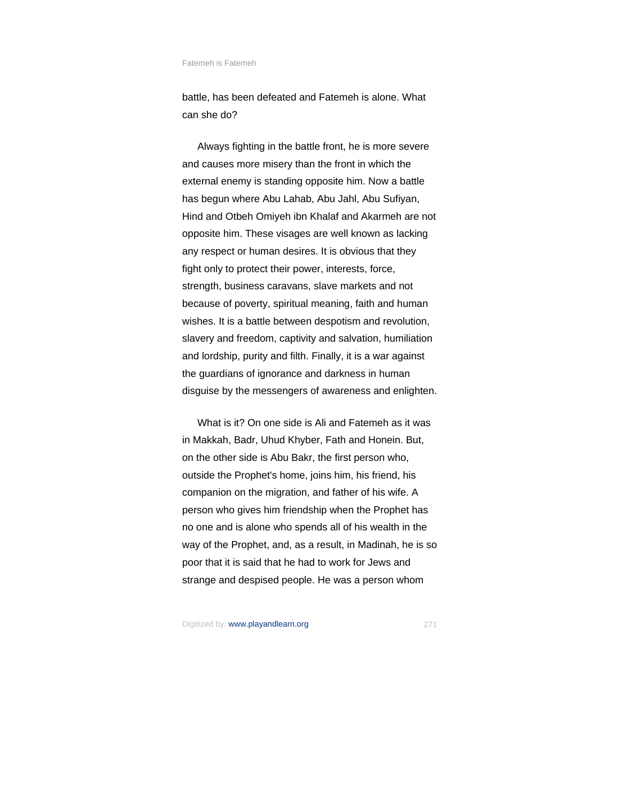battle, has been defeated and Fatemeh is alone. What can she do?

Always fighting in the battle front, he is more severe and causes more misery than the front in which the external enemy is standing opposite him. Now a battle has begun where Abu Lahab, Abu Jahl, Abu Sufiyan, Hind and Otbeh Omiyeh ibn Khalaf and Akarmeh are not opposite him. These visages are well known as lacking any respect or human desires. It is obvious that they fight only to protect their power, interests, force, strength, business caravans, slave markets and not because of poverty, spiritual meaning, faith and human wishes. It is a battle between despotism and revolution, slavery and freedom, captivity and salvation, humiliation and lordship, purity and filth. Finally, it is a war against the guardians of ignorance and darkness in human disguise by the messengers of awareness and enlighten.

What is it? On one side is Ali and Fatemeh as it was in Makkah, Badr, Uhud Khyber, Fath and Honein. But, on the other side is Abu Bakr, the first person who, outside the Prophet's home, joins him, his friend, his companion on the migration, and father of his wife. A person who gives him friendship when the Prophet has no one and is alone who spends all of his wealth in the way of the Prophet, and, as a result, in Madinah, he is so poor that it is said that he had to work for Jews and strange and despised people. He was a person whom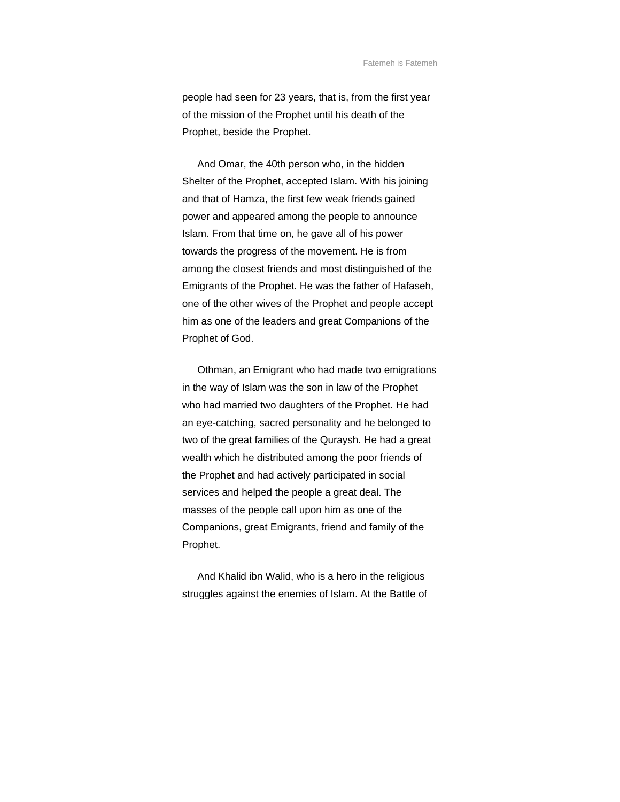people had seen for 23 years, that is, from the first year of the mission of the Prophet until his death of the Prophet, beside the Prophet.

And Omar, the 40th person who, in the hidden Shelter of the Prophet, accepted Islam. With his joining and that of Hamza, the first few weak friends gained power and appeared among the people to announce Islam. From that time on, he gave all of his power towards the progress of the movement. He is from among the closest friends and most distinguished of the Emigrants of the Prophet. He was the father of Hafaseh, one of the other wives of the Prophet and people accept him as one of the leaders and great Companions of the Prophet of God.

Othman, an Emigrant who had made two emigrations in the way of Islam was the son in law of the Prophet who had married two daughters of the Prophet. He had an eye-catching, sacred personality and he belonged to two of the great families of the Quraysh. He had a great wealth which he distributed among the poor friends of the Prophet and had actively participated in social services and helped the people a great deal. The masses of the people call upon him as one of the Companions, great Emigrants, friend and family of the Prophet.

And Khalid ibn Walid, who is a hero in the religious struggles against the enemies of Islam. At the Battle of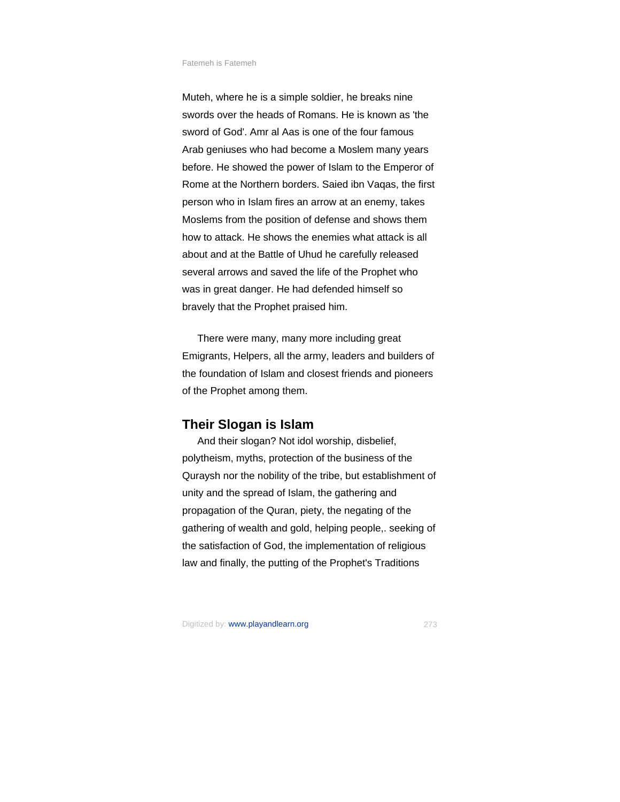Muteh, where he is a simple soldier, he breaks nine swords over the heads of Romans. He is known as 'the sword of God'. Amr al Aas is one of the four famous Arab geniuses who had become a Moslem many years before. He showed the power of Islam to the Emperor of Rome at the Northern borders. Saied ibn Vaqas, the first person who in Islam fires an arrow at an enemy, takes Moslems from the position of defense and shows them how to attack. He shows the enemies what attack is all about and at the Battle of Uhud he carefully released several arrows and saved the life of the Prophet who was in great danger. He had defended himself so bravely that the Prophet praised him.

There were many, many more including great Emigrants, Helpers, all the army, leaders and builders of the foundation of Islam and closest friends and pioneers of the Prophet among them.

# **Their Slogan is Islam**

And their slogan? Not idol worship, disbelief, polytheism, myths, protection of the business of the Quraysh nor the nobility of the tribe, but establishment of unity and the spread of Islam, the gathering and propagation of the Quran, piety, the negating of the gathering of wealth and gold, helping people,. seeking of the satisfaction of God, the implementation of religious law and finally, the putting of the Prophet's Traditions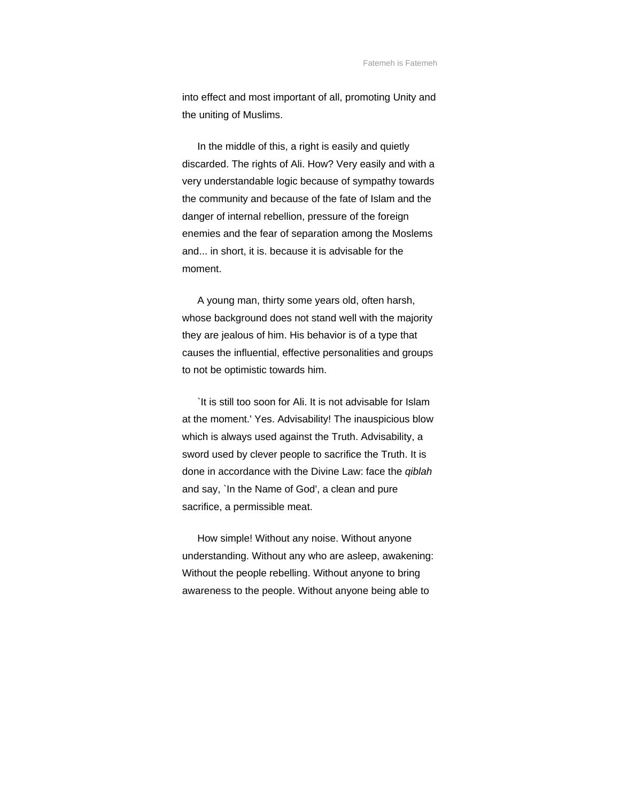into effect and most important of all, promoting Unity and the uniting of Muslims.

In the middle of this, a right is easily and quietly discarded. The rights of Ali. How? Very easily and with a very understandable logic because of sympathy towards the community and because of the fate of Islam and the danger of internal rebellion, pressure of the foreign enemies and the fear of separation among the Moslems and... in short, it is. because it is advisable for the moment.

A young man, thirty some years old, often harsh, whose background does not stand well with the majority they are jealous of him. His behavior is of a type that causes the influential, effective personalities and groups to not be optimistic towards him.

`It is still too soon for Ali. It is not advisable for Islam at the moment.' Yes. Advisability! The inauspicious blow which is always used against the Truth. Advisability, a sword used by clever people to sacrifice the Truth. It is done in accordance with the Divine Law: face the *qiblah*  and say, `In the Name of God', a clean and pure sacrifice, a permissible meat.

How simple! Without any noise. Without anyone understanding. Without any who are asleep, awakening: Without the people rebelling. Without anyone to bring awareness to the people. Without anyone being able to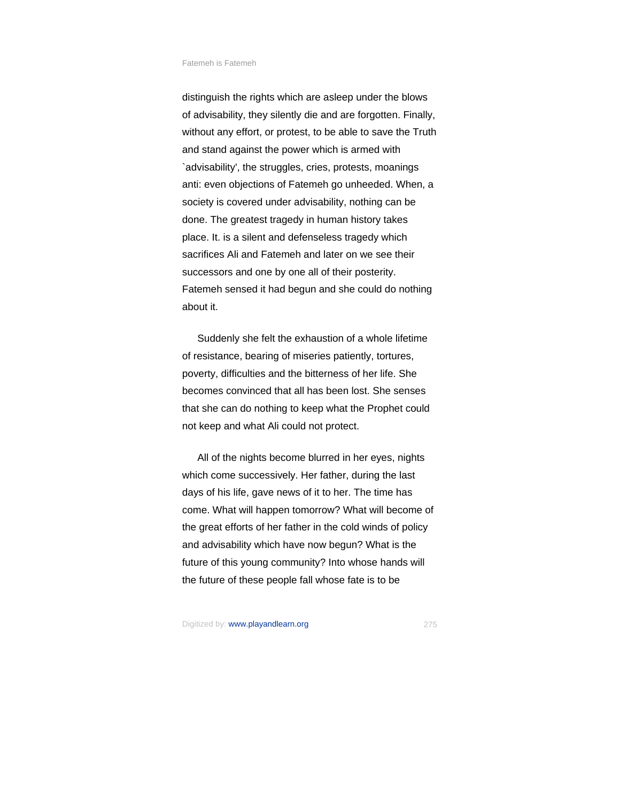distinguish the rights which are asleep under the blows of advisability, they silently die and are forgotten. Finally, without any effort, or protest, to be able to save the Truth and stand against the power which is armed with `advisability', the struggles, cries, protests, moanings anti: even objections of Fatemeh go unheeded. When, a society is covered under advisability, nothing can be done. The greatest tragedy in human history takes place. It. is a silent and defenseless tragedy which sacrifices Ali and Fatemeh and later on we see their successors and one by one all of their posterity. Fatemeh sensed it had begun and she could do nothing about it.

Suddenly she felt the exhaustion of a whole lifetime of resistance, bearing of miseries patiently, tortures, poverty, difficulties and the bitterness of her life. She becomes convinced that all has been lost. She senses that she can do nothing to keep what the Prophet could not keep and what Ali could not protect.

All of the nights become blurred in her eyes, nights which come successively. Her father, during the last days of his life, gave news of it to her. The time has come. What will happen tomorrow? What will become of the great efforts of her father in the cold winds of policy and advisability which have now begun? What is the future of this young community? Into whose hands will the future of these people fall whose fate is to be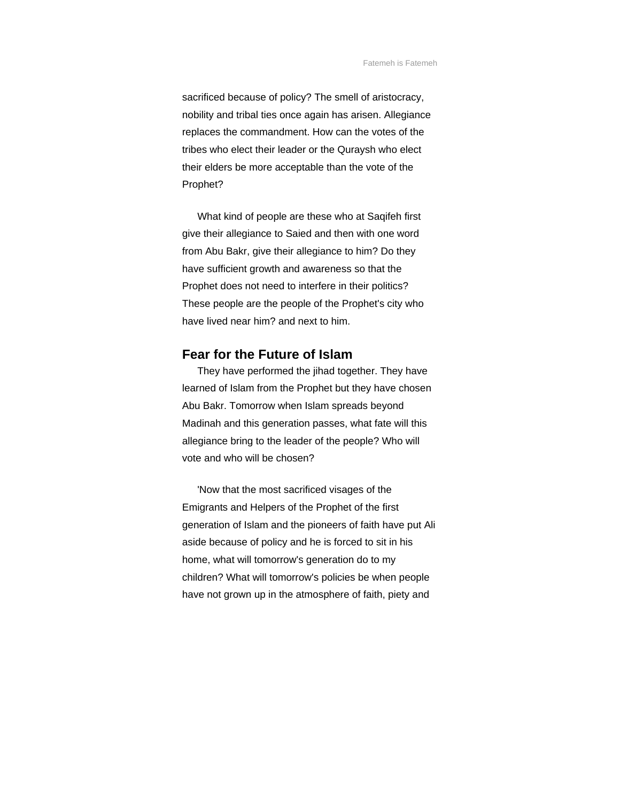sacrificed because of policy? The smell of aristocracy, nobility and tribal ties once again has arisen. Allegiance replaces the commandment. How can the votes of the tribes who elect their leader or the Quraysh who elect their elders be more acceptable than the vote of the Prophet?

What kind of people are these who at Saqifeh first give their allegiance to Saied and then with one word from Abu Bakr, give their allegiance to him? Do they have sufficient growth and awareness so that the Prophet does not need to interfere in their politics? These people are the people of the Prophet's city who have lived near him? and next to him.

# **Fear for the Future of Islam**

They have performed the jihad together. They have learned of Islam from the Prophet but they have chosen Abu Bakr. Tomorrow when Islam spreads beyond Madinah and this generation passes, what fate will this allegiance bring to the leader of the people? Who will vote and who will be chosen?

'Now that the most sacrificed visages of the Emigrants and Helpers of the Prophet of the first generation of Islam and the pioneers of faith have put Ali aside because of policy and he is forced to sit in his home, what will tomorrow's generation do to my children? What will tomorrow's policies be when people have not grown up in the atmosphere of faith, piety and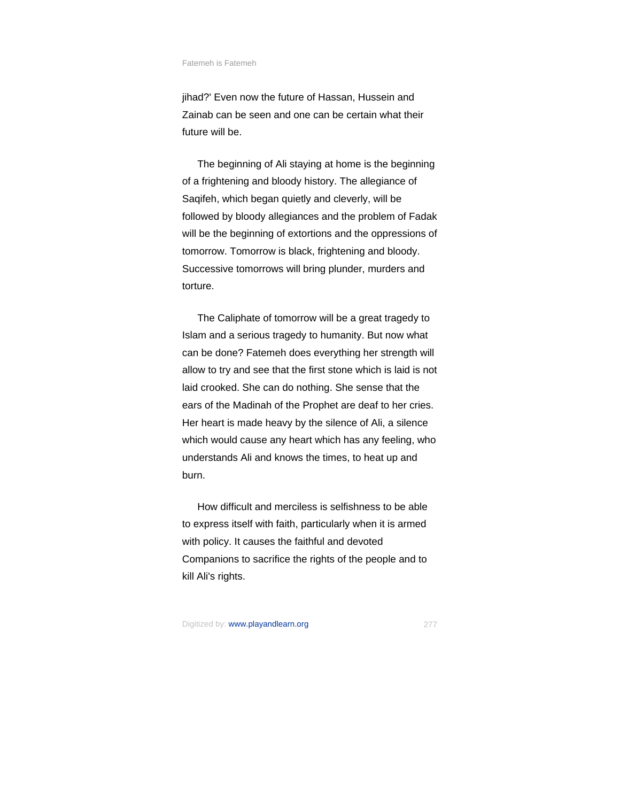jihad?' Even now the future of Hassan, Hussein and Zainab can be seen and one can be certain what their future will be.

The beginning of Ali staying at home is the beginning of a frightening and bloody history. The allegiance of Saqifeh, which began quietly and cleverly, will be followed by bloody allegiances and the problem of Fadak will be the beginning of extortions and the oppressions of tomorrow. Tomorrow is black, frightening and bloody. Successive tomorrows will bring plunder, murders and torture.

The Caliphate of tomorrow will be a great tragedy to Islam and a serious tragedy to humanity. But now what can be done? Fatemeh does everything her strength will allow to try and see that the first stone which is laid is not laid crooked. She can do nothing. She sense that the ears of the Madinah of the Prophet are deaf to her cries. Her heart is made heavy by the silence of Ali, a silence which would cause any heart which has any feeling, who understands Ali and knows the times, to heat up and burn.

How difficult and merciless is selfishness to be able to express itself with faith, particularly when it is armed with policy. It causes the faithful and devoted Companions to sacrifice the rights of the people and to kill Ali's rights.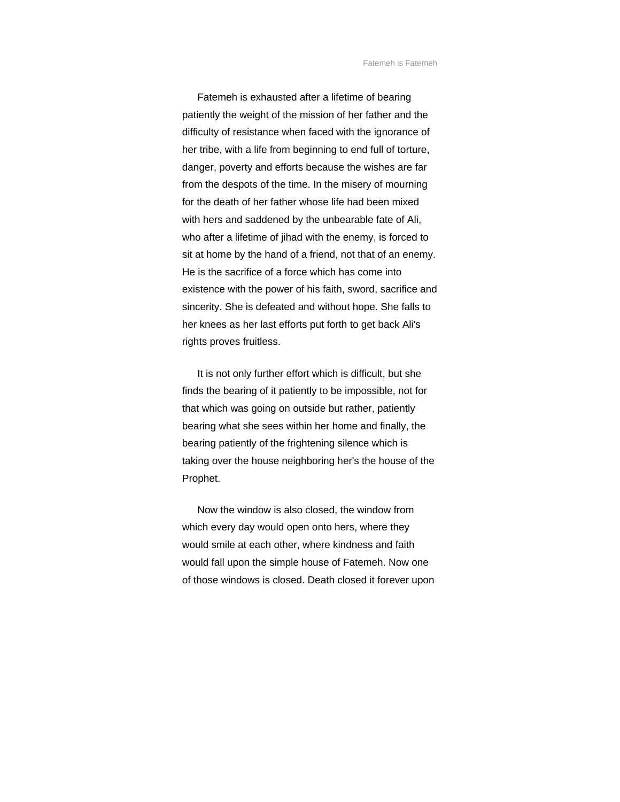Fatemeh is exhausted after a lifetime of bearing patiently the weight of the mission of her father and the difficulty of resistance when faced with the ignorance of her tribe, with a life from beginning to end full of torture, danger, poverty and efforts because the wishes are far from the despots of the time. In the misery of mourning for the death of her father whose life had been mixed with hers and saddened by the unbearable fate of Ali, who after a lifetime of jihad with the enemy, is forced to sit at home by the hand of a friend, not that of an enemy. He is the sacrifice of a force which has come into existence with the power of his faith, sword, sacrifice and sincerity. She is defeated and without hope. She falls to her knees as her last efforts put forth to get back Ali's rights proves fruitless.

It is not only further effort which is difficult, but she finds the bearing of it patiently to be impossible, not for that which was going on outside but rather, patiently bearing what she sees within her home and finally, the bearing patiently of the frightening silence which is taking over the house neighboring her's the house of the Prophet.

Now the window is also closed, the window from which every day would open onto hers, where they would smile at each other, where kindness and faith would fall upon the simple house of Fatemeh. Now one of those windows is closed. Death closed it forever upon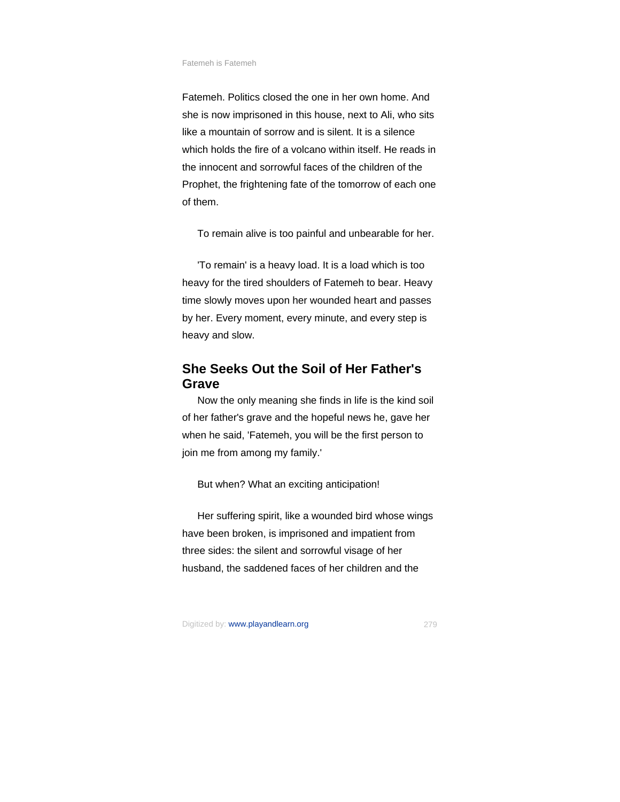Fatemeh. Politics closed the one in her own home. And she is now imprisoned in this house, next to Ali, who sits like a mountain of sorrow and is silent. It is a silence which holds the fire of a volcano within itself. He reads in the innocent and sorrowful faces of the children of the Prophet, the frightening fate of the tomorrow of each one of them.

To remain alive is too painful and unbearable for her.

'To remain' is a heavy load. It is a load which is too heavy for the tired shoulders of Fatemeh to bear. Heavy time slowly moves upon her wounded heart and passes by her. Every moment, every minute, and every step is heavy and slow.

# **She Seeks Out the Soil of Her Father's Grave**

Now the only meaning she finds in life is the kind soil of her father's grave and the hopeful news he, gave her when he said, 'Fatemeh, you will be the first person to join me from among my family.'

But when? What an exciting anticipation!

Her suffering spirit, like a wounded bird whose wings have been broken, is imprisoned and impatient from three sides: the silent and sorrowful visage of her husband, the saddened faces of her children and the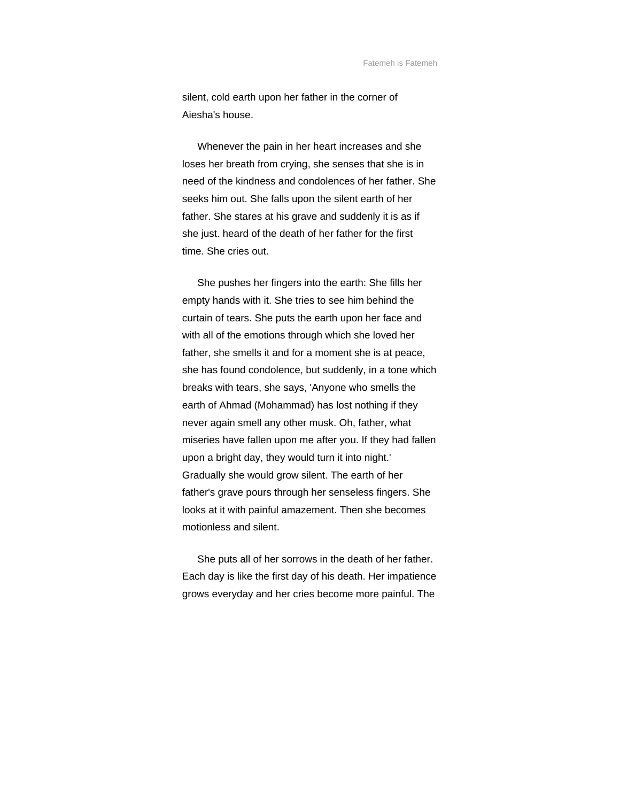Fatemeh is Fatemeh

silent, cold earth upon her father in the corner of Aiesha's house.

Whenever the pain in her heart increases and she loses her breath from crying, she senses that she is in need of the kindness and condolences of her father. She seeks him out. She falls upon the silent earth of her father. She stares at his grave and suddenly it is as if she just. heard of the death of her father for the first time. She cries out.

She pushes her fingers into the earth: She fills her empty hands with it. She tries to see him behind the curtain of tears. She puts the earth upon her face and with all of the emotions through which she loved her father, she smells it and for a moment she is at peace, she has found condolence, but suddenly, in a tone which breaks with tears, she says, 'Anyone who smells the earth of Ahmad (Mohammad) has lost nothing if they never again smell any other musk. Oh, father, what miseries have fallen upon me after you. If they had fallen upon a bright day, they would turn it into night.' Gradually she would grow silent. The earth of her father's grave pours through her senseless fingers. She looks at it with painful amazement. Then she becomes motionless and silent.

She puts all of her sorrows in the death of her father. Each day is like the first day of his death. Her impatience grows everyday and her cries become more painful. The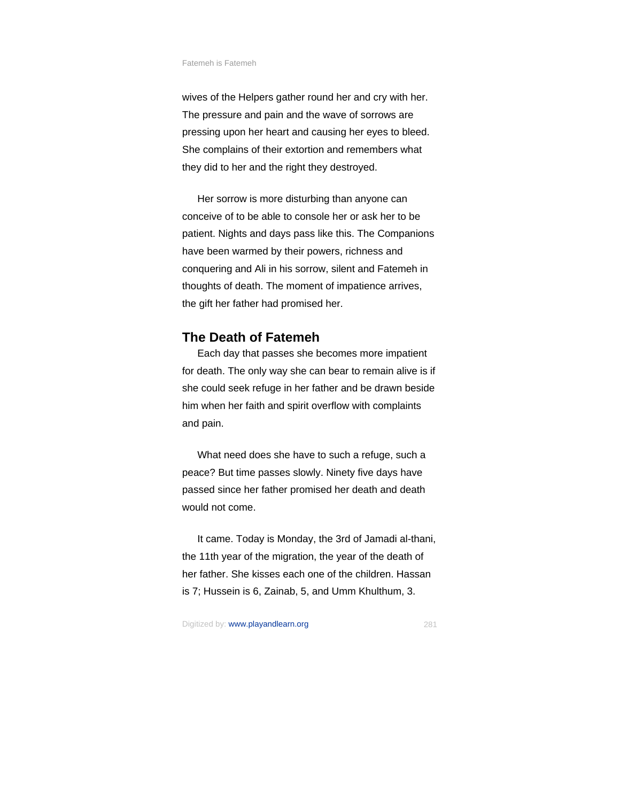wives of the Helpers gather round her and cry with her. The pressure and pain and the wave of sorrows are pressing upon her heart and causing her eyes to bleed. She complains of their extortion and remembers what they did to her and the right they destroyed.

Her sorrow is more disturbing than anyone can conceive of to be able to console her or ask her to be patient. Nights and days pass like this. The Companions have been warmed by their powers, richness and conquering and Ali in his sorrow, silent and Fatemeh in thoughts of death. The moment of impatience arrives, the gift her father had promised her.

## **The Death of Fatemeh**

Each day that passes she becomes more impatient for death. The only way she can bear to remain alive is if she could seek refuge in her father and be drawn beside him when her faith and spirit overflow with complaints and pain.

What need does she have to such a refuge, such a peace? But time passes slowly. Ninety five days have passed since her father promised her death and death would not come.

It came. Today is Monday, the 3rd of Jamadi al-thani, the 11th year of the migration, the year of the death of her father. She kisses each one of the children. Hassan is 7; Hussein is 6, Zainab, 5, and Umm Khulthum, 3.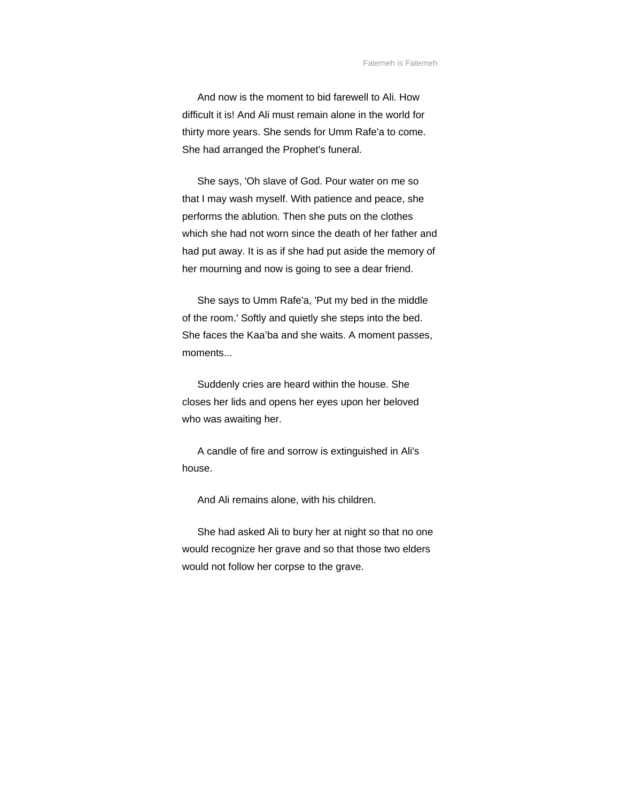And now is the moment to bid farewell to Ali. How difficult it is! And Ali must remain alone in the world for thirty more years. She sends for Umm Rafe'a to come. She had arranged the Prophet's funeral.

She says, 'Oh slave of God. Pour water on me so that I may wash myself. With patience and peace, she performs the ablution. Then she puts on the clothes which she had not worn since the death of her father and had put away. It is as if she had put aside the memory of her mourning and now is going to see a dear friend.

She says to Umm Rafe'a, 'Put my bed in the middle of the room.' Softly and quietly she steps into the bed. She faces the Kaa'ba and she waits. A moment passes, moments...

Suddenly cries are heard within the house. She closes her lids and opens her eyes upon her beloved who was awaiting her.

A candle of fire and sorrow is extinguished in Ali's house.

And Ali remains alone, with his children.

She had asked Ali to bury her at night so that no one would recognize her grave and so that those two elders would not follow her corpse to the grave.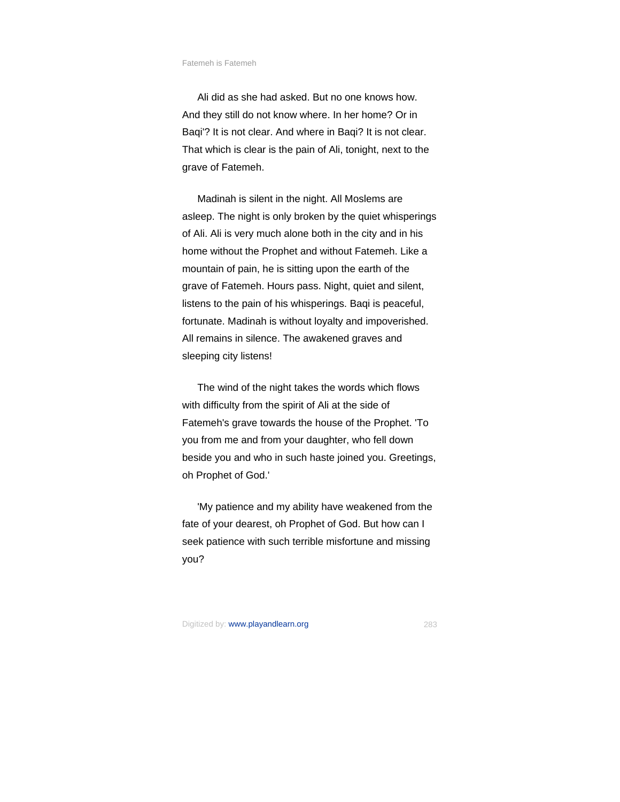Ali did as she had asked. But no one knows how. And they still do not know where. In her home? Or in Baqi'? It is not clear. And where in Baqi? It is not clear. That which is clear is the pain of Ali, tonight, next to the grave of Fatemeh.

Madinah is silent in the night. All Moslems are asleep. The night is only broken by the quiet whisperings of Ali. Ali is very much alone both in the city and in his home without the Prophet and without Fatemeh. Like a mountain of pain, he is sitting upon the earth of the grave of Fatemeh. Hours pass. Night, quiet and silent, listens to the pain of his whisperings. Baqi is peaceful, fortunate. Madinah is without loyalty and impoverished. All remains in silence. The awakened graves and sleeping city listens!

The wind of the night takes the words which flows with difficulty from the spirit of Ali at the side of Fatemeh's grave towards the house of the Prophet. 'To you from me and from your daughter, who fell down beside you and who in such haste joined you. Greetings, oh Prophet of God.'

'My patience and my ability have weakened from the fate of your dearest, oh Prophet of God. But how can I seek patience with such terrible misfortune and missing you?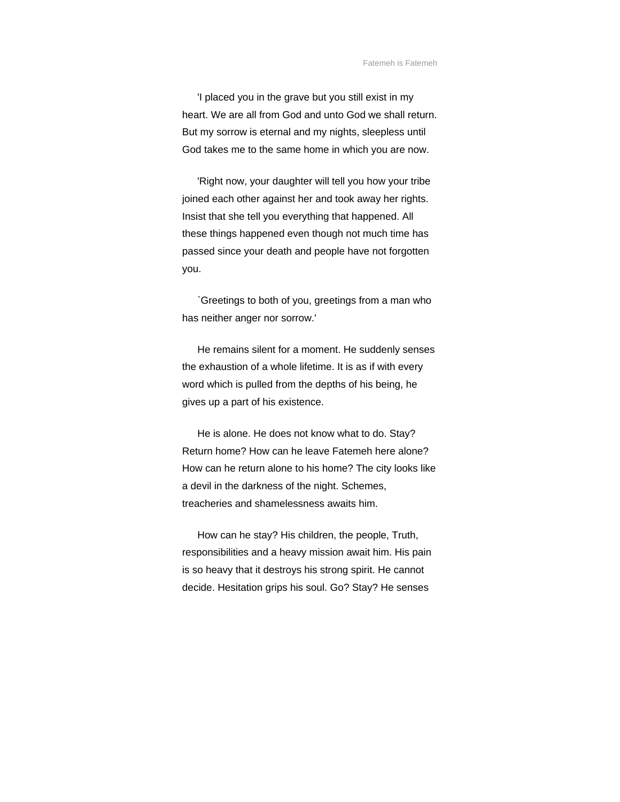'I placed you in the grave but you still exist in my heart. We are all from God and unto God we shall return. But my sorrow is eternal and my nights, sleepless until God takes me to the same home in which you are now.

'Right now, your daughter will tell you how your tribe joined each other against her and took away her rights. Insist that she tell you everything that happened. All these things happened even though not much time has passed since your death and people have not forgotten you.

`Greetings to both of you, greetings from a man who has neither anger nor sorrow.'

He remains silent for a moment. He suddenly senses the exhaustion of a whole lifetime. It is as if with every word which is pulled from the depths of his being, he gives up a part of his existence.

He is alone. He does not know what to do. Stay? Return home? How can he leave Fatemeh here alone? How can he return alone to his home? The city looks like a devil in the darkness of the night. Schemes, treacheries and shamelessness awaits him.

How can he stay? His children, the people, Truth, responsibilities and a heavy mission await him. His pain is so heavy that it destroys his strong spirit. He cannot decide. Hesitation grips his soul. Go? Stay? He senses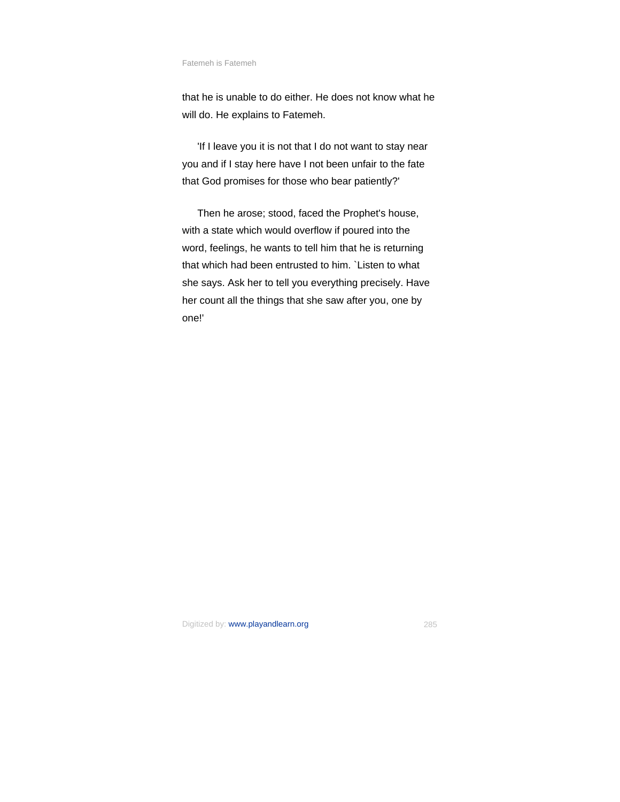that he is unable to do either. He does not know what he will do. He explains to Fatemeh.

'If I leave you it is not that I do not want to stay near you and if I stay here have I not been unfair to the fate that God promises for those who bear patiently?'

Then he arose; stood, faced the Prophet's house, with a state which would overflow if poured into the word, feelings, he wants to tell him that he is returning that which had been entrusted to him. `Listen to what she says. Ask her to tell you everything precisely. Have her count all the things that she saw after you, one by one!'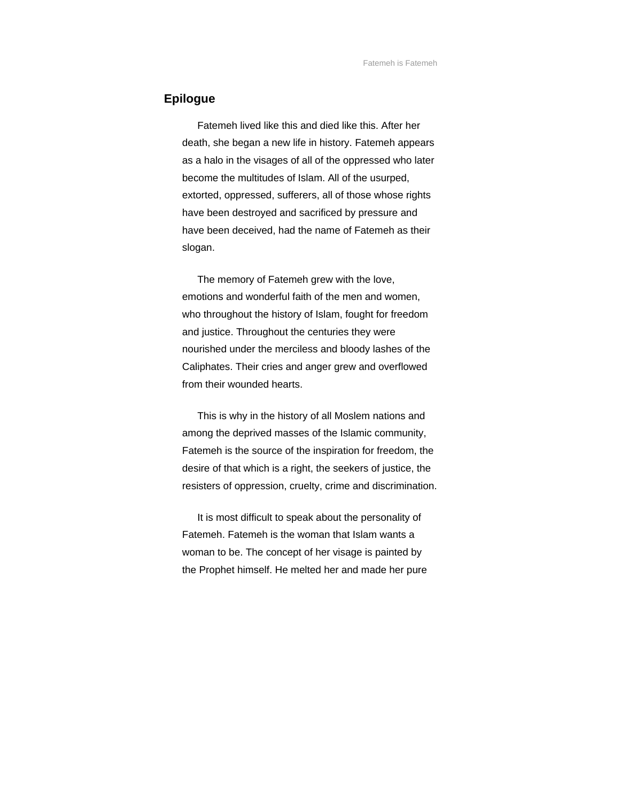## **Epilogue**

Fatemeh lived like this and died like this. After her death, she began a new life in history. Fatemeh appears as a halo in the visages of all of the oppressed who later become the multitudes of Islam. All of the usurped, extorted, oppressed, sufferers, all of those whose rights have been destroyed and sacrificed by pressure and have been deceived, had the name of Fatemeh as their slogan.

The memory of Fatemeh grew with the love, emotions and wonderful faith of the men and women, who throughout the history of Islam, fought for freedom and justice. Throughout the centuries they were nourished under the merciless and bloody lashes of the Caliphates. Their cries and anger grew and overflowed from their wounded hearts.

This is why in the history of all Moslem nations and among the deprived masses of the Islamic community, Fatemeh is the source of the inspiration for freedom, the desire of that which is a right, the seekers of justice, the resisters of oppression, cruelty, crime and discrimination.

It is most difficult to speak about the personality of Fatemeh. Fatemeh is the woman that Islam wants a woman to be. The concept of her visage is painted by the Prophet himself. He melted her and made her pure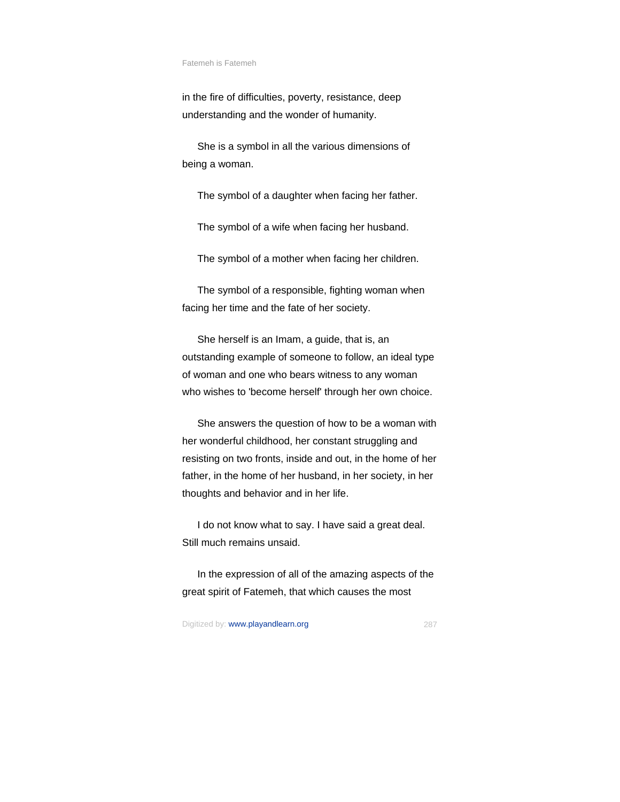in the fire of difficulties, poverty, resistance, deep understanding and the wonder of humanity.

She is a symbol in all the various dimensions of being a woman.

The symbol of a daughter when facing her father.

The symbol of a wife when facing her husband.

The symbol of a mother when facing her children.

The symbol of a responsible, fighting woman when facing her time and the fate of her society.

She herself is an Imam, a guide, that is, an outstanding example of someone to follow, an ideal type of woman and one who bears witness to any woman who wishes to 'become herself' through her own choice.

She answers the question of how to be a woman with her wonderful childhood, her constant struggling and resisting on two fronts, inside and out, in the home of her father, in the home of her husband, in her society, in her thoughts and behavior and in her life.

I do not know what to say. I have said a great deal. Still much remains unsaid.

In the expression of all of the amazing aspects of the great spirit of Fatemeh, that which causes the most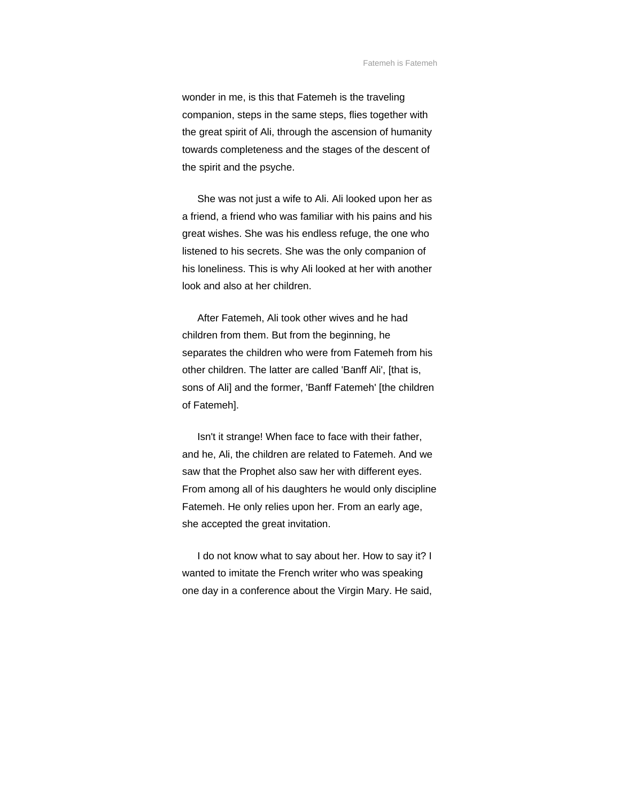wonder in me, is this that Fatemeh is the traveling companion, steps in the same steps, flies together with the great spirit of Ali, through the ascension of humanity towards completeness and the stages of the descent of the spirit and the psyche.

She was not just a wife to Ali. Ali looked upon her as a friend, a friend who was familiar with his pains and his great wishes. She was his endless refuge, the one who listened to his secrets. She was the only companion of his loneliness. This is why Ali looked at her with another look and also at her children.

After Fatemeh, Ali took other wives and he had children from them. But from the beginning, he separates the children who were from Fatemeh from his other children. The latter are called 'Banff Ali', [that is, sons of Ali] and the former, 'Banff Fatemeh' [the children of Fatemeh].

Isn't it strange! When face to face with their father, and he, Ali, the children are related to Fatemeh. And we saw that the Prophet also saw her with different eyes. From among all of his daughters he would only discipline Fatemeh. He only relies upon her. From an early age, she accepted the great invitation.

I do not know what to say about her. How to say it? I wanted to imitate the French writer who was speaking one day in a conference about the Virgin Mary. He said,